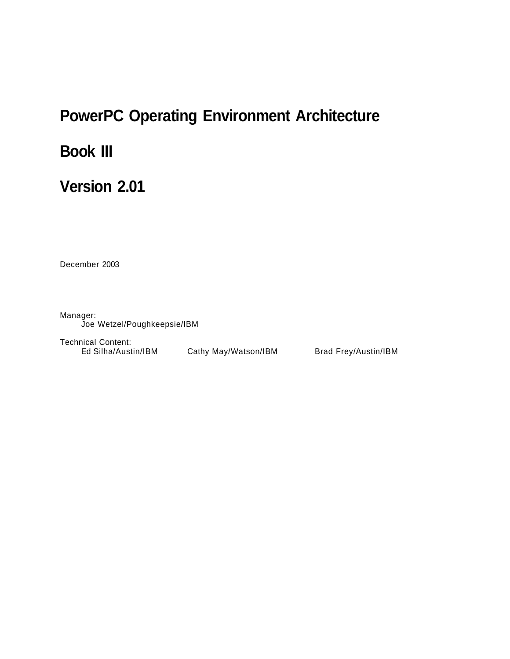# **PowerPC Operating Environment Architecture**

# **Book III**

# **Version 2.01**

December 2003

Manager: Joe Wetzel/Poughkeepsie/IBM

Technical Content:

Ed Silha/Austin/IBM Cathy May/Watson/IBM Brad Frey/Austin/IBM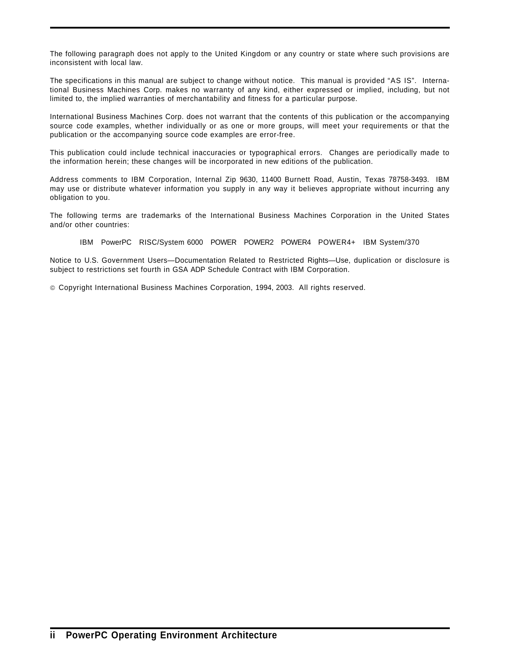The following paragraph does not apply to the United Kingdom or any country or state where such provisions are inconsistent with local law.

The specifications in this manual are subject to change without notice. This manual is provided "AS IS". International Business Machines Corp. makes no warranty of any kind, either expressed or implied, including, but not limited to, the implied warranties of merchantability and fitness for a particular purpose.

International Business Machines Corp. does not warrant that the contents of this publication or the accompanying source code examples, whether individually or as one or more groups, will meet your requirements or that the publication or the accompanying source code examples are error-free.

This publication could include technical inaccuracies or typographical errors. Changes are periodically made to the information herein; these changes will be incorporated in new editions of the publication.

Address comments to IBM Corporation, Internal Zip 9630, 11400 Burnett Road, Austin, Texas 78758-3493. IBM may use or distribute whatever information you supply in any way it believes appropriate without incurring any obligation to you.

The following terms are trademarks of the International Business Machines Corporation in the United States and/or other countries:

IBM PowerPC RISC/System 6000 POWER POWER2 POWER4 POWER4+ IBM System/370

Notice to U.S. Government Users—Documentation Related to Restricted Rights—Use, duplication or disclosure is subject to restrictions set fourth in GSA ADP Schedule Contract with IBM Corporation.

Copyright International Business Machines Corporation, 1994, 2003. All rights reserved.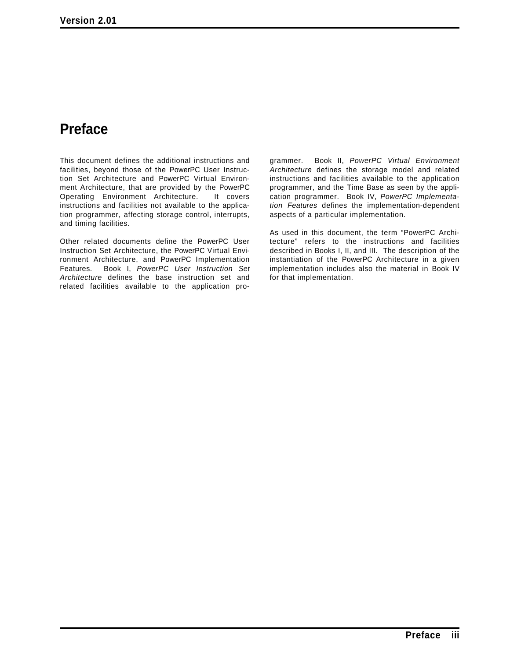# **Preface**

This document defines the additional instructions and facilities, beyond those of the PowerPC User Instruction Set Architecture and PowerPC Virtual Environment Architecture, that are provided by the PowerPC<br>Operating Environment Architecture. It covers Operating Environment Architecture. instructions and facilities not available to the application programmer, affecting storage control, interrupts, and timing facilities.

Other related documents define the PowerPC User Instruction Set Architecture, the PowerPC Virtual Environment Architecture, and PowerPC Implementation Features. Book I, *PowerPC User Instruction Set Architecture* defines the base instruction set and related facilities available to the application pro-

grammer. Book II, *PowerPC Virtual Environment Architecture* defines the storage model and related instructions and facilities available to the application programmer, and the Time Base as seen by the application programmer. Book IV, *PowerPC Implementation Features* defines the implementation-dependent aspects of a particular implementation.

As used in this document, the term "PowerPC Architecture" refers to the instructions and facilities described in Books I, II, and III. The description of the instantiation of the PowerPC Architecture in a given implementation includes also the material in Book IV for that implementation.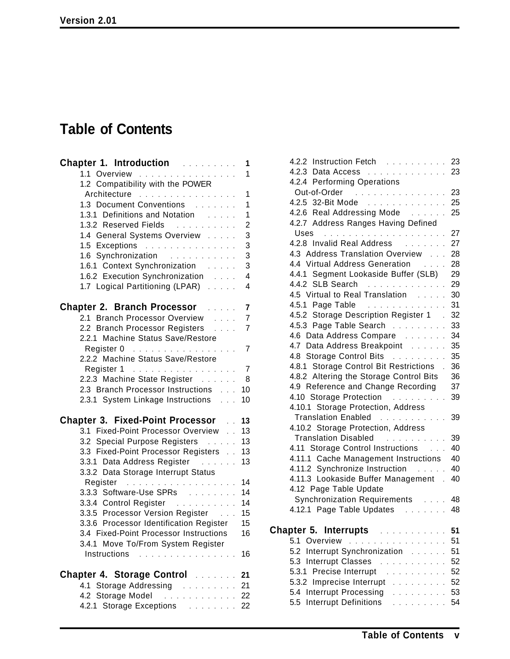# **Table of Contents**

| <b>Chapter 1. Introduction Chapter 1. Introduction</b>                                                                                                                                                                                             | 1                       |
|----------------------------------------------------------------------------------------------------------------------------------------------------------------------------------------------------------------------------------------------------|-------------------------|
| 1.1 Overview                                                                                                                                                                                                                                       | 1                       |
| 1.2 Compatibility with the POWER                                                                                                                                                                                                                   |                         |
| Architecture                                                                                                                                                                                                                                       | $\mathbf{1}$            |
| 1.3 Document Conventions [1]                                                                                                                                                                                                                       | $\mathbf{1}$            |
| 1.3.1 Definitions and Notation                                                                                                                                                                                                                     | $\mathbf{1}$            |
| 1.3.2 Reserved Fields                                                                                                                                                                                                                              | 2                       |
| 1.4 General Systems Overview                                                                                                                                                                                                                       | 3                       |
| 1.5 Exceptions                                                                                                                                                                                                                                     | 3                       |
| 1.6 Synchronization                                                                                                                                                                                                                                | 3                       |
| 1.6.1 Context Synchronization                                                                                                                                                                                                                      | 3                       |
| 1.6.2 Execution Synchronization                                                                                                                                                                                                                    | $\overline{\mathbf{4}}$ |
| 1.7 Logical Partitioning (LPAR)                                                                                                                                                                                                                    | $\overline{4}$          |
| <b>Chapter 2. Branch Processor Exercise</b>                                                                                                                                                                                                        | $\overline{\mathbf{7}}$ |
| 2.1 Branch Processor Overview                                                                                                                                                                                                                      | 7                       |
| 2.2 Branch Processor Registers                                                                                                                                                                                                                     | $\overline{7}$          |
| 2.2.1 Machine Status Save/Restore                                                                                                                                                                                                                  |                         |
| Register 0                                                                                                                                                                                                                                         | $\overline{7}$          |
| 2.2.2 Machine Status Save/Restore                                                                                                                                                                                                                  |                         |
| Register 1                                                                                                                                                                                                                                         | $\overline{7}$          |
| 2.2.3 Machine State Register                                                                                                                                                                                                                       | 8                       |
| 2.3 Branch Processor Instructions                                                                                                                                                                                                                  | 10                      |
| 2.3.1 System Linkage Instructions                                                                                                                                                                                                                  | 10                      |
| <b>Chapter 3. Fixed-Point Processor</b>                                                                                                                                                                                                            | 13                      |
| 3.1 Fixed-Point Processor Overview                                                                                                                                                                                                                 | 13                      |
| 3.2 Special Purpose Registers                                                                                                                                                                                                                      | 13                      |
| 3.3 Fixed-Point Processor Registers                                                                                                                                                                                                                | 13                      |
| 3.3.1 Data Address Register                                                                                                                                                                                                                        | 13                      |
| 3.3.2 Data Storage Interrupt Status                                                                                                                                                                                                                |                         |
|                                                                                                                                                                                                                                                    | 14                      |
| 3.3.3 Software-Use SPRs                                                                                                                                                                                                                            | 14                      |
|                                                                                                                                                                                                                                                    | 14                      |
| 3.3.5 Processor Version Register                                                                                                                                                                                                                   | 15                      |
| 3.3.6 Processor Identification Register                                                                                                                                                                                                            | 15                      |
| 3.4 Fixed-Point Processor Instructions                                                                                                                                                                                                             | 16                      |
| 3.4.1 Move To/From System Register                                                                                                                                                                                                                 |                         |
| Instructions<br>$\mathcal{L}$ . The set of the set of the set of the set of the set of the set of the set of the set of the set of the set of the set of the set of the set of the set of the set of the set of the set of the set of the set of t | 16                      |
| <b>Chapter 4. Storage Control Chapter 4. Storage Control</b>                                                                                                                                                                                       |                         |
| 4.1 Storage Addressing                                                                                                                                                                                                                             | 21<br>21                |
| 4.2 Storage Model<br>. 22                                                                                                                                                                                                                          |                         |
| 4.2.1 Storage Exceptions 22                                                                                                                                                                                                                        |                         |
|                                                                                                                                                                                                                                                    |                         |

| 4.2.2 Instruction Fetch 23                                                                                                                                                                                                                                   |      |
|--------------------------------------------------------------------------------------------------------------------------------------------------------------------------------------------------------------------------------------------------------------|------|
| 4.2.3 Data Access 23                                                                                                                                                                                                                                         |      |
| 4.2.4 Performing Operations                                                                                                                                                                                                                                  |      |
| Out-of-Order                                                                                                                                                                                                                                                 | 23   |
| 4.2.5 32-Bit Mode                                                                                                                                                                                                                                            | 25   |
| 4.2.6 Real Addressing Mode                                                                                                                                                                                                                                   | 25   |
| 4.2.7 Address Ranges Having Defined                                                                                                                                                                                                                          |      |
|                                                                                                                                                                                                                                                              | 27   |
| 4.2.8 Invalid Real Address<br>and a straight and                                                                                                                                                                                                             | 27   |
| 4.3 Address Translation Overview                                                                                                                                                                                                                             | 28   |
| 4.4 Virtual Address Generation<br><b>Contractor</b>                                                                                                                                                                                                          | 28   |
| 4.4.1 Segment Lookaside Buffer (SLB)                                                                                                                                                                                                                         | 29   |
| 4.4.2 SLB Search<br>$\mathcal{A}$ . The set of the set of the set of the set of the $\mathcal{A}$                                                                                                                                                            | 29   |
| 4.5 Virtual to Real Translation                                                                                                                                                                                                                              | 30   |
| 4.5.1 Page Table<br>.                                                                                                                                                                                                                                        | 31   |
| 4.5.2 Storage Description Register 1                                                                                                                                                                                                                         | 32   |
| 4.5.3 Page Table Search                                                                                                                                                                                                                                      | 33   |
| 4.6 Data Address Compare                                                                                                                                                                                                                                     | 34   |
| 4.7 Data Address Breakpoint                                                                                                                                                                                                                                  | 35   |
| 4.8 Storage Control Bits                                                                                                                                                                                                                                     | 35   |
| 4.8.1 Storage Control Bit Restrictions.                                                                                                                                                                                                                      | 36   |
| 4.8.2 Altering the Storage Control Bits                                                                                                                                                                                                                      | 36   |
| 4.9 Reference and Change Recording                                                                                                                                                                                                                           | 37   |
| 4.10 Storage Protection                                                                                                                                                                                                                                      | 39   |
| 4.10.1 Storage Protection, Address                                                                                                                                                                                                                           |      |
| Translation Enabled                                                                                                                                                                                                                                          | 39   |
| 4.10.2 Storage Protection, Address                                                                                                                                                                                                                           |      |
| Translation Disabled                                                                                                                                                                                                                                         | 39   |
| 4.11 Storage Control Instructions                                                                                                                                                                                                                            | 40   |
| 4.11.1 Cache Management Instructions                                                                                                                                                                                                                         | 40   |
| 4.11.2 Synchronize Instruction                                                                                                                                                                                                                               | 40   |
| 4.11.3 Lookaside Buffer Management.                                                                                                                                                                                                                          | 40   |
| 4.12 Page Table Update                                                                                                                                                                                                                                       |      |
| Synchronization Requirements                                                                                                                                                                                                                                 | - 48 |
| 4.12.1 Page Table Updates<br>.                                                                                                                                                                                                                               | 48   |
|                                                                                                                                                                                                                                                              |      |
| Chapter 5. Interrupts<br>.                                                                                                                                                                                                                                   | 51   |
| 5.1 Overview<br>$\mathcal{L}^{\mathcal{A}}$ , $\mathcal{L}^{\mathcal{A}}$ , $\mathcal{L}^{\mathcal{A}}$<br>.<br>$\sim$                                                                                                                                       | 51   |
| Interrupt Synchronization<br>5.2                                                                                                                                                                                                                             | 51   |
| <b>Interrupt Classes</b><br>5.3<br>.                                                                                                                                                                                                                         | 52   |
| Precise Interrupt<br>5.3.1<br>and a contract of the contract of the contract of the contract of the contract of the contract of the contract of the contract of the contract of the contract of the contract of the contract of the contract of the contract | 52   |
| 5.3.2 Imprecise Interrupt                                                                                                                                                                                                                                    | 52   |
| 5.4 Interrupt Processing<br><u>and delegate</u>                                                                                                                                                                                                              | 53   |
| 5.5 Interrupt Definitions<br>.                                                                                                                                                                                                                               | 54   |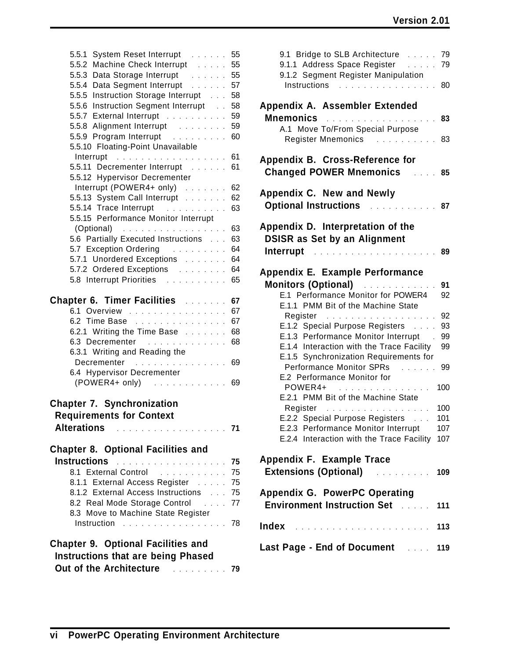| 5.5.1<br>System Reset Interrupt                                                                         | 55 |
|---------------------------------------------------------------------------------------------------------|----|
| 5.5.2 Machine Check Interrupt                                                                           | 55 |
| 5.5.3 Data Storage Interrupt                                                                            | 55 |
| 5.5.4 Data Segment Interrupt                                                                            | 57 |
| 5.5.5 Instruction Storage Interrupt                                                                     | 58 |
| 5.5.6 Instruction Segment Interrupt                                                                     | 58 |
| 5.5.7 External Interrupt                                                                                | 59 |
| 5.5.8 Alignment Interrupt                                                                               | 59 |
|                                                                                                         | 60 |
| 5.5.10 Floating-Point Unavailable                                                                       |    |
| Interrupt<br>$\mathcal{A}$ , and a set of the set of the set of the set of the set of the $\mathcal{A}$ | 61 |
| 5.5.11 Decrementer Interrupt [1, 1, 1, 1]                                                               | 61 |
| 5.5.12 Hypervisor Decrementer                                                                           |    |
| Interrupt (POWER4+ only) $\ldots$                                                                       | 62 |
| 5.5.13 System Call Interrupt                                                                            | 62 |
| 5.5.14 Trace Interrupt                                                                                  | 63 |
| 5.5.15 Performance Monitor Interrupt                                                                    |    |
| $(Optional)$                                                                                            | 63 |
| 5.6 Partially Executed Instructions                                                                     | 63 |
| 5.7 Exception Ordering                                                                                  | 64 |
| 5.7.1 Unordered Exceptions                                                                              | 64 |
| 5.7.2 Ordered Exceptions                                                                                | 64 |
| 5.8 Interrupt Priorities                                                                                | 65 |
|                                                                                                         |    |
| <b>Chapter 6. Timer Facilities Alleman Chapter 6. Timer Facilities</b>                                  | 67 |
| 6.1 Overview                                                                                            | 67 |
| 6.2 Time Base                                                                                           | 67 |
| 6.2.1 Writing the Time Base $\ldots$                                                                    | 68 |
| 6.3 Decrementer                                                                                         | 68 |
| 6.3.1 Writing and Reading the                                                                           |    |
| Decrementer                                                                                             | 69 |
| 6.4 Hypervisor Decrementer                                                                              |    |
| $(POWER4+ only)$                                                                                        | 69 |
|                                                                                                         |    |
| <b>Chapter 7. Synchronization</b>                                                                       |    |
| <b>Requirements for Context</b>                                                                         |    |
|                                                                                                         |    |
| <b>Alterations</b><br>. <b>71</b>                                                                       |    |
|                                                                                                         |    |
| <b>Chapter 8. Optional Facilities and</b>                                                               |    |
| Instructions <b>Manual Accept and Structure 1997</b>                                                    |    |
| 8.1 External Control                                                                                    | 75 |
| 8.1.1 External Access Register                                                                          | 75 |
| 8.1.2 External Access Instructions                                                                      | 75 |
| 8.2 Real Mode Storage Control                                                                           | 77 |
| 8.3 Move to Machine State Register                                                                      |    |
| Instruction                                                                                             | 78 |
|                                                                                                         |    |
| <b>Chapter 9. Optional Facilities and</b>                                                               |    |
| <b>Instructions that are being Phased</b>                                                               |    |
| Out of the Architecture<br><u>79 - Johann Steiner, mars 79</u>                                          |    |
|                                                                                                         |    |

| 9.1 Bridge to SLB Architecture<br>9.1.1 Address Space Register<br>9.1.2 Segment Register Manipulation<br>Instructions<br>. | 79<br>79<br>80 |
|----------------------------------------------------------------------------------------------------------------------------|----------------|
| Appendix A. Assembler Extended<br><b>Mnemonics</b>                                                                         |                |
| A.1 Move To/From Special Purpose<br><b>Register Mnemonics</b>                                                              | 83<br>83       |
| Appendix B. Cross-Reference for<br><b>Changed POWER Mnemonics</b>                                                          | 85             |
| Appendix C. New and Newly<br><b>Optional Instructions</b><br>a a shekar                                                    | 87             |
| Appendix D. Interpretation of the<br><b>DSISR as Set by an Alignment</b>                                                   |                |
| Interrupt<br>.                                                                                                             | 89             |
| Appendix E. Example Performance                                                                                            |                |
| <b>Monitors (Optional)</b><br><u>.</u><br>E.1 Performance Monitor for POWER4<br>E.1.1 PMM Bit of the Machine State         | 91<br>92       |
| Register                                                                                                                   | 92             |
| E.1.2 Special Purpose Registers<br>E.1.3 Performance Monitor Interrupt                                                     | 93<br>99       |
| E.1.4 Interaction with the Trace Facility                                                                                  | 99             |
| E.1.5 Synchronization Requirements for                                                                                     |                |
| <b>Performance Monitor SPRs</b><br>E.2 Performance Monitor for                                                             | 99             |
| POWER4+<br>.<br>.                                                                                                          | 100            |
| E.2.1 PMM Bit of the Machine State                                                                                         |                |
| Register<br>.<br>E.2.2 Special Purpose Registers                                                                           | 100<br>101     |
| E.2.3 Performance Monitor Interrupt                                                                                        | 107            |
| E.2.4 Interaction with the Trace Facility                                                                                  | 107            |
| Appendix F. Example Trace<br><b>Extensions (Optional) Extensions</b>                                                       | 109            |
| Appendix G. PowerPC Operating                                                                                              |                |
| <b>Environment Instruction Set Address</b>                                                                                 | 111            |
|                                                                                                                            |                |
| Last Page - End of Document 119                                                                                            |                |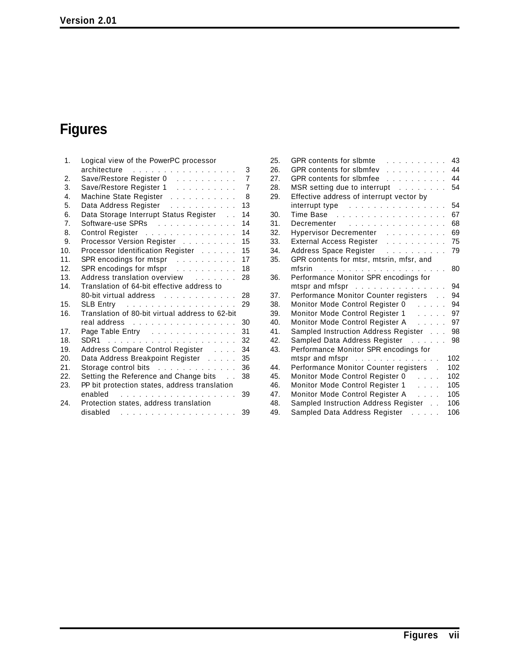# **Figures**

| 1.                    | Logical view of the PowerPC processor                                                                          |                     |
|-----------------------|----------------------------------------------------------------------------------------------------------------|---------------------|
| $\mathcal{P}_{\cdot}$ | architecture                                                                                                   | 3<br>$\overline{7}$ |
| 3.                    | Save/Restore Register 0                                                                                        | $\overline{7}$      |
|                       | Save/Restore Register 1                                                                                        |                     |
| 4.                    | Machine State Register                                                                                         | 8                   |
| 5.                    | Data Address Register                                                                                          | 13                  |
| 6.                    | Data Storage Interrupt Status Register                                                                         | 14                  |
| 7.                    | Software-use SPRs                                                                                              | 14                  |
| 8.                    | Control Register                                                                                               | 14                  |
| 9.                    | Processor Version Register                                                                                     | 15                  |
| 10.                   | Processor Identification Register                                                                              | 15                  |
| 11.                   | SPR encodings for mtspr $\ldots$                                                                               | 17                  |
| 12.                   | SPR encodings for mfspr [1, 1, 1, 1, 1, 1, 1, 1]                                                               | 18                  |
| 13.                   | Address translation overview                                                                                   | 28                  |
| 14.                   | Translation of 64-bit effective address to                                                                     |                     |
|                       | 80-bit virtual address                                                                                         | 28                  |
| 15.                   | SLB Entry $\ldots \ldots \ldots \ldots \ldots$                                                                 | 29                  |
| 16.                   | Translation of 80-bit virtual address to 62-bit                                                                |                     |
|                       | real address resources and contained and containing the set of the set of the set of the set of the set of the | 30                  |
| 17 <sub>1</sub>       | Page Table Entry Fig.                                                                                          | 31                  |
| 18.                   |                                                                                                                | 32                  |
| 19.                   | Address Compare Control Register                                                                               | 34                  |
| 20.                   | Data Address Breakpoint Register                                                                               | 35                  |
| 21.                   | Storage control bits                                                                                           | 36                  |
| 22.                   | Setting the Reference and Change bits                                                                          | 38                  |
| 23.                   | PP bit protection states, address translation                                                                  |                     |
|                       | enabled<br>.                                                                                                   | 39                  |
| 24.                   | Protection states, address translation                                                                         |                     |
|                       | disabled<br>.                                                                                                  | 39                  |
|                       |                                                                                                                |                     |

| 25. | GPR contents for slbmte<br>.                                                                                    | 43  |
|-----|-----------------------------------------------------------------------------------------------------------------|-----|
| 26. | <b>GPR</b> contents for slbmfev<br>.                                                                            | 44  |
| 27. | GPR contents for slbmfee<br>.                                                                                   | 44  |
| 28. | MSR setting due to interrupt                                                                                    | 54  |
| 29. | Effective address of interrupt vector by                                                                        |     |
|     |                                                                                                                 | 54  |
| 30. | Time Base research and contact and the Base research and the Base research and the Base of the Base of the Base | 67  |
| 31. | Decrementer                                                                                                     | 68  |
| 32. | Hypervisor Decrementer                                                                                          | 69  |
| 33. | External Access Register                                                                                        | 75  |
| 34. | Address Space Register                                                                                          | 79  |
| 35. | GPR contents for mtsr, mtsrin, mfsr, and                                                                        |     |
|     | mfsrin                                                                                                          | 80  |
| 36. | Performance Monitor SPR encodings for                                                                           |     |
|     | mtspr and mfspr                                                                                                 | 94  |
| 37. | Performance Monitor Counter registers                                                                           | 94  |
| 38. | Monitor Mode Control Register 0                                                                                 | 94  |
| 39. | Monitor Mode Control Register 1                                                                                 | 97  |
| 40. | Monitor Mode Control Register A                                                                                 | 97  |
| 41. | Sampled Instruction Address Register                                                                            | 98  |
| 42. | Sampled Data Address Register<br>and the contract of                                                            | 98  |
| 43. | Performance Monitor SPR encodings for                                                                           |     |
|     | mtspr and mfspr $\ldots$                                                                                        | 102 |
| 44. | Performance Monitor Counter registers.                                                                          | 102 |
| 45. | Monitor Mode Control Register 0<br>$\ldots$ . $\ldots$                                                          | 102 |
| 46. | Monitor Mode Control Register 1<br>$\mathbf{1}$ and $\mathbf{1}$                                                | 105 |
| 47. | Monitor Mode Control Register A<br>$\cdots$                                                                     | 105 |
| 48. | Sampled Instruction Address Register                                                                            | 106 |
| 49. | Sampled Data Address Register<br>e a sera                                                                       | 106 |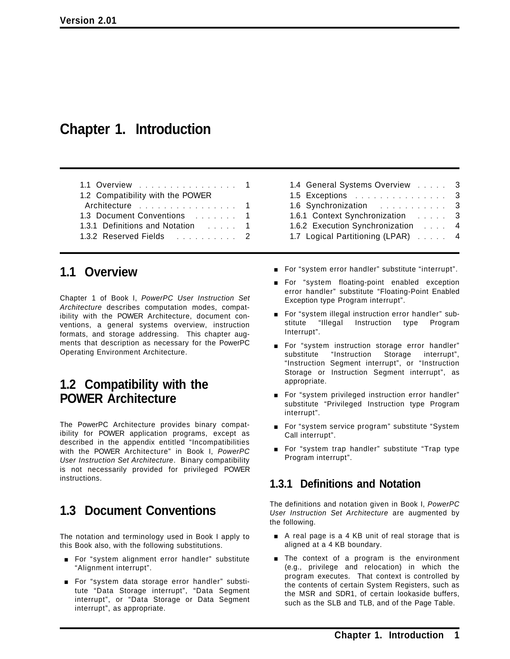# **Chapter 1. Introduction**

| 1.1 Overview 1                   |  |
|----------------------------------|--|
| 1.2 Compatibility with the POWER |  |
|                                  |  |
| 1.3 Document Conventions  1      |  |
| 1.3.1 Definitions and Notation 1 |  |
| 1.3.2 Reserved Fields 2          |  |

# **1.1 Overview**

Chapter 1 of Book I, *PowerPC User Instruction Set Architecture* describes computation modes, compatibility with the POWER Architecture, document conventions, a general systems overview, instruction formats, and storage addressing. This chapter augments that description as necessary for the PowerPC Operating Environment Architecture.

# **1.2 Compatibility with the POWER Architecture**

The PowerPC Architecture provides binary compatibility for POWER application programs, except as described in the appendix entitled "Incompatibilities with the POWER Architecture" in Book I, *PowerPC User Instruction Set Architecture*. Binary compatibility is not necessarily provided for privileged POWER instructions.

# **1.3 Document Conventions**

The notation and terminology used in Book I apply to this Book also, with the following substitutions.

- **For "system alignment error handler" substitute** "Alignment interrupt".
- **For "system data storage error handler" substi**tute "Data Storage interrupt", "Data Segment interrupt", or "Data Storage or Data Segment interrupt", as appropriate.
- 1.4 General Systems Overview ..... 3 1.5 Exceptions ............... 3 1.6 Synchronization ........... 3 1.6.1 Context Synchronization . . . . . . 3 1.6.2 Execution Synchronization .... 4 1.7 Logical Partitioning (LPAR) . . . . . 4
- **For "system error handler" substitute "interrupt".**
- **For "system floating-point enabled exception** error handler" substitute "Floating-Point Enabled Exception type Program interrupt".
- **For "system illegal instruction error handler" sub**stitute "Illegal Instruction type Program Interrupt".
- **For "system instruction storage error handler"** substitute "Instruction Storage interrupt", "Instruction Segment interrupt", or "Instruction Storage or Instruction Segment interrupt", as appropriate.
- **For "system privileged instruction error handler"** substitute "Privileged Instruction type Program interrupt".
- **For "system service program" substitute "System** Call interrupt".
- **For "system trap handler" substitute "Trap type** Program interrupt".

### **1.3.1 Definitions and Notation**

The definitions and notation given in Book I, *PowerPC User Instruction Set Architecture* are augmented by the following.

- A real page is a 4 KB unit of real storage that is aligned at a 4 KB boundary.
- $\blacksquare$  The context of a program is the environment (e.g., privilege and relocation) in which the program executes. That context is controlled by the contents of certain System Registers, such as the MSR and SDR1, of certain lookaside buffers, such as the SLB and TLB, and of the Page Table.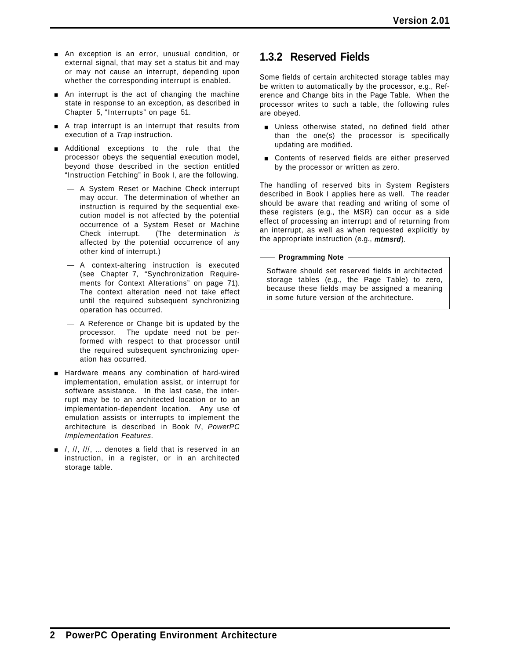- **An exception is an error, unusual condition, or** external signal, that may set a status bit and may or may not cause an interrupt, depending upon whether the corresponding interrupt is enabled.
- $\blacksquare$  An interrupt is the act of changing the machine state in response to an exception, as described in Chapter 5, "Interrupts" on page 51.
- A trap interrupt is an interrupt that results from execution of a *Trap* instruction.
- **E** Additional exceptions to the rule that the processor obeys the sequential execution model, beyond those described in the section entitled "Instruction Fetching" in Book I, are the following.
	- A System Reset or Machine Check interrupt may occur. The determination of whether an instruction is required by the sequential execution model is not affected by the potential occurrence of a System Reset or Machine Check interrupt. (The determination *is* affected by the potential occurrence of any other kind of interrupt.)
	- A context-altering instruction is executed (see Chapter 7, "Synchronization Requirements for Context Alterations" on page 71). The context alteration need not take effect until the required subsequent synchronizing operation has occurred.
	- A Reference or Change bit is updated by the processor. The update need not be performed with respect to that processor until the required subsequent synchronizing operation has occurred.
- **E** Hardware means any combination of hard-wired implementation, emulation assist, or interrupt for software assistance. In the last case, the interrupt may be to an architected location or to an implementation-dependent location. Any use of emulation assists or interrupts to implement the architecture is described in Book IV, *PowerPC Implementation Features*.
- $\blacksquare$  /, //, ///, ... denotes a field that is reserved in an instruction, in a register, or in an architected storage table.

## **1.3.2 Reserved Fields**

Some fields of certain architected storage tables may be written to automatically by the processor, e.g., Reference and Change bits in the Page Table. When the processor writes to such a table, the following rules are obeyed.

- **Dimeter Unless otherwise stated, no defined field other** than the one(s) the processor is specifically updating are modified.
- **Exercise Contents of reserved fields are either preserved** by the processor or written as zero.

The handling of reserved bits in System Registers described in Book I applies here as well. The reader should be aware that reading and writing of some of these registers (e.g., the MSR) can occur as a side effect of processing an interrupt and of returning from an interrupt, as well as when requested explicitly by the appropriate instruction (e.g., *mtmsrd*).

#### **Programming Note**

Software should set reserved fields in architected storage tables (e.g., the Page Table) to zero, because these fields may be assigned a meaning in some future version of the architecture.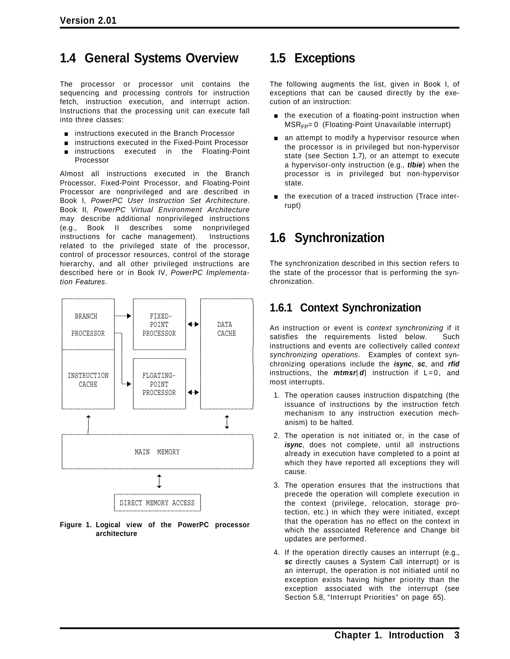# **1.4 General Systems Overview**

The processor or processor unit contains the sequencing and processing controls for instruction fetch, instruction execution, and interrupt action. Instructions that the processing unit can execute fall into three classes:

- **EXECUTE:** instructions executed in the Branch Processor
- instructions executed in the Fixed-Point Processor
- instructions executed in the Floating-Point Processor

Almost all instructions executed in the Branch Processor, Fixed-Point Processor, and Floating-Point Processor are nonprivileged and are described in Book I, *PowerPC User Instruction Set Architecture*. Book II, *PowerPC Virtual Environment Architecture* may describe additional nonprivileged instructions (e.g., Book II describes some nonprivileged instructions for cache management). Instructions related to the privileged state of the processor, control of processor resources, control of the storage hierarchy, and all other privileged instructions are described here or in Book IV, *PowerPC Implementation Features*.



**Figure 1. Logical view of the PowerPC processor architecture**

# **1.5 Exceptions**

The following augments the list, given in Book I, of exceptions that can be caused directly by the execution of an instruction:

- $\blacksquare$  the execution of a floating-point instruction when  $MSR<sub>FP</sub>= 0$  (Floating-Point Unavailable interrupt)
- $\blacksquare$  an attempt to modify a hypervisor resource when the processor is in privileged but non-hypervisor state (see Section 1.7), or an attempt to execute a hypervisor-only instruction (e.g., *tlbie*) when the processor is in privileged but non-hypervisor state.
- **n** the execution of a traced instruction (Trace interrupt)

# **1.6 Synchronization**

The synchronization described in this section refers to the state of the processor that is performing the synchronization.

# **1.6.1 Context Synchronization**

An instruction or event is *context synchronizing* if it satisfies the requirements listed below. Such instructions and events are collectively called *context synchronizing operations*. Examples of context synchronizing operations include the *isync*, *sc*, and *rfid* instructions, the *mtmsr*[*d*] instruction if L=0, and most interrupts.

- 1. The operation causes instruction dispatching (the issuance of instructions by the instruction fetch mechanism to any instruction execution mechanism) to be halted.
- 2. The operation is not initiated or, in the case of *isync*, does not complete, until all instructions already in execution have completed to a point at which they have reported all exceptions they will cause.
- 3. The operation ensures that the instructions that precede the operation will complete execution in the context (privilege, relocation, storage protection, etc.) in which they were initiated, except that the operation has no effect on the context in which the associated Reference and Change bit updates are performed.
- 4. If the operation directly causes an interrupt (e.g., *sc* directly causes a System Call interrupt) or is an interrupt, the operation is not initiated until no exception exists having higher priority than the exception associated with the interrupt (see Section 5.8, "Interrupt Priorities" on page 65).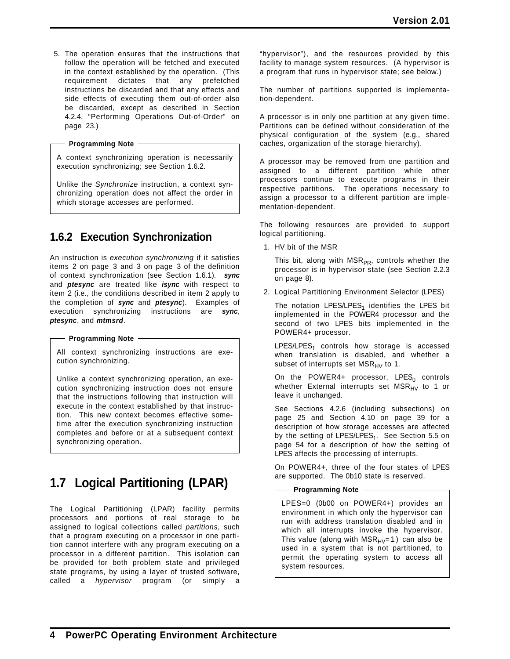5. The operation ensures that the instructions that follow the operation will be fetched and executed in the context established by the operation. (This requirement dictates that any prefetched instructions be discarded and that any effects and side effects of executing them out-of-order also be discarded, except as described in Section 4.2.4, "Performing Operations Out-of-Order" on page 23.)

#### **Programming Note**

A context synchronizing operation is necessarily execution synchronizing; see Section 1.6.2.

Unlike the *Synchronize* instruction, a context synchronizing operation does not affect the order in which storage accesses are performed.

# **1.6.2 Execution Synchronization**

An instruction is *execution synchronizing* if it satisfies items 2 on page 3 and 3 on page 3 of the definition of context synchronization (see Section 1.6.1). *sync* and *ptesync* are treated like *isync* with respect to item 2 (i.e., the conditions described in item 2 apply to the completion of *sync* and *ptesync*). Examples of execution synchronizing instructions are *sync*, *ptesync*, and *mtmsrd*.

#### **Programming Note**

All context synchronizing instructions are execution synchronizing.

Unlike a context synchronizing operation, an execution synchronizing instruction does not ensure that the instructions following that instruction will execute in the context established by that instruction. This new context becomes effective sometime after the execution synchronizing instruction completes and before or at a subsequent context synchronizing operation.

# **1.7 Logical Partitioning (LPAR)**

The Logical Partitioning (LPAR) facility permits processors and portions of real storage to be assigned to logical collections called *partitions*, such that a program executing on a processor in one partition cannot interfere with any program executing on a processor in a different partition. This isolation can be provided for both problem state and privileged state programs, by using a layer of trusted software, called a *hypervisor* program (or simply a

"hypervisor"), and the resources provided by this facility to manage system resources. (A hypervisor is a program that runs in hypervisor state; see below.)

The number of partitions supported is implementation-dependent.

A processor is in only one partition at any given time. Partitions can be defined without consideration of the physical configuration of the system (e.g., shared caches, organization of the storage hierarchy).

A processor may be removed from one partition and assigned to a different partition while other processors continue to execute programs in their respective partitions. The operations necessary to assign a processor to a different partition are implementation-dependent.

The following resources are provided to support logical partitioning.

1. HV bit of the MSR

This bit, along with  $MSR_{PR}$ , controls whether the processor is in hypervisor state (see Section 2.2.3 on page 8).

2. Logical Partitioning Environment Selector (LPES)

The notation LPES/LPES<sub>1</sub> identifies the LPES bit implemented in the POWER4 processor and the second of two LPES bits implemented in the POWER4+ processor.

 $LPES/LPES<sub>1</sub>$  controls how storage is accessed when translation is disabled, and whether a subset of interrupts set  $MSR_{HV}$  to 1.

On the POWER4+ processor, LPES<sub>0</sub> controls whether External interrupts set  $MSR_{HV}$  to 1 or leave it unchanged.

See Sections 4.2.6 (including subsections) on page 25 and Section 4.10 on page 39 for a description of how storage accesses are affected by the setting of LPES/LPES<sub>1</sub>. See Section 5.5 on page 54 for a description of how the setting of LPES affects the processing of interrupts.

On POWER4+, three of the four states of LPES are supported. The 0b10 state is reserved.

#### - Programming Note -

LPES=0 (0b00 on POWER4+) provides an environment in which only the hypervisor can run with address translation disabled and in which all interrupts invoke the hypervisor. This value (along with  $MSR_{HV}=1$ ) can also be used in a system that is not partitioned, to permit the operating system to access all system resources.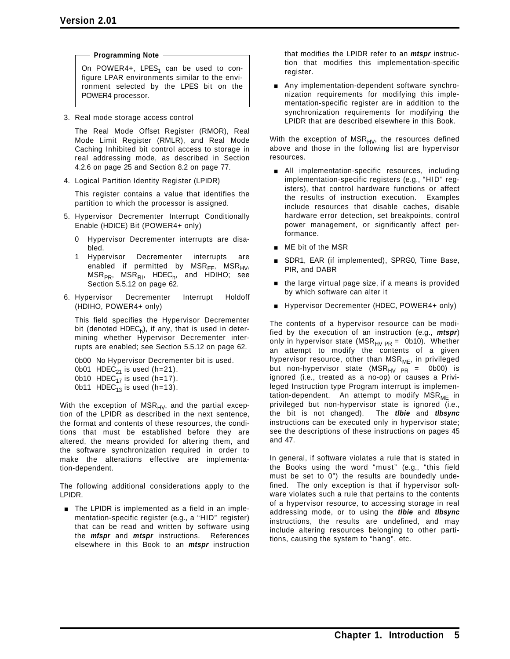**Programming Note**

On POWER4+, LPES<sub>1</sub> can be used to configure LPAR environments similar to the environment selected by the LPES bit on the POWER4 processor.

3. Real mode storage access control

The Real Mode Offset Register (RMOR), Real Mode Limit Register (RMLR), and Real Mode Caching Inhibited bit control access to storage in real addressing mode, as described in Section 4.2.6 on page 25 and Section 8.2 on page 77.

4. Logical Partition Identity Register (LPIDR)

This register contains a value that identifies the partition to which the processor is assigned.

- 5. Hypervisor Decrementer Interrupt Conditionally Enable (HDICE) Bit (POWER4+ only)
	- 0 Hypervisor Decrementer interrupts are disabled.
	- 1 Hypervisor Decrementer interrupts are enabled if permitted by  $MSR_{EE}$ ,  $MSR_{HV}$ ,  $MSR_{PR}$ ,  $MSR_{RI}$ , HDEC<sub>h</sub>, and HDIHO; see Section 5.5.12 on page 62.
- 6. Hypervisor Decrementer Interrupt Holdoff (HDIHO, POWER4+ only)

This field specifies the Hypervisor Decrementer bit (denoted HDEC<sub>h</sub>), if any, that is used in determining whether Hypervisor Decrementer interrupts are enabled; see Section 5.5.12 on page 62.

```
0b00 No Hypervisor Decrementer bit is used.
0b01 HDEC_{21} is used (h=21).
0b10 HDEC<sub>17</sub> is used (h=17).
0b11 HDEC<sub>13</sub> is used (h=13).
```
With the exception of  $MSR_{HV}$ , and the partial exception of the LPIDR as described in the next sentence, the format and contents of these resources, the conditions that must be established before they are altered, the means provided for altering them, and the software synchronization required in order to make the alterations effective are implementation-dependent.

The following additional considerations apply to the LPIDR.

The LPIDR is implemented as a field in an implementation-specific register (e.g., a "HID" register) that can be read and written by software using the *mfspr* and *mtspr* instructions. References elsewhere in this Book to an *mtspr* instruction that modifies the LPIDR refer to an *mtspr* instruction that modifies this implementation-specific register.

Any implementation-dependent software synchronization requirements for modifying this implementation-specific register are in addition to the synchronization requirements for modifying the LPIDR that are described elsewhere in this Book.

With the exception of  $MSR_{HV}$ , the resources defined above and those in the following list are hypervisor resources.

- **EXTENDING** All implementation-specific resources, including implementation-specific registers (e.g., "HID" registers), that control hardware functions or affect the results of instruction execution. Examples include resources that disable caches, disable hardware error detection, set breakpoints, control power management, or significantly affect performance.
- **I** ME bit of the MSR
- SDR1, EAR (if implemented), SPRG0, Time Base, PIR, and DABR
- $\blacksquare$  the large virtual page size, if a means is provided by which software can alter it
- **Hypervisor Decrementer (HDEC, POWER4+ only)**

The contents of a hypervisor resource can be modified by the execution of an instruction (e.g., *mtspr*) only in hypervisor state (MSR<sub>HV PR</sub> = 0b10). Whether an attempt to modify the contents of a given hypervisor resource, other than  $MSR_{MF}$ , in privileged but non-hypervisor state (MSR<sub>HV PR</sub> = 0b00) is ignored (i.e., treated as a no-op) or causes a Privileged Instruction type Program interrupt is implementation-dependent. An attempt to modify  $MSR_{MF}$  in privileged but non-hypervisor state is ignored (i.e., the bit is not changed). The *tlbie* and *tlbsync* instructions can be executed only in hypervisor state; see the descriptions of these instructions on pages 45 and 47.

In general, if software violates a rule that is stated in the Books using the word "must" (e.g., "this field must be set to 0") the results are boundedly undefined. The only exception is that if hypervisor software violates such a rule that pertains to the contents of a hypervisor resource, to accessing storage in real addressing mode, or to using the *tlbie* and *tlbsync* instructions, the results are undefined, and may include altering resources belonging to other partitions, causing the system to "hang", etc.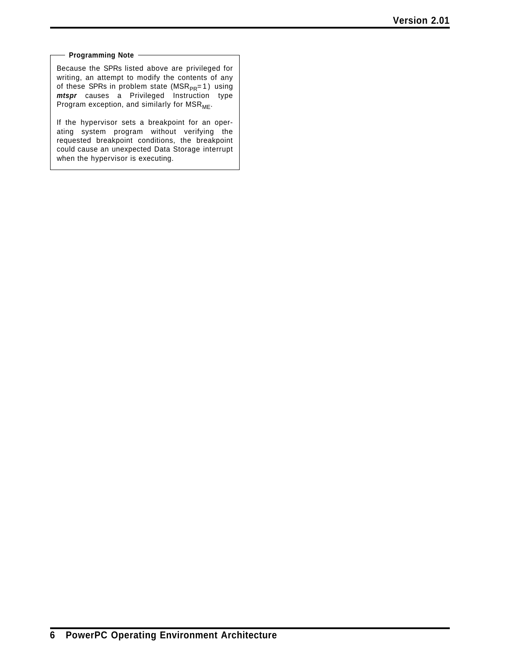#### **Programming Note**

Because the SPRs listed above are privileged for writing, an attempt to modify the contents of any of these SPRs in problem state ( $MSR_{PR}=1$ ) using *mtspr* causes a Privileged Instruction type Program exception, and similarly for  $MSR_{ME}$ .

If the hypervisor sets a breakpoint for an operating system program without verifying the requested breakpoint conditions, the breakpoint could cause an unexpected Data Storage interrupt when the hypervisor is executing.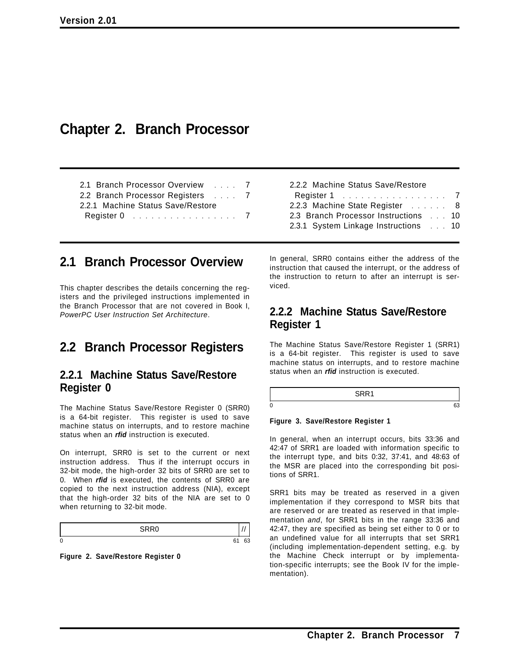# **Chapter 2. Branch Processor**

| 2.1 Branch Processor Overview  7  |  |
|-----------------------------------|--|
| 2.2 Branch Processor Registers 7  |  |
| 2.2.1 Machine Status Save/Restore |  |
|                                   |  |

2.2.2 Machine Status Save/Restore Register 1 . . . . . . . . . . . . . . . . . 7 2.2.3 Machine State Register ....... 8 2.3 Branch Processor Instructions ... 10 2.3.1 System Linkage Instructions ... 10

# **2.1 Branch Processor Overview**

This chapter describes the details concerning the registers and the privileged instructions implemented in the Branch Processor that are not covered in Book I, *PowerPC User Instruction Set Architecture*.

# **2.2 Branch Processor Registers**

### **2.2.1 Machine Status Save/Restore Register 0**

The Machine Status Save/Restore Register 0 (SRR0) is a 64-bit register. This register is used to save machine status on interrupts, and to restore machine status when an *rfid* instruction is executed.

On interrupt, SRR0 is set to the current or next instruction address. Thus if the interrupt occurs in 32-bit mode, the high-order 32 bits of SRR0 are set to 0. When *rfid* is executed, the contents of SRR0 are copied to the next instruction address (NIA), except that the high-order 32 bits of the NIA are set to 0 when returning to 32-bit mode.

|                     | $\overline{\phantom{m}}$ |        |
|---------------------|--------------------------|--------|
| $\overline{ }$<br>u |                          | $\sim$ |

**Figure 2. Save/Restore Register 0**

In general, SRR0 contains either the address of the instruction that caused the interrupt, or the address of the instruction to return to after an interrupt is serviced.

### **2.2.2 Machine Status Save/Restore Register 1**

The Machine Status Save/Restore Register 1 (SRR1) is a 64-bit register. This register is used to save machine status on interrupts, and to restore machine status when an *rfid* instruction is executed.

|   | $\overline{\phantom{a}}$ |  |
|---|--------------------------|--|
| 0 |                          |  |

#### **Figure 3. Save/Restore Register 1**

In general, when an interrupt occurs, bits 33:36 and 42:47 of SRR1 are loaded with information specific to the interrupt type, and bits 0:32, 37:41, and 48:63 of the MSR are placed into the corresponding bit positions of SRR1.

SRR1 bits may be treated as reserved in a given implementation if they correspond to MSR bits that are reserved or are treated as reserved in that implementation *and*, for SRR1 bits in the range 33:36 and 42:47, they are specified as being set either to 0 or to an undefined value for all interrupts that set SRR1 (including implementation-dependent setting, e.g. by the Machine Check interrupt or by implementation-specific interrupts; see the Book IV for the implementation).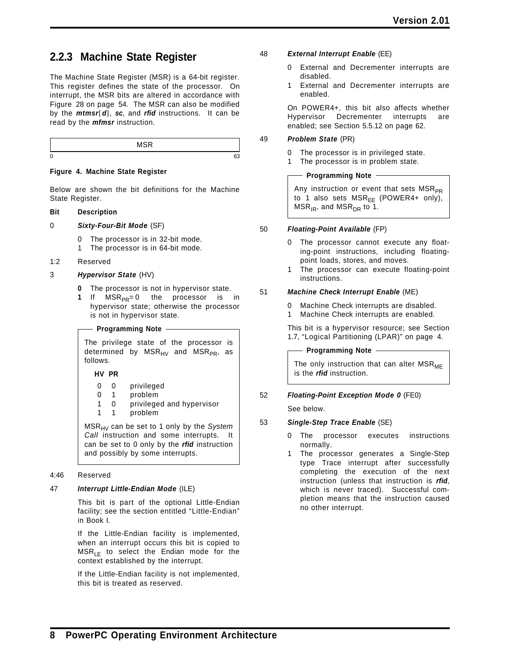## **2.2.3 Machine State Register**

The Machine State Register (MSR) is a 64-bit register. This register defines the state of the processor. On interrupt, the MSR bits are altered in accordance with Figure 28 on page 54. The MSR can also be modified by the *mtmsr*[*d*], *sc*, and *rfid* instructions. It can be read by the *mfmsr* instruction.

|             | $ -$<br>. . |  |
|-------------|-------------|--|
| $\sim$<br>υ |             |  |

#### **Figure 4. Machine State Register**

Below are shown the bit definitions for the Machine State Register.

#### **Bit Description**

#### 0 *Sixty-Four-Bit Mode* (SF)

- 0 The processor is in 32-bit mode.
- 1 The processor is in 64-bit mode.
- 1:2 Reserved

#### 3 *Hypervisor State* (HV)

- **0** The processor is not in hypervisor state.
- **1** If MSR<sub>PR</sub>=0 the processor is in hypervisor state; otherwise the processor is not in hypervisor state.

#### **Programming Note**

The privilege state of the processor is determined by  $MSR_{HV}$  and  $MSR_{PR}$ , as follows.

#### **HV PR**

- 0 0 privileged
- 0 1 problem
- 1 0 privileged and hypervisor
- 1 1 problem

MSRHV can be set to 1 only by the *System Call* instruction and some interrupts. It can be set to 0 only by the *rfid* instruction and possibly by some interrupts.

#### 4:46 Reserved

#### 47 *Interrupt Little-Endian Mode* (ILE)

This bit is part of the optional Little-Endian facility; see the section entitled "Little-Endian" in Book I.

If the Little-Endian facility is implemented, when an interrupt occurs this bit is copied to  $MSR<sub>LE</sub>$  to select the Endian mode for the context established by the interrupt.

If the Little-Endian facility is not implemented, this bit is treated as reserved.

- 48 *External Interrupt Enable* (EE)
	- 0 External and Decrementer interrupts are disabled.
	- 1 External and Decrementer interrupts are enabled.

On POWER4+, this bit also affects whether Hypervisor Decrementer interrupts are enabled; see Section 5.5.12 on page 62.

#### 49 *Problem State* (PR)

- 0 The processor is in privileged state.
- 1 The processor is in problem state.

#### **Programming Note**

Any instruction or event that sets  $MSR_{PR}$ to 1 also sets  $MSR_{EE}$  (POWER4+ only),  $MSR_{IR}$ , and  $MSR_{DR}$  to 1.

#### 50 *Floating-Point Available* (FP)

- 0 The processor cannot execute any floating-point instructions, including floatingpoint loads, stores, and moves.
- 1 The processor can execute floating-point instructions.

#### 51 *Machine Check Interrupt Enable* (ME)

- 0 Machine Check interrupts are disabled.
- 1 Machine Check interrupts are enabled.

This bit is a hypervisor resource; see Section 1.7, "Logical Partitioning (LPAR)" on page 4.

**Programming Note**

The only instruction that can alter  $MSR_{ME}$ is the *rfid* instruction.

#### 52 *Floating-Point Exception Mode 0* (FE0)

See below.

#### 53 *Single-Step Trace Enable* (SE)

- 0 The processor executes instructions normally.
- 1 The processor generates a Single-Step type Trace interrupt after successfully completing the execution of the next instruction (unless that instruction is *rfid*, which is never traced). Successful completion means that the instruction caused no other interrupt.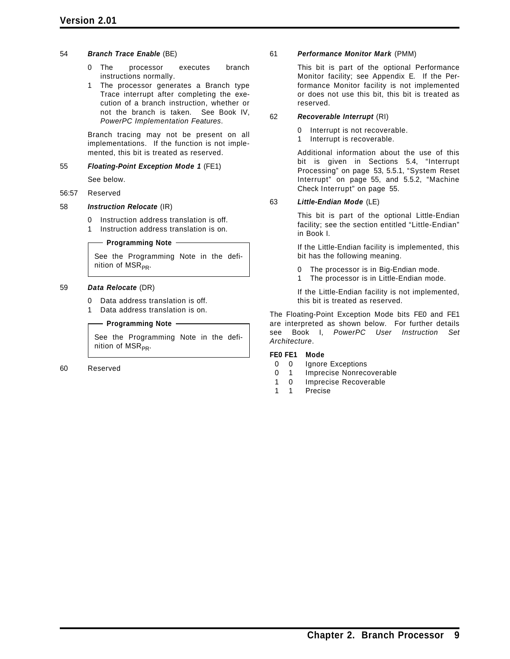#### 54 *Branch Trace Enable* (BE)

- 0 The processor executes branch instructions normally.
- 1 The processor generates a Branch type Trace interrupt after completing the execution of a branch instruction, whether or not the branch is taken. See Book IV, *PowerPC Implementation Features*.

Branch tracing may not be present on all implementations. If the function is not implemented, this bit is treated as reserved.

#### 55 *Floating-Point Exception Mode 1* (FE1)

See below.

#### 56:57 Reserved

#### 58 *Instruction Relocate* (IR)

- 0 Instruction address translation is off.
- 1 Instruction address translation is on.

#### - Programming Note -

See the Programming Note in the definition of  $MSR_{PR}$ .

#### 59 *Data Relocate* (DR)

- 0 Data address translation is off.
- 1 Data address translation is on.

#### **Programming Note**

See the Programming Note in the definition of  $MSR_{PR}$ .

60 Reserved

#### 61 *Performance Monitor Mark* (PMM)

This bit is part of the optional Performance Monitor facility; see Appendix E. If the Performance Monitor facility is not implemented or does not use this bit, this bit is treated as reserved.

#### 62 *Recoverable Interrupt* (RI)

0 Interrupt is not recoverable.

1 Interrupt is recoverable.

Additional information about the use of this bit is given in Sections 5.4, "Interrupt Processing" on page 53, 5.5.1, "System Reset Interrupt" on page 55, and 5.5.2, "Machine Check Interrupt" on page 55.

#### 63 *Little-Endian Mode* (LE)

This bit is part of the optional Little-Endian facility; see the section entitled "Little-Endian" in Book I.

If the Little-Endian facility is implemented, this bit has the following meaning.

- 0 The processor is in Big-Endian mode.
- 1 The processor is in Little-Endian mode.

If the Little-Endian facility is not implemented, this bit is treated as reserved.

The Floating-Point Exception Mode bits FE0 and FE1 are interpreted as shown below. For further details see Book I, *PowerPC User Instruction Set Architecture*.

#### **FE0 FE1 Mode**

- 0 0 Ignore Exceptions
- 0 1 Imprecise Nonrecoverable
- 1 0 Imprecise Recoverable
- 1 1 Precise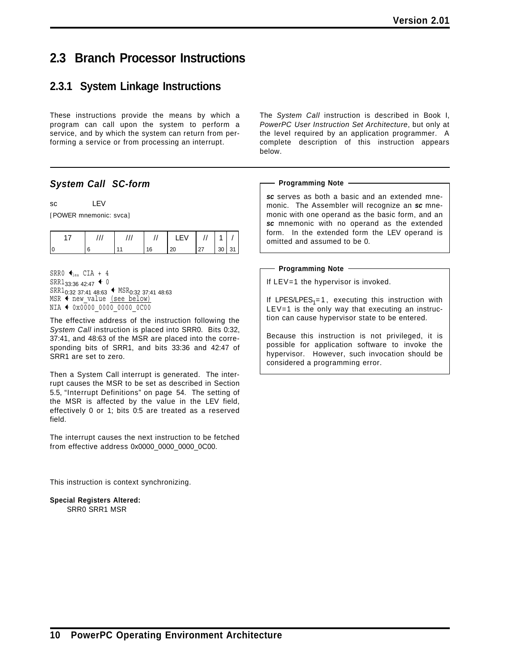# **2.3 Branch Processor Instructions**

# **2.3.1 System Linkage Instructions**

These instructions provide the means by which a program can call upon the system to perform a service, and by which the system can return from performing a service or from processing an interrupt.

### *System Call SC-form*

sc LEV

[POWER mnemonic: svca]

|  | 6 | 20 | 27<br><u>_</u> | 30 <sup>°</sup> | $\Omega$<br>ັບເ |
|--|---|----|----------------|-----------------|-----------------|

SRR0  $\bigcirc$ <sub>iea</sub> CIA + 4  $SRR1_{33:36}$  42:47  $\blacklozenge$  0  $SRR1_{0:32}$  37:41 48:63  $\blacklozenge$  MSR<sub>0:32</sub> 37:41 48:63  $MSR$   $\leftarrow$  new\_value (see below) NIA  $\leftarrow$  0x0000 0000 0000 0C00

The effective address of the instruction following the *System Call* instruction is placed into SRR0. Bits 0:32, 37:41, and 48:63 of the MSR are placed into the corresponding bits of SRR1, and bits 33:36 and 42:47 of SRR1 are set to zero.

Then a System Call interrupt is generated. The interrupt causes the MSR to be set as described in Section 5.5, "Interrupt Definitions" on page 54. The setting of the MSR is affected by the value in the LEV field, effectively 0 or 1; bits 0:5 are treated as a reserved field.

The interrupt causes the next instruction to be fetched from effective address 0x0000\_0000\_0000\_0C00.

This instruction is context synchronizing.

**Special Registers Altered:** SRR0 SRR1 MSR

The *System Call* instruction is described in Book I, *PowerPC User Instruction Set Architecture*, but only at the level required by an application programmer. A complete description of this instruction appears below.

#### **Programming Note**

*sc* serves as both a basic and an extended mnemonic. The Assembler will recognize an *sc* mnemonic with one operand as the basic form, and an *sc* mnemonic with no operand as the extended form. In the extended form the LEV operand is omitted and assumed to be 0.

#### **Programming Note**

If LEV=1 the hypervisor is invoked.

If LPES/LPES<sub>1</sub>=1, executing this instruction with  $LEV=1$  is the only way that executing an instruction can cause hypervisor state to be entered.

Because this instruction is not privileged, it is possible for application software to invoke the hypervisor. However, such invocation should be considered a programming error.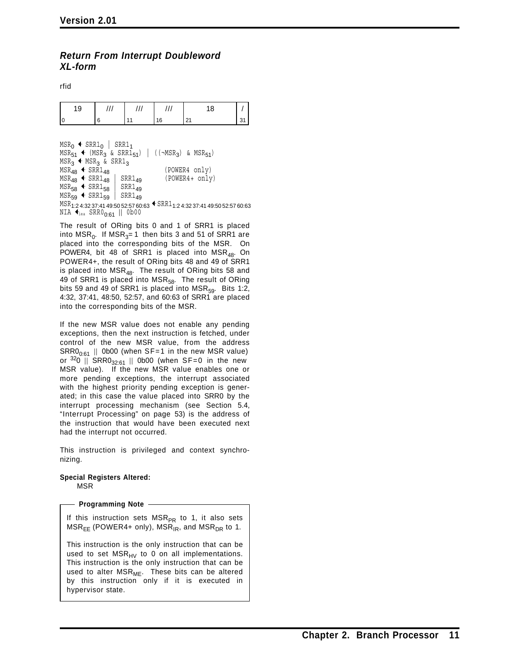### *Return From Interrupt Doubleword XL-form*

rfid

| 9 |  |    | ◡        |  |
|---|--|----|----------|--|
|   |  | 16 | <u>.</u> |  |

```
MSR_0 + SRR1_0 | SRR1_1MSR_{51} + (MSR_3 \& SRR1_{51}) | ((\neg MSR_3) \& MSR_{51})MSR_3 + MSR_3 & SRR1_3\begin{array}{lll}\n\text{MSR}_{48} & \leftarrow & \text{SRR1}_{48} & & \text{(POWER4} & \text{only)} \\
\text{MSR}_{48} & \leftarrow & \text{SRR1}_{48} & & \text{SRR1}_{49} & & \text{(POWER4 + only)}\n\end{array}MSR_{48} + SRR1_{48} SRR1<sub>49</sub><br>MSR_{58} + SRR1_{58} SRR1<sub>49</sub>
MSR_{58} \leftarrow SRR1<sub>58</sub> | SRR1<sub>49</sub><br>MSR_{59} \leftarrow SRR1<sub>59</sub> | SRR1<sub>49</sub>
MSR_{59} + SRR1<sub>59</sub> |
MSR<sub>1:2</sub> 4:32 37:41 49:50 52:57 60:63 <sup>← SRR1</sup>1:2 4:32 37:41 49:50 52:57 60:63
NIA \blacklozenge_{\text{lea}} SRR0<sub>0:61</sub> || 0b00
```
The result of ORing bits 0 and 1 of SRR1 is placed into  $MSR_0$ . If  $MSR_3=1$  then bits 3 and 51 of SRR1 are placed into the corresponding bits of the MSR. On POWER4, bit 48 of SRR1 is placed into  $MSR<sub>48</sub>$ . On POWER4+, the result of ORing bits 48 and 49 of SRR1 is placed into  $MSR<sub>48</sub>$ . The result of ORing bits 58 and 49 of SRR1 is placed into MSR<sub>58</sub>. The result of ORing bits 59 and 49 of SRR1 is placed into  $MSR_{59}$ . Bits 1:2, 4:32, 37:41, 48:50, 52:57, and 60:63 of SRR1 are placed into the corresponding bits of the MSR.

If the new MSR value does not enable any pending exceptions, then the next instruction is fetched, under control of the new MSR value, from the address  $SRR0_{0:61}$  || 0b00 (when SF=1 in the new MSR value) or  $320$  || SRR0 $_{32:61}$  || 0b00 (when SF=0 in the new MSR value). If the new MSR value enables one or more pending exceptions, the interrupt associated with the highest priority pending exception is generated; in this case the value placed into SRR0 by the interrupt processing mechanism (see Section 5.4, "Interrupt Processing" on page 53) is the address of the instruction that would have been executed next had the interrupt not occurred.

This instruction is privileged and context synchronizing.

#### **Special Registers Altered:** MSR

**Programming Note**

If this instruction sets  $MSR_{PR}$  to 1, it also sets  $MSR<sub>EE</sub>$  (POWER4+ only), MSR<sub>IR</sub>, and MSR<sub>DR</sub> to 1.

This instruction is the only instruction that can be used to set  $MSR_{HV}$  to 0 on all implementations. This instruction is the only instruction that can be used to alter MSR<sub>ME</sub>. These bits can be altered by this instruction only if it is executed in hypervisor state.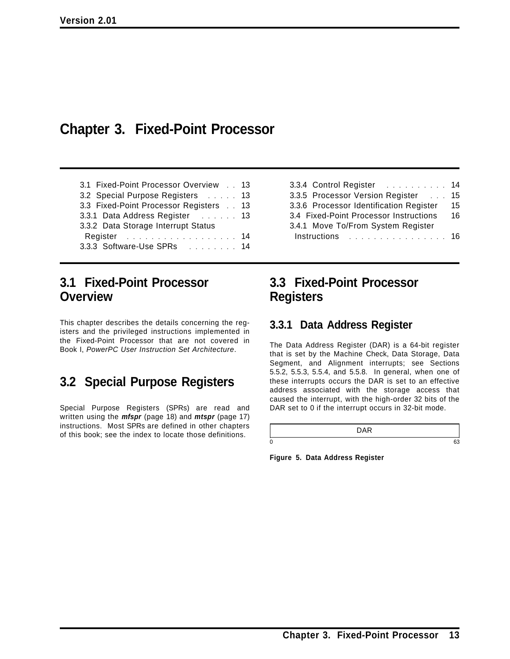# **Chapter 3. Fixed-Point Processor**

| 3.1 Fixed-Point Processor Overview 13  |  |
|----------------------------------------|--|
| 3.2 Special Purpose Registers 13       |  |
| 3.3 Fixed-Point Processor Registers 13 |  |
| 3.3.1 Data Address Register 13         |  |
| 3.3.2 Data Storage Interrupt Status    |  |
| Register 14                            |  |
| 3.3.3 Software-Use SPRs 14             |  |

# **3.1 Fixed-Point Processor Overview**

This chapter describes the details concerning the registers and the privileged instructions implemented in the Fixed-Point Processor that are not covered in Book I, *PowerPC User Instruction Set Architecture*.

# **3.2 Special Purpose Registers**

Special Purpose Registers (SPRs) are read and written using the *mfspr* (page 18) and *mtspr* (page 17) instructions. Most SPRs are defined in other chapters of this book; see the index to locate those definitions.

| 3.3.4 Control Register 14               |     |
|-----------------------------------------|-----|
| 3.3.5 Processor Version Register        | 15  |
| 3.3.6 Processor Identification Register | 15  |
| 3.4 Fixed-Point Processor Instructions  | 16  |
| 3.4.1 Move To/From System Register      |     |
| $Instructions$                          | -16 |

# **3.3 Fixed-Point Processor Registers**

### **3.3.1 Data Address Register**

The Data Address Register (DAR) is a 64-bit register that is set by the Machine Check, Data Storage, Data Segment, and Alignment interrupts; see Sections 5.5.2, 5.5.3, 5.5.4, and 5.5.8. In general, when one of these interrupts occurs the DAR is set to an effective address associated with the storage access that caused the interrupt, with the high-order 32 bits of the DAR set to 0 if the interrupt occurs in 32-bit mode.

| 0 |  |
|---|--|

**Figure 5. Data Address Register**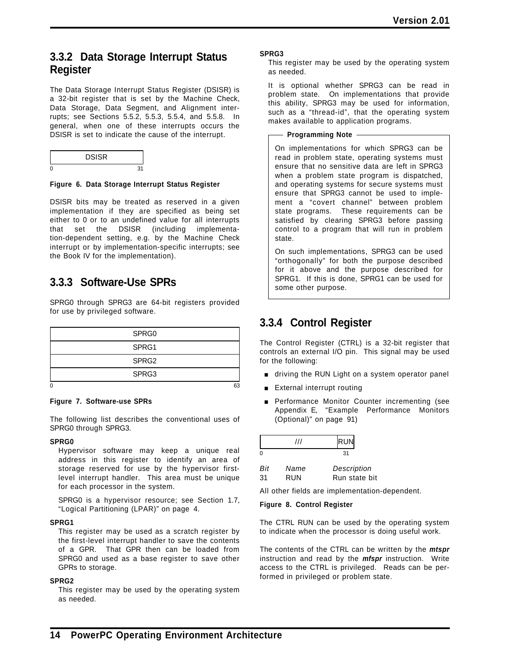### **3.3.2 Data Storage Interrupt Status Register**

The Data Storage Interrupt Status Register (DSISR) is a 32-bit register that is set by the Machine Check, Data Storage, Data Segment, and Alignment interrupts; see Sections 5.5.2, 5.5.3, 5.5.4, and 5.5.8. In general, when one of these interrupts occurs the DSISR is set to indicate the cause of the interrupt.

|   | <b>DSISR</b> |  |
|---|--------------|--|
| C |              |  |

#### **Figure 6. Data Storage Interrupt Status Register**

DSISR bits may be treated as reserved in a given implementation if they are specified as being set either to 0 or to an undefined value for all interrupts that set the DSISR (including implementation-dependent setting, e.g. by the Machine Check interrupt or by implementation-specific interrupts; see the Book IV for the implementation).

### **3.3.3 Software-Use SPRs**

SPRG0 through SPRG3 are 64-bit registers provided for use by privileged software.

| SPRG0             |  |
|-------------------|--|
| SPRG1             |  |
| SPRG <sub>2</sub> |  |
| SPRG3             |  |
|                   |  |

#### **Figure 7. Software-use SPRs**

The following list describes the conventional uses of SPRG0 through SPRG3.

#### **SPRG0**

Hypervisor software may keep a unique real address in this register to identify an area of storage reserved for use by the hypervisor firstlevel interrupt handler. This area must be unique for each processor in the system.

SPRG0 is a hypervisor resource; see Section 1.7, "Logical Partitioning (LPAR)" on page 4.

#### **SPRG1**

This register may be used as a scratch register by the first-level interrupt handler to save the contents of a GPR. That GPR then can be loaded from SPRG0 and used as a base register to save other GPRs to storage.

#### **SPRG2**

This register may be used by the operating system as needed.

#### **SPRG3**

This register may be used by the operating system as needed.

It is optional whether SPRG3 can be read in problem state. On implementations that provide this ability, SPRG3 may be used for information, such as a "thread-id", that the operating system makes available to application programs.

#### **Programming Note**

On implementations for which SPRG3 can be read in problem state, operating systems must ensure that no sensitive data are left in SPRG3 when a problem state program is dispatched, and operating systems for secure systems must ensure that SPRG3 cannot be used to implement a "covert channel" between problem state programs. These requirements can be satisfied by clearing SPRG3 before passing control to a program that will run in problem state.

On such implementations, SPRG3 can be used "orthogonally" for both the purpose described for it above and the purpose described for SPRG1. If this is done, SPRG1 can be used for some other purpose.

### **3.3.4 Control Register**

The Control Register (CTRL) is a 32-bit register that controls an external I/O pin. This signal may be used for the following:

- **u** driving the RUN Light on a system operator panel
- **External interrupt routing**
- **Performance Monitor Counter incrementing (see** Appendix E, "Example Performance Monitors (Optional)" on page 91)

|             | /// | <b>RUN</b>  |  |
|-------------|-----|-------------|--|
| O           |     | 31          |  |
| Bit<br>Name |     | Description |  |

| ں ر | $1$ va $110$ | DUSUIPHUI     |
|-----|--------------|---------------|
| 31  | <b>RUN</b>   | Run state bit |

All other fields are implementation-dependent.

#### **Figure 8. Control Register**

The CTRL RUN can be used by the operating system to indicate when the processor is doing useful work.

The contents of the CTRL can be written by the *mtspr* instruction and read by the *mfspr* instruction. Write access to the CTRL is privileged. Reads can be performed in privileged or problem state.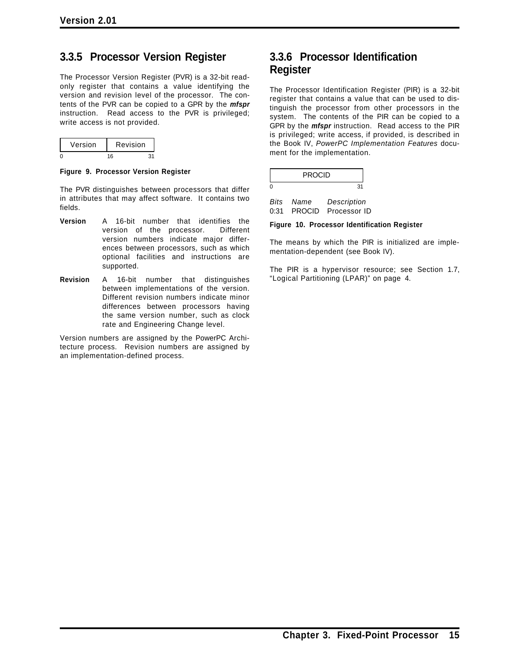## **3.3.5 Processor Version Register**

The Processor Version Register (PVR) is a 32-bit readonly register that contains a value identifying the version and revision level of the processor. The contents of the PVR can be copied to a GPR by the *mfspr* instruction. Read access to the PVR is privileged; write access is not provided.

| Version | Revision |  |
|---------|----------|--|
|         | ៲៲       |  |

**Figure 9. Processor Version Register**

The PVR distinguishes between processors that differ in attributes that may affect software. It contains two fields.

- **Version** A 16-bit number that identifies the version of the processor. Different version numbers indicate major differences between processors, such as which optional facilities and instructions are supported.
- **Revision** A 16-bit number that distinguishes between implementations of the version. Different revision numbers indicate minor differences between processors having the same version number, such as clock rate and Engineering Change level.

Version numbers are assigned by the PowerPC Architecture process. Revision numbers are assigned by an implementation-defined process.

### **3.3.6 Processor Identification Register**

The Processor Identification Register (PIR) is a 32-bit register that contains a value that can be used to distinguish the processor from other processors in the system. The contents of the PIR can be copied to a GPR by the *mfspr* instruction. Read access to the PIR is privileged; write access, if provided, is described in the Book IV, *PowerPC Implementation Features* document for the implementation.

| <b>PROCID</b> |  |
|---------------|--|
|               |  |

*Bits Name Description* 0:31 PROCID Processor ID

**Figure 10. Processor Identification Register**

The means by which the PIR is initialized are implementation-dependent (see Book IV).

The PIR is a hypervisor resource; see Section 1.7, "Logical Partitioning (LPAR)" on page 4.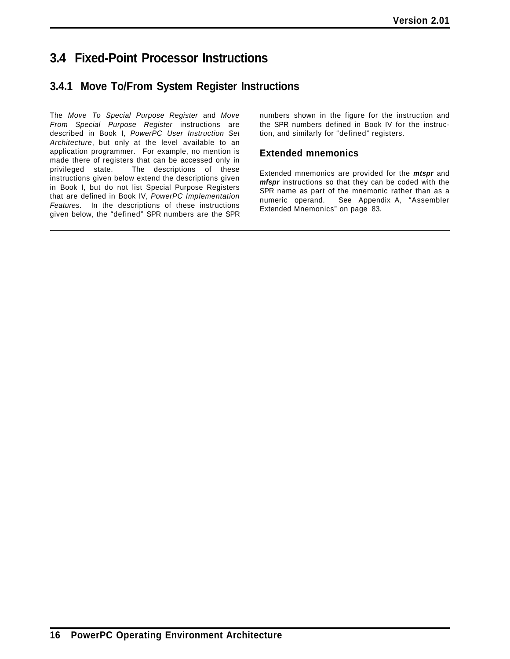# **3.4 Fixed-Point Processor Instructions**

# **3.4.1 Move To/From System Register Instructions**

The *Move To Special Purpose Register* and *Move From Special Purpose Register* instructions are described in Book I, *PowerPC User Instruction Set Architecture*, but only at the level available to an application programmer. For example, no mention is made there of registers that can be accessed only in privileged state. The descriptions of these instructions given below extend the descriptions given in Book I, but do not list Special Purpose Registers that are defined in Book IV, *PowerPC Implementation Features*. In the descriptions of these instructions given below, the "defined" SPR numbers are the SPR

numbers shown in the figure for the instruction and the SPR numbers defined in Book IV for the instruction, and similarly for "defined" registers.

### **Extended mnemonics**

Extended mnemonics are provided for the *mtspr* and *mfspr* instructions so that they can be coded with the SPR name as part of the mnemonic rather than as a numeric operand. See Appendix A, "Assembler Extended Mnemonics" on page 83.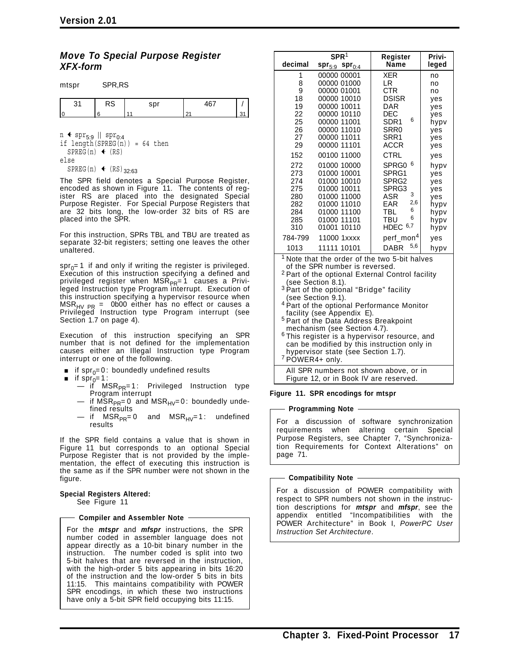#### *Move To Special Purpose Register XFX-form*

| mtspr | SPR,RS    |     |        |    |
|-------|-----------|-----|--------|----|
| 31    | <b>RS</b> | spr | 467    |    |
|       |           | 11  | $\sim$ | 31 |

n **←** spr<sub>5:9</sub> || spr<sub>0:4</sub><br>if length(SPREG(n)) = 64 then  $SPREG(n)$  (RS) else  $SPREG(n)$  (RS)<sub>32:63</sub>

The SPR field denotes a Special Purpose Register, encoded as shown in Figure 11. The contents of register RS are placed into the designated Special Purpose Register. For Special Purpose Registers that are 32 bits long, the low-order 32 bits of RS are placed into the SPR.

For this instruction, SPRs TBL and TBU are treated as separate 32-bit registers; setting one leaves the other unaltered.

 $spr_0 = 1$  if and only if writing the register is privileged. Execution of this instruction specifying a defined and privileged register when  $MSR_{PR} = 1$  causes a Privileged Instruction type Program interrupt. Execution of this instruction specifying a hypervisor resource when MSR<sub>HV PR</sub> = 0b00 either has no effect or causes a<br>Privileged Instruction type Program interrupt (see Section 1.7 on page 4).

Execution of this instruction specifying an SPR number that is not defined for the implementation causes either an Illegal Instruction type Program interrupt or one of the following.

- **if** spr<sub>0</sub>=0: boundedly undefined results<br>**i**f spr<sub>0</sub>=1:
- $\blacksquare$  if  $\mathsf{spr}_{0}$ =1:
	- if MSR<sub>PR</sub>=1: Privileged Instruction type<br>Program interrupt
	- if  $MSR_{PR}=0$  and  $MSR_{HV}=0$ : boundedly undefined results
	- if  $MSR_{PR} = 0$  and  $MSR_{HV} = 1$ : undefined results

If the SPR field contains a value that is shown in Figure 11 but corresponds to an optional Special Purpose Register that is not provided by the implementation, the effect of executing this instruction is the same as if the SPR number were not shown in the figure.

**Special Registers Altered:** See Figure 11

**Compiler and Assembler Note**

For the *mtspr* and *mfspr* instructions, the SPR number coded in assembler language does not appear directly as a 10-bit binary number in the instruction. The number coded is split into two 5-bit halves that are reversed in the instruction, with the high-order 5 bits appearing in bits 16:20 of the instruction and the low-order 5 bits in bits 11:15. This maintains compatibility with POWER SPR encodings, in which these two instructions have only a 5-bit SPR field occupying bits 11:15.

|                                                                                                                                                                                                                                                                                                                                                                                                                                         | SPR <sup>1</sup>                                                                                                                                                                                                                                                                                                        | Register                                                                                                                                                                                                                                                              | Privi-                                                                                                                                             |
|-----------------------------------------------------------------------------------------------------------------------------------------------------------------------------------------------------------------------------------------------------------------------------------------------------------------------------------------------------------------------------------------------------------------------------------------|-------------------------------------------------------------------------------------------------------------------------------------------------------------------------------------------------------------------------------------------------------------------------------------------------------------------------|-----------------------------------------------------------------------------------------------------------------------------------------------------------------------------------------------------------------------------------------------------------------------|----------------------------------------------------------------------------------------------------------------------------------------------------|
| decimal                                                                                                                                                                                                                                                                                                                                                                                                                                 | $spr_{5:9}$ spr <sub>0:4</sub>                                                                                                                                                                                                                                                                                          | <b>Name</b>                                                                                                                                                                                                                                                           | leged                                                                                                                                              |
| 1<br>8<br>9<br>18<br>19<br>22<br>25<br>26<br>27<br>29<br>152<br>272<br>273<br>274<br>275<br>280<br>282<br>284<br>285<br>310<br>784-799                                                                                                                                                                                                                                                                                                  | 00000 00001<br>00000 01000<br>00000 01001<br>00000 10010<br>00000 10011<br>00000 10110<br>00000 11001<br>00000 11010<br>00000 11011<br>00000 11101<br>00100 11000<br>01000 10000<br>01000 10001<br>01000 10010<br>01000 10011<br>01000 11000<br>01000 11010<br>01000 11100<br>01000 11101<br>01001 10110<br>11000 1xxxx | <b>XER</b><br>LR<br><b>CTR</b><br><b>DSISR</b><br>DAR<br>DEC<br>6<br>SDR <sub>1</sub><br>SRR0<br>SRR1<br><b>ACCR</b><br><b>CTRL</b><br>6<br>SPRG0<br>SPRG1<br>SPRG2<br>SPRG3<br>3<br>ASR<br>2,6<br>EAR<br>6<br>TBL<br>6<br>TBU<br>HDEC $6,7$<br>perf_mon <sup>4</sup> | no<br>no<br>no<br>ves<br>yes<br>yes<br>hypv<br>yes<br>yes<br>yes<br>yes<br>hypy<br>yes<br>yes<br>yes<br>yes<br>hypv<br>hypy<br>hypv<br>hypv<br>yes |
| 1013                                                                                                                                                                                                                                                                                                                                                                                                                                    | 11111 10101                                                                                                                                                                                                                                                                                                             | 5,6<br><b>DABR</b>                                                                                                                                                                                                                                                    | hypv                                                                                                                                               |
| <sup>1</sup> Note that the order of the two 5-bit halves<br>of the SPR number is reversed.<br><sup>2</sup> Part of the optional External Control facility<br>(see Section 8.1).<br><sup>3</sup> Part of the optional "Bridge" facility<br>(see Section 9.1).<br><sup>4</sup> Part of the optional Performance Monitor<br>facility (see Appendix E).<br><sup>5</sup> Part of the Data Address Breakpoint<br>mechanism (see Section 4.7). |                                                                                                                                                                                                                                                                                                                         |                                                                                                                                                                                                                                                                       |                                                                                                                                                    |

 $6$ This register is a hypervisor resource, and can be modified by this instruction only in hypervisor state (see Section 1.7).<br><sup>7</sup> POWER4+ only.

All SPR numbers not shown above, or in

Figure 12, or in Book IV are reserved.

#### **Figure 11. SPR encodings for mtspr**

#### **Programming Note**

For a discussion of software synchronization requirements when altering certain Special Purpose Registers, see Chapter 7, "Synchronization Requirements for Context Alterations" on page 71.

**Compatibility Note**

For a discussion of POWER compatibility with respect to SPR numbers not shown in the instruction descriptions for *mtspr* and *mfspr*, see the appendix entitled "Incompatibilities with the POWER Architecture" in Book I, *PowerPC User Instruction Set Architecture*.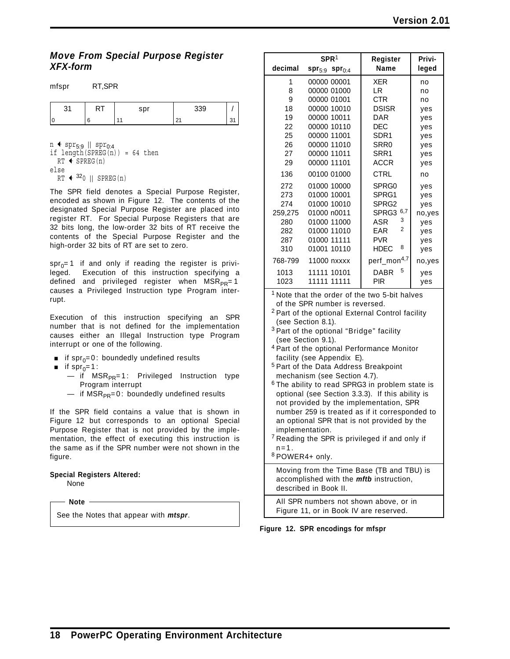### *Move From Special Purpose Register XFX-form*

| mfspr | RT, SPR |     |     |               |
|-------|---------|-----|-----|---------------|
| 31    |         | spr | 339 |               |
|       | 6       |     | 21  | 31<br>$\cdot$ |

n  $\leftrightarrow$  spr<sub>5:9</sub> || spr<sub>0:4</sub>

```
if length(SPREG(n)) = 64 then
  RT \leftarrow SPREG(n)
else
  RT \leftarrow 320 || SPREG(n)
```
The SPR field denotes a Special Purpose Register, encoded as shown in Figure 12. The contents of the designated Special Purpose Register are placed into register RT. For Special Purpose Registers that are 32 bits long, the low-order 32 bits of RT receive the contents of the Special Purpose Register and the high-order 32 bits of RT are set to zero.

 $spr_0=1$  if and only if reading the register is privi-<br>leged. Execution of this instruction specifying a Execution of this instruction specifying a defined and privileged register when  $MSR_{PR}=1$ causes a Privileged Instruction type Program interrupt.

Execution of this instruction specifying an SPR number that is not defined for the implementation causes either an Illegal Instruction type Program interrupt or one of the following.

- **i** if spr<sub>0</sub>=0: boundedly undefined results
- if  $spr_0=1$ :
	- if MSR<sub>PR</sub>=1: Privileged Instruction type Program interrupt
	- $-$  if MSR<sub>PR</sub>=0: boundedly undefined results

If the SPR field contains a value that is shown in Figure 12 but corresponds to an optional Special Purpose Register that is not provided by the implementation, the effect of executing this instruction is the same as if the SPR number were not shown in the figure.

**Special Registers Altered:** None

**Note**

See the Notes that appear with *mtspr*.

|         | SPR <sup>1</sup>         | Register                | Privi- |  |
|---------|--------------------------|-------------------------|--------|--|
| decimal | $spr_{5:9}$ spr $_{0:4}$ | Name                    | leged  |  |
| 1       | 00000 00001              | <b>XER</b>              | no     |  |
| 8       | 00000 01000              | LR                      | no     |  |
| 9       | 00000 01001              | CTR                     | no     |  |
| 18      | 00000 10010              | <b>DSISR</b>            | yes    |  |
| 19      | 00000 10011              | DAR                     | yes    |  |
| 22      | 00000 10110              | DEC                     | yes    |  |
| 25      | 00000 11001              | SDR <sub>1</sub>        | yes    |  |
| 26      | 00000 11010              | SRR <sub>0</sub>        | yes    |  |
| 27      | 00000 11011              | SRR1                    | yes    |  |
| 29      | 00000 11101              | <b>ACCR</b>             | yes    |  |
| 136     | 00100 01000              | <b>CTRL</b>             | no     |  |
| 272     | 01000 10000              | SPRG0                   | yes    |  |
| 273     | 01000 10001              | SPRG1                   | yes    |  |
| 274     | 01000 10010              | SPRG <sub>2</sub>       | yes    |  |
| 259,275 | 01000 n0011              | 6,7<br>SPRG3            | no,yes |  |
| 280     | 01000 11000              | 3<br>ASR                | yes    |  |
| 282     | 01000 11010              | $\overline{2}$<br>EAR.  | yes    |  |
| 287     | 01000 11111              | <b>PVR</b>              | ves    |  |
| 310     | 01001 10110              | 8<br>HDEC               | ves    |  |
| 768-799 | 11000 nxxxx              | perf_mon <sup>4,7</sup> | no,yes |  |
| 1013    | 11111 10101              | 5<br>DABR               | yes    |  |
| 1023    | 11111 11111              | PIR                     | ves    |  |

 $1$  Note that the order of the two 5-bit halves of the SPR number is reversed.

- <sup>2</sup> Part of the optional External Control facility (see Section 8.1).
- <sup>3</sup> Part of the optional "Bridge" facility (see Section 9.1).
- <sup>4</sup> Part of the optional Performance Monitor facility (see Appendix E).
- <sup>5</sup> Part of the Data Address Breakpoint mechanism (see Section 4.7).
- <sup>6</sup> The ability to read SPRG3 in problem state is optional (see Section 3.3.3). If this ability is not provided by the implementation, SPR number 259 is treated as if it corresponded to an optional SPR that is not provided by the implementation.
- $7$  Reading the SPR is privileged if and only if  $n=1$ .
- <sup>8</sup> POWER4+ only.

Moving from the Time Base (TB and TBU) is accomplished with the *mftb* instruction, described in Book II.

All SPR numbers not shown above, or in Figure 11, or in Book IV are reserved.

**Figure 12. SPR encodings for mfspr**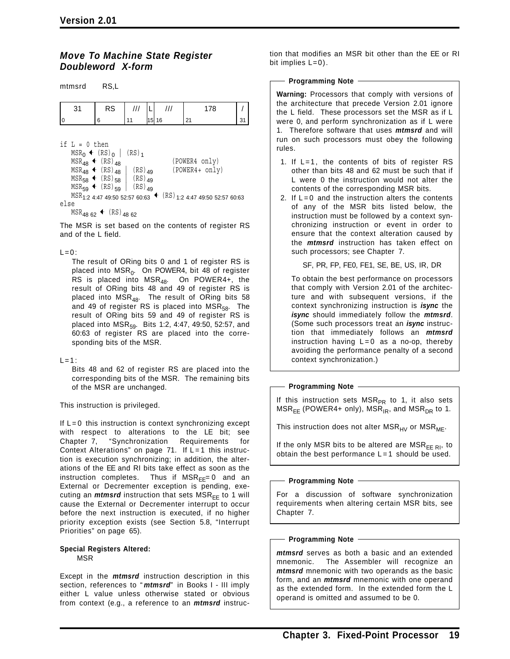mtmord DCI

#### *Move To Machine State Register Doubleword X-form*

| 111111131 U             | no,L                                                                                                                                                    |                                                                     |    |                                                                                                                               |    |
|-------------------------|---------------------------------------------------------------------------------------------------------------------------------------------------------|---------------------------------------------------------------------|----|-------------------------------------------------------------------------------------------------------------------------------|----|
| 31                      | RS                                                                                                                                                      |                                                                     |    | 178                                                                                                                           |    |
|                         | 6                                                                                                                                                       |                                                                     | 16 | 21                                                                                                                            | 31 |
| if $L = 0$ then<br>else | $MSR_0$ + $(RS)_0$  <br>$MSR_{48}$ + $(RS)_{48}$<br>$MSR_{48}$ (RS) <sub>48</sub><br>$MSR_{58}$ + $(RS)_{58}$   $(RS)_{49}$<br>$MSR_{59}$ + $(RS)_{59}$ | $(RS)$ <sub>1</sub><br>$(RS)$ <sub>49</sub><br>$(RS)$ <sub>49</sub> |    | (POWER4 only)<br>(POWER4+ only)<br>$MSR_{1:2}$ 4:47 49:50 52:57 60:63 $\leftarrow$ (RS) <sub>1:2</sub> 4:47 49:50 52:57 60:63 |    |

 $MSR_{48,62}$  (RS)  $_{48,62}$ 

The MSR is set based on the contents of register RS and of the L field.

#### $L=0$ :

The result of ORing bits 0 and 1 of register RS is placed into  $MSR_0$ . On POWER4, bit 48 of register RS is placed into  $MSR_{48}$ . On POWER4+, the result of ORing bits 48 and 49 of register RS is placed into  $\overline{MSR}_{48}$ . The result of ORing bits 58 and 49 of register RS is placed into  $MSR_{58}$ . The result of ORing bits 59 and 49 of register RS is placed into MSR<sub>59</sub>. Bits 1:2, 4:47, 49:50, 52:57, and 60:63 of register RS are placed into the corresponding bits of the MSR.

#### $L=1$ :

Bits 48 and 62 of register RS are placed into the corresponding bits of the MSR. The remaining bits of the MSR are unchanged.

This instruction is privileged.

If  $L = 0$  this instruction is context synchronizing except with respect to alterations to the LE bit; see Chapter 7, "Synchronization Requirements for Context Alterations" on page  $71$ . If  $L = 1$  this instruction is execution synchronizing; in addition, the alterations of the EE and RI bits take effect as soon as the instruction completes. Thus if  $MSR_{FF}=0$  and an External or Decrementer exception is pending, executing an *mtmsrd* instruction that sets  $MSR_{FF}$  to 1 will cause the External or Decrementer interrupt to occur before the next instruction is executed, if no higher priority exception exists (see Section 5.8, "Interrupt Priorities" on page 65).

#### **Special Registers Altered:** MSR

Except in the *mtmsrd* instruction description in this section, references to " *mtmsrd*" in Books I - III imply either L value unless otherwise stated or obvious from context (e.g., a reference to an *mtmsrd* instruction that modifies an MSR bit other than the EE or RI bit implies  $L=0$ ).

#### - Programming Note -

**Warning:** Processors that comply with versions of the architecture that precede Version 2.01 ignore the L field. These processors set the MSR as if L were 0, and perform synchronization as if L were 1. Therefore software that uses *mtmsrd* and will run on such processors must obey the following rules.

- 1. If L=1, the contents of bits of register RS other than bits 48 and 62 must be such that if L were 0 the instruction would not alter the contents of the corresponding MSR bits.
- 2. If  $L = 0$  and the instruction alters the contents of any of the MSR bits listed below, the instruction must be followed by a context synchronizing instruction or event in order to ensure that the context alteration caused by the *mtmsrd* instruction has taken effect on such processors; see Chapter 7.

SF, PR, FP, FE0, FE1, SE, BE, US, IR, DR

To obtain the best performance on processors that comply with Version 2.01 of the architecture and with subsequent versions, if the context synchronizing instruction is *isync* the *isync* should immediately follow the *mtmsrd*. (Some such processors treat an *isync* instruction that immediately follows an *mtmsrd* instruction having  $L = 0$  as a no-op, thereby avoiding the performance penalty of a second context synchronization.)

#### **Programming Note**

If this instruction sets  $MSR_{PR}$  to 1, it also sets  $MSR_{EE}$  (POWER4+ only), MSR<sub>IR</sub>, and MSR<sub>DR</sub> to 1.

This instruction does not alter  $MSR_{HV}$  or  $MSR_{ME}$ .

If the only MSR bits to be altered are  $MSR_{EF \, RI}$ , to obtain the best performance  $L=1$  should be used.

#### **Programming Note**

For a discussion of software synchronization requirements when altering certain MSR bits, see Chapter 7.

#### **Programming Note**

*mtmsrd* serves as both a basic and an extended mnemonic. The Assembler will recognize an *mtmsrd* mnemonic with two operands as the basic form, and an *mtmsrd* mnemonic with one operand as the extended form. In the extended form the L operand is omitted and assumed to be 0.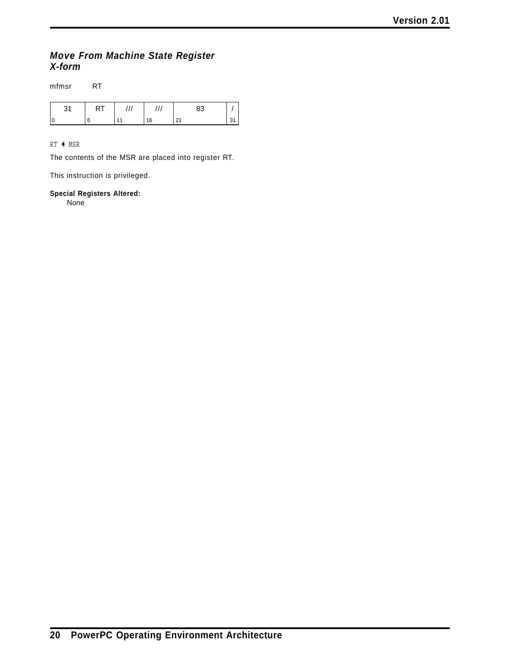### *Move From Machine State Register X-form*

mfmsr RT

 $RT$   $\leftarrow$  MSR

The contents of the MSR are placed into register RT.

This instruction is privileged.

#### **Special Registers Altered:**

None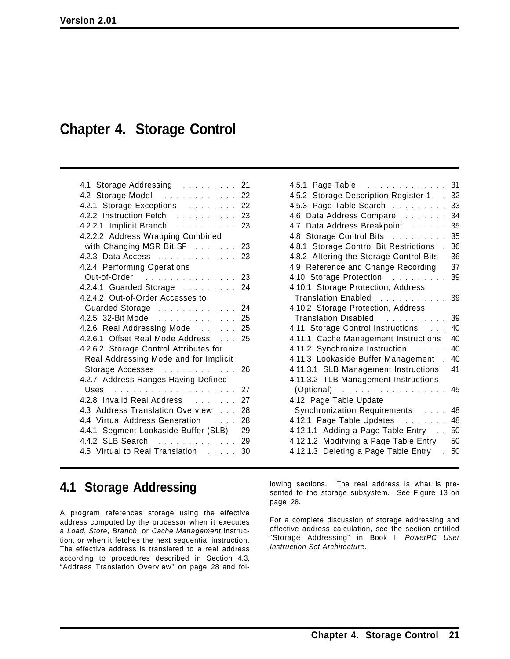# **Chapter 4. Storage Control**

| 4.1 Storage Addressing 21                                     |    |
|---------------------------------------------------------------|----|
| 4.2 Storage Model 22                                          |    |
| 4.2.1 Storage Exceptions 22                                   |    |
| 4.2.2 Instruction Fetch                                       | 23 |
| 4.2.2.1 Implicit Branch                                       | 23 |
| 4.2.2.2 Address Wrapping Combined                             |    |
| with Changing MSR Bit SF 23                                   |    |
| 4.2.3 Data Access 23                                          |    |
| 4.2.4 Performing Operations                                   |    |
| Out-of-Order<br>. 23                                          |    |
| 4.2.4.1 Guarded Storage 24                                    |    |
| 4.2.4.2 Out-of-Order Accesses to                              |    |
| Guarded Storage 24                                            |    |
| 4.2.5 32-Bit Mode                                             | 25 |
| 4.2.6 Real Addressing Mode 25                                 |    |
| 4.2.6.1 Offset Real Mode Address 25                           |    |
| 4.2.6.2 Storage Control Attributes for                        |    |
| Real Addressing Mode and for Implicit                         |    |
| Storage Accesses                                              | 26 |
| 4.2.7 Address Ranges Having Defined                           |    |
|                                                               | 27 |
| 4.2.8 Invalid Real Address                                    | 27 |
| 4.3 Address Translation Overview                              | 28 |
| 4.4 Virtual Address Generation<br>$\sim$ $\sim$ $\sim$ $\sim$ | 28 |
| 4.4.1 Segment Lookaside Buffer (SLB)                          | 29 |
| 4.4.2 SLB Search                                              | 29 |
| 4.5 Virtual to Real Translation                               | 30 |

| 4.5.1 Page Table                                   | 31 |
|----------------------------------------------------|----|
| 4.5.2 Storage Description Register 1               | 32 |
| 4.5.3 Page Table Search                            | 33 |
| 4.6 Data Address Compare                           | 34 |
| 4.7 Data Address Breakpoint                        | 35 |
| 4.8 Storage Control Bits                           | 35 |
| 4.8.1 Storage Control Bit Restrictions             | 36 |
| 4.8.2 Altering the Storage Control Bits            | 36 |
| 4.9 Reference and Change Recording                 | 37 |
| 4.10 Storage Protection                            | 39 |
| 4.10.1 Storage Protection, Address                 |    |
| Translation Enabled                                | 39 |
| 4.10.2 Storage Protection, Address                 |    |
| Translation Disabled                               | 39 |
| 4.11 Storage Control Instructions                  | 40 |
| 4.11.1 Cache Management Instructions               | 40 |
| 4.11.2 Synchronize Instruction                     | 40 |
| 4.11.3 Lookaside Buffer Management.                | 40 |
| 4.11.3.1 SLB Management Instructions               | 41 |
| 4.11.3.2 TLB Management Instructions               |    |
| $(Optional)$<br>$\sim$ $\sim$ $\sim$ $\sim$ $\sim$ | 45 |
| 4.12 Page Table Update                             |    |
| Synchronization Requirements                       | 48 |
| 4.12.1 Page Table Updates                          | 48 |
| 4.12.1.1 Adding a Page Table Entry                 | 50 |
| 4.12.1.2 Modifying a Page Table Entry              | 50 |
| 4.12.1.3 Deleting a Page Table Entry               | 50 |

# **4.1 Storage Addressing**

A program references storage using the effective address computed by the processor when it executes a *Load*, *Store*, *Branch*, or *Cache Management* instruction, or when it fetches the next sequential instruction. The effective address is translated to a real address according to procedures described in Section 4.3, "Address Translation Overview" on page 28 and following sections. The real address is what is presented to the storage subsystem. See Figure 13 on page 28.

For a complete discussion of storage addressing and effective address calculation, see the section entitled "Storage Addressing" in Book I, *PowerPC User Instruction Set Architecture*.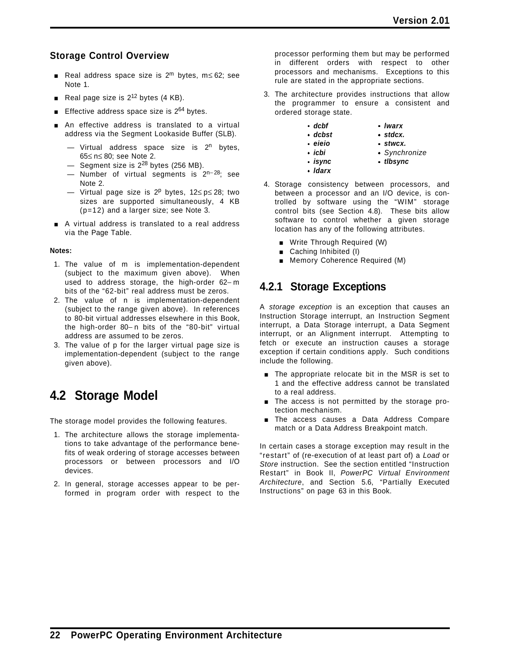### **Storage Control Overview**

- **E** Real address space size is 2<sup>m</sup> bytes, m≤ 62; see Note 1.
- Real page size is  $2^{12}$  bytes (4 KB).
- **Effective address space size is 2<sup>64</sup> bytes.**
- **n** An effective address is translated to a virtual address via the Segment Lookaside Buffer (SLB).
	- Virtual address space size is  $2^n$  bytes, 65≤ n≤ 80; see Note 2.
	- $-$  Segment size is  $2^{28}$  bytes (256 MB).
	- Number of virtual segments is 2<sup>n−28</sup>; see Note 2.
	- Virtual page size is 2<sup>p</sup> bytes, 12≤ p≤ 28; two sizes are supported simultaneously, 4 KB (p=12) and a larger size; see Note 3.
- A virtual address is translated to a real address via the Page Table.

#### **Notes:**

- 1. The value of m is implementation-dependent (subject to the maximum given above). When used to address storage, the high-order 62− m bits of the "62-bit" real address must be zeros.
- 2. The value of n is implementation-dependent (subject to the range given above). In references to 80-bit virtual addresses elsewhere in this Book, the high-order 80− n bits of the "80-bit" virtual address are assumed to be zeros.
- 3. The value of p for the larger virtual page size is implementation-dependent (subject to the range given above).

# **4.2 Storage Model**

The storage model provides the following features.

- 1. The architecture allows the storage implementations to take advantage of the performance benefits of weak ordering of storage accesses between processors or between processors and I/O devices.
- 2. In general, storage accesses appear to be performed in program order with respect to the

processor performing them but may be performed in different orders with respect to other processors and mechanisms. Exceptions to this rule are stated in the appropriate sections.

- 3. The architecture provides instructions that allow the programmer to ensure a consistent and ordered storage state.
	- *dcbf lwarx*
	- *dcbst stdcx.*
	- *eieio stwcx.*
		-
	- *icbi Synchronize*
	- *isync tlbsync*
	- *ldarx*
- 4. Storage consistency between processors, and between a processor and an I/O device, is controlled by software using the "WIM" storage control bits (see Section 4.8). These bits allow software to control whether a given storage location has any of the following attributes.
	- **No. Write Through Required (W)**
	- Caching Inhibited (I)
	- **Memory Coherence Required (M)**

### **4.2.1 Storage Exceptions**

A *storage exception* is an exception that causes an Instruction Storage interrupt, an Instruction Segment interrupt, a Data Storage interrupt, a Data Segment interrupt, or an Alignment interrupt. Attempting to fetch or execute an instruction causes a storage exception if certain conditions apply. Such conditions include the following.

- **The appropriate relocate bit in the MSR is set to** 1 and the effective address cannot be translated to a real address.
- **The access is not permitted by the storage pro**tection mechanism.
- **The access causes a Data Address Compare** match or a Data Address Breakpoint match.

In certain cases a storage exception may result in the "restart" of (re-execution of at least part of) a *Load* or *Store* instruction. See the section entitled "Instruction Restart" in Book II, *PowerPC Virtual Environment Architecture*, and Section 5.6, "Partially Executed Instructions" on page 63 in this Book.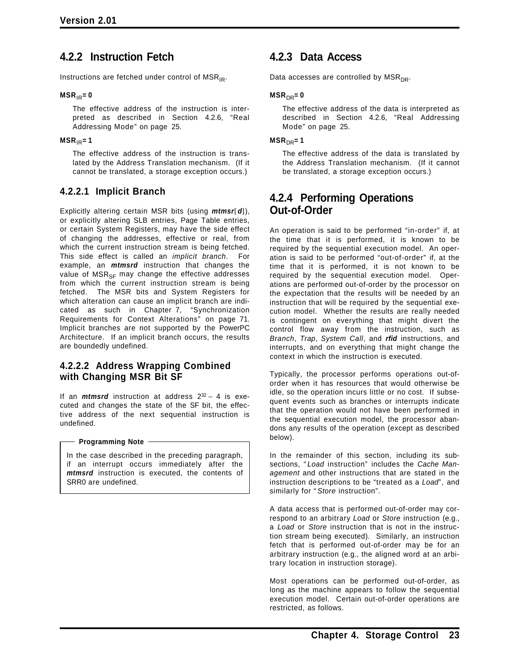### **4.2.2 Instruction Fetch**

Instructions are fetched under control of  $MSR_{IR}$ .

#### $MSR_{IR} = 0$

The effective address of the instruction is interpreted as described in Section 4.2.6, "Real Addressing Mode" on page 25.

#### $MSR_{IR} = 1$

The effective address of the instruction is translated by the Address Translation mechanism. (If it cannot be translated, a storage exception occurs.)

### **4.2.2.1 Implicit Branch**

Explicitly altering certain MSR bits (using *mtmsr*[*d*]), or explicitly altering SLB entries, Page Table entries, or certain System Registers, may have the side effect of changing the addresses, effective or real, from which the current instruction stream is being fetched. This side effect is called an *implicit branch*. For example, an *mtmsrd* instruction that changes the value of  $MSR_{SF}$  may change the effective addresses from which the current instruction stream is being fetched. The MSR bits and System Registers for which alteration can cause an implicit branch are indicated as such in Chapter 7, "Synchronization Requirements for Context Alterations" on page 71. Implicit branches are not supported by the PowerPC Architecture. If an implicit branch occurs, the results are boundedly undefined.

#### **4.2.2.2 Address Wrapping Combined with Changing MSR Bit SF**

If an *mtmsrd* instruction at address 232 − 4 is executed and changes the state of the SF bit, the effective address of the next sequential instruction is undefined.

#### **Programming Note**

In the case described in the preceding paragraph, if an interrupt occurs immediately after the *mtmsrd* instruction is executed, the contents of SRR0 are undefined.

### **4.2.3 Data Access**

Data accesses are controlled by  $MSR_{DR}$ .

#### $MSR<sub>DR</sub> = 0$

The effective address of the data is interpreted as described in Section 4.2.6, "Real Addressing Mode" on page 25.

#### $MSR<sub>DR</sub> = 1$

The effective address of the data is translated by the Address Translation mechanism. (If it cannot be translated, a storage exception occurs.)

### **4.2.4 Performing Operations Out-of-Order**

An operation is said to be performed "in-order" if, at the time that it is performed, it is known to be required by the sequential execution model. An operation is said to be performed "out-of-order" if, at the time that it is performed, it is not known to be required by the sequential execution model. Operations are performed out-of-order by the processor on the expectation that the results will be needed by an instruction that will be required by the sequential execution model. Whether the results are really needed is contingent on everything that might divert the control flow away from the instruction, such as *Branch*, *Trap*, *System Call*, and *rfid* instructions, and interrupts, and on everything that might change the context in which the instruction is executed.

Typically, the processor performs operations out-oforder when it has resources that would otherwise be idle, so the operation incurs little or no cost. If subsequent events such as branches or interrupts indicate that the operation would not have been performed in the sequential execution model, the processor abandons any results of the operation (except as described below).

In the remainder of this section, including its subsections, " *Load* instruction" includes the *Cache Management* and other instructions that are stated in the instruction descriptions to be "treated as a *Load*", and similarly for " *Store* instruction".

A data access that is performed out-of-order may correspond to an arbitrary *Load* or *Store* instruction (e.g., a *Load* or *Store* instruction that is not in the instruction stream being executed). Similarly, an instruction fetch that is performed out-of-order may be for an arbitrary instruction (e.g., the aligned word at an arbitrary location in instruction storage).

Most operations can be performed out-of-order, as long as the machine appears to follow the sequential execution model. Certain out-of-order operations are restricted, as follows.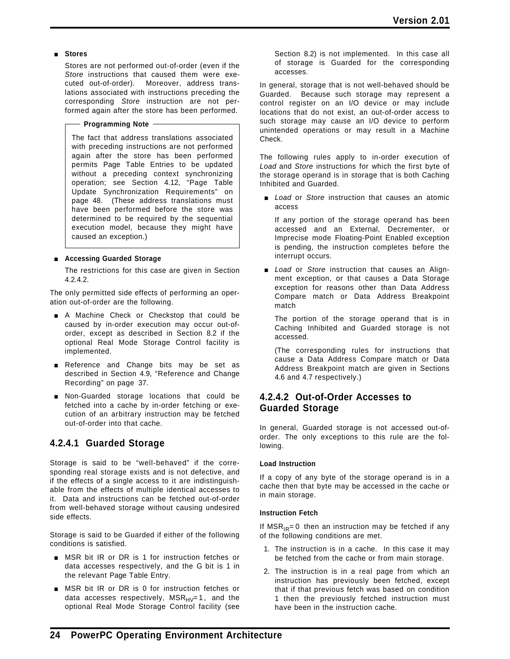#### [ **Stores**

Stores are not performed out-of-order (even if the *Store* instructions that caused them were executed out-of-order). Moreover, address translations associated with instructions preceding the corresponding *Store* instruction are not performed again after the store has been performed.

**Programming Note**

The fact that address translations associated with preceding instructions are not performed again after the store has been performed permits Page Table Entries to be updated without a preceding context synchronizing operation; see Section 4.12, "Page Table Update Synchronization Requirements" on page 48. (These address translations must have been performed before the store was determined to be required by the sequential execution model, because they might have caused an exception.)

#### [ **Accessing Guarded Storage**

The restrictions for this case are given in Section 4.2.4.2.

The only permitted side effects of performing an operation out-of-order are the following.

- A Machine Check or Checkstop that could be caused by in-order execution may occur out-oforder, except as described in Section 8.2 if the optional Real Mode Storage Control facility is implemented.
- Reference and Change bits may be set as described in Section 4.9, "Reference and Change Recording" on page 37.
- **Non-Guarded storage locations that could be** fetched into a cache by in-order fetching or execution of an arbitrary instruction may be fetched out-of-order into that cache.

### **4.2.4.1 Guarded Storage**

Storage is said to be "well-behaved" if the corresponding real storage exists and is not defective, and if the effects of a single access to it are indistinguishable from the effects of multiple identical accesses to it. Data and instructions can be fetched out-of-order from well-behaved storage without causing undesired side effects.

Storage is said to be Guarded if either of the following conditions is satisfied.

- **INSR bit IR or DR is 1 for instruction fetches or** data accesses respectively, and the G bit is 1 in the relevant Page Table Entry.
- **MSR** bit IR or DR is 0 for instruction fetches or data accesses respectively,  $MSR_{HV}=1$ , and the optional Real Mode Storage Control facility (see

Section 8.2) is not implemented. In this case all of storage is Guarded for the corresponding accesses.

In general, storage that is not well-behaved should be Guarded. Because such storage may represent a control register on an I/O device or may include locations that do not exist, an out-of-order access to such storage may cause an I/O device to perform unintended operations or may result in a Machine Check.

The following rules apply to in-order execution of *Load* and *Store* instructions for which the first byte of the storage operand is in storage that is both Caching Inhibited and Guarded.

**E** *Load* or *Store* instruction that causes an atomic access

If any portion of the storage operand has been accessed and an External, Decrementer, or Imprecise mode Floating-Point Enabled exception is pending, the instruction completes before the interrupt occurs.

**E** *Load* or *Store* instruction that causes an Alignment exception, or that causes a Data Storage exception for reasons other than Data Address Compare match or Data Address Breakpoint match

The portion of the storage operand that is in Caching Inhibited and Guarded storage is not accessed.

(The corresponding rules for instructions that cause a Data Address Compare match or Data Address Breakpoint match are given in Sections 4.6 and 4.7 respectively.)

### **4.2.4.2 Out-of-Order Accesses to Guarded Storage**

In general, Guarded storage is not accessed out-oforder. The only exceptions to this rule are the following.

#### **Load Instruction**

If a copy of any byte of the storage operand is in a cache then that byte may be accessed in the cache or in main storage.

#### **Instruction Fetch**

If  $MSR_{IR} = 0$  then an instruction may be fetched if any of the following conditions are met.

- 1. The instruction is in a cache. In this case it may be fetched from the cache or from main storage.
- 2. The instruction is in a real page from which an instruction has previously been fetched, except that if that previous fetch was based on condition 1 then the previously fetched instruction must have been in the instruction cache.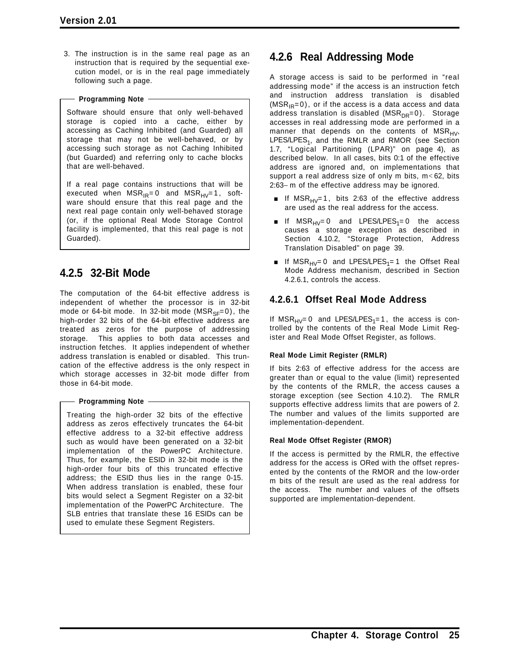3. The instruction is in the same real page as an instruction that is required by the sequential execution model, or is in the real page immediately following such a page.

#### **Programming Note**

Software should ensure that only well-behaved storage is copied into a cache, either by accessing as Caching Inhibited (and Guarded) all storage that may not be well-behaved, or by accessing such storage as not Caching Inhibited (but Guarded) and referring only to cache blocks that are well-behaved.

If a real page contains instructions that will be executed when  $MSR_{IR}=0$  and  $MSR_{HV}=1$ , software should ensure that this real page and the next real page contain only well-behaved storage (or, if the optional Real Mode Storage Control facility is implemented, that this real page is not Guarded).

## **4.2.5 32-Bit Mode**

The computation of the 64-bit effective address is independent of whether the processor is in 32-bit mode or 64-bit mode. In 32-bit mode ( $MSR_{SF}=0$ ), the high-order 32 bits of the 64-bit effective address are treated as zeros for the purpose of addressing storage. This applies to both data accesses and instruction fetches. It applies independent of whether address translation is enabled or disabled. This truncation of the effective address is the only respect in which storage accesses in 32-bit mode differ from those in 64-bit mode.

#### **Programming Note**

Treating the high-order 32 bits of the effective address as zeros effectively truncates the 64-bit effective address to a 32-bit effective address such as would have been generated on a 32-bit implementation of the PowerPC Architecture. Thus, for example, the ESID in 32-bit mode is the high-order four bits of this truncated effective address; the ESID thus lies in the range 0-15. When address translation is enabled, these four bits would select a Segment Register on a 32-bit implementation of the PowerPC Architecture. The SLB entries that translate these 16 ESIDs can be used to emulate these Segment Registers.

### **4.2.6 Real Addressing Mode**

A storage access is said to be performed in "real addressing mode" if the access is an instruction fetch and instruction address translation is disabled  $(MSR_{IR}=0)$ , or if the access is a data access and data address translation is disabled ( $MSR_{DR}=0$ ). Storage accesses in real addressing mode are performed in a manner that depends on the contents of  $MSR_{HV}$ , LPES/LPES<sub>1</sub>, and the RMLR and RMOR (see Section 1.7, "Logical Partitioning (LPAR)" on page 4), as described below. In all cases, bits 0:1 of the effective address are ignored and, on implementations that support a real address size of only m bits, m< 62, bits 2:63− m of the effective address may be ignored.

- If  $MSR_{HV}=1$ , bits 2:63 of the effective address are used as the real address for the access.
- If  $MSR_{HV}= 0$  and LPES/LPES<sub>1</sub>= 0 the access causes a storage exception as described in Section 4.10.2, "Storage Protection, Address Translation Disabled" on page 39.
- If  $MSR_{HV}= 0$  and LPES/LPES<sub>1</sub>= 1 the Offset Real Mode Address mechanism, described in Section 4.2.6.1, controls the access.

### **4.2.6.1 Offset Real Mode Address**

If  $MSR_{HV}=0$  and LPES/LPES<sub>1</sub>=1, the access is controlled by the contents of the Real Mode Limit Register and Real Mode Offset Register, as follows.

#### **Real Mode Limit Register (RMLR)**

If bits 2:63 of effective address for the access are greater than or equal to the value (limit) represented by the contents of the RMLR, the access causes a storage exception (see Section 4.10.2). The RMLR supports effective address limits that are powers of 2. The number and values of the limits supported are implementation-dependent.

#### **Real Mode Offset Register (RMOR)**

If the access is permitted by the RMLR, the effective address for the access is ORed with the offset represented by the contents of the RMOR and the low-order m bits of the result are used as the real address for the access. The number and values of the offsets supported are implementation-dependent.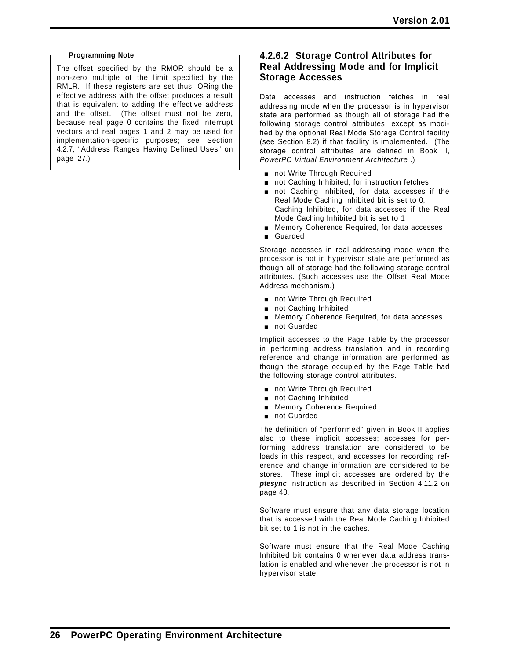#### **Programming Note**

The offset specified by the RMOR should be a non-zero multiple of the limit specified by the RMLR. If these registers are set thus, ORing the effective address with the offset produces a result that is equivalent to adding the effective address and the offset. (The offset must not be zero, because real page 0 contains the fixed interrupt vectors and real pages 1 and 2 may be used for implementation-specific purposes; see Section 4.2.7, "Address Ranges Having Defined Uses" on page 27.)

#### **4.2.6.2 Storage Control Attributes for Real Addressing Mode and for Implicit Storage Accesses**

Data accesses and instruction fetches in real addressing mode when the processor is in hypervisor state are performed as though all of storage had the following storage control attributes, except as modified by the optional Real Mode Storage Control facility (see Section 8.2) if that facility is implemented. (The storage control attributes are defined in Book II, *PowerPC Virtual Environment Architecture* .)

- not Write Through Required
- not Caching Inhibited, for instruction fetches
- not Caching Inhibited, for data accesses if the Real Mode Caching Inhibited bit is set to 0; Caching Inhibited, for data accesses if the Real Mode Caching Inhibited bit is set to 1
- **EXEC** Memory Coherence Required, for data accesses
- **Guarded**

Storage accesses in real addressing mode when the processor is not in hypervisor state are performed as though all of storage had the following storage control attributes. (Such accesses use the Offset Real Mode Address mechanism.)

- not Write Through Required
- not Caching Inhibited
- **EXEC** Memory Coherence Required, for data accesses
- not Guarded

Implicit accesses to the Page Table by the processor in performing address translation and in recording reference and change information are performed as though the storage occupied by the Page Table had the following storage control attributes.

- not Write Through Required
- not Caching Inhibited
- **EXECUTE:** Memory Coherence Required
- not Guarded

The definition of "performed" given in Book II applies also to these implicit accesses; accesses for performing address translation are considered to be loads in this respect, and accesses for recording reference and change information are considered to be stores. These implicit accesses are ordered by the *ptesync* instruction as described in Section 4.11.2 on page 40.

Software must ensure that any data storage location that is accessed with the Real Mode Caching Inhibited bit set to 1 is not in the caches.

Software must ensure that the Real Mode Caching Inhibited bit contains 0 whenever data address translation is enabled and whenever the processor is not in hypervisor state.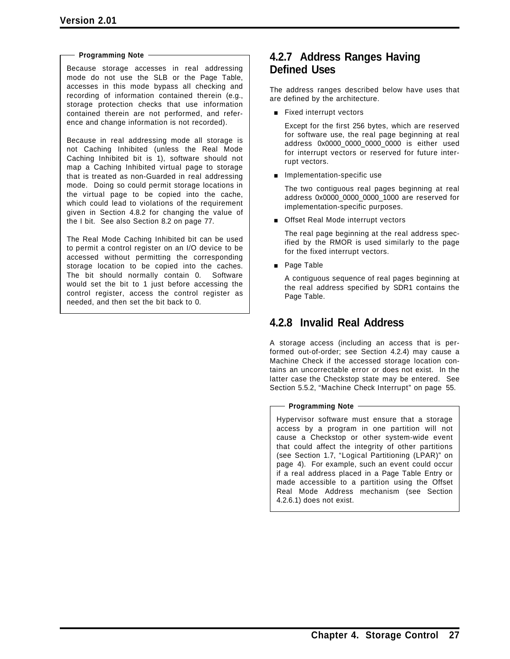#### **Programming Note**

Because storage accesses in real addressing mode do not use the SLB or the Page Table, accesses in this mode bypass all checking and recording of information contained therein (e.g., storage protection checks that use information contained therein are not performed, and reference and change information is not recorded).

Because in real addressing mode all storage is not Caching Inhibited (unless the Real Mode Caching Inhibited bit is 1), software should not map a Caching Inhibited virtual page to storage that is treated as non-Guarded in real addressing mode. Doing so could permit storage locations in the virtual page to be copied into the cache, which could lead to violations of the requirement given in Section 4.8.2 for changing the value of the I bit. See also Section 8.2 on page 77.

The Real Mode Caching Inhibited bit can be used to permit a control register on an I/O device to be accessed without permitting the corresponding storage location to be copied into the caches. The bit should normally contain 0. Software would set the bit to 1 just before accessing the control register, access the control register as needed, and then set the bit back to 0.

### **4.2.7 Address Ranges Having Defined Uses**

The address ranges described below have uses that are defined by the architecture.

**Example 1** Fixed interrupt vectors

Except for the first 256 bytes, which are reserved for software use, the real page beginning at real address 0x0000\_0000\_0000\_0000 is either used for interrupt vectors or reserved for future interrupt vectors.

**n** Implementation-specific use

The two contiguous real pages beginning at real address 0x0000\_0000\_0000\_1000 are reserved for implementation-specific purposes.

**Deal Mode interrupt vectors** 

The real page beginning at the real address specified by the RMOR is used similarly to the page for the fixed interrupt vectors.

**Page Table** 

A contiguous sequence of real pages beginning at the real address specified by SDR1 contains the Page Table.

### **4.2.8 Invalid Real Address**

A storage access (including an access that is performed out-of-order; see Section 4.2.4) may cause a Machine Check if the accessed storage location contains an uncorrectable error or does not exist. In the latter case the Checkstop state may be entered. See Section 5.5.2, "Machine Check Interrupt" on page 55.

#### **Programming Note**

Hypervisor software must ensure that a storage access by a program in one partition will not cause a Checkstop or other system-wide event that could affect the integrity of other partitions (see Section 1.7, "Logical Partitioning (LPAR)" on page 4). For example, such an event could occur if a real address placed in a Page Table Entry or made accessible to a partition using the Offset Real Mode Address mechanism (see Section 4.2.6.1) does not exist.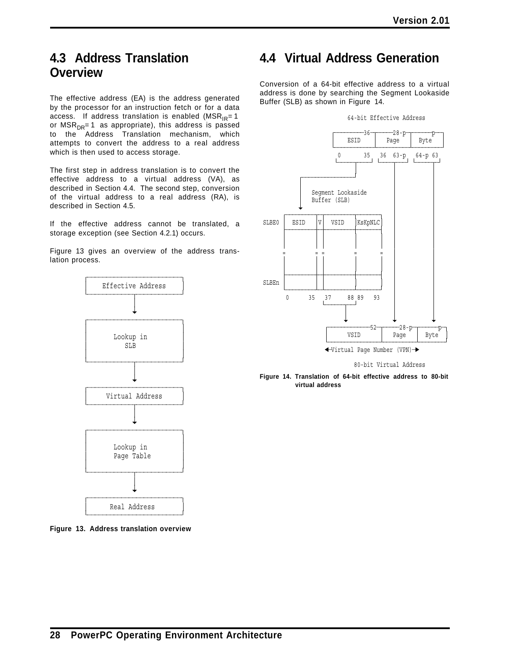# **4.3 Address Translation Overview**

The effective address (EA) is the address generated by the processor for an instruction fetch or for a data access. If address translation is enabled ( $MSR_{IR}=1$ or  $MSR_{DR} = 1$  as appropriate), this address is passed to the Address Translation mechanism, which attempts to convert the address to a real address which is then used to access storage.

The first step in address translation is to convert the effective address to a virtual address (VA), as described in Section 4.4. The second step, conversion of the virtual address to a real address (RA), is described in Section 4.5.

If the effective address cannot be translated, a storage exception (see Section 4.2.1) occurs.

Figure 13 gives an overview of the address translation process.



**Figure 13. Address translation overview**

# **4.4 Virtual Address Generation**

Conversion of a 64-bit effective address to a virtual address is done by searching the Segment Lookaside Buffer (SLB) as shown in Figure 14.



80-bit Virtual Address

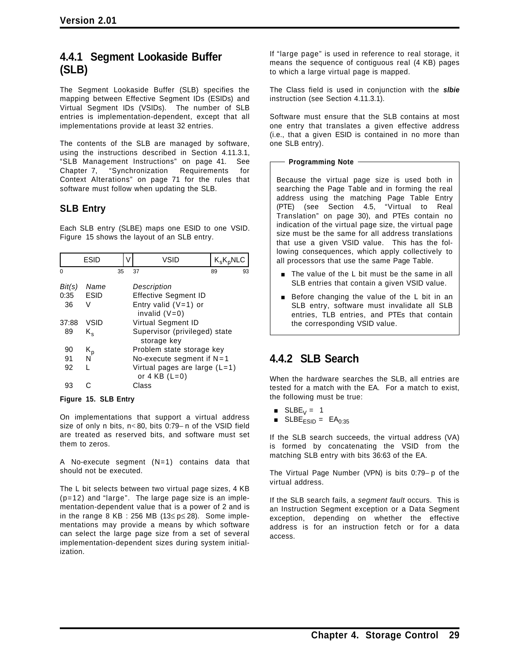## **4.4.1 Segment Lookaside Buffer (SLB)**

The Segment Lookaside Buffer (SLB) specifies the mapping between Effective Segment IDs (ESIDs) and Virtual Segment IDs (VSIDs). The number of SLB entries is implementation-dependent, except that all implementations provide at least 32 entries.

The contents of the SLB are managed by software, using the instructions described in Section 4.11.3.1, "SLB Management Instructions" on page 41. See Chapter 7, "Synchronization Requirements for Context Alterations" on page 71 for the rules that software must follow when updating the SLB.

### **SLB Entry**

Each SLB entry (SLBE) maps one ESID to one VSID. Figure 15 shows the layout of an SLB entry.

| <b>ESID</b>    |                                   | V | VSID                                                 | $K_sK_pNLC$ |    |  |
|----------------|-----------------------------------|---|------------------------------------------------------|-------------|----|--|
| 0              | 35                                |   | 37                                                   | 89          | 93 |  |
| Bit(s)<br>0:35 | Name<br><b>ESID</b>               |   | Description<br><b>Effective Segment ID</b>           |             |    |  |
| 36             | V                                 |   | Entry valid $(V=1)$ or<br>invalid $(V=0)$            |             |    |  |
| 37:88          | Virtual Segment ID<br><b>VSID</b> |   |                                                      |             |    |  |
| 89             | K.                                |   | Supervisor (privileged) state<br>storage key         |             |    |  |
| 90             | K <sub>p</sub><br>N               |   | Problem state storage key                            |             |    |  |
| 91             |                                   |   | No-execute segment if $N=1$                          |             |    |  |
| 92             |                                   |   | Virtual pages are large $(L=1)$<br>or $4$ KB $(L=0)$ |             |    |  |
| 93             |                                   |   | Class                                                |             |    |  |

#### **Figure 15. SLB Entry**

On implementations that support a virtual address size of only n bits, n<80, bits 0:79-n of the VSID field are treated as reserved bits, and software must set them to zeros.

A No-execute segment (N=1) contains data that should not be executed.

The L bit selects between two virtual page sizes, 4 KB (p=12) and "large". The large page size is an implementation-dependent value that is a power of 2 and is in the range 8 KB : 256 MB (13 $\le$  p $\le$  28). Some implementations may provide a means by which software can select the large page size from a set of several implementation-dependent sizes during system initialization.

If "large page" is used in reference to real storage, it means the sequence of contiguous real (4 KB) pages to which a large virtual page is mapped.

The Class field is used in conjunction with the *slbie* instruction (see Section 4.11.3.1).

Software must ensure that the SLB contains at most one entry that translates a given effective address (i.e., that a given ESID is contained in no more than one SLB entry).

#### **Programming Note**

Because the virtual page size is used both in searching the Page Table and in forming the real address using the matching Page Table Entry (PTE) (see Section 4.5, "Virtual to Real Translation" on page 30), and PTEs contain no indication of the virtual page size, the virtual page size must be the same for all address translations that use a given VSID value. This has the following consequences, which apply collectively to all processors that use the same Page Table.

- $\blacksquare$  The value of the L bit must be the same in all SLB entries that contain a given VSID value.
- Before changing the value of the L bit in an SLB entry, software must invalidate all SLB entries, TLB entries, and PTEs that contain the corresponding VSID value.

## **4.4.2 SLB Search**

When the hardware searches the SLB, all entries are tested for a match with the EA. For a match to exist, the following must be true:

- $\blacksquare$  SLBE<sub>V</sub> = 1
- $\blacksquare$  SLBE<sub>ESID</sub> = EA<sub>0:35</sub>

If the SLB search succeeds, the virtual address (VA) is formed by concatenating the VSID from the matching SLB entry with bits 36:63 of the EA.

The Virtual Page Number (VPN) is bits 0:79− p of the virtual address.

If the SLB search fails, a *segment fault* occurs. This is an Instruction Segment exception or a Data Segment exception, depending on whether the effective address is for an instruction fetch or for a data access.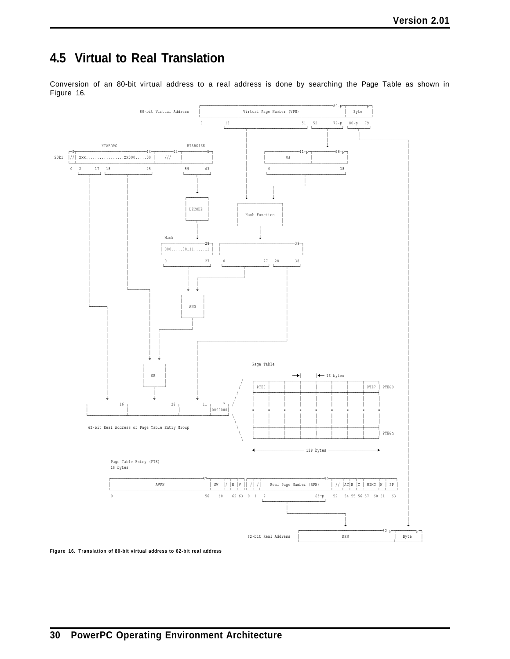# **4.5 Virtual to Real Translation**

Conversion of an 80-bit virtual address to a real address is done by searching the Page Table as shown in Figure 16.



**Figure 16. Translation of 80-bit virtual address to 62-bit real address**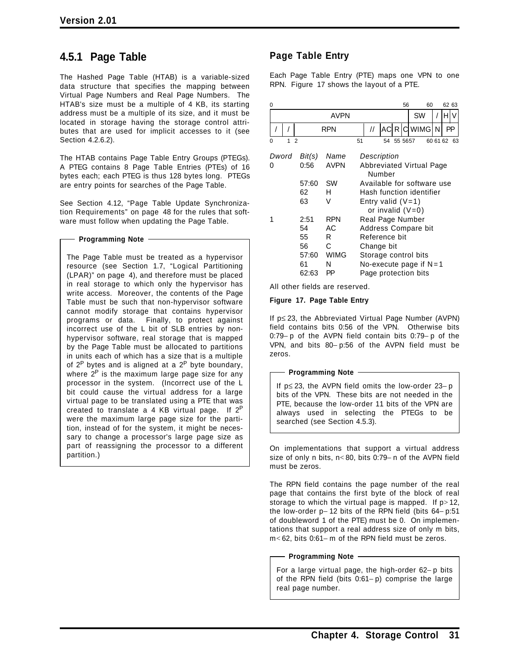## **4.5.1 Page Table**

The Hashed Page Table (HTAB) is a variable-sized data structure that specifies the mapping between Virtual Page Numbers and Real Page Numbers. The HTAB's size must be a multiple of 4 KB, its starting address must be a multiple of its size, and it must be located in storage having the storage control attributes that are used for implicit accesses to it (see Section 4.2.6.2).

The HTAB contains Page Table Entry Groups (PTEGs). A PTEG contains 8 Page Table Entries (PTEs) of 16 bytes each; each PTEG is thus 128 bytes long. PTEGs are entry points for searches of the Page Table.

See Section 4.12, "Page Table Update Synchronization Requirements" on page 48 for the rules that software must follow when updating the Page Table.

#### **Programming Note**

The Page Table must be treated as a hypervisor resource (see Section 1.7, "Logical Partitioning (LPAR)" on page 4), and therefore must be placed in real storage to which only the hypervisor has write access. Moreover, the contents of the Page Table must be such that non-hypervisor software cannot modify storage that contains hypervisor programs or data. Finally, to protect against incorrect use of the L bit of SLB entries by nonhypervisor software, real storage that is mapped by the Page Table must be allocated to partitions in units each of which has a size that is a multiple of  $2^P$  bytes and is aligned at a  $2^P$  byte boundary, where  $2^P$  is the maximum large page size for any processor in the system. (Incorrect use of the L bit could cause the virtual address for a large virtual page to be translated using a PTE that was created to translate a 4 KB virtual page. If  $2^P$ were the maximum large page size for the partition, instead of for the system, it might be necessary to change a processor's large page size as part of reassigning the processor to a different partition.)

### **Page Table Entry**

Each Page Table Entry (PTE) maps one VPN to one RPN. Figure 17 shows the layout of a PTE.

| 0                        |                                                |                                                      |    |                                                 |    |         | 56 | 60                                                                                              |          | 62 63 |
|--------------------------|------------------------------------------------|------------------------------------------------------|----|-------------------------------------------------|----|---------|----|-------------------------------------------------------------------------------------------------|----------|-------|
|                          |                                                | <b>AVPN</b>                                          |    |                                                 |    |         |    | SW                                                                                              |          |       |
|                          |                                                | RPN                                                  |    | $^{\prime\prime}$                               |    |         |    | AC R C WIMG                                                                                     | N        | PP    |
| $\mathfrak{p}$<br>1<br>0 |                                                |                                                      | 51 |                                                 | 54 | 55 5657 |    |                                                                                                 | 60 61 62 | 63    |
| Dword<br>0               | Bit(s)<br>0:56                                 | Name<br><b>AVPN</b>                                  |    | Description<br>Number                           |    |         |    | <b>Abbreviated Virtual Page</b>                                                                 |          |       |
|                          | 57:60<br>62<br>63                              | <b>SW</b><br>н<br>V                                  |    | Entry valid $(V=1)$                             |    |         |    | Available for software use<br>Hash function identifier<br>or invalid $(V=0)$                    |          |       |
|                          | 2:51<br>54<br>55<br>56<br>57:60<br>61<br>62:63 | <b>RPN</b><br>АC<br>R<br>C<br><b>WIMG</b><br>N<br>ΡP |    | Real Page Number<br>Reference bit<br>Change bit |    |         |    | Address Compare bit<br>Storage control bits<br>No-execute page if $N=1$<br>Page protection bits |          |       |

All other fields are reserved.

#### **Figure 17. Page Table Entry**

If p≤ 23, the Abbreviated Virtual Page Number (AVPN) field contains bits 0:56 of the VPN. Otherwise bits 0:79− p of the AVPN field contain bits 0:79− p of the VPN, and bits 80− p:56 of the AVPN field must be zeros.

#### **Programming Note**

If p≤ 23, the AVPN field omits the low-order 23− p bits of the VPN. These bits are not needed in the PTE, because the low-order 11 bits of the VPN are always used in selecting the PTEGs to be searched (see Section 4.5.3).

On implementations that support a virtual address size of only n bits, n< 80, bits 0:79− n of the AVPN field must be zeros.

The RPN field contains the page number of the real page that contains the first byte of the block of real storage to which the virtual page is mapped. If  $p > 12$ , the low-order p− 12 bits of the RPN field (bits 64− p:51 of doubleword 1 of the PTE) must be 0. On implementations that support a real address size of only m bits, m< 62, bits 0:61− m of the RPN field must be zeros.

**Programming Note**

For a large virtual page, the high-order 62− p bits of the RPN field (bits 0:61− p) comprise the large real page number.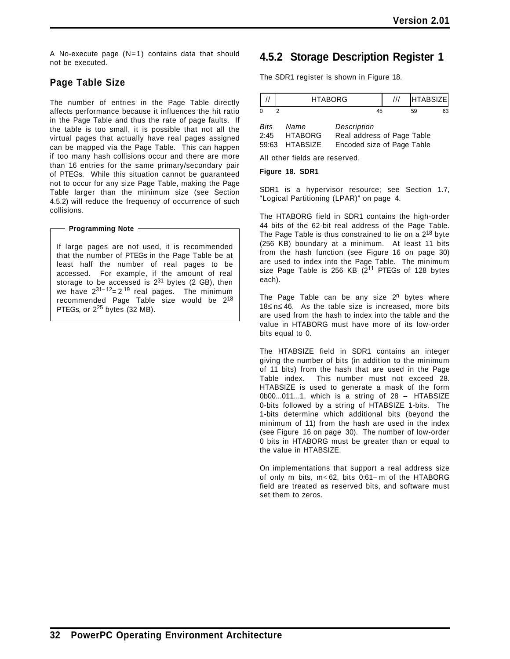A No-execute page (N=1) contains data that should not be executed.

### **Page Table Size**

The number of entries in the Page Table directly affects performance because it influences the hit ratio in the Page Table and thus the rate of page faults. If the table is too small, it is possible that not all the virtual pages that actually have real pages assigned can be mapped via the Page Table. This can happen if too many hash collisions occur and there are more than 16 entries for the same primary/secondary pair of PTEGs. While this situation cannot be guaranteed not to occur for any size Page Table, making the Page Table larger than the minimum size (see Section 4.5.2) will reduce the frequency of occurrence of such collisions.

#### **Programming Note**

If large pages are not used, it is recommended that the number of PTEGs in the Page Table be at least half the number of real pages to be accessed. For example, if the amount of real storage to be accessed is  $2^{31}$  bytes (2 GB), then we have  $2^{31-12}$ = 2<sup>19</sup> real pages. The minimum recommended Page Table size would be 2<sup>18</sup> PTEGs, or  $2^{25}$  bytes (32 MB).

### **4.5.2 Storage Description Register 1**

The SDR1 register is shown in Figure 18.

|                       | <b>HTABORG</b>                     | <b>HTABSIZE</b>                                                         |          |
|-----------------------|------------------------------------|-------------------------------------------------------------------------|----------|
| $\Omega$<br>2         |                                    | 45                                                                      | 63<br>59 |
| Bits<br>2:45<br>59:63 | Name<br><b>HTABORG</b><br>HTABSIZE | Description<br>Real address of Page Table<br>Encoded size of Page Table |          |
|                       | All other fields are reserved.     |                                                                         |          |

#### **Figure 18. SDR1**

SDR1 is a hypervisor resource; see Section 1.7, "Logical Partitioning (LPAR)" on page 4.

The HTABORG field in SDR1 contains the high-order 44 bits of the 62-bit real address of the Page Table. The Page Table is thus constrained to lie on a  $2^{18}$  byte (256 KB) boundary at a minimum. At least 11 bits from the hash function (see Figure 16 on page 30) are used to index into the Page Table. The minimum size Page Table is 256 KB  $(2^{11}$  PTEGs of 128 bytes each).

The Page Table can be any size  $2^n$  bytes where 18≤ n≤ 46. As the table size is increased, more bits are used from the hash to index into the table and the value in HTABORG must have more of its low-order bits equal to 0.

The HTABSIZE field in SDR1 contains an integer giving the number of bits (in addition to the minimum of 11 bits) from the hash that are used in the Page Table index. This number must not exceed 28. HTABSIZE is used to generate a mask of the form 0b00...011...1, which is a string of 28 − HTABSIZE 0-bits followed by a string of HTABSIZE 1-bits. The 1-bits determine which additional bits (beyond the minimum of 11) from the hash are used in the index (see Figure 16 on page 30). The number of low-order 0 bits in HTABORG must be greater than or equal to the value in HTABSIZE.

On implementations that support a real address size of only m bits, m< 62, bits 0:61− m of the HTABORG field are treated as reserved bits, and software must set them to zeros.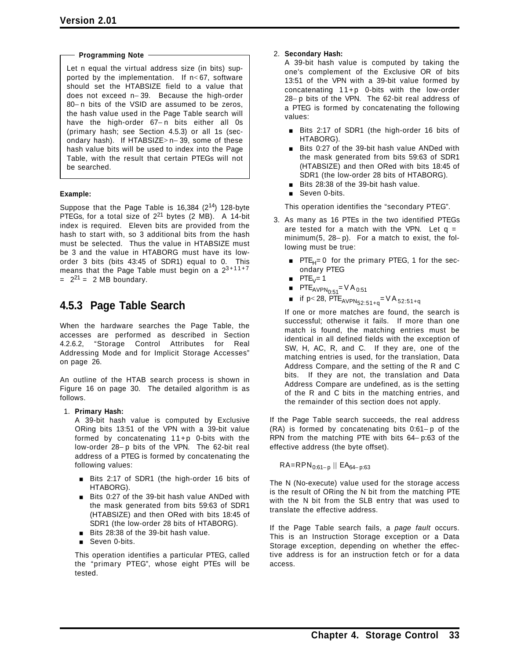#### **Programming Note**

Let n equal the virtual address size (in bits) supported by the implementation. If n< 67, software should set the HTABSIZE field to a value that does not exceed n− 39. Because the high-order 80− n bits of the VSID are assumed to be zeros, the hash value used in the Page Table search will have the high-order 67− n bits either all 0s (primary hash; see Section 4.5.3) or all 1s (secondary hash). If HTABSIZE> n− 39, some of these hash value bits will be used to index into the Page Table, with the result that certain PTEGs will not be searched.

#### **Example:**

Suppose that the Page Table is  $16,384$  ( $2^{14}$ ) 128-byte PTEGs, for a total size of  $2^{21}$  bytes (2 MB). A 14-bit index is required. Eleven bits are provided from the hash to start with, so 3 additional bits from the hash must be selected. Thus the value in HTABSIZE must be 3 and the value in HTABORG must have its loworder 3 bits (bits 43:45 of SDR1) equal to 0. This means that the Page Table must begin on a  $2^{3+11+7}$  $= 2^{21} = 2 \text{ MB}$  boundary.

## **4.5.3 Page Table Search**

When the hardware searches the Page Table, the accesses are performed as described in Section 4.2.6.2, "Storage Control Attributes for Real Addressing Mode and for Implicit Storage Accesses" on page 26.

An outline of the HTAB search process is shown in Figure 16 on page 30. The detailed algorithm is as follows.

#### 1. **Primary Hash:**

A 39-bit hash value is computed by Exclusive ORing bits 13:51 of the VPN with a 39-bit value formed by concatenating 11+p 0-bits with the low-order 28− p bits of the VPN. The 62-bit real address of a PTEG is formed by concatenating the following values:

- **Bits 2:17 of SDR1 (the high-order 16 bits of** HTABORG).
- **Bits 0:27 of the 39-bit hash value ANDed with** the mask generated from bits 59:63 of SDR1 (HTABSIZE) and then ORed with bits 18:45 of SDR1 (the low-order 28 bits of HTABORG).
- **Bits 28:38 of the 39-bit hash value.**
- Seven 0-bits.

This operation identifies a particular PTEG, called the "primary PTEG", whose eight PTEs will be tested.

#### 2. **Secondary Hash:**

A 39-bit hash value is computed by taking the one's complement of the Exclusive OR of bits 13:51 of the VPN with a 39-bit value formed by concatenating 11+p 0-bits with the low-order 28− p bits of the VPN. The 62-bit real address of a PTEG is formed by concatenating the following values:

- **E** Bits 2:17 of SDR1 (the high-order 16 bits of HTABORG).
- Bits 0:27 of the 39-bit hash value ANDed with the mask generated from bits 59:63 of SDR1 (HTABSIZE) and then ORed with bits 18:45 of SDR1 (the low-order 28 bits of HTABORG).
- Bits 28:38 of the 39-bit hash value.
- Seven 0-bits.

This operation identifies the "secondary PTEG".

- 3. As many as 16 PTEs in the two identified PTEGs are tested for a match with the VPN. Let  $q =$ minimum(5, 28− p). For a match to exist, the following must be true:
	- $PTE_H= 0$  for the primary PTEG, 1 for the secondary PTEG
	- $PTE_V= 1$
	- $PTE_{AVPN_{0:51}} = VA_{0:51}$
	- $\blacksquare$  if p< 28, PTE<sub>AVPN52:51+q</sub>=VA 52:51+q

If one or more matches are found, the search is successful; otherwise it fails. If more than one match is found, the matching entries must be identical in all defined fields with the exception of SW, H, AC, R, and C. If they are, one of the matching entries is used, for the translation, Data Address Compare, and the setting of the R and C bits. If they are not, the translation and Data Address Compare are undefined, as is the setting of the R and C bits in the matching entries, and the remainder of this section does not apply.

If the Page Table search succeeds, the real address (RA) is formed by concatenating bits 0:61− p of the RPN from the matching PTE with bits 64− p:63 of the effective address (the byte offset).

 $R$ A=RPN<sub>0:61− p</sub> || EA<sub>64− p:63</sub>

The N (No-execute) value used for the storage access is the result of ORing the N bit from the matching PTE with the N bit from the SLB entry that was used to translate the effective address.

If the Page Table search fails, a *page fault* occurs. This is an Instruction Storage exception or a Data Storage exception, depending on whether the effective address is for an instruction fetch or for a data access.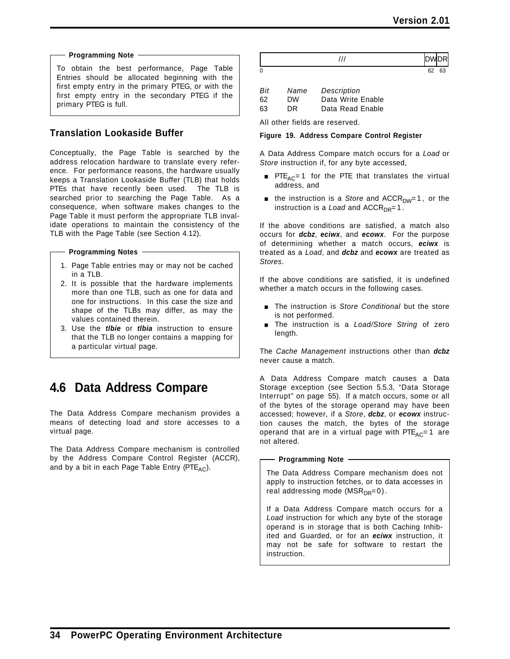#### **Programming Note**

To obtain the best performance, Page Table Entries should be allocated beginning with the first empty entry in the primary PTEG, or with the first empty entry in the secondary PTEG if the primary PTEG is full.

### **Translation Lookaside Buffer**

Conceptually, the Page Table is searched by the address relocation hardware to translate every reference. For performance reasons, the hardware usually keeps a Translation Lookaside Buffer (TLB) that holds PTEs that have recently been used. The TLB is searched prior to searching the Page Table. As a consequence, when software makes changes to the Page Table it must perform the appropriate TLB invalidate operations to maintain the consistency of the TLB with the Page Table (see Section 4.12).

**Programming Notes**

- 1. Page Table entries may or may not be cached in a TLB.
- 2. It is possible that the hardware implements more than one TLB, such as one for data and one for instructions. In this case the size and shape of the TLBs may differ, as may the values contained therein.
- 3. Use the *tlbie* or *tlbia* instruction to ensure that the TLB no longer contains a mapping for a particular virtual page.

# **4.6 Data Address Compare**

The Data Address Compare mechanism provides a means of detecting load and store accesses to a virtual page.

The Data Address Compare mechanism is controlled by the Address Compare Control Register (ACCR), and by a bit in each Page Table Entry (PTE<sub>AC</sub>).

| Bit | Name | Description       |
|-----|------|-------------------|
| 62  | DW   | Data Write Enable |
| 63  | DR.  | Data Read Enable  |

All other fields are reserved.

#### **Figure 19. Address Compare Control Register**

A Data Address Compare match occurs for a *Load* or *Store* instruction if, for any byte accessed,

- **PTE**<sub>AC</sub>= 1 for the PTE that translates the virtual address, and
- **the instruction is a** *Store* and ACCR<sub>DW</sub>=1, or the instruction is a *Load* and  $ACCR<sub>DR</sub>=1$ .

If the above conditions are satisfied, a match also occurs for *dcbz*, *eciwx*, and *ecowx*. For the purpose of determining whether a match occurs, *eciwx* is treated as a *Load*, and *dcbz* and *ecowx* are treated as *Stores*.

If the above conditions are satisfied, it is undefined whether a match occurs in the following cases.

- **The instruction is Store Conditional but the store** is not performed.
- [ The instruction is a *Load/Store String* of zero length.

The *Cache Management* instructions other than *dcbz* never cause a match.

A Data Address Compare match causes a Data Storage exception (see Section 5.5.3, "Data Storage Interrupt" on page 55). If a match occurs, some or all of the bytes of the storage operand may have been accessed; however, if a *Store*, *dcbz*, or *ecowx* instruction causes the match, the bytes of the storage operand that are in a virtual page with  $PTE_{AC}=1$  are not altered.

#### **Programming Note**

The Data Address Compare mechanism does not apply to instruction fetches, or to data accesses in real addressing mode ( $MSR_{DR}=0$ ).

If a Data Address Compare match occurs for a *Load* instruction for which any byte of the storage operand is in storage that is both Caching Inhibited and Guarded, or for an *eciwx* instruction, it may not be safe for software to restart the instruction.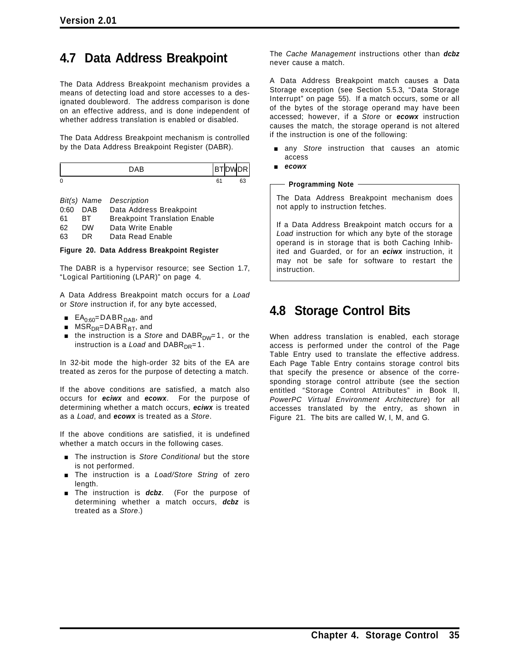# **4.7 Data Address Breakpoint**

The Data Address Breakpoint mechanism provides a means of detecting load and store accesses to a designated doubleword. The address comparison is done on an effective address, and is done independent of whether address translation is enabled or disabled.

The Data Address Breakpoint mechanism is controlled by the Data Address Breakpoint Register (DABR).

| 0 | ь | ຂິ |
|---|---|----|

*Bit(s) Name Description* 0:60 DAB Data Address Breakpoint 61 BT Breakpoint Translation Enable 62 DW Data Write Enable 63 DR Data Read Enable

#### **Figure 20. Data Address Breakpoint Register**

The DABR is a hypervisor resource; see Section 1.7, "Logical Partitioning (LPAR)" on page 4.

A Data Address Breakpoint match occurs for a *Load* or *Store* instruction if, for any byte accessed,

- $EA_{0:60}=DABR_{DAB}$ , and
- $MSR_{DR}$ =DABR<sub>BT</sub>, and
- the instruction is a *Store* and DABR<sub>DW</sub>=1, or the instruction is a *Load* and  $DABR_{DR}=1$ .

In 32-bit mode the high-order 32 bits of the EA are treated as zeros for the purpose of detecting a match.

If the above conditions are satisfied, a match also occurs for *eciwx* and *ecowx*. For the purpose of determining whether a match occurs, *eciwx* is treated as a *Load*, and *ecowx* is treated as a *Store*.

If the above conditions are satisfied, it is undefined whether a match occurs in the following cases.

- **The instruction is Store Conditional but the store** is not performed.
- [ The instruction is a *Load/Store String* of zero length.
- **The instruction is** *dcbz*. (For the purpose of determining whether a match occurs, *dcbz* is treated as a *Store*.)

The *Cache Management* instructions other than *dcbz* never cause a match.

A Data Address Breakpoint match causes a Data Storage exception (see Section 5.5.3, "Data Storage Interrupt" on page 55). If a match occurs, some or all of the bytes of the storage operand may have been accessed; however, if a *Store* or *ecowx* instruction causes the match, the storage operand is not altered if the instruction is one of the following:

- [ any *Store* instruction that causes an atomic access
- [ *ecowx*

#### **Programming Note**

The Data Address Breakpoint mechanism does not apply to instruction fetches.

If a Data Address Breakpoint match occurs for a *Load* instruction for which any byte of the storage operand is in storage that is both Caching Inhibited and Guarded, or for an *eciwx* instruction, it may not be safe for software to restart the instruction.

# **4.8 Storage Control Bits**

When address translation is enabled, each storage access is performed under the control of the Page Table Entry used to translate the effective address. Each Page Table Entry contains storage control bits that specify the presence or absence of the corresponding storage control attribute (see the section entitled "Storage Control Attributes" in Book II, *PowerPC Virtual Environment Architecture*) for all accesses translated by the entry, as shown in Figure 21. The bits are called W, I, M, and G.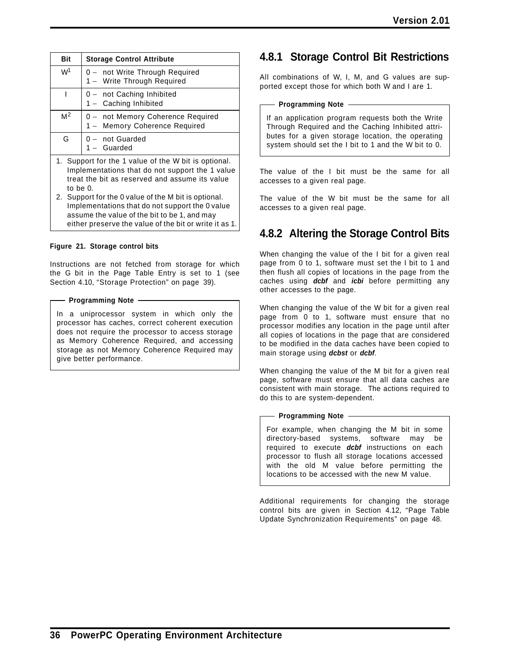| <b>Bit</b>     | <b>Storage Control Attribute</b>                                   |
|----------------|--------------------------------------------------------------------|
| W <sup>1</sup> | 0 - not Write Through Required<br>1 - Write Through Required       |
|                | 0 - not Caching Inhibited<br>1 - Caching Inhibited                 |
| M <sup>2</sup> | 0 - not Memory Coherence Required<br>1 - Memory Coherence Required |
| G              | - not Guarded<br>- Guarded                                         |

- 1. Support for the 1 value of the W bit is optional. Implementations that do not support the 1 value treat the bit as reserved and assume its value to be 0.
- 2. Support for the 0 value of the M bit is optional. Implementations that do not support the 0 value assume the value of the bit to be 1, and may either preserve the value of the bit or write it as 1.

#### **Figure 21. Storage control bits**

Instructions are not fetched from storage for which the G bit in the Page Table Entry is set to 1 (see Section 4.10, "Storage Protection" on page 39).

#### **Programming Note**

In a uniprocessor system in which only the processor has caches, correct coherent execution does not require the processor to access storage as Memory Coherence Required, and accessing storage as not Memory Coherence Required may give better performance.

## **4.8.1 Storage Control Bit Restrictions**

All combinations of W, I, M, and G values are supported except those for which both W and I are 1.

#### **Programming Note**

If an application program requests both the Write Through Required and the Caching Inhibited attributes for a given storage location, the operating system should set the I bit to 1 and the W bit to 0.

The value of the I bit must be the same for all accesses to a given real page.

The value of the W bit must be the same for all accesses to a given real page.

## **4.8.2 Altering the Storage Control Bits**

When changing the value of the I bit for a given real page from 0 to 1, software must set the I bit to 1 and then flush all copies of locations in the page from the caches using *dcbf* and *icbi* before permitting any other accesses to the page.

When changing the value of the W bit for a given real page from 0 to 1, software must ensure that no processor modifies any location in the page until after all copies of locations in the page that are considered to be modified in the data caches have been copied to main storage using *dcbst* or *dcbf*.

When changing the value of the M bit for a given real page, software must ensure that all data caches are consistent with main storage. The actions required to do this to are system-dependent.

#### **Programming Note**

For example, when changing the M bit in some directory-based systems, software may be required to execute *dcbf* instructions on each processor to flush all storage locations accessed with the old M value before permitting the locations to be accessed with the new M value.

Additional requirements for changing the storage control bits are given in Section 4.12, "Page Table Update Synchronization Requirements" on page 48.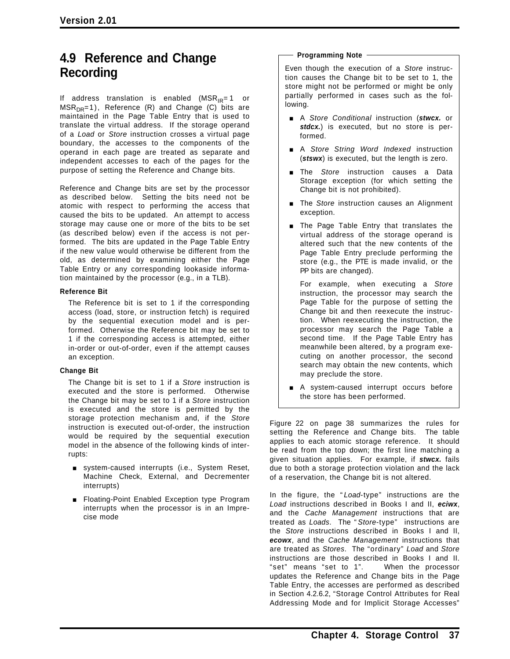## **4.9 Reference and Change Recording**

If address translation is enabled  $(MSR_{IR}=1$  or  $MSR_{DR}=1$ ), Reference (R) and Change (C) bits are maintained in the Page Table Entry that is used to translate the virtual address. If the storage operand of a *Load* or *Store* instruction crosses a virtual page boundary, the accesses to the components of the operand in each page are treated as separate and independent accesses to each of the pages for the purpose of setting the Reference and Change bits.

Reference and Change bits are set by the processor as described below. Setting the bits need not be atomic with respect to performing the access that caused the bits to be updated. An attempt to access storage may cause one or more of the bits to be set (as described below) even if the access is not performed. The bits are updated in the Page Table Entry if the new value would otherwise be different from the old, as determined by examining either the Page Table Entry or any corresponding lookaside information maintained by the processor (e.g., in a TLB).

#### **Reference Bit**

The Reference bit is set to 1 if the corresponding access (load, store, or instruction fetch) is required by the sequential execution model and is performed. Otherwise the Reference bit may be set to 1 if the corresponding access is attempted, either in-order or out-of-order, even if the attempt causes an exception.

#### **Change Bit**

The Change bit is set to 1 if a *Store* instruction is executed and the store is performed. Otherwise the Change bit may be set to 1 if a *Store* instruction is executed and the store is permitted by the storage protection mechanism and, if the *Store* instruction is executed out-of-order, the instruction would be required by the sequential execution model in the absence of the following kinds of interrupts:

- system-caused interrupts (i.e., System Reset, Machine Check, External, and Decrementer interrupts)
- **Exception floating-Point Enabled Exception type Program** interrupts when the processor is in an Imprecise mode

#### **Programming Note**

Even though the execution of a *Store* instruction causes the Change bit to be set to 1, the store might not be performed or might be only partially performed in cases such as the following.

- [ A *Store Conditional* instruction (*stwcx.* or stdcx.) is executed, but no store is performed.
- [ A *Store String Word Indexed* instruction (*stswx*) is executed, but the length is zero.
- **The Store instruction causes a Data** Storage exception (for which setting the Change bit is not prohibited).
- **The Store instruction causes an Alignment** exception.
- $\blacksquare$  The Page Table Entry that translates the virtual address of the storage operand is altered such that the new contents of the Page Table Entry preclude performing the store (e.g., the PTE is made invalid, or the PP bits are changed).

For example, when executing a *Store* instruction, the processor may search the Page Table for the purpose of setting the Change bit and then reexecute the instruction. When reexecuting the instruction, the processor may search the Page Table a second time. If the Page Table Entry has meanwhile been altered, by a program executing on another processor, the second search may obtain the new contents, which may preclude the store.

A system-caused interrupt occurs before the store has been performed.

Figure 22 on page 38 summarizes the rules for setting the Reference and Change bits. The table applies to each atomic storage reference. It should be read from the top down; the first line matching a given situation applies. For example, if *stwcx.* fails due to both a storage protection violation and the lack of a reservation, the Change bit is not altered.

In the figure, the " *Load*-type" instructions are the *Load* instructions described in Books I and II, *eciwx*, and the *Cache Management* instructions that are treated as *Loads*. The " *Store*-type" instructions are the *Store* instructions described in Books I and II, *ecowx*, and the *Cache Management* instructions that are treated as *Stores*. The "ordinary" *Load* and *Store* instructions are those described in Books I and II. "set" means "set to 1". When the processor updates the Reference and Change bits in the Page Table Entry, the accesses are performed as described in Section 4.2.6.2, "Storage Control Attributes for Real Addressing Mode and for Implicit Storage Accesses"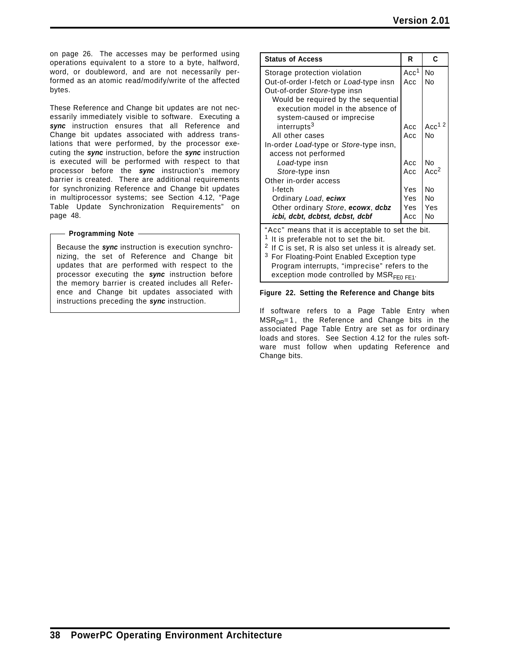on page 26. The accesses may be performed using operations equivalent to a store to a byte, halfword, word, or doubleword, and are not necessarily performed as an atomic read/modify/write of the affected bytes.

These Reference and Change bit updates are not necessarily immediately visible to software. Executing a *sync* instruction ensures that all Reference and Change bit updates associated with address translations that were performed, by the processor executing the *sync* instruction, before the *sync* instruction is executed will be performed with respect to that processor before the *sync* instruction's memory barrier is created. There are additional requirements for synchronizing Reference and Change bit updates in multiprocessor systems; see Section 4.12, "Page Table Update Synchronization Requirements" on page 48.

#### **Programming Note** -

Because the *sync* instruction is execution synchronizing, the set of Reference and Change bit updates that are performed with respect to the processor executing the *sync* instruction before the memory barrier is created includes all Reference and Change bit updates associated with instructions preceding the *sync* instruction.

| <b>Status of Access</b>                                           | R                | C                |
|-------------------------------------------------------------------|------------------|------------------|
| Storage protection violation                                      | Acc <sup>1</sup> | <b>No</b>        |
| Out-of-order I-fetch or Load-type insn                            | Acc              | No               |
| Out-of-order Store-type insn                                      |                  |                  |
| Would be required by the sequential                               |                  |                  |
| execution model in the absence of                                 |                  |                  |
| system-caused or imprecise                                        |                  |                  |
| interrupts <sup>3</sup>                                           | Acc              | Acc $12$         |
| All other cases                                                   | Acc              | No               |
| In-order Load-type or Store-type insn,                            |                  |                  |
| access not performed                                              |                  |                  |
| Load-type insn                                                    | Acc              | <b>No</b>        |
| Store-type insn                                                   | Acc              | Acc <sup>2</sup> |
| Other in-order access                                             |                  |                  |
| I-fetch                                                           | Yes              | N <sub>0</sub>   |
| Ordinary Load, eciwx                                              | Yes              | No               |
| Other ordinary Store, ecowx, dcbz                                 | Yes.             | Yes              |
| icbi, dcbt, dcbtst, dcbst, dcbf                                   | Acc              | No               |
| "Acc" means that it is acceptable to set the bit.                 |                  |                  |
| <sup>1</sup> It is preferable not to set the bit.                 |                  |                  |
| <sup>2</sup> If C is set, R is also set unless it is already set. |                  |                  |
| <sup>3</sup> For Floating-Point Enabled Exception type            |                  |                  |
| Program interrupts, "imprecise" refers to the                     |                  |                  |

exception mode controlled by  $MSR_{FE0}$  FE1.

#### **Figure 22. Setting the Reference and Change bits**

If software refers to a Page Table Entry when  $MSR<sub>DR</sub>=1$ , the Reference and Change bits in the associated Page Table Entry are set as for ordinary loads and stores. See Section 4.12 for the rules software must follow when updating Reference and Change bits.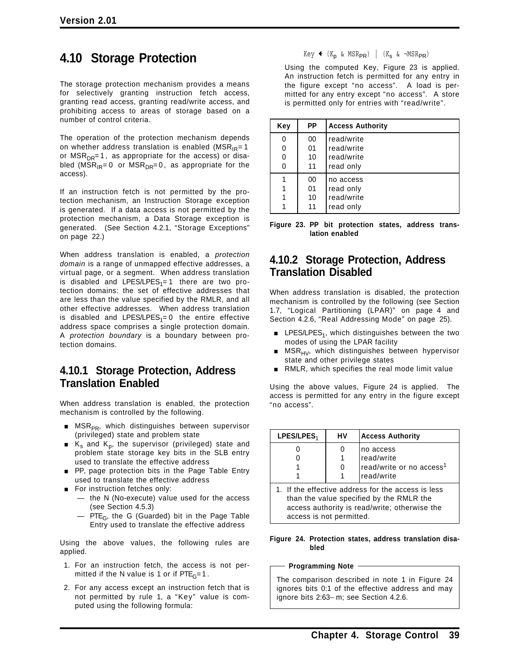# **4.10 Storage Protection**

The storage protection mechanism provides a means for selectively granting instruction fetch access, granting read access, granting read/write access, and prohibiting access to areas of storage based on a number of control criteria.

The operation of the protection mechanism depends on whether address translation is enabled ( $MSR_{IR}=1$ or  $MSR<sub>DR</sub>=1$ , as appropriate for the access) or disabled ( $MSR_{IR} = 0$  or  $MSR_{DR} = 0$ , as appropriate for the access).

If an instruction fetch is not permitted by the protection mechanism, an Instruction Storage exception is generated. If a data access is not permitted by the protection mechanism, a Data Storage exception is generated. (See Section 4.2.1, "Storage Exceptions" on page 22.)

When address translation is enabled, a *protection domain* is a range of unmapped effective addresses, a virtual page, or a segment. When address translation is disabled and LPES/LPES<sub>1</sub>=1 there are two protection domains: the set of effective addresses that are less than the value specified by the RMLR, and all other effective addresses. When address translation is disabled and LPES/LPES<sub>1</sub>= 0 the entire effective address space comprises a single protection domain. A *protection boundary* is a boundary between protection domains.

### **4.10.1 Storage Protection, Address Translation Enabled**

When address translation is enabled, the protection mechanism is controlled by the following.

- **NSR**<sub>PR</sub>, which distinguishes between supervisor (privileged) state and problem state
- $K<sub>s</sub>$  and K<sub>p</sub>, the supervisor (privileged) state and problem state storage key bits in the SLB entry used to translate the effective address
- **PP, page protection bits in the Page Table Entry** used to translate the effective address
- For instruction fetches only:
	- the N (No-execute) value used for the access (see Section 4.5.3)
	- $-$  PTE<sub>G</sub>, the G (Guarded) bit in the Page Table Entry used to translate the effective address

Using the above values, the following rules are applied.

- 1. For an instruction fetch, the access is not permitted if the N value is 1 or if  $PTE<sub>G</sub>=1$ .
- 2. For any access except an instruction fetch that is not permitted by rule 1, a "Key" value is computed using the following formula:

#### $Key$   $(K_p \& MSR_{PR})$  |  $(K_s \& \neg MSR_{PR})$

Using the computed Key, Figure 23 is applied. An instruction fetch is permitted for any entry in the figure except "no access". A load is permitted for any entry except "no access". A store is permitted only for entries with "read/write".

| Key              | РP                   | <b>Access Authority</b>                             |
|------------------|----------------------|-----------------------------------------------------|
| 0<br>0<br>0<br>0 | 00<br>01<br>10<br>11 | read/write<br>read/write<br>read/write<br>read only |
|                  | 00<br>01<br>10<br>11 | no access<br>read only<br>read/write<br>read only   |

**Figure 23. PP bit protection states, address translation enabled**

### **4.10.2 Storage Protection, Address Translation Disabled**

When address translation is disabled, the protection mechanism is controlled by the following (see Section 1.7, "Logical Partitioning (LPAR)" on page 4 and Section 4.2.6, "Real Addressing Mode" on page 25).

- LPES/LPES<sub>1</sub>, which distinguishes between the two modes of using the LPAR facility
- $MSR_{HV}$ , which distinguishes between hypervisor state and other privilege states
- RMLR, which specifies the real mode limit value

Using the above values, Figure 24 is applied. The access is permitted for any entry in the figure except "no access".

| LPES/LPES <sub>1</sub> | HV | <b>Access Authority</b>                                                                                                                                       |
|------------------------|----|---------------------------------------------------------------------------------------------------------------------------------------------------------------|
|                        | 0  | no access<br>read/write<br>read/write or no access <sup>1</sup>                                                                                               |
|                        |    | read/write<br>1. If the effective address for the access is less<br>than the value specified by the RMLR the<br>access authority is read/write; otherwise the |

#### **Figure 24. Protection states, address translation disabled**

#### **Programming Note**

access is not permitted.

The comparison described in note 1 in Figure 24 ignores bits 0:1 of the effective address and may ignore bits 2:63− m; see Section 4.2.6.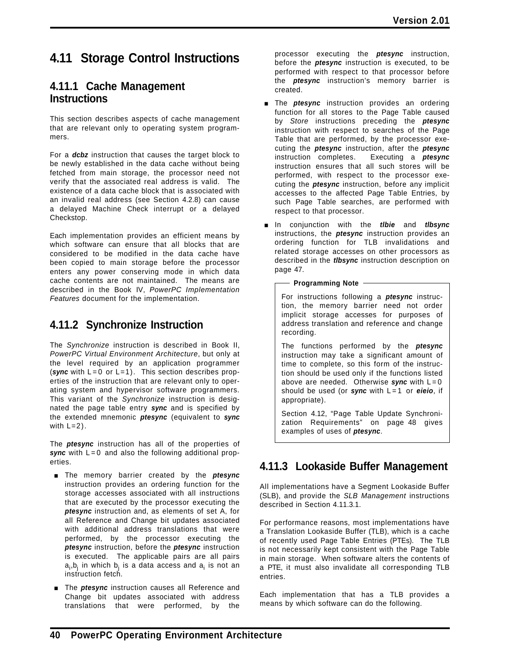# **4.11 Storage Control Instructions**

### **4.11.1 Cache Management Instructions**

This section describes aspects of cache management that are relevant only to operating system programmers.

For a *dcbz* instruction that causes the target block to be newly established in the data cache without being fetched from main storage, the processor need not verify that the associated real address is valid. The existence of a data cache block that is associated with an invalid real address (see Section 4.2.8) can cause a delayed Machine Check interrupt or a delayed Checkstop.

Each implementation provides an efficient means by which software can ensure that all blocks that are considered to be modified in the data cache have been copied to main storage before the processor enters any power conserving mode in which data cache contents are not maintained. The means are described in the Book IV, *PowerPC Implementation Features* document for the implementation.

## **4.11.2 Synchronize Instruction**

The *Synchronize* instruction is described in Book II, *PowerPC Virtual Environment Architecture*, but only at the level required by an application programmer (*sync* with L=0 or L=1). This section describes properties of the instruction that are relevant only to operating system and hypervisor software programmers. This variant of the *Synchronize* instruction is designated the page table entry *sync* and is specified by the extended mnemonic *ptesync* (equivalent to *sync* with  $L=2$ ).

The *ptesync* instruction has all of the properties of sync with L=0 and also the following additional properties.

- **The memory barrier created by the ptesync** instruction provides an ordering function for the storage accesses associated with all instructions that are executed by the processor executing the *ptesync* instruction and, as elements of set A, for all Reference and Change bit updates associated with additional address translations that were performed, by the processor executing the *ptesync* instruction, before the *ptesync* instruction is executed. The applicable pairs are all pairs a<sub>i</sub>,b<sub>j</sub> in which b<sub>j</sub> is a data access and a<sub>i</sub> is not an instruction fetch.
- The *ptesync* instruction causes all Reference and Change bit updates associated with address translations that were performed, by the

processor executing the *ptesync* instruction, before the *ptesync* instruction is executed, to be performed with respect to that processor before the *ptesync* instruction's memory barrier is created.

- [ The *ptesync* instruction provides an ordering function for all stores to the Page Table caused by *Store* instructions preceding the *ptesync* instruction with respect to searches of the Page Table that are performed, by the processor executing the *ptesync* instruction, after the *ptesync* instruction completes. Executing a *ptesync* instruction ensures that all such stores will be performed, with respect to the processor executing the *ptesync* instruction, before any implicit accesses to the affected Page Table Entries, by such Page Table searches, are performed with respect to that processor.
- [ In conjunction with the *tlbie* and *tlbsync* instructions, the *ptesync* instruction provides an ordering function for TLB invalidations and related storage accesses on other processors as described in the *tlbsync* instruction description on page 47.

#### **Programming Note**

For instructions following a *ptesync* instruction, the memory barrier need not order implicit storage accesses for purposes of address translation and reference and change recording.

The functions performed by the *ptesync* instruction may take a significant amount of time to complete, so this form of the instruction should be used only if the functions listed above are needed. Otherwise **sync** with  $L=0$ should be used (or *sync* with L=1 or *eieio*, if appropriate).

Section 4.12, "Page Table Update Synchronization Requirements" on page 48 gives examples of uses of *ptesync*.

## **4.11.3 Lookaside Buffer Management**

All implementations have a Segment Lookaside Buffer (SLB), and provide the *SLB Management* instructions described in Section 4.11.3.1.

For performance reasons, most implementations have a Translation Lookaside Buffer (TLB), which is a cache of recently used Page Table Entries (PTEs). The TLB is not necessarily kept consistent with the Page Table in main storage. When software alters the contents of a PTE, it must also invalidate all corresponding TLB entries.

Each implementation that has a TLB provides a means by which software can do the following.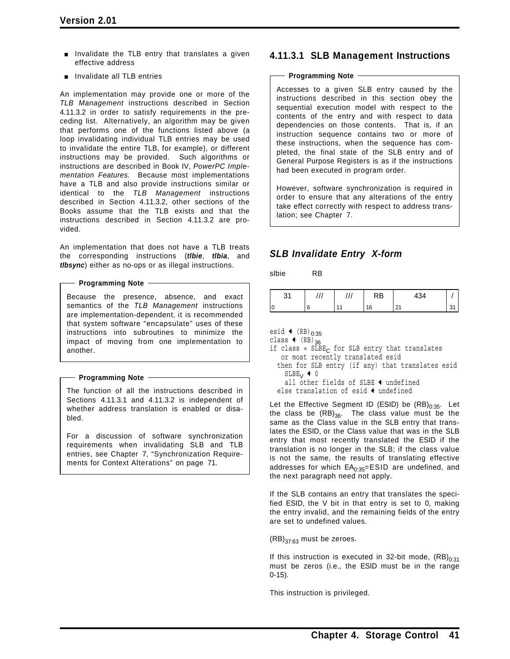- Invalidate the TLB entry that translates a given effective address
- **n** Invalidate all TLB entries

An implementation may provide one or more of the *TLB Management* instructions described in Section 4.11.3.2 in order to satisfy requirements in the preceding list. Alternatively, an algorithm may be given that performs one of the functions listed above (a loop invalidating individual TLB entries may be used to invalidate the entire TLB, for example), or different instructions may be provided. Such algorithms or instructions are described in Book IV, *PowerPC Implementation Features*. Because most implementations have a TLB and also provide instructions similar or identical to the *TLB Management* instructions described in Section 4.11.3.2, other sections of the Books assume that the TLB exists and that the instructions described in Section 4.11.3.2 are provided.

An implementation that does not have a TLB treats the corresponding instructions (*tlbie*, *tlbia*, and *tlbsync*) either as no-ops or as illegal instructions.

#### **Programming Note**

Because the presence, absence, and exact semantics of the *TLB Management* instructions are implementation-dependent, it is recommended that system software "encapsulate" uses of these instructions into subroutines to minimize the impact of moving from one implementation to another.

#### **Programming Note**

The function of all the instructions described in Sections 4.11.3.1 and 4.11.3.2 is independent of whether address translation is enabled or disabled.

For a discussion of software synchronization requirements when invalidating SLB and TLB entries, see Chapter 7, "Synchronization Requirements for Context Alterations" on page 71.

### **4.11.3.1 SLB Management Instructions**

#### **Programming Note**

Accesses to a given SLB entry caused by the instructions described in this section obey the sequential execution model with respect to the contents of the entry and with respect to data dependencies on those contents. That is, if an instruction sequence contains two or more of these instructions, when the sequence has completed, the final state of the SLB entry and of General Purpose Registers is as if the instructions had been executed in program order.

However, software synchronization is required in order to ensure that any alterations of the entry take effect correctly with respect to address translation; see Chapter 7.

### *SLB Invalidate Entry X-form*

slbie RB

| $\sim$<br>ັ |  | RB | 1 O A<br>434  |  |
|-------------|--|----|---------------|--|
|             |  | 16 | $\sim$<br>2 I |  |

```
esid \leftarrow (RB)<sub>0:35</sub>
```
class  $\leftarrow$  (RB)<sub>36</sub>

- if class =  $S_{\text{LBEC}}$  for SLB entry that translates or most recently translated esid
- then for SLB entry (if any) that translates esid  $S LBE_V$   $\leftarrow$  0
- all other fields of SLBE  $\triangleleft$  undefined else translation of esid  $\triangle$  undefined

Let the Effective Segment ID (ESID) be  $(RB)_{0:35}$ . Let the class be  $(RB)_{36}$ . The class value must be the same as the Class value in the SLB entry that translates the ESID, or the Class value that was in the SLB entry that most recently translated the ESID if the translation is no longer in the SLB; if the class value is not the same, the results of translating effective addresses for which  $EA<sub>0:35</sub>=ESID$  are undefined, and the next paragraph need not apply.

If the SLB contains an entry that translates the specified ESID, the V bit in that entry is set to 0, making the entry invalid, and the remaining fields of the entry are set to undefined values.

 $(RB)_{37:63}$  must be zeroes.

If this instruction is executed in 32-bit mode,  $(RB)_{0:31}$ must be zeros (i.e., the ESID must be in the range 0-15).

This instruction is privileged.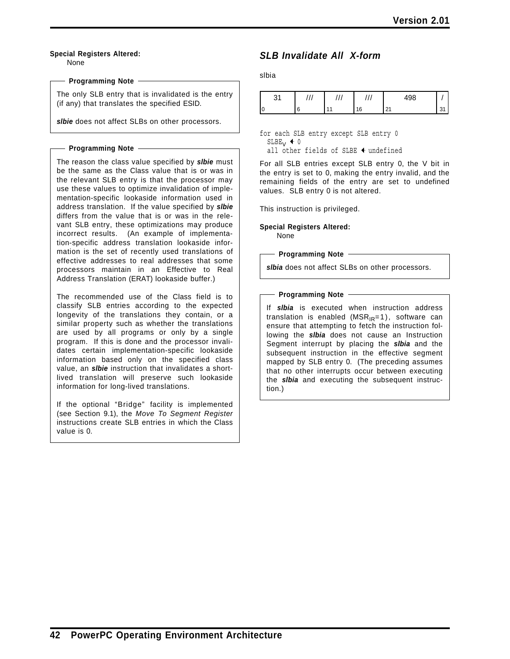#### **Special Registers Altered:**

None

#### **Programming Note**

The only SLB entry that is invalidated is the entry (if any) that translates the specified ESID.

*slbie* does not affect SLBs on other processors.

#### **Programming Note**

The reason the class value specified by *slbie* must be the same as the Class value that is or was in the relevant SLB entry is that the processor may use these values to optimize invalidation of implementation-specific lookaside information used in address translation. If the value specified by *slbie* differs from the value that is or was in the relevant SLB entry, these optimizations may produce incorrect results. (An example of implementation-specific address translation lookaside information is the set of recently used translations of effective addresses to real addresses that some processors maintain in an Effective to Real Address Translation (ERAT) lookaside buffer.)

The recommended use of the Class field is to classify SLB entries according to the expected longevity of the translations they contain, or a similar property such as whether the translations are used by all programs or only by a single program. If this is done and the processor invalidates certain implementation-specific lookaside information based only on the specified class value, an *slbie* instruction that invalidates a shortlived translation will preserve such lookaside information for long-lived translations.

If the optional "Bridge" facility is implemented (see Section 9.1), the *Move To Segment Register* instructions create SLB entries in which the Class value is 0.

### *SLB Invalidate All X-form*

slbia

| $\sim$<br>ັ | . | ,,, | 100<br>טט+        |   |
|-------------|---|-----|-------------------|---|
|             |   | 16  | $2^{\prime}$<br>ᅀ | ັ |

for each SLB entry except SLB entry 0  $S LBE_V + 0$ 

all other fields of SLBE  $\triangleleft$  undefined

For all SLB entries except SLB entry 0, the V bit in the entry is set to 0, making the entry invalid, and the remaining fields of the entry are set to undefined values. SLB entry 0 is not altered.

This instruction is privileged.

**Special Registers Altered:** None

**Programming Note**

*slbia* does not affect SLBs on other processors.

#### **Programming Note**

If *slbia* is executed when instruction address translation is enabled ( $MSR_{IR}=1$ ), software can ensure that attempting to fetch the instruction following the *slbia* does not cause an Instruction Segment interrupt by placing the *slbia* and the subsequent instruction in the effective segment mapped by SLB entry 0. (The preceding assumes that no other interrupts occur between executing the *slbia* and executing the subsequent instruction.)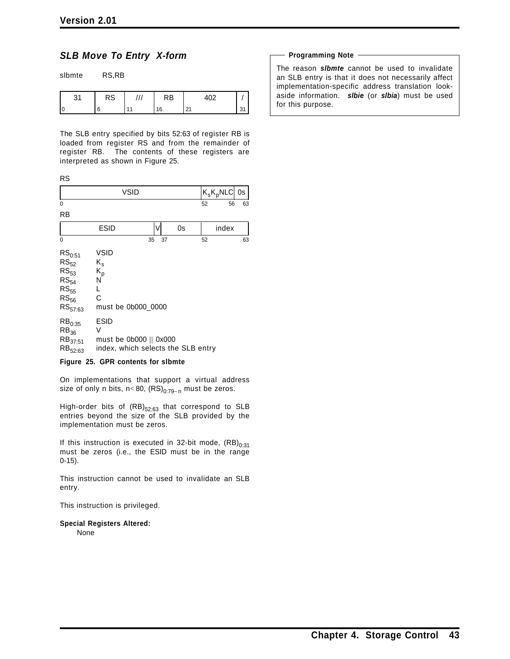### *SLB Move To Entry X-form*

| slbmte | RS,RB     |     |           |     |    |
|--------|-----------|-----|-----------|-----|----|
| 31     | <b>RS</b> | /// | <b>RB</b> | 402 |    |
|        | 6         |     | 16        | 21  | 31 |

The SLB entry specified by bits 52:63 of register RB is loaded from register RS and from the remainder of register RB. The contents of these registers are interpreted as shown in Figure 25.

|          |             |    |   |                                                                                  | RS                                                                                                    |
|----------|-------------|----|---|----------------------------------------------------------------------------------|-------------------------------------------------------------------------------------------------------|
| 0s       | $K_sK_pNLC$ |    |   | VSID                                                                             |                                                                                                       |
| 63<br>56 | 52          |    |   |                                                                                  | 0                                                                                                     |
|          |             |    |   |                                                                                  | RB                                                                                                    |
|          | index       | 0s | V | ESID                                                                             |                                                                                                       |
| 63       | 52          | 37 |   | 35                                                                               | $\Omega$                                                                                              |
|          |             |    |   | <b>VSID</b><br>$K_{\rm s}$<br>$K_p$<br>N<br>L<br>C<br>must be 0b000 0000         | $RS_{0:51}$<br>$RS_{52}$<br>$RS_{53}$<br>$RS_{54}$<br>$\mathtt{RS}_{55}$<br>$RS_{56}$<br>$RS_{57:63}$ |
|          |             |    |   | <b>ESID</b><br>V<br>must be 0b000    0x000<br>index, which selects the SLB entry | RB <sub>0:35</sub><br>$RB_{36}$<br>$RB_{37:51}$<br>$RB_{52:63}$                                       |
|          |             |    |   | $- - -$<br>.                                                                     | --                                                                                                    |

#### **Figure 25. GPR contents for slbmte**

On implementations that support a virtual address size of only n bits, n<80,  $(RS)_{0:79-n}$  must be zeros.

High-order bits of  $(RB)_{52:63}$  that correspond to SLB entries beyond the size of the SLB provided by the implementation must be zeros.

If this instruction is executed in 32-bit mode,  $(RB)_{0:31}$ must be zeros (i.e., the ESID must be in the range 0-15).

This instruction cannot be used to invalidate an SLB entry.

This instruction is privileged.

**Special Registers Altered:**

None

#### **Programming Note**

The reason *slbmte* cannot be used to invalidate an SLB entry is that it does not necessarily affect implementation-specific address translation lookaside information. *slbie* (or *slbia*) must be used for this purpose.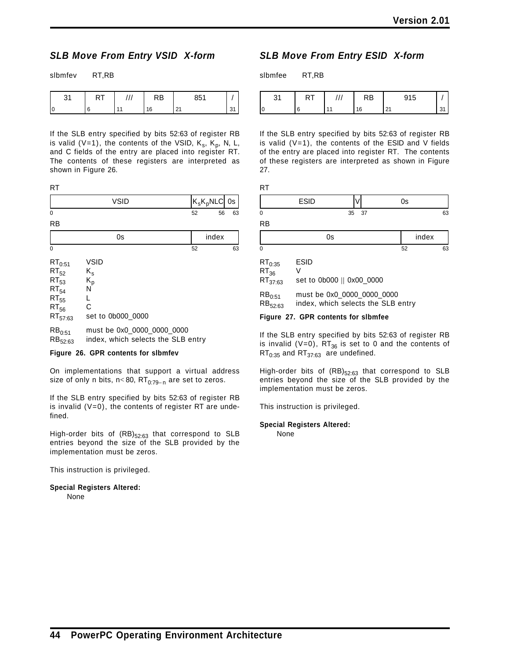### *SLB Move From Entry VSID X-form*

| sibmfev | RT,RB |
|---------|-------|
|         |       |

| n, | . . | RB | 951<br>ου     |   |
|----|-----|----|---------------|---|
|    |     | 16 | $\sim$<br>2 I | ັ |

If the SLB entry specified by bits 52:63 of register RB is valid (V=1), the contents of the VSID,  $K_s$ ,  $K_p$ , N, L, and C fields of the entry are placed into register RT. The contents of these registers are interpreted as shown in Figure 26.

| o |  |
|---|--|
|   |  |

|           | <b>VSID</b> | $ K_{\rm s}K_{\rm p}$ NLC $ $ 0s $ $ |    |    |
|-----------|-------------|--------------------------------------|----|----|
| $\Omega$  |             | 52                                   | 56 | 63 |
| <b>RB</b> |             |                                      |    |    |

|                                                                                              | 0s                                                                          |    | index |  |
|----------------------------------------------------------------------------------------------|-----------------------------------------------------------------------------|----|-------|--|
| 0                                                                                            |                                                                             | 52 | 63    |  |
| $RT_{0:51}$<br>$RT_{52}$<br>$RT_{53}$<br>$RT_{54}$<br>$RT_{55}$<br>$RT_{56}$<br>$RT_{57:63}$ | <b>VSID</b><br>$K_{\rm s}$<br>K <sub>p</sub><br>N<br>C<br>set to 0b000 0000 |    |       |  |
| $RB_{0:51}$<br>$RB_{52:63}$                                                                  | must be 0x0_0000_0000_0000<br>index, which selects the SLB entry            |    |       |  |

#### **Figure 26. GPR contents for slbmfev**

On implementations that support a virtual address size of only n bits, n<80,  $RT_{0:79-n}$  are set to zeros.

If the SLB entry specified by bits 52:63 of register RB is invalid  $(V=0)$ , the contents of register RT are undefined.

High-order bits of  $(RB)_{52:63}$  that correspond to SLB entries beyond the size of the SLB provided by the implementation must be zeros.

This instruction is privileged.

**Special Registers Altered:** None

### *SLB Move From Entry ESID X-form*

slbmfee RT,RB

| $\sim$ | 1 V I | RB | 915                  |         |
|--------|-------|----|----------------------|---------|
| ١C     |       | 16 | $\sim$<br><u>_ .</u> | $\cdot$ |

If the SLB entry specified by bits 52:63 of register RB is valid  $(V=1)$ , the contents of the ESID and V fields of the entry are placed into register RT. The contents of these registers are interpreted as shown in Figure 27.

| M. |  |
|----|--|
|    |  |

| $\sim$ $\sim$ |    | w       |          |
|---------------|----|---------|----------|
| 0             | 35 | っっ<br>ັ | cΩ<br>ხა |

RB

|   | ٠<br>$\sim$ $\sim$<br>$\sim$<br>። እ<br> |  |
|---|-----------------------------------------|--|
| 0 | --                                      |  |

| $\mathsf{RT}_{0:35}$ | <b>ESID</b>                        |
|----------------------|------------------------------------|
| $RT_{36}$            | V                                  |
| RT <sub>37:63</sub>  | set to 0b000    0x00 0000          |
| $\mathsf{RB}_{0:51}$ | must be 0x0 0000 0000 0000         |
| RB <sub>52:63</sub>  | index, which selects the SLB entry |

**Figure 27. GPR contents for slbmfee**

If the SLB entry specified by bits 52:63 of register RB is invalid (V=0),  $RT_{36}$  is set to 0 and the contents of  $RT_{0:35}$  and  $RT_{37:63}$  are undefined.

High-order bits of  $(RB)_{52:63}$  that correspond to SLB entries beyond the size of the SLB provided by the implementation must be zeros.

This instruction is privileged.

#### **Special Registers Altered:**

None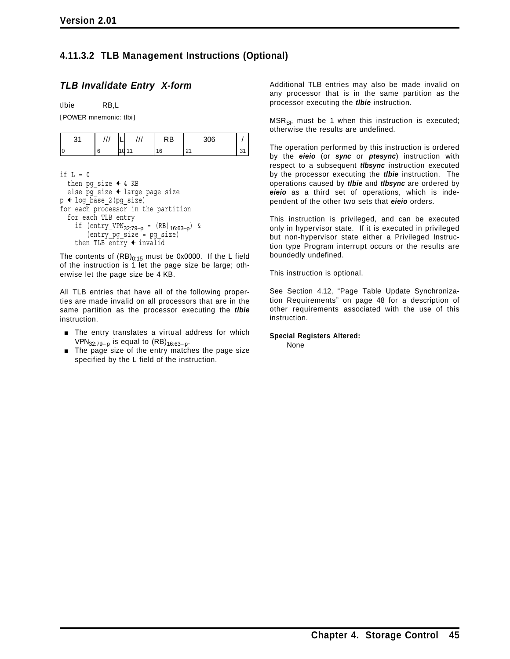### **4.11.3.2 TLB Management Instructions (Optional)**

### *TLB Invalidate Entry X-form*

tlbie RB,L

[POWER mnemonic: tlbi]

| ັ | ,,, |                 | ⊀B | 306     |   |
|---|-----|-----------------|----|---------|---|
|   |     | $\sqrt{2}$<br>u | 16 | n,<br>້ | ັ |

```
if L = 0then pg size \triangleq 4 KB
  else pg size \triangleleft large page size
p + log_{base_2}(pg_{size})for each processor in the partition
  for each TLB entry
     if (\text{entry\_VPN}_{32:79-p} = (RB)_{16:63-p}) &
         (entry_pg_size = pg_size)
     then TLB \overline{entry} + invalid
```
The contents of  $(RB)_{0:15}$  must be 0x0000. If the L field of the instruction is 1 let the page size be large; otherwise let the page size be 4 KB.

All TLB entries that have all of the following properties are made invalid on all processors that are in the same partition as the processor executing the *tlbie* instruction.

- The entry translates a virtual address for which VPN<sub>32:79−p</sub> is equal to  $(RB)_{16:63-p}$ .
- The page size of the entry matches the page size specified by the L field of the instruction.

Additional TLB entries may also be made invalid on any processor that is in the same partition as the processor executing the *tlbie* instruction.

 $MSR<sub>SE</sub>$  must be 1 when this instruction is executed; otherwise the results are undefined.

The operation performed by this instruction is ordered by the *eieio* (or *sync* or *ptesync*) instruction with respect to a subsequent *tlbsync* instruction executed by the processor executing the *tlbie* instruction. The operations caused by *tlbie* and *tlbsync* are ordered by *eieio* as a third set of operations, which is independent of the other two sets that *eieio* orders.

This instruction is privileged, and can be executed only in hypervisor state. If it is executed in privileged but non-hypervisor state either a Privileged Instruction type Program interrupt occurs or the results are boundedly undefined.

This instruction is optional.

See Section 4.12, "Page Table Update Synchronization Requirements" on page 48 for a description of other requirements associated with the use of this instruction.

**Special Registers Altered:** None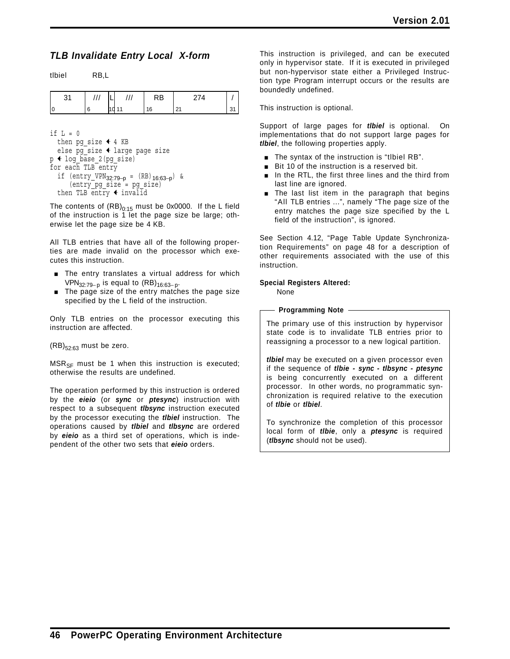### *TLB Invalidate Entry Local X-form*

tlbiel RB,L

| 21<br>ا ت | $\ensuremath{\mathsf{III}}\xspace$ | ///   | RB | 274 |    |
|-----------|------------------------------------|-------|----|-----|----|
|           |                                    | 10 11 | 16 |     | 31 |

```
if L = 0then pg size \triangleleft 4 KB
  else pg_size + large page size
p \triangleleft log_base_2(pg_size)for each TLB entry
  if (\text{entry\_VPN}_{32:79-p} = (RB)_{16:63-p}) &
      (entry_pg_size = pg_size)
  then TLB entry \triangleleft invalid
```
The contents of  $(RB)_{0:15}$  must be 0x0000. If the L field of the instruction is 1 let the page size be large; otherwise let the page size be 4 KB.

All TLB entries that have all of the following properties are made invalid on the processor which executes this instruction.

- The entry translates a virtual address for which VPN<sub>32:79−p</sub> is equal to  $(RB)_{16:63-p}$ .
- The page size of the entry matches the page size specified by the L field of the instruction.

Only TLB entries on the processor executing this instruction are affected.

 $(RB)_{52:63}$  must be zero.

 $MSR_{SF}$  must be 1 when this instruction is executed; otherwise the results are undefined.

The operation performed by this instruction is ordered by the *eieio* (or *sync* or *ptesync*) instruction with respect to a subsequent *tlbsync* instruction executed by the processor executing the *tlbiel* instruction. The operations caused by *tlbiel* and *tlbsync* are ordered by *eieio* as a third set of operations, which is independent of the other two sets that *eieio* orders.

This instruction is privileged, and can be executed only in hypervisor state. If it is executed in privileged but non-hypervisor state either a Privileged Instruction type Program interrupt occurs or the results are boundedly undefined.

This instruction is optional.

Support of large pages for *tlbiel* is optional. On implementations that do not support large pages for *tlbiel*, the following properties apply.

- $\blacksquare$  The syntax of the instruction is "tlbiel RB".
- Bit 10 of the instruction is a reserved bit.
- **n** In the RTL, the first three lines and the third from last line are ignored.
- The last list item in the paragraph that begins "All TLB entries ...", namely "The page size of the entry matches the page size specified by the L field of the instruction", is ignored.

See Section 4.12, "Page Table Update Synchronization Requirements" on page 48 for a description of other requirements associated with the use of this instruction.

#### **Special Registers Altered:**

None

**Programming Note**

The primary use of this instruction by hypervisor state code is to invalidate TLB entries prior to reassigning a processor to a new logical partition.

*tlbiel* may be executed on a given processor even if the sequence of *tlbie - sync - tlbsync - ptesync* is being concurrently executed on a different processor. In other words, no programmatic synchronization is required relative to the execution of *tlbie* or *tlbiel*.

To synchronize the completion of this processor local form of *tlbie*, only a *ptesync* is required (*tlbsync* should not be used).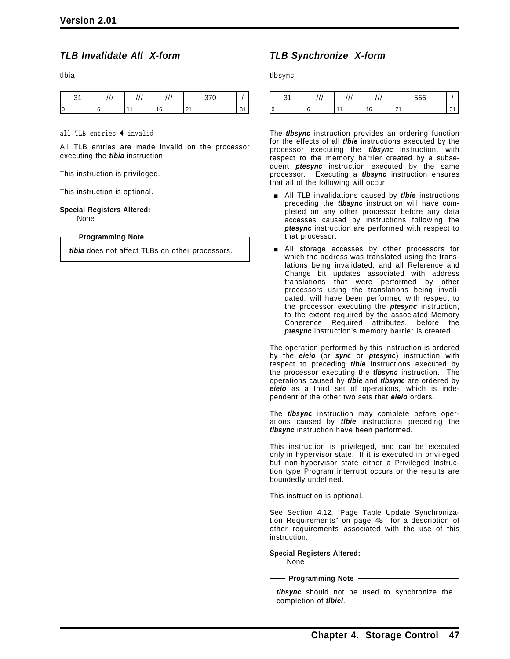### *TLB Invalidate All X-form*

tlbia

|  |    | $\sim$ $\sim$    |  |
|--|----|------------------|--|
|  | 16 | n,<br><u> 41</u> |  |

all TLB entries  $\triangleleft$  invalid

All TLB entries are made invalid on the processor executing the *tlbia* instruction.

This instruction is privileged.

This instruction is optional.

**Special Registers Altered:**

None

**Programming Note**

*tlbia* does not affect TLBs on other processors.

### *TLB Synchronize X-form*

tlbsync

| $\sim$ | ,,,            | $^{\prime}$ | 566           |             |
|--------|----------------|-------------|---------------|-------------|
| l O    | $\overline{A}$ | 16          | $\sim$<br>. . | $\sim$<br>ັ |

The *tlbsync* instruction provides an ordering function for the effects of all *tlbie* instructions executed by the processor executing the *tlbsync* instruction, with respect to the memory barrier created by a subsequent *ptesync* instruction executed by the same processor. Executing a *tlbsync* instruction ensures that all of the following will occur.

- **E** All TLB invalidations caused by *tibie* instructions preceding the *tlbsync* instruction will have completed on any other processor before any data accesses caused by instructions following the *ptesync* instruction are performed with respect to that processor.
- **All storage accesses by other processors for** which the address was translated using the translations being invalidated, and all Reference and Change bit updates associated with address translations that were performed by other processors using the translations being invalidated, will have been performed with respect to the processor executing the *ptesync* instruction, to the extent required by the associated Memory Coherence Required attributes, before the *ptesync* instruction's memory barrier is created.

The operation performed by this instruction is ordered by the *eieio* (or *sync* or *ptesync*) instruction with respect to preceding *tlbie* instructions executed by the processor executing the *tlbsync* instruction. The operations caused by *tlbie* and *tlbsync* are ordered by *eieio* as a third set of operations, which is independent of the other two sets that *eieio* orders.

The *tlbsync* instruction may complete before operations caused by *tlbie* instructions preceding the *tlbsync* instruction have been performed.

This instruction is privileged, and can be executed only in hypervisor state. If it is executed in privileged but non-hypervisor state either a Privileged Instruction type Program interrupt occurs or the results are boundedly undefined.

This instruction is optional.

See Section 4.12, "Page Table Update Synchronization Requirements" on page 48 for a description of other requirements associated with the use of this instruction.

**Special Registers Altered:** None

**Programming Note**

*tlbsync* should not be used to synchronize the completion of *tlbiel*.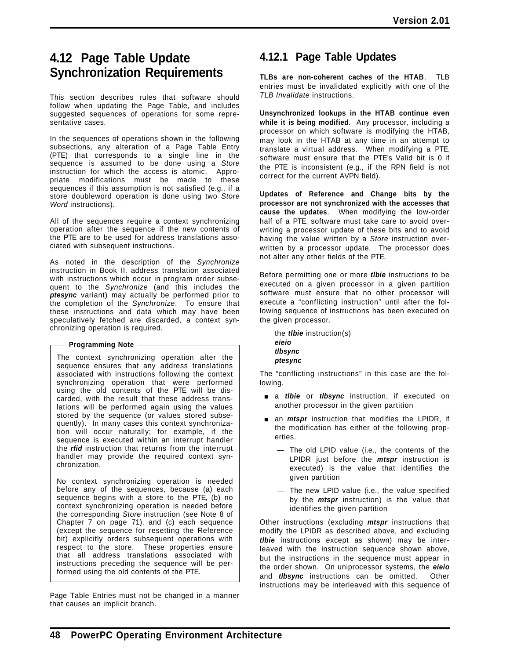## **4.12 Page Table Update Synchronization Requirements**

This section describes rules that software should follow when updating the Page Table, and includes suggested sequences of operations for some representative cases.

In the sequences of operations shown in the following subsections, any alteration of a Page Table Entry (PTE) that corresponds to a single line in the sequence is assumed to be done using a *Store* instruction for which the access is atomic. Appropriate modifications must be made to these sequences if this assumption is not satisfied (e.g., if a store doubleword operation is done using two *Store Word* instructions).

All of the sequences require a context synchronizing operation after the sequence if the new contents of the PTE are to be used for address translations associated with subsequent instructions.

As noted in the description of the *Synchronize* instruction in Book II, address translation associated with instructions which occur in program order subsequent to the *Synchronize* (and this includes the *ptesync* variant) may actually be performed prior to the completion of the *Synchronize*. To ensure that these instructions and data which may have been speculatively fetched are discarded, a context synchronizing operation is required.

#### **Programming Note**

The context synchronizing operation after the sequence ensures that any address translations associated with instructions following the context synchronizing operation that were performed using the old contents of the PTE will be discarded, with the result that these address translations will be performed again using the values stored by the sequence (or values stored subsequently). In many cases this context synchronization will occur naturally; for example, if the sequence is executed within an interrupt handler the *rfid* instruction that returns from the interrupt handler may provide the required context synchronization.

No context synchronizing operation is needed before any of the sequences, because (a) each sequence begins with a store to the PTE, (b) no context synchronizing operation is needed before the corresponding *Store* instruction (see Note 8 of Chapter 7 on page 71), and (c) each sequence (except the sequence for resetting the Reference bit) explicitly orders subsequent operations with respect to the store. These properties ensure that all address translations associated with instructions preceding the sequence will be performed using the old contents of the PTE.

Page Table Entries must not be changed in a manner that causes an implicit branch.

## **4.12.1 Page Table Updates**

**TLBs are non-coherent caches of the HTAB**. TLB entries must be invalidated explicitly with one of the *TLB Invalidate* instructions.

**Unsynchronized lookups in the HTAB continue even while it is being modified**. Any processor, including a processor on which software is modifying the HTAB, may look in the HTAB at any time in an attempt to translate a virtual address. When modifying a PTE, software must ensure that the PTE's Valid bit is 0 if the PTE is inconsistent (e.g., if the RPN field is not correct for the current AVPN field).

**Updates of Reference and Change bits by the processor are not synchronized with the accesses that cause the updates**. When modifying the low-order half of a PTE, software must take care to avoid overwriting a processor update of these bits and to avoid having the value written by a *Store* instruction overwritten by a processor update. The processor does not alter any other fields of the PTE.

Before permitting one or more *tlbie* instructions to be executed on a given processor in a given partition software must ensure that no other processor will execute a "conflicting instruction" until after the following sequence of instructions has been executed on the given processor.

the *tlbie* instruction(s) *eieio tlbsync ptesync*

The "conflicting instructions" in this case are the following.

- **a** a *tibie* or *tibsync* instruction, if executed on another processor in the given partition
- **a** an *mtspr* instruction that modifies the LPIDR, if the modification has either of the following properties.
	- The old LPID value (i.e., the contents of the LPIDR just before the *mtspr* instruction is executed) is the value that identifies the given partition
	- The new LPID value (i.e., the value specified by the *mtspr* instruction) is the value that identifies the given partition

Other instructions (excluding *mtspr* instructions that modify the LPIDR as described above, and excluding *tlbie* instructions except as shown) may be interleaved with the instruction sequence shown above, but the instructions in the sequence must appear in the order shown. On uniprocessor systems, the *eieio* and *tlbsync* instructions can be omitted. Other instructions may be interleaved with this sequence of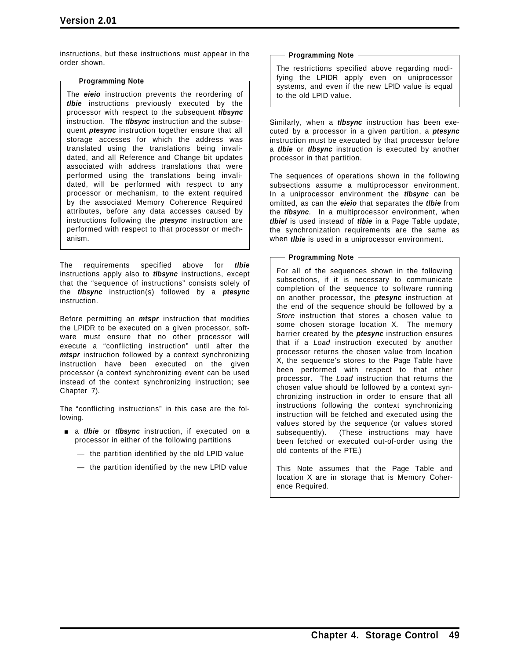instructions, but these instructions must appear in the order shown.

#### **Programming Note**

The *eieio* instruction prevents the reordering of *tlbie* instructions previously executed by the processor with respect to the subsequent *tlbsync* instruction. The *tlbsync* instruction and the subsequent *ptesync* instruction together ensure that all storage accesses for which the address was translated using the translations being invalidated, and all Reference and Change bit updates associated with address translations that were performed using the translations being invalidated, will be performed with respect to any processor or mechanism, to the extent required by the associated Memory Coherence Required attributes, before any data accesses caused by instructions following the *ptesync* instruction are performed with respect to that processor or mechanism.

The requirements specified above for *tlbie* instructions apply also to *tlbsync* instructions, except that the "sequence of instructions" consists solely of the *tlbsync* instruction(s) followed by a *ptesync* instruction.

Before permitting an *mtspr* instruction that modifies the LPIDR to be executed on a given processor, software must ensure that no other processor will execute a "conflicting instruction" until after the *mtspr* instruction followed by a context synchronizing instruction have been executed on the given processor (a context synchronizing event can be used instead of the context synchronizing instruction; see Chapter 7).

The "conflicting instructions" in this case are the following.

- **a** *a tlbie* or *tlbsync* instruction, if executed on a processor in either of the following partitions
	- the partition identified by the old LPID value
	- the partition identified by the new LPID value

#### **Programming Note**

The restrictions specified above regarding modifying the LPIDR apply even on uniprocessor systems, and even if the new LPID value is equal to the old LPID value.

Similarly, when a *tlbsync* instruction has been executed by a processor in a given partition, a *ptesync* instruction must be executed by that processor before a *tlbie* or *tlbsync* instruction is executed by another processor in that partition.

The sequences of operations shown in the following subsections assume a multiprocessor environment. In a uniprocessor environment the *tlbsync* can be omitted, as can the *eieio* that separates the *tlbie* from the *tlbsync*. In a multiprocessor environment, when *tlbiel* is used instead of *tlbie* in a Page Table update, the synchronization requirements are the same as when *tlbie* is used in a uniprocessor environment.

#### **Programming Note**

For all of the sequences shown in the following subsections, if it is necessary to communicate completion of the sequence to software running on another processor, the *ptesync* instruction at the end of the sequence should be followed by a *Store* instruction that stores a chosen value to some chosen storage location X. The memory barrier created by the *ptesync* instruction ensures that if a *Load* instruction executed by another processor returns the chosen value from location X, the sequence's stores to the Page Table have been performed with respect to that other processor. The *Load* instruction that returns the chosen value should be followed by a context synchronizing instruction in order to ensure that all instructions following the context synchronizing instruction will be fetched and executed using the values stored by the sequence (or values stored subsequently). (These instructions may have been fetched or executed out-of-order using the old contents of the PTE.)

This Note assumes that the Page Table and location X are in storage that is Memory Coherence Required.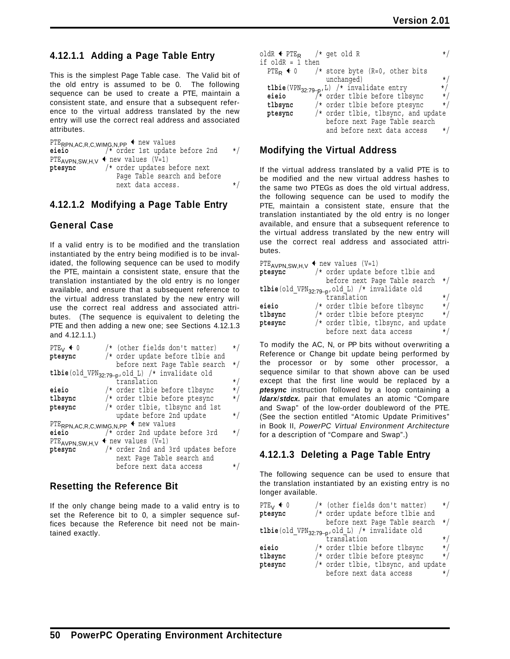### **4.12.1.1 Adding a Page Table Entry**

This is the simplest Page Table case. The Valid bit of the old entry is assumed to be 0. The following sequence can be used to create a PTE, maintain a consistent state, and ensure that a subsequent reference to the virtual address translated by the new entry will use the correct real address and associated attributes.

PTE<sub>RPN,AC,R,C,WIMG,N,PP</sub>  $\leftarrow$  new values<br>eieio /\* order 1st update **eieio** /\* order 1st update before 2nd \*/ PTE<sub>AVPN,</sub>SW,H,V  $\leftarrow$  new values (V=1)<br>ptesync /\* order updates 1 /\* order updates before next Page Table search and before next data access.  $*$ 

### **4.12.1.2 Modifying a Page Table Entry**

### **General Case**

If a valid entry is to be modified and the translation instantiated by the entry being modified is to be invalidated, the following sequence can be used to modify the PTE, maintain a consistent state, ensure that the translation instantiated by the old entry is no longer available, and ensure that a subsequent reference to the virtual address translated by the new entry will use the correct real address and associated attributes. (The sequence is equivalent to deleting the PTE and then adding a new one; see Sections 4.12.1.3 and 4.12.1.1.)

| PTE <sub>V</sub> $\triangleleft$ 0     | $/*$ (other fields don't matter)                            | $\star/$ |
|----------------------------------------|-------------------------------------------------------------|----------|
| ptesync                                | $/*$ order update before tlbie and                          |          |
|                                        | before next Page Table search                               | $\star/$ |
|                                        | tlbie(old_VPN <sub>32:79-p</sub> , old_L) /* invalidate old |          |
|                                        | translation                                                 | $\star/$ |
| eieio                                  | /* order tlbie before tlbsync                               | $\star/$ |
| tlbsync                                | /* order tlbie before ptesync                               | $\star/$ |
| ptesync                                | $/*$ order tlbie, tlbsync and 1st                           |          |
|                                        | update before 2nd update                                    | $\star/$ |
|                                        | $PTE$ RPN, AC, R, C, WIMG, N, PP $\triangleleft$ new values |          |
| eieio                                  | $/*$ order 2nd update before 3rd                            | $\star/$ |
| $PTE_{AVPN,SW,H,V}$ + new values (V=1) |                                                             |          |
| ptesync                                | $/*$ order 2nd and 3rd updates before                       |          |
|                                        | next Page Table search and                                  |          |
|                                        | before next data access                                     | *,       |

### **Resetting the Reference Bit**

If the only change being made to a valid entry is to set the Reference bit to 0, a simpler sequence suffices because the Reference bit need not be maintained exactly.

| oldR $\leftarrow$ PTE <sub>R</sub> /* get old R |                                                                                              |           |
|-------------------------------------------------|----------------------------------------------------------------------------------------------|-----------|
| if oldR = 1 then                                |                                                                                              |           |
|                                                 | PTE <sub>R</sub> $\triangleleft$ 0 /* store byte (R=0, other bits                            |           |
|                                                 | unchanged)                                                                                   | $\star/$  |
|                                                 | tlbie(VPN <sub>32:79-p</sub> , L) /* invalidate entry<br>eieio /* order tlbie before tlbsync | $\star/$  |
|                                                 |                                                                                              | $\star/$  |
| tlbsync                                         | /* order tlbie before ptesync                                                                | $\star/$  |
| ptesync                                         | /* order tlbie, tlbsync, and update                                                          |           |
|                                                 | before next Page Table search                                                                |           |
|                                                 | and before next data access                                                                  | $\star$ / |

### **Modifying the Virtual Address**

If the virtual address translated by a valid PTE is to be modified and the new virtual address hashes to the same two PTEGs as does the old virtual address, the following sequence can be used to modify the PTE, maintain a consistent state, ensure that the translation instantiated by the old entry is no longer available, and ensure that a subsequent reference to the virtual address translated by the new entry will use the correct real address and associated attributes.

| PTE <sub>AVPN,SW,H,V</sub> $\leftarrow$ new values (V=1) |                                                            |          |
|----------------------------------------------------------|------------------------------------------------------------|----------|
| ptesync                                                  | /* order update before tlbie and                           |          |
|                                                          | before next Page Table search                              | $\star/$ |
|                                                          | tlbie(old_VPN <sub>32:79-p</sub> ,old_L) /* invalidate old |          |
|                                                          | translation                                                | $\star/$ |
| eieio                                                    | /* order tlbie before tlbsync                              | $\star/$ |
| tlbsync                                                  | /* order tlbie before ptesync                              | $\star/$ |
| ptesync                                                  | $/*$ order tlbie, tlbsync, and update                      |          |
|                                                          | before next data access                                    |          |

To modify the AC, N, or PP bits without overwriting a Reference or Change bit update being performed by the processor or by some other processor, a sequence similar to that shown above can be used except that the first line would be replaced by a *ptesync* instruction followed by a loop containing a *ldarx*/*stdcx.* pair that emulates an atomic "Compare and Swap" of the low-order doubleword of the PTE. (See the section entitled "Atomic Update Primitives" in Book II, *PowerPC Virtual Environment Architecture* for a description of "Compare and Swap".)

### **4.12.1.3 Deleting a Page Table Entry**

The following sequence can be used to ensure that the translation instantiated by an existing entry is no longer available.

| PTE <sub>V</sub> $\triangleleft$ 0 | /* (other fields don't matter)                              | $\star/$ |
|------------------------------------|-------------------------------------------------------------|----------|
| ptesync                            | $/*$ order update before tibie and                          |          |
|                                    | before next Page Table search                               | $\star/$ |
|                                    | tlbie(old_VPN <sub>32:79-p</sub> , old_L) /* invalidate old |          |
|                                    | translation                                                 | $\star/$ |
| eieio                              | /* order tlbie before tlbsync                               | $\star/$ |
| tlbsync                            | /* order tlbie before ptesync                               | $\star/$ |
| ptesync                            | /* order tlbie, tlbsync, and update                         |          |
|                                    | before next data access                                     | $\star/$ |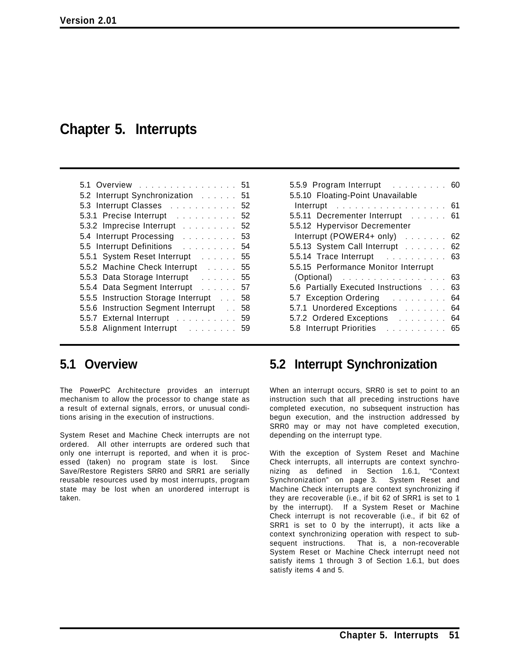# **Chapter 5. Interrupts**

| 5.1 Overview<br>51                                  |
|-----------------------------------------------------|
| 5.2 Interrupt Synchronization [1, 1, 1, 1, 1]<br>51 |
| 5.3 Interrupt Classes<br>52                         |
| 5.3.1 Precise Interrupt<br>52                       |
| 5.3.2 Imprecise Interrupt<br>52                     |
| 5.4 Interrupt Processing<br>53                      |
| 5.5 Interrupt Definitions<br>54                     |
| 5.5.1 System Reset Interrupt [1, 1, 1, 1, 1]<br>55  |
| 5.5.2 Machine Check Interrupt<br>55                 |
| 5.5.3 Data Storage Interrupt Fig. 2.1.1.1.1<br>55   |
| 5.5.4 Data Segment Interrupt<br>57                  |
| 5.5.5 Instruction Storage Interrupt<br>58           |
| 5.5.6 Instruction Segment Interrupt<br>58           |
| 5.5.7 External Interrupt<br>59                      |
| 59                                                  |

| 5.5.9 Program Interrupt 60                  |    |
|---------------------------------------------|----|
| 5.5.10 Floating-Point Unavailable           |    |
| Interrupt 61                                |    |
| 5.5.11 Decrementer Interrupt 61             |    |
| 5.5.12 Hypervisor Decrementer               |    |
| Interrupt (POWER4+ only) $\ldots \ldots$ 62 |    |
| 5.5.13 System Call Interrupt                | 62 |
| 5.5.14 Trace Interrupt                      | 63 |
| 5.5.15 Performance Monitor Interrupt        |    |
|                                             | 63 |
| 5.6 Partially Executed Instructions         | 63 |
| 5.7 Exception Ordering                      | 64 |
| 5.7.1 Unordered Exceptions                  | 64 |
| 5.7.2 Ordered Exceptions                    | 64 |
| 5.8 Interrupt Priorities                    | 65 |
|                                             |    |

## **5.1 Overview**

The PowerPC Architecture provides an interrupt mechanism to allow the processor to change state as a result of external signals, errors, or unusual conditions arising in the execution of instructions.

System Reset and Machine Check interrupts are not ordered. All other interrupts are ordered such that only one interrupt is reported, and when it is processed (taken) no program state is lost. Since Save/Restore Registers SRR0 and SRR1 are serially reusable resources used by most interrupts, program state may be lost when an unordered interrupt is taken.

## **5.2 Interrupt Synchronization**

When an interrupt occurs, SRR0 is set to point to an instruction such that all preceding instructions have completed execution, no subsequent instruction has begun execution, and the instruction addressed by SRR0 may or may not have completed execution, depending on the interrupt type.

With the exception of System Reset and Machine Check interrupts, all interrupts are context synchronizing as defined in Section 1.6.1, "Context Synchronization" on page 3. System Reset and Machine Check interrupts are context synchronizing if they are recoverable (i.e., if bit 62 of SRR1 is set to 1 by the interrupt). If a System Reset or Machine Check interrupt is not recoverable (i.e., if bit 62 of SRR1 is set to 0 by the interrupt), it acts like a context synchronizing operation with respect to subsequent instructions. That is, a non-recoverable System Reset or Machine Check interrupt need not satisfy items 1 through 3 of Section 1.6.1, but does satisfy items 4 and 5.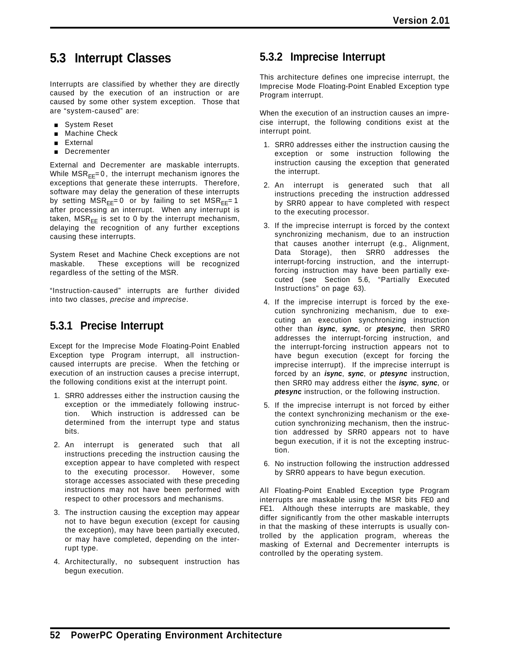# **5.3 Interrupt Classes**

Interrupts are classified by whether they are directly caused by the execution of an instruction or are caused by some other system exception. Those that are "system-caused" are:

- **B** System Reset
- **Machine Check**
- **External**
- **Decrementer**

External and Decrementer are maskable interrupts. While  $MSR_{EE} = 0$ , the interrupt mechanism ignores the exceptions that generate these interrupts. Therefore, software may delay the generation of these interrupts by setting  $MSR_{FF} = 0$  or by failing to set  $MSR_{FF} = 1$ after processing an interrupt. When any interrupt is taken,  $MSR_{FF}$  is set to 0 by the interrupt mechanism, delaying the recognition of any further exceptions causing these interrupts.

System Reset and Machine Check exceptions are not maskable. These exceptions will be recognized regardless of the setting of the MSR.

"Instruction-caused" interrupts are further divided into two classes, *precise* and *imprecise*.

## **5.3.1 Precise Interrupt**

Except for the Imprecise Mode Floating-Point Enabled Exception type Program interrupt, all instructioncaused interrupts are precise. When the fetching or execution of an instruction causes a precise interrupt, the following conditions exist at the interrupt point.

- 1. SRR0 addresses either the instruction causing the exception or the immediately following instruction. Which instruction is addressed can be determined from the interrupt type and status bits.
- 2. An interrupt is generated such that all instructions preceding the instruction causing the exception appear to have completed with respect to the executing processor. However, some storage accesses associated with these preceding instructions may not have been performed with respect to other processors and mechanisms.
- 3. The instruction causing the exception may appear not to have begun execution (except for causing the exception), may have been partially executed, or may have completed, depending on the interrupt type.
- 4. Architecturally, no subsequent instruction has begun execution.

## **5.3.2 Imprecise Interrupt**

This architecture defines one imprecise interrupt, the Imprecise Mode Floating-Point Enabled Exception type Program interrupt.

When the execution of an instruction causes an imprecise interrupt, the following conditions exist at the interrupt point.

- 1. SRR0 addresses either the instruction causing the exception or some instruction following the instruction causing the exception that generated the interrupt.
- 2. An interrupt is generated such that all instructions preceding the instruction addressed by SRR0 appear to have completed with respect to the executing processor.
- 3. If the imprecise interrupt is forced by the context synchronizing mechanism, due to an instruction that causes another interrupt (e.g., Alignment, Data Storage), then SRR0 addresses the interrupt-forcing instruction, and the interruptforcing instruction may have been partially executed (see Section 5.6, "Partially Executed Instructions" on page 63).
- 4. If the imprecise interrupt is forced by the execution synchronizing mechanism, due to executing an execution synchronizing instruction other than *isync*, *sync*, or *ptesync*, then SRR0 addresses the interrupt-forcing instruction, and the interrupt-forcing instruction appears not to have begun execution (except for forcing the imprecise interrupt). If the imprecise interrupt is forced by an *isync*, *sync*, or *ptesync* instruction, then SRR0 may address either the *isync*, *sync*, or *ptesync* instruction, or the following instruction.
- 5. If the imprecise interrupt is not forced by either the context synchronizing mechanism or the execution synchronizing mechanism, then the instruction addressed by SRR0 appears not to have begun execution, if it is not the excepting instruction.
- 6. No instruction following the instruction addressed by SRR0 appears to have begun execution.

All Floating-Point Enabled Exception type Program interrupts are maskable using the MSR bits FE0 and FE1. Although these interrupts are maskable, they differ significantly from the other maskable interrupts in that the masking of these interrupts is usually controlled by the application program, whereas the masking of External and Decrementer interrupts is controlled by the operating system.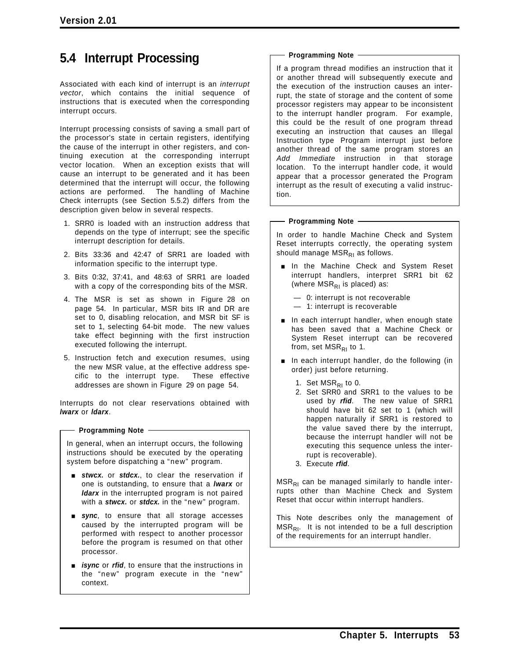# **5.4 Interrupt Processing**

Associated with each kind of interrupt is an *interrupt vector*, which contains the initial sequence of instructions that is executed when the corresponding interrupt occurs.

Interrupt processing consists of saving a small part of the processor's state in certain registers, identifying the cause of the interrupt in other registers, and continuing execution at the corresponding interrupt vector location. When an exception exists that will cause an interrupt to be generated and it has been determined that the interrupt will occur, the following actions are performed. The handling of Machine Check interrupts (see Section 5.5.2) differs from the description given below in several respects.

- 1. SRR0 is loaded with an instruction address that depends on the type of interrupt; see the specific interrupt description for details.
- 2. Bits 33:36 and 42:47 of SRR1 are loaded with information specific to the interrupt type.
- 3. Bits 0:32, 37:41, and 48:63 of SRR1 are loaded with a copy of the corresponding bits of the MSR.
- 4. The MSR is set as shown in Figure 28 on page 54. In particular, MSR bits IR and DR are set to 0, disabling relocation, and MSR bit SF is set to 1, selecting 64-bit mode. The new values take effect beginning with the first instruction executed following the interrupt.
- 5. Instruction fetch and execution resumes, using the new MSR value, at the effective address specific to the interrupt type. These effective addresses are shown in Figure 29 on page 54.

Interrupts do not clear reservations obtained with *lwarx* or *ldarx*.

#### **Programming Note**

In general, when an interrupt occurs, the following instructions should be executed by the operating system before dispatching a "new" program.

- **stwcx.** or **stdcx.**, to clear the reservation if one is outstanding, to ensure that a *lwarx* or *ldarx* in the interrupted program is not paired with a *stwcx.* or *stdcx.* in the "new" program.
- **sync**, to ensure that all storage accesses caused by the interrupted program will be performed with respect to another processor before the program is resumed on that other processor.
- **E** isync or rfid, to ensure that the instructions in the "new" program execute in the "new" context.

#### **Programming Note**

If a program thread modifies an instruction that it or another thread will subsequently execute and the execution of the instruction causes an interrupt, the state of storage and the content of some processor registers may appear to be inconsistent to the interrupt handler program. For example, this could be the result of one program thread executing an instruction that causes an Illegal Instruction type Program interrupt just before another thread of the same program stores an *Add Immediate* instruction in that storage location. To the interrupt handler code, it would appear that a processor generated the Program interrupt as the result of executing a valid instruction.

#### **Programming Note**

In order to handle Machine Check and System Reset interrupts correctly, the operating system should manage  $MSR_{R1}$  as follows.

- **n** In the Machine Check and System Reset interrupt handlers, interpret SRR1 bit 62 (where  $MSR_{R1}$  is placed) as:
	- 0: interrupt is not recoverable
	- 1: interrupt is recoverable
- $\blacksquare$  In each interrupt handler, when enough state has been saved that a Machine Check or System Reset interrupt can be recovered from, set  $MSR_{RI}$  to 1.
- $\blacksquare$  In each interrupt handler, do the following (in order) just before returning.
	- 1. Set  $MSR_{RI}$  to 0.
	- 2. Set SRR0 and SRR1 to the values to be used by *rfid*. The new value of SRR1 should have bit 62 set to 1 (which will happen naturally if SRR1 is restored to the value saved there by the interrupt, because the interrupt handler will not be executing this sequence unless the interrupt is recoverable).
	- 3. Execute *rfid*.

 $MSR<sub>RI</sub>$  can be managed similarly to handle interrupts other than Machine Check and System Reset that occur within interrupt handlers.

This Note describes only the management of  $MSR<sub>RI</sub>$ . It is not intended to be a full description of the requirements for an interrupt handler.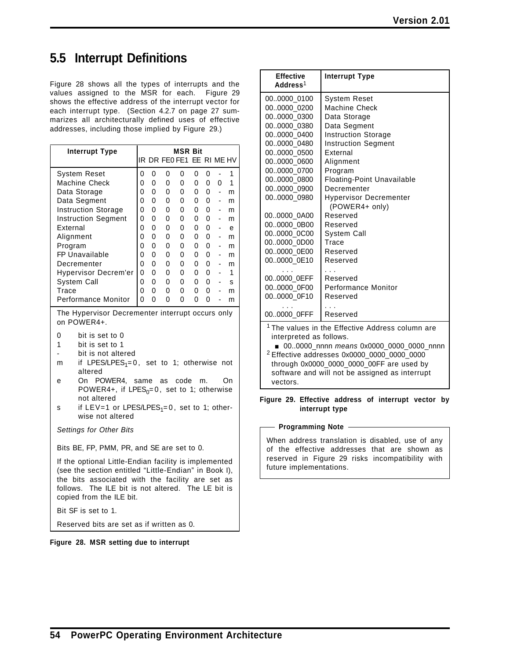# **5.5 Interrupt Definitions**

Figure 28 shows all the types of interrupts and the values assigned to the MSR for each. Figure 29 shows the effective address of the interrupt vector for each interrupt type. (Section 4.2.7 on page 27 summarizes all architecturally defined uses of effective addresses, including those implied by Figure 29.)

| <b>Interrupt Type</b>                                                                                                                                                                                                                                                                                                                                                    |        |        |        | <b>MSR Bit</b>            |        |        |                          |        |
|--------------------------------------------------------------------------------------------------------------------------------------------------------------------------------------------------------------------------------------------------------------------------------------------------------------------------------------------------------------------------|--------|--------|--------|---------------------------|--------|--------|--------------------------|--------|
|                                                                                                                                                                                                                                                                                                                                                                          |        |        |        | IR DR FE0 FE1 EE RI ME HV |        |        |                          |        |
| <b>System Reset</b>                                                                                                                                                                                                                                                                                                                                                      | 0      | 0      | 0      | 0                         | 0      | 0      | ÷,                       | 1      |
| <b>Machine Check</b>                                                                                                                                                                                                                                                                                                                                                     | 0      | 0      | 0      | 0                         | 0      | 0      | 0                        | 1      |
| Data Storage                                                                                                                                                                                                                                                                                                                                                             | 0      | 0      | 0      | 0                         | 0      | 0      | $\overline{\phantom{a}}$ | m      |
| Data Segment                                                                                                                                                                                                                                                                                                                                                             | 0      | 0      | 0      | 0                         | 0      | 0      |                          | m      |
| <b>Instruction Storage</b><br><b>Instruction Segment</b>                                                                                                                                                                                                                                                                                                                 | 0<br>0 | 0<br>0 | 0<br>0 | 0<br>0                    | 0<br>0 | 0<br>0 | ÷,                       | m<br>m |
| External                                                                                                                                                                                                                                                                                                                                                                 | 0      | 0      | 0      | 0                         | 0      | 0      | ٠                        | е      |
| Alignment                                                                                                                                                                                                                                                                                                                                                                | 0      | 0      | 0      | 0                         | 0      | 0      |                          | m      |
| Program                                                                                                                                                                                                                                                                                                                                                                  | 0      | 0      | 0      | 0                         | 0      | 0      |                          | m      |
| FP Unavailable                                                                                                                                                                                                                                                                                                                                                           | 0      | 0      | 0      | 0                         | 0      | 0      |                          | m      |
| Decrementer                                                                                                                                                                                                                                                                                                                                                              | 0      | 0      | 0      | 0                         | 0      | 0      | $\overline{\phantom{a}}$ | m      |
| Hypervisor Decrem'er                                                                                                                                                                                                                                                                                                                                                     | 0      | 0      | 0      | 0                         | 0      | 0      |                          | 1      |
| System Call                                                                                                                                                                                                                                                                                                                                                              | 0      | 0      | 0      | 0                         | 0      | 0      |                          | s      |
| Trace                                                                                                                                                                                                                                                                                                                                                                    | 0      | 0      | 0      | 0                         | 0      | 0      | ÷,                       | m      |
| Performance Monitor                                                                                                                                                                                                                                                                                                                                                      | 0      | 0      | 0      | 0                         | 0      | 0      | -                        | m      |
| on POWER4+.<br>0<br>bit is set to 0<br>1<br>bit is set to 1<br>bit is not altered<br>if LPES/LPES <sub>1</sub> =0, set to 1; otherwise not<br>m<br>altered<br>On POWER4, same<br>code<br>as<br>On<br>m.<br>е<br>POWER4+, if LPES <sub>0</sub> =0, set to 1; otherwise<br>not altered<br>if LEV=1 or LPES/LPES <sub>1</sub> =0, set to 1; other-<br>s<br>wise not altered |        |        |        |                           |        |        |                          |        |
| <b>Settings for Other Bits</b>                                                                                                                                                                                                                                                                                                                                           |        |        |        |                           |        |        |                          |        |
| Bits BE, FP, PMM, PR, and SE are set to 0.                                                                                                                                                                                                                                                                                                                               |        |        |        |                           |        |        |                          |        |
| If the optional Little-Endian facility is implemented<br>(see the section entitled "Little-Endian" in Book I),<br>the bits associated with the facility are set as<br>The ILE bit is not altered. The LE bit is<br>follows.<br>copied from the ILE bit.                                                                                                                  |        |        |        |                           |        |        |                          |        |
| Bit SF is set to 1.                                                                                                                                                                                                                                                                                                                                                      |        |        |        |                           |        |        |                          |        |
| Reserved bits are set as if written as 0.                                                                                                                                                                                                                                                                                                                                |        |        |        |                           |        |        |                          |        |

**Figure 28. MSR setting due to interrupt**

| <b>Effective</b><br>Address <sup>1</sup> | <b>Interrupt Type</b>                                                |  |  |  |  |  |
|------------------------------------------|----------------------------------------------------------------------|--|--|--|--|--|
| 00.0000 0100                             | System Reset                                                         |  |  |  |  |  |
| 00.0000 0200                             | Machine Check                                                        |  |  |  |  |  |
| 00.0000 0300                             | Data Storage                                                         |  |  |  |  |  |
| 00.0000 0380                             | Data Segment                                                         |  |  |  |  |  |
| 00.0000 0400                             | <b>Instruction Storage</b>                                           |  |  |  |  |  |
| 00.0000_0480                             | <b>Instruction Segment</b>                                           |  |  |  |  |  |
| 00.0000_0500                             | External                                                             |  |  |  |  |  |
| 00.0000 0600                             | Alignment                                                            |  |  |  |  |  |
| 00.0000 0700                             | Program                                                              |  |  |  |  |  |
| 00.0000 0800                             | <b>Floating-Point Unavailable</b>                                    |  |  |  |  |  |
| 00.0000_0900                             | Decrementer                                                          |  |  |  |  |  |
| 00.0000 0980                             | <b>Hypervisor Decrementer</b><br>(POWER4+ only)                      |  |  |  |  |  |
| 000000 0A00                              | Reserved                                                             |  |  |  |  |  |
| 000000_0B00                              | Reserved                                                             |  |  |  |  |  |
| 000000_0C00                              | System Call                                                          |  |  |  |  |  |
| 000000_0D00                              | Trace                                                                |  |  |  |  |  |
| 000000_0E00                              | Reserved                                                             |  |  |  |  |  |
| 000000_0E10                              | Reserved                                                             |  |  |  |  |  |
| 000000_0EFF                              | Reserved                                                             |  |  |  |  |  |
| 000000_0F00                              | Performance Monitor                                                  |  |  |  |  |  |
| 00.0000 0F10                             | Reserved                                                             |  |  |  |  |  |
| 00.0000 OFFF                             | Reserved                                                             |  |  |  |  |  |
|                                          | <sup>1</sup> The values in the Effective Address column are          |  |  |  |  |  |
|                                          | interpreted as follows.<br>■ 000000_nnnn means 0x0000_0000_0000_nnnn |  |  |  |  |  |
|                                          | $2$ Effective addresses 0x0000_0000_0000_0000                        |  |  |  |  |  |
|                                          | through 0x0000_0000_0000_00FF are used by                            |  |  |  |  |  |
|                                          | software and will not be assigned as interrupt                       |  |  |  |  |  |
| vectors.                                 |                                                                      |  |  |  |  |  |
|                                          |                                                                      |  |  |  |  |  |

#### **Figure 29. Effective address of interrupt vector by interrupt type**

#### **Programming Note**

When address translation is disabled, use of any of the effective addresses that are shown as reserved in Figure 29 risks incompatibility with future implementations.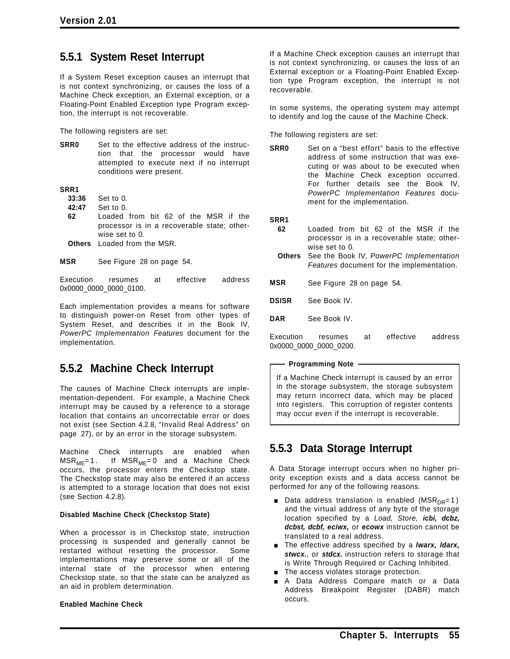## **5.5.1 System Reset Interrupt**

If a System Reset exception causes an interrupt that is not context synchronizing, or causes the loss of a Machine Check exception, an External exception, or a Floating-Point Enabled Exception type Program exception, the interrupt is not recoverable.

The following registers are set:

**SRR0** Set to the effective address of the instruction that the processor would have attempted to execute next if no interrupt conditions were present.

**SRR1**

- **33:36** Set to 0.
- **42:47** Set to 0.
- **62** Loaded from bit 62 of the MSR if the processor is in a recoverable state; otherwise set to 0. **Others** Loaded from the MSR.
- 

**MSR** See Figure 28 on page 54.

Execution resumes at effective address 0x0000\_0000\_0000\_0100.

Each implementation provides a means for software to distinguish power-on Reset from other types of System Reset, and describes it in the Book IV, *PowerPC Implementation Features* document for the implementation.

### **5.5.2 Machine Check Interrupt**

The causes of Machine Check interrupts are implementation-dependent. For example, a Machine Check interrupt may be caused by a reference to a storage location that contains an uncorrectable error or does not exist (see Section 4.2.8, "Invalid Real Address" on page 27), or by an error in the storage subsystem.

Machine Check interrupts are enabled when  $MSR_{ME} = 1$ . If  $MSR_{ME} = 0$  and a Machine Check occurs, the processor enters the Checkstop state. The Checkstop state may also be entered if an access is attempted to a storage location that does not exist (see Section 4.2.8).

#### **Disabled Machine Check (Checkstop State)**

When a processor is in Checkstop state, instruction processing is suspended and generally cannot be restarted without resetting the processor. Some implementations may preserve some or all of the internal state of the processor when entering Checkstop state, so that the state can be analyzed as an aid in problem determination.

#### **Enabled Machine Check**

If a Machine Check exception causes an interrupt that is not context synchronizing, or causes the loss of an External exception or a Floating-Point Enabled Exception type Program exception, the interrupt is not recoverable.

In some systems, the operating system may attempt to identify and log the cause of the Machine Check.

The following registers are set:

**SRR0** Set on a "best effort" basis to the effective address of some instruction that was executing or was about to be executed when the Machine Check exception occurred. For further details see the Book IV, *PowerPC Implementation Features* document for the implementation.

**SRR1**

- **62** Loaded from bit 62 of the MSR if the processor is in a recoverable state; otherwise set to 0.
- **Others** See the Book IV, *PowerPC Implementation Features* document for the implementation.
- **MSR** See Figure 28 on page 54.
- **DSISR** See Book IV.
- **DAR** See Book IV.

Execution resumes at effective address 0x0000\_0000\_0000\_0200.

**Programming Note**

If a Machine Check interrupt is caused by an error in the storage subsystem, the storage subsystem may return incorrect data, which may be placed into registers. This corruption of register contents may occur even if the interrupt is recoverable.

## **5.5.3 Data Storage Interrupt**

A Data Storage interrupt occurs when no higher priority exception exists and a data access cannot be performed for any of the following reasons.

- Data address translation is enabled (MSR<sub>DR</sub>=1) and the virtual address of any byte of the storage location specified by a *Load, Store, icbi, dcbz, dcbst, dcbf, eciwx,* or *ecowx* instruction cannot be translated to a real address.
- [ The effective address specified by a *lwarx, ldarx, stwcx.*, or *stdcx.* instruction refers to storage that is Write Through Required or Caching Inhibited.
- $\blacksquare$  The access violates storage protection.
- A Data Address Compare match or a Data Address Breakpoint Register (DABR) match occurs.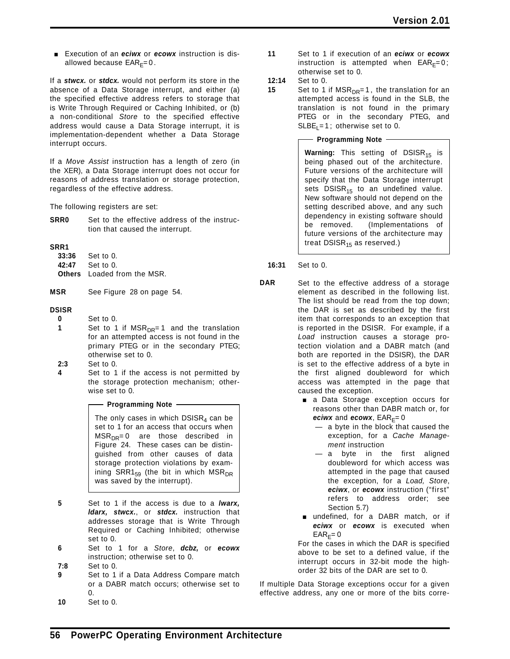Execution of an *eciwx* or *ecowx* instruction is disallowed because  $EAR<sub>F</sub>=0$ .

If a *stwcx.* or *stdcx.* would not perform its store in the absence of a Data Storage interrupt, and either (a) the specified effective address refers to storage that is Write Through Required or Caching Inhibited, or (b) a non-conditional *Store* to the specified effective address would cause a Data Storage interrupt, it is implementation-dependent whether a Data Storage interrupt occurs.

If a *Move Assist* instruction has a length of zero (in the XER), a Data Storage interrupt does not occur for reasons of address translation or storage protection, regardless of the effective address.

The following registers are set:

**SRR0** Set to the effective address of the instruction that caused the interrupt.

#### **SRR1**

| <b>33:36</b> Set to 0.             |
|------------------------------------|
| 42:47 Set to 0.                    |
| <b>Others</b> Loaded from the MSR. |

**MSR** See Figure 28 on page 54.

#### **DSISR**

- **0** Set to 0.
- **1** Set to 1 if MSR<sub>DR</sub>= 1 and the translation for an attempted access is not found in the primary PTEG or in the secondary PTEG; otherwise set to 0.
- **2:3** Set to 0.
- **4** Set to 1 if the access is not permitted by the storage protection mechanism; otherwise set to 0.

#### **Programming Note**

The only cases in which  $DSISR<sub>4</sub>$  can be set to 1 for an access that occurs when  $MSR_{DR} = 0$  are those described in Figure 24. These cases can be distinguished from other causes of data storage protection violations by examining SRR1 $_{59}$  (the bit in which MSR<sub>DR</sub> was saved by the interrupt).

- **5** Set to 1 if the access is due to a *lwarx, ldarx, stwcx.*, or *stdcx.* instruction that addresses storage that is Write Through Required or Caching Inhibited; otherwise set to 0.
- **6** Set to 1 for a *Store*, *dcbz,* or *ecowx* instruction; otherwise set to 0.
- **7:8** Set to 0.
- **9** Set to 1 if a Data Address Compare match or a DABR match occurs; otherwise set to  $\mathbf{0}$ .
- **10** Set to 0.
- **11** Set to 1 if execution of an *eciwx* or *ecowx* instruction is attempted when  $EAR<sub>F</sub>=0$ ; otherwise set to 0.
- **12:14** Set to 0.
- **15** Set to 1 if MSR<sub>DR</sub>=1, the translation for an attempted access is found in the SLB, the translation is not found in the primary PTEG or in the secondary PTEG, and  $S LBE<sub>1</sub> = 1$ ; otherwise set to 0.

**Programming Note**

**Warning:** This setting of DSISR<sub>15</sub> is being phased out of the architecture. Future versions of the architecture will specify that the Data Storage interrupt sets  $DSISR_{15}$  to an undefined value. New software should not depend on the setting described above, and any such dependency in existing software should be removed. (Implementations of future versions of the architecture may treat  $DSISR_{15}$  as reserved.)

**16:31** Set to 0.

- **DAR** Set to the effective address of a storage element as described in the following list. The list should be read from the top down; the DAR is set as described by the first item that corresponds to an exception that is reported in the DSISR. For example, if a *Load* instruction causes a storage protection violation and a DABR match (and both are reported in the DSISR), the DAR is set to the effective address of a byte in the first aligned doubleword for which access was attempted in the page that caused the exception.
	- **a** a Data Storage exception occurs for reasons other than DABR match or, for *eciwx* and *ecowx*,  $EAR_E = 0$ 
		- a byte in the block that caused the exception, for a *Cache Management* instruction
		- a byte in the first aligned doubleword for which access was attempted in the page that caused the exception, for a *Load, Store*, *eciwx*, or *ecowx* instruction ("first" refers to address order; see Section 5.7)
	- undefined, for a DABR match, or if *eciwx* or *ecowx* is executed when  $EAR_F=0$

For the cases in which the DAR is specified above to be set to a defined value, if the interrupt occurs in 32-bit mode the highorder 32 bits of the DAR are set to 0.

If multiple Data Storage exceptions occur for a given effective address, any one or more of the bits corre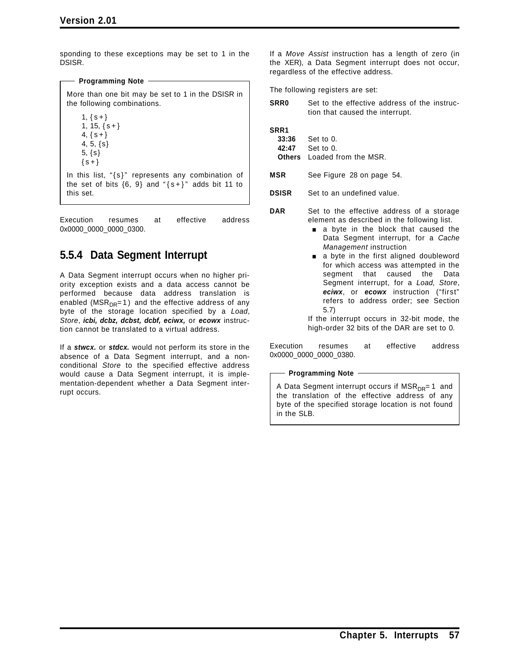sponding to these exceptions may be set to 1 in the DSISR.

More than one bit may be set to 1 in the DSISR in the following combinations.

 $1, \{ s + \}$  $1, 15, \{ s + \}$ 4,  $\{s + \}$ 4, 5, {s} 5, {s}  $\{s+\}$ In this list, "{s}" represents any combination of the set of bits  $\{6, 9\}$  and " $\{s+\}$ " adds bit 11 to this set.

**Programming Note**

Execution resumes at effective address 0x0000\_0000\_0000\_0300.

## **5.5.4 Data Segment Interrupt**

A Data Segment interrupt occurs when no higher priority exception exists and a data access cannot be performed because data address translation is enabled ( $MSR_{DR} = 1$ ) and the effective address of any byte of the storage location specified by a *Load*, *Store*, *icbi, dcbz, dcbst, dcbf, eciwx,* or *ecowx* instruction cannot be translated to a virtual address.

If a *stwcx.* or *stdcx.* would not perform its store in the absence of a Data Segment interrupt, and a nonconditional *Store* to the specified effective address would cause a Data Segment interrupt, it is implementation-dependent whether a Data Segment interrupt occurs.

If a *Move Assist* instruction has a length of zero (in the XER), a Data Segment interrupt does not occur, regardless of the effective address.

The following registers are set:

**SRR0** Set to the effective address of the instruction that caused the interrupt.

**SRR1**

**33:36** Set to 0. **42:47** Set to 0. **Others** Loaded from the MSR.

**MSR** See Figure 28 on page 54.

**DSISR** Set to an undefined value.

- **DAR** Set to the effective address of a storage element as described in the following list.
	- a byte in the block that caused the Data Segment interrupt, for a *Cache Management* instruction
	- a byte in the first aligned doubleword for which access was attempted in the segment that caused the Data Segment interrupt, for a *Load, Store*, *eciwx*, or *ecowx* instruction ("first" refers to address order; see Section 5.7)

If the interrupt occurs in 32-bit mode, the high-order 32 bits of the DAR are set to 0.

Execution resumes at effective address 0x0000\_0000\_0000\_0380.

**Programming Note**

A Data Segment interrupt occurs if MSR<sub>DR</sub>= 1 and the translation of the effective address of any byte of the specified storage location is not found in the SLB.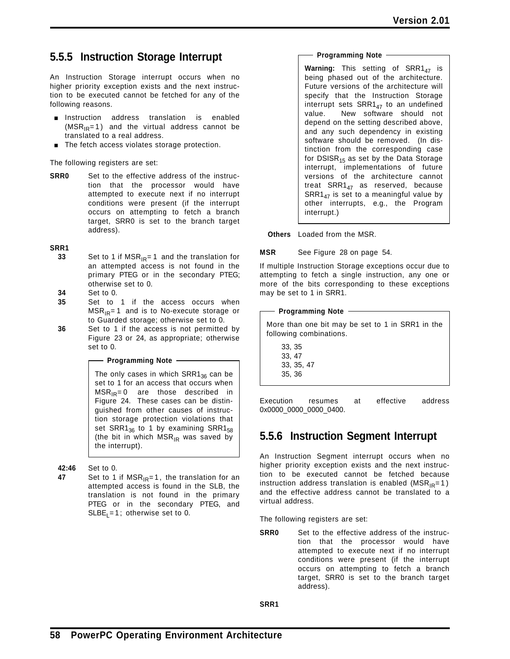## **5.5.5 Instruction Storage Interrupt**

An Instruction Storage interrupt occurs when no higher priority exception exists and the next instruction to be executed cannot be fetched for any of the following reasons.

- **n** Instruction address translation is enabled  $(MSR_{IR}=1)$  and the virtual address cannot be translated to a real address.
- **The fetch access violates storage protection.**

The following registers are set:

**SRR0** Set to the effective address of the instruction that the processor would have attempted to execute next if no interrupt conditions were present (if the interrupt occurs on attempting to fetch a branch target, SRR0 is set to the branch target address).

#### **SRR1**

- **33** Set to 1 if  $MSR_{IR} = 1$  and the translation for an attempted access is not found in the primary PTEG or in the secondary PTEG; otherwise set to 0.
- **34** Set to 0.
- **35** Set to 1 if the access occurs when  $MSR_{IR}$ = 1 and is to No-execute storage or to Guarded storage; otherwise set to 0.
- **36** Set to 1 if the access is not permitted by Figure 23 or 24, as appropriate; otherwise set to 0.

#### **Programming Note**

The only cases in which  $SRR1_{36}$  can be set to 1 for an access that occurs when  $MSR_{IR} = 0$  are those described in Figure 24. These cases can be distinguished from other causes of instruction storage protection violations that set SRR1 $_{36}$  to 1 by examining SRR1 $_{58}$ (the bit in which  $MSR_{IR}$  was saved by the interrupt).

#### **42:46** Set to 0.

**47** Set to 1 if  $MSR_{IR} = 1$ , the translation for an attempted access is found in the SLB, the translation is not found in the primary PTEG or in the secondary PTEG, and  $S LBE<sub>1</sub> = 1$ ; otherwise set to 0.

#### **Programming Note**

Warning: This setting of SRR1<sub>47</sub> is being phased out of the architecture. Future versions of the architecture will specify that the Instruction Storage interrupt sets  $SRR1_{47}$  to an undefined value. New software should not New software should not depend on the setting described above, and any such dependency in existing software should be removed. (In distinction from the corresponding case for  $DSISR_{15}$  as set by the Data Storage interrupt, implementations of future versions of the architecture cannot treat  $SRR1_{47}$  as reserved, because  $SRR1_{47}$  is set to a meaningful value by other interrupts, e.g., the Program interrupt.)

**Others** Loaded from the MSR.

**MSR** See Figure 28 on page 54.

If multiple Instruction Storage exceptions occur due to attempting to fetch a single instruction, any one or more of the bits corresponding to these exceptions may be set to 1 in SRR1.

#### **Programming Note**

More than one bit may be set to 1 in SRR1 in the following combinations.

33, 35 33, 47 33, 35, 47 35, 36

Execution resumes at effective address 0x0000\_0000\_0000\_0400.

## **5.5.6 Instruction Segment Interrupt**

An Instruction Segment interrupt occurs when no higher priority exception exists and the next instruction to be executed cannot be fetched because instruction address translation is enabled ( $MSR_{IR}=1$ ) and the effective address cannot be translated to a virtual address.

The following registers are set:

**SRR0** Set to the effective address of the instruction that the processor would have attempted to execute next if no interrupt conditions were present (if the interrupt occurs on attempting to fetch a branch target, SRR0 is set to the branch target address).

**SRR1**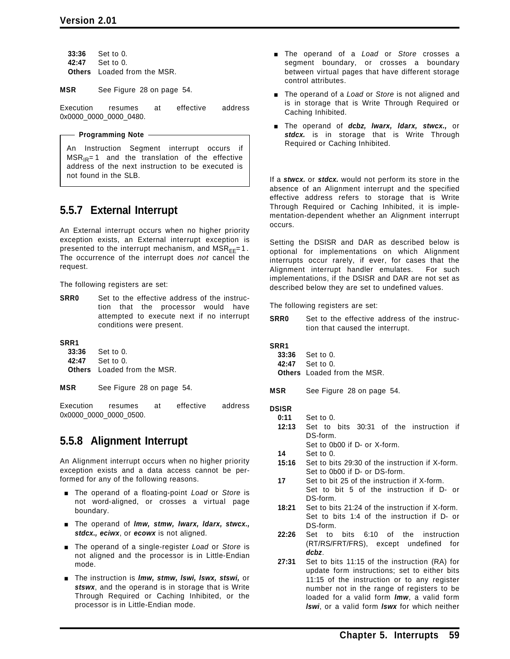**33:36** Set to 0. **42:47** Set to 0. **Others** Loaded from the MSR.

**MSR** See Figure 28 on page 54.

Execution resumes at effective address 0x0000\_0000\_0000\_0480.

#### **Programming Note**

An Instruction Segment interrupt occurs if  $MSR_{IR} = 1$  and the translation of the effective address of the next instruction to be executed is not found in the SLB.

## **5.5.7 External Interrupt**

An External interrupt occurs when no higher priority exception exists, an External interrupt exception is presented to the interrupt mechanism, and  $MSR_{EE} = 1$ . The occurrence of the interrupt does *not* cancel the request.

The following registers are set:

**SRR0** Set to the effective address of the instruction that the processor would have attempted to execute next if no interrupt conditions were present.

**SRR1**

| <b>33:36</b> Set to 0.             |
|------------------------------------|
| 42:47 Set to 0.                    |
| <b>Others</b> Loaded from the MSR. |

**MSR** See Figure 28 on page 54.

Execution resumes at effective address 0x0000\_0000\_0000\_0500.

## **5.5.8 Alignment Interrupt**

An Alignment interrupt occurs when no higher priority exception exists and a data access cannot be performed for any of the following reasons.

- [ The operand of a floating-point *Load* or *Store* is not word-aligned, or crosses a virtual page boundary.
- [ The operand of *lmw, stmw, lwarx, ldarx, stwcx., stdcx., eciwx*, or *ecowx* is not aligned.
- **The operand of a single-register** *Load* or *Store* is not aligned and the processor is in Little-Endian mode.
- [ The instruction is *lmw, stmw, lswi, lswx, stswi,* or *stswx*, and the operand is in storage that is Write Through Required or Caching Inhibited, or the processor is in Little-Endian mode.
- [ The operand of a *Load* or *Store* crosses a segment boundary, or crosses a boundary between virtual pages that have different storage control attributes.
- **The operand of a** *Load* **or** *Store* is not aligned and is in storage that is Write Through Required or Caching Inhibited.
- [ The operand of *dcbz, lwarx, ldarx, stwcx.,* or stdcx. is in storage that is Write Through Required or Caching Inhibited.

If a *stwcx.* or *stdcx.* would not perform its store in the absence of an Alignment interrupt and the specified effective address refers to storage that is Write Through Required or Caching Inhibited, it is implementation-dependent whether an Alignment interrupt occurs.

Setting the DSISR and DAR as described below is optional for implementations on which Alignment interrupts occur rarely, if ever, for cases that the Alignment interrupt handler emulates. For such implementations, if the DSISR and DAR are not set as described below they are set to undefined values.

The following registers are set:

**SRR0** Set to the effective address of the instruction that caused the interrupt.

#### **SRR1**

- **33:36** Set to 0.
- **42:47** Set to 0.
- **Others** Loaded from the MSR.
- **MSR** See Figure 28 on page 54.

#### **DSISR**

- **0:11** Set to 0.
- **12:13** Set to bits 30:31 of the instruction if DS-form.
	- Set to 0b00 if D- or X-form.
- **14** Set to 0.
- **15:16** Set to bits 29:30 of the instruction if X-form. Set to 0b00 if D- or DS-form.
- **17** Set to bit 25 of the instruction if X-form. Set to bit 5 of the instruction if D- or DS-form.
- **18:21** Set to bits 21:24 of the instruction if X-form. Set to bits 1:4 of the instruction if D- or DS-form.
- **22:26** Set to bits 6:10 of the instruction (RT/RS/FRT/FRS), except undefined for *dcbz*.
- **27:31** Set to bits 11:15 of the instruction (RA) for update form instructions; set to either bits 11:15 of the instruction or to any register number not in the range of registers to be loaded for a valid form *lmw*, a valid form *lswi*, or a valid form *lswx* for which neither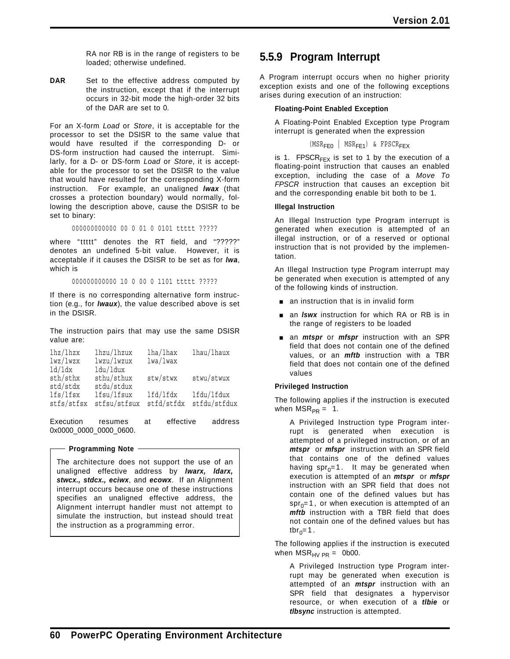RA nor RB is in the range of registers to be loaded; otherwise undefined.

DAR Set to the effective address computed by the instruction, except that if the interrupt occurs in 32-bit mode the high-order 32 bits of the DAR are set to 0.

For an X-form *Load* or *Store*, it is acceptable for the processor to set the DSISR to the same value that would have resulted if the corresponding D- or DS-form instruction had caused the interrupt. Similarly, for a D- or DS-form *Load* or *Store*, it is acceptable for the processor to set the DSISR to the value that would have resulted for the corresponding X-form instruction. For example, an unaligned *lwax* (that crosses a protection boundary) would normally, following the description above, cause the DSISR to be set to binary:

000000000000 00 0 01 0 0101 ttttt ?????

where "ttttt" denotes the RT field, and "?????" denotes an undefined 5-bit value. However, it is acceptable if it causes the DSISR to be set as for *lwa*, which is

000000000000 10 0 00 0 1101 ttttt ?????

If there is no corresponding alternative form instruction (e.g., for *lwaux*), the value described above is set in the DSISR.

The instruction pairs that may use the same DSISR value are:

| lhz/lhzx   | lhzu/lhzux   | lha/lhax   | lhau/lhaux   |
|------------|--------------|------------|--------------|
| 1wz/1wzx   | lwzu/lwzux   | 1wa/lwax   |              |
| 1d/ldx     | ldu/ldux     |            |              |
| sth/sthx   | sthu/sthux   | stw/stwx   | stwu/stwux   |
| std/stdx   | stdu/stdux   |            |              |
| lfs/lfsx   | lfsu/lfsux   | lfd/lfdx   | lfdu/lfdux   |
| stfs/stfsx | stfsu/stfsux | stfd/stfdx | stfdu/stfdux |
|            |              |            |              |

Execution resumes at effective address 0x0000\_0000\_0000\_0600.

#### **Programming Note**

The architecture does not support the use of an unaligned effective address by *lwarx, ldarx, stwcx., stdcx., eciwx*, and *ecowx*. If an Alignment interrupt occurs because one of these instructions specifies an unaligned effective address, the Alignment interrupt handler must not attempt to simulate the instruction, but instead should treat the instruction as a programming error.

## **5.5.9 Program Interrupt**

A Program interrupt occurs when no higher priority exception exists and one of the following exceptions arises during execution of an instruction:

#### **Floating-Point Enabled Exception**

A Floating-Point Enabled Exception type Program interrupt is generated when the expression

 $(MSR_{FF0}$  | MSR<sub>FF1</sub>) & FPSCR<sub>FFX</sub>

is 1. FPSCR<sub>FFX</sub> is set to 1 by the execution of a floating-point instruction that causes an enabled exception, including the case of a *Move To FPSCR* instruction that causes an exception bit and the corresponding enable bit both to be 1.

#### **Illegal Instruction**

An Illegal Instruction type Program interrupt is generated when execution is attempted of an illegal instruction, or of a reserved or optional instruction that is not provided by the implementation.

An Illegal Instruction type Program interrupt may be generated when execution is attempted of any of the following kinds of instruction.

- $\Box$  an instruction that is in invalid form
- **an** *lswx* instruction for which RA or RB is in the range of registers to be loaded
- **a** an *mtspr* or *mfspr* instruction with an SPR field that does not contain one of the defined values, or an *mftb* instruction with a TBR field that does not contain one of the defined values

#### **Privileged Instruction**

The following applies if the instruction is executed when  $MSR_{PR} = 1$ .

A Privileged Instruction type Program interrupt is generated when execution is attempted of a privileged instruction, or of an *mtspr* or *mfspr* instruction with an SPR field that contains one of the defined values having  $spr_0=1$ . It may be generated when execution is attempted of an *mtspr* or *mfspr* instruction with an SPR field that does not contain one of the defined values but has  $spr_0=1$ , or when execution is attempted of an *mftb* instruction with a TBR field that does not contain one of the defined values but has tbr<sub>0</sub>=1.

The following applies if the instruction is executed when  $MSR_{HV PR} = 0b00$ .

A Privileged Instruction type Program interrupt may be generated when execution is attempted of an *mtspr* instruction with an SPR field that designates a hypervisor resource, or when execution of a *tlbie* or *tlbsync* instruction is attempted.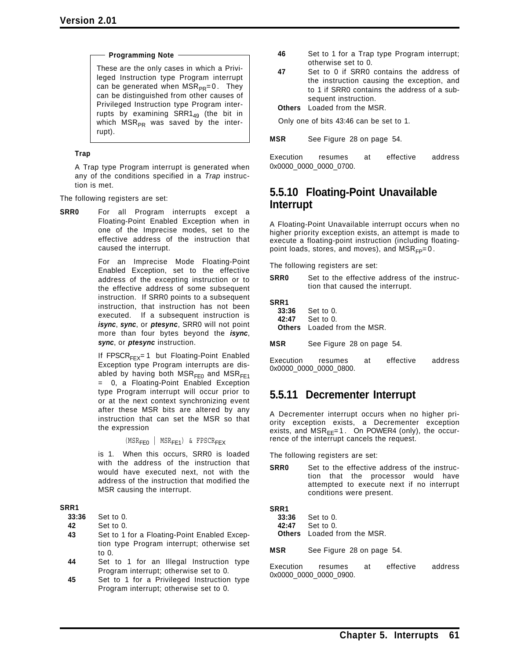#### **Programming Note**

These are the only cases in which a Privileged Instruction type Program interrupt can be generated when  $MSR_{PR}=0$ . They can be distinguished from other causes of Privileged Instruction type Program interrupts by examining  $SRR1_{49}$  (the bit in which  $MSR_{PR}$  was saved by the interrupt).

#### **Trap**

A Trap type Program interrupt is generated when any of the conditions specified in a *Trap* instruction is met.

The following registers are set:

**SRR0** For all Program interrupts except a Floating-Point Enabled Exception when in one of the Imprecise modes, set to the effective address of the instruction that caused the interrupt.

> For an Imprecise Mode Floating-Point Enabled Exception, set to the effective address of the excepting instruction or to the effective address of some subsequent instruction. If SRR0 points to a subsequent instruction, that instruction has not been executed. If a subsequent instruction is *isync*, *sync*, or *ptesync*, SRR0 will not point more than four bytes beyond the *isync*, *sync*, or *ptesync* instruction.

> If FPSCR<sub>FEX</sub>= 1 but Floating-Point Enabled Exception type Program interrupts are disabled by having both  $MSR<sub>FE0</sub>$  and  $MSR<sub>FE1</sub>$ = 0, a Floating-Point Enabled Exception type Program interrupt will occur prior to or at the next context synchronizing event after these MSR bits are altered by any instruction that can set the MSR so that the expression

> > $(MSR<sub>FF0</sub> | MSR<sub>FF1</sub>)$  & FPSCR<sub>FFX</sub>

is 1. When this occurs, SRR0 is loaded with the address of the instruction that would have executed next, not with the address of the instruction that modified the MSR causing the interrupt.

#### **SRR1**

**33:36** Set to 0.

**42** Set to 0.

- **43** Set to 1 for a Floating-Point Enabled Exception type Program interrupt; otherwise set to 0.
- **44** Set to 1 for an Illegal Instruction type Program interrupt; otherwise set to 0.
- **45** Set to 1 for a Privileged Instruction type Program interrupt; otherwise set to 0.
- **46** Set to 1 for a Trap type Program interrupt; otherwise set to 0.
- **47** Set to 0 if SRR0 contains the address of the instruction causing the exception, and to 1 if SRR0 contains the address of a subsequent instruction.

**Others** Loaded from the MSR.

Only one of bits 43:46 can be set to 1.

**MSR** See Figure 28 on page 54.

Execution resumes at effective address 0x0000\_0000\_0000\_0700.

## **5.5.10 Floating-Point Unavailable Interrupt**

A Floating-Point Unavailable interrupt occurs when no higher priority exception exists, an attempt is made to execute a floating-point instruction (including floatingpoint loads, stores, and moves), and  $MSR_{FP}=0$ .

The following registers are set:

**SRR0** Set to the effective address of the instruction that caused the interrupt.

| SRR1  |           |
|-------|-----------|
| 33:36 | Set to 0. |
| 42.47 | Set to 0  |

```
42:47 Set to 0.
Others Loaded from the MSR.
```
**MSR** See Figure 28 on page 54.

Execution resumes at effective address 0x0000\_0000\_0000\_0800.

### **5.5.11 Decrementer Interrupt**

A Decrementer interrupt occurs when no higher priority exception exists, a Decrementer exception exists, and  $MSR_{EE} = 1$ . On POWER4 (only), the occurrence of the interrupt cancels the request.

The following registers are set:

**SRR0** Set to the effective address of the instruction that the processor would have attempted to execute next if no interrupt conditions were present.

**SRR1**

| 33:36 | Set to 0.                          |
|-------|------------------------------------|
|       | <b>42:47</b> Set to 0.             |
|       | <b>Others</b> Loaded from the MSR. |

**MSR** See Figure 28 on page 54.

Execution resumes at effective address 0x0000\_0000\_0000\_0900.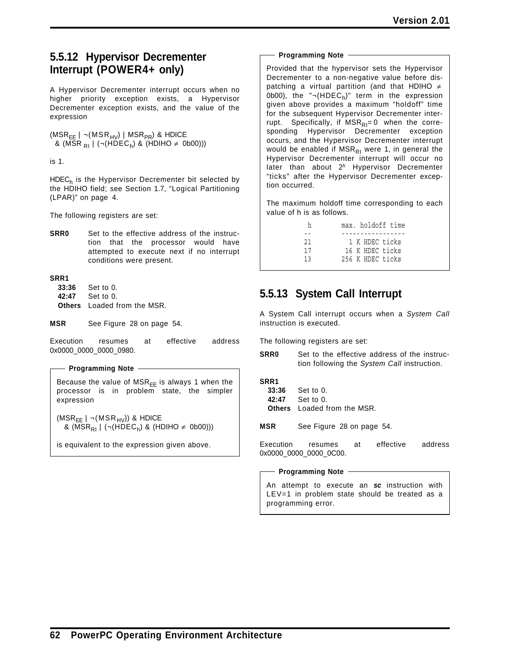## **5.5.12 Hypervisor Decrementer Interrupt (POWER4+ only)**

A Hypervisor Decrementer interrupt occurs when no higher priority exception exists, a Hypervisor Decrementer exception exists, and the value of the expression

 $(MSR_{EE} \mid \neg(MSR_{HV}) \mid MSR_{PR})$  & HDICE & (MSR  $_{\text{R1}}$  | (¬(HDEC<sub>h</sub>) & (HDIHO  $\neq$  0b00)))

is 1.

HDEC<sub>h</sub> is the Hypervisor Decrementer bit selected by the HDIHO field; see Section 1.7, "Logical Partitioning (LPAR)" on page 4.

The following registers are set:

**SRR0** Set to the effective address of the instruction that the processor would have attempted to execute next if no interrupt conditions were present.

#### **SRR1**

**33:36** Set to 0. **42:47** Set to 0. **Others** Loaded from the MSR.

**MSR** See Figure 28 on page 54.

Execution resumes at effective address 0x0000\_0000\_0000\_0980.

**Programming Note**

Because the value of  $MSR_{EE}$  is always 1 when the processor is in problem state, the simpler expression

 $(MSR_{EE} | \neg(MSR_{HV}))$  & HDICE & (MSR<sub>RI</sub> | (¬(HDEC<sub>h</sub>) & (HDIHO ≠ 0b00)))

is equivalent to the expression given above.

#### **Programming Note**

Provided that the hypervisor sets the Hypervisor Decrementer to a non-negative value before dispatching a virtual partition (and that HDIHO ≠ 0b00), the " $\neg(HDEC_h)$ " term in the expression given above provides a maximum "holdoff" time for the subsequent Hypervisor Decrementer interrupt. Specifically, if  $MSR_{RI}=0$  when the corresponding Hypervisor Decrementer exception occurs, and the Hypervisor Decrementer interrupt would be enabled if MSR<sub>RI</sub> were 1, in general the Hypervisor Decrementer interrupt will occur no later than about 2*<sup>h</sup>* Hypervisor Decrementer "ticks" after the Hypervisor Decrementer exception occurred.

The maximum holdoff time corresponding to each value of h is as follows.

| h  | max, holdoff time |
|----|-------------------|
|    | ------------      |
| 21 | 1 K HDEC ticks    |
| 17 | 16 K HDEC ticks   |
| 13 | 256 K HDEC ticks  |

## **5.5.13 System Call Interrupt**

A System Call interrupt occurs when a *System Call* instruction is executed.

The following registers are set:

**SRR0** Set to the effective address of the instruction following the *System Call* instruction.

**SRR1 33:36** Set to 0. **42:47** Set to 0. **Others** Loaded from the MSR.

**MSR** See Figure 28 on page 54.

Execution resumes at effective address 0x0000\_0000\_0000\_0C00.

#### **Programming Note**

An attempt to execute an *sc* instruction with LEV=1 in problem state should be treated as a programming error.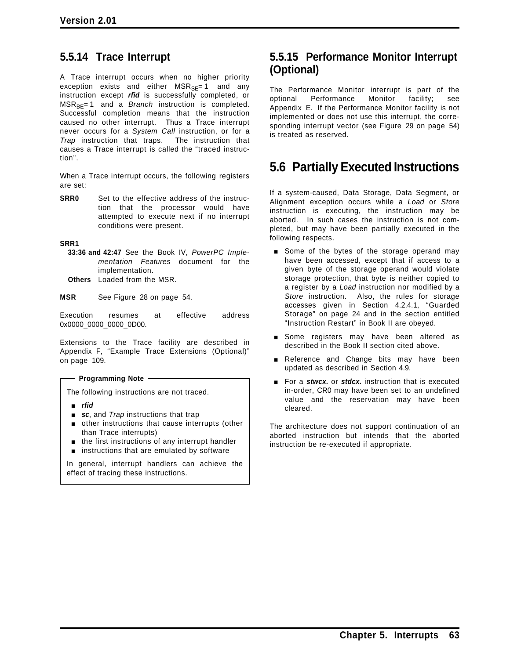## **5.5.14 Trace Interrupt**

A Trace interrupt occurs when no higher priority exception exists and either  $MSR_{SE} = 1$  and any instruction except *rfid* is successfully completed, or MSR<sub>BE</sub>= 1 and a *Branch* instruction is completed. Successful completion means that the instruction caused no other interrupt. Thus a Trace interrupt never occurs for a *System Call* instruction, or for a *Trap* instruction that traps. The instruction that causes a Trace interrupt is called the "traced instruction".

When a Trace interrupt occurs, the following registers are set:

**SRR0** Set to the effective address of the instruction that the processor would have attempted to execute next if no interrupt conditions were present.

**SRR1**

**33:36 and 42:47** See the Book IV, *PowerPC Implementation Features* document for the implementation.

**Others** Loaded from the MSR.

**MSR** See Figure 28 on page 54.

Execution resumes at effective address 0x0000\_0000\_0000\_0D00.

Extensions to the Trace facility are described in Appendix F, "Example Trace Extensions (Optional)" on page 109.

- Programming Note -

The following instructions are not traced.

- [ *rfid*
- **sc**, and *Trap* instructions that trap
- $\blacksquare$  other instructions that cause interrupts (other than Trace interrupts)
- $\blacksquare$  the first instructions of any interrupt handler
- $\blacksquare$  instructions that are emulated by software

In general, interrupt handlers can achieve the effect of tracing these instructions.

## **5.5.15 Performance Monitor Interrupt (Optional)**

The Performance Monitor interrupt is part of the optional Performance Monitor facility; see Appendix E. If the Performance Monitor facility is not implemented or does not use this interrupt, the corresponding interrupt vector (see Figure 29 on page 54) is treated as reserved.

# **5.6 Partially Executed Instructions**

If a system-caused, Data Storage, Data Segment, or Alignment exception occurs while a *Load* or *Store* instruction is executing, the instruction may be aborted. In such cases the instruction is not completed, but may have been partially executed in the following respects.

- Some of the bytes of the storage operand may have been accessed, except that if access to a given byte of the storage operand would violate storage protection, that byte is neither copied to a register by a *Load* instruction nor modified by a *Store* instruction. Also, the rules for storage accesses given in Section 4.2.4.1, "Guarded Storage" on page 24 and in the section entitled "Instruction Restart" in Book II are obeyed.
- **Burger** Some registers may have been altered as described in the Book II section cited above.
- Reference and Change bits may have been updated as described in Section 4.9.
- **For a** *stwcx* or *stdcx* instruction that is executed in-order, CR0 may have been set to an undefined value and the reservation may have been cleared.

The architecture does not support continuation of an aborted instruction but intends that the aborted instruction be re-executed if appropriate.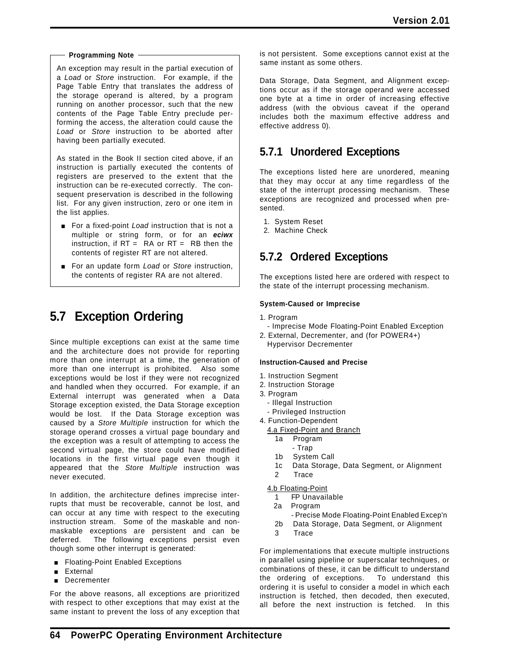#### **Programming Note**

An exception may result in the partial execution of a *Load* or *Store* instruction. For example, if the Page Table Entry that translates the address of the storage operand is altered, by a program running on another processor, such that the new contents of the Page Table Entry preclude performing the access, the alteration could cause the *Load* or *Store* instruction to be aborted after having been partially executed.

As stated in the Book II section cited above, if an instruction is partially executed the contents of registers are preserved to the extent that the instruction can be re-executed correctly. The consequent preservation is described in the following list. For any given instruction, zero or one item in the list applies.

- **For a fixed-point Load instruction that is not a** multiple or string form, or for an *eciwx* instruction, if  $RT = RA$  or  $RT = RB$  then the contents of register RT are not altered.
- **For an update form** *Load* or *Store* instruction, the contents of register RA are not altered.

# **5.7 Exception Ordering**

Since multiple exceptions can exist at the same time and the architecture does not provide for reporting more than one interrupt at a time, the generation of more than one interrupt is prohibited. Also some exceptions would be lost if they were not recognized and handled when they occurred. For example, if an External interrupt was generated when a Data Storage exception existed, the Data Storage exception would be lost. If the Data Storage exception was caused by a *Store Multiple* instruction for which the storage operand crosses a virtual page boundary and the exception was a result of attempting to access the second virtual page, the store could have modified locations in the first virtual page even though it appeared that the *Store Multiple* instruction was never executed.

In addition, the architecture defines imprecise interrupts that must be recoverable, cannot be lost, and can occur at any time with respect to the executing instruction stream. Some of the maskable and nonmaskable exceptions are persistent and can be deferred. The following exceptions persist even though some other interrupt is generated:

- **Exceptions** Floating-Point Enabled Exceptions
- **External**
- **Decrementer**

For the above reasons, all exceptions are prioritized with respect to other exceptions that may exist at the same instant to prevent the loss of any exception that is not persistent. Some exceptions cannot exist at the same instant as some others.

Data Storage, Data Segment, and Alignment exceptions occur as if the storage operand were accessed one byte at a time in order of increasing effective address (with the obvious caveat if the operand includes both the maximum effective address and effective address 0).

## **5.7.1 Unordered Exceptions**

The exceptions listed here are unordered, meaning that they may occur at any time regardless of the state of the interrupt processing mechanism. These exceptions are recognized and processed when presented.

- 1. System Reset
- 2. Machine Check

## **5.7.2 Ordered Exceptions**

The exceptions listed here are ordered with respect to the state of the interrupt processing mechanism.

#### **System-Caused or Imprecise**

- 1. Program
- Imprecise Mode Floating-Point Enabled Exception
- 2. External, Decrementer, and (for POWER4+) Hypervisor Decrementer

#### **Instruction-Caused and Precise**

- 1. Instruction Segment
- 2. Instruction Storage
- 3. Program
	- Illegal Instruction
- Privileged Instruction
- 4. Function-Dependent
	- 4.a Fixed-Point and Branch
		- 1a Program
		- Trap
		- 1b System Call
		- 1c Data Storage, Data Segment, or Alignment
		- 2 Trace

#### 4.b Floating-Point

- 1 FP Unavailable
- 2a Program
	- Precise Mode Floating-Point Enabled Excep'n
- 2b Data Storage, Data Segment, or Alignment
- 3 Trace

For implementations that execute multiple instructions in parallel using pipeline or superscalar techniques, or combinations of these, it can be difficult to understand the ordering of exceptions. To understand this ordering it is useful to consider a model in which each instruction is fetched, then decoded, then executed, all before the next instruction is fetched. In this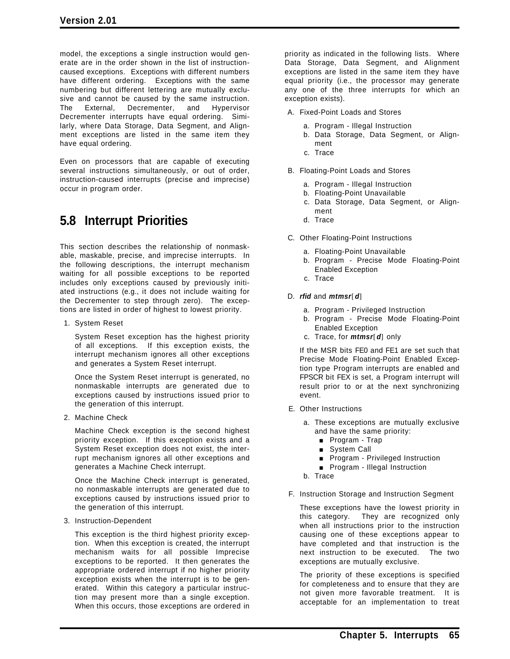model, the exceptions a single instruction would generate are in the order shown in the list of instructioncaused exceptions. Exceptions with different numbers have different ordering. Exceptions with the same numbering but different lettering are mutually exclusive and cannot be caused by the same instruction. The External, Decrementer, and Hypervisor Decrementer interrupts have equal ordering. Similarly, where Data Storage, Data Segment, and Alignment exceptions are listed in the same item they have equal ordering.

Even on processors that are capable of executing several instructions simultaneously, or out of order, instruction-caused interrupts (precise and imprecise) occur in program order.

# **5.8 Interrupt Priorities**

This section describes the relationship of nonmaskable, maskable, precise, and imprecise interrupts. In the following descriptions, the interrupt mechanism waiting for all possible exceptions to be reported includes only exceptions caused by previously initiated instructions (e.g., it does not include waiting for the Decrementer to step through zero). The exceptions are listed in order of highest to lowest priority.

1. System Reset

System Reset exception has the highest priority of all exceptions. If this exception exists, the interrupt mechanism ignores all other exceptions and generates a System Reset interrupt.

Once the System Reset interrupt is generated, no nonmaskable interrupts are generated due to exceptions caused by instructions issued prior to the generation of this interrupt.

2. Machine Check

Machine Check exception is the second highest priority exception. If this exception exists and a System Reset exception does not exist, the interrupt mechanism ignores all other exceptions and generates a Machine Check interrupt.

Once the Machine Check interrupt is generated, no nonmaskable interrupts are generated due to exceptions caused by instructions issued prior to the generation of this interrupt.

3. Instruction-Dependent

This exception is the third highest priority exception. When this exception is created, the interrupt mechanism waits for all possible Imprecise exceptions to be reported. It then generates the appropriate ordered interrupt if no higher priority exception exists when the interrupt is to be generated. Within this category a particular instruction may present more than a single exception. When this occurs, those exceptions are ordered in

priority as indicated in the following lists. Where Data Storage, Data Segment, and Alignment exceptions are listed in the same item they have equal priority (i.e., the processor may generate any one of the three interrupts for which an exception exists).

- A. Fixed-Point Loads and Stores
	- a. Program Illegal Instruction
	- b. Data Storage, Data Segment, or Alignment
	- c. Trace
- B. Floating-Point Loads and Stores
	- a. Program Illegal Instruction
	- b. Floating-Point Unavailable
	- c. Data Storage, Data Segment, or Alignment
	- d. Trace
- C. Other Floating-Point Instructions
	- a. Floating-Point Unavailable
	- b. Program Precise Mode Floating-Point Enabled Exception
	- c. Trace
- D. *rfid* and *mtmsr*[*d*]
	- a. Program Privileged Instruction
	- b. Program Precise Mode Floating-Point Enabled Exception
	- c. Trace, for *mtmsr*[*d*] only

If the MSR bits FE0 and FE1 are set such that Precise Mode Floating-Point Enabled Exception type Program interrupts are enabled and FPSCR bit FEX is set, a Program interrupt will result prior to or at the next synchronizing event.

- E. Other Instructions
	- a. These exceptions are mutually exclusive and have the same priority:
		- **Program Trap**
		- System Call
		- **Program Privileged Instruction**
		- **Program Illegal Instruction**
	- b. Trace
- F. Instruction Storage and Instruction Segment

These exceptions have the lowest priority in this category. They are recognized only when all instructions prior to the instruction causing one of these exceptions appear to have completed and that instruction is the next instruction to be executed. The two exceptions are mutually exclusive.

The priority of these exceptions is specified for completeness and to ensure that they are not given more favorable treatment. It is acceptable for an implementation to treat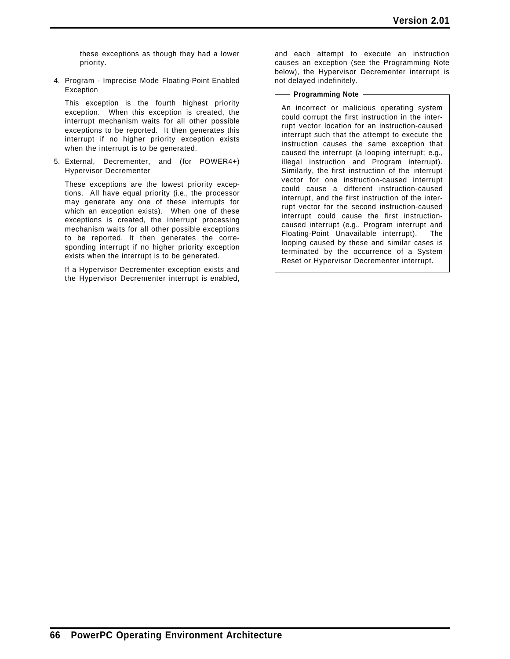these exceptions as though they had a lower priority.

4. Program - Imprecise Mode Floating-Point Enabled Exception

This exception is the fourth highest priority exception. When this exception is created, the interrupt mechanism waits for all other possible exceptions to be reported. It then generates this interrupt if no higher priority exception exists when the interrupt is to be generated.

5. External, Decrementer, and (for POWER4+) Hypervisor Decrementer

These exceptions are the lowest priority exceptions. All have equal priority (i.e., the processor may generate any one of these interrupts for which an exception exists). When one of these exceptions is created, the interrupt processing mechanism waits for all other possible exceptions to be reported. It then generates the corresponding interrupt if no higher priority exception exists when the interrupt is to be generated.

If a Hypervisor Decrementer exception exists and the Hypervisor Decrementer interrupt is enabled,

and each attempt to execute an instruction causes an exception (see the Programming Note below), the Hypervisor Decrementer interrupt is not delayed indefinitely.

#### **Programming Note**

An incorrect or malicious operating system could corrupt the first instruction in the interrupt vector location for an instruction-caused interrupt such that the attempt to execute the instruction causes the same exception that caused the interrupt (a looping interrupt; e.g., illegal instruction and Program interrupt). Similarly, the first instruction of the interrupt vector for one instruction-caused interrupt could cause a different instruction-caused interrupt, and the first instruction of the interrupt vector for the second instruction-caused interrupt could cause the first instructioncaused interrupt (e.g., Program interrupt and Floating-Point Unavailable interrupt). The looping caused by these and similar cases is terminated by the occurrence of a System Reset or Hypervisor Decrementer interrupt.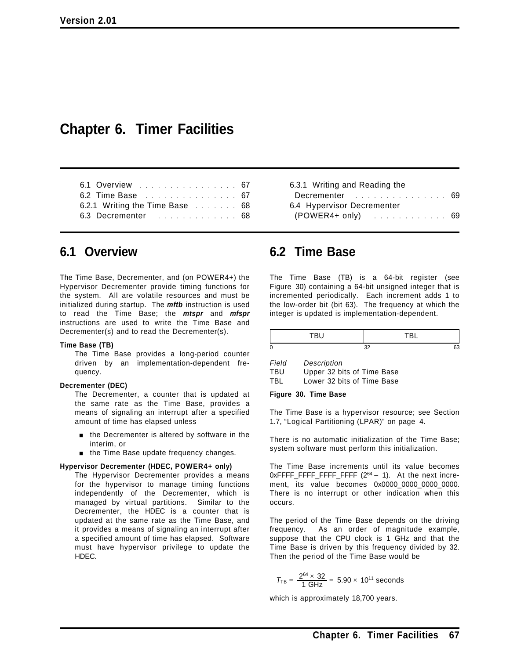## **Chapter 6. Timer Facilities**

| 6.2 Time Base 67               | 6.1 Overview 67 |
|--------------------------------|-----------------|
|                                |                 |
| 6.2.1 Writing the Time Base 68 |                 |
| 6.3 Decrementer 68             |                 |

## **6.1 Overview**

The Time Base, Decrementer, and (on POWER4+) the Hypervisor Decrementer provide timing functions for the system. All are volatile resources and must be initialized during startup. The *mftb* instruction is used to read the Time Base; the *mtspr* and *mfspr* instructions are used to write the Time Base and Decrementer(s) and to read the Decrementer(s).

#### **Time Base (TB)**

The Time Base provides a long-period counter driven by an implementation-dependent frequency.

#### **Decrementer (DEC)**

The Decrementer, a counter that is updated at the same rate as the Time Base, provides a means of signaling an interrupt after a specified amount of time has elapsed unless

- **n** the Decrementer is altered by software in the interim, or
- $\blacksquare$  the Time Base update frequency changes.

#### **Hypervisor Decrementer (HDEC, POWER4+ only)**

The Hypervisor Decrementer provides a means for the hypervisor to manage timing functions independently of the Decrementer, which is managed by virtual partitions. Similar to the Decrementer, the HDEC is a counter that is updated at the same rate as the Time Base, and it provides a means of signaling an interrupt after a specified amount of time has elapsed. Software must have hypervisor privilege to update the HDEC.

| 6.3.1 Writing and Reading the |  |
|-------------------------------|--|
| Decrementer 69                |  |
| 6.4 Hypervisor Decrementer    |  |
| $(POWER4+ only)$ 69           |  |
|                               |  |

## **6.2 Time Base**

The Time Base (TB) is a 64-bit register (see Figure 30) containing a 64-bit unsigned integer that is incremented periodically. Each increment adds 1 to the low-order bit (bit 63). The frequency at which the integer is updated is implementation-dependent.

| `<br>ı. |
|---------|

*Field Description*

| TBU | Upper 32 bits of Time Base |  |  |  |
|-----|----------------------------|--|--|--|
| TBL | Lower 32 bits of Time Base |  |  |  |

#### **Figure 30. Time Base**

The Time Base is a hypervisor resource; see Section 1.7, "Logical Partitioning (LPAR)" on page 4.

There is no automatic initialization of the Time Base; system software must perform this initialization.

The Time Base increments until its value becomes  $0x$ FFFF\_FFFF\_FFFF  $(2^{64} - 1)$ . At the next increment, its value becomes 0x0000\_0000\_0000\_0000. There is no interrupt or other indication when this occurs.

The period of the Time Base depends on the driving frequency. As an order of magnitude example, suppose that the CPU clock is 1 GHz and that the Time Base is driven by this frequency divided by 32. Then the period of the Time Base would be

$$
T_{TB} = \frac{2^{64} \times 32}{1 \text{ GHz}} = 5.90 \times 10^{11} \text{ seconds}
$$

which is approximately 18,700 years.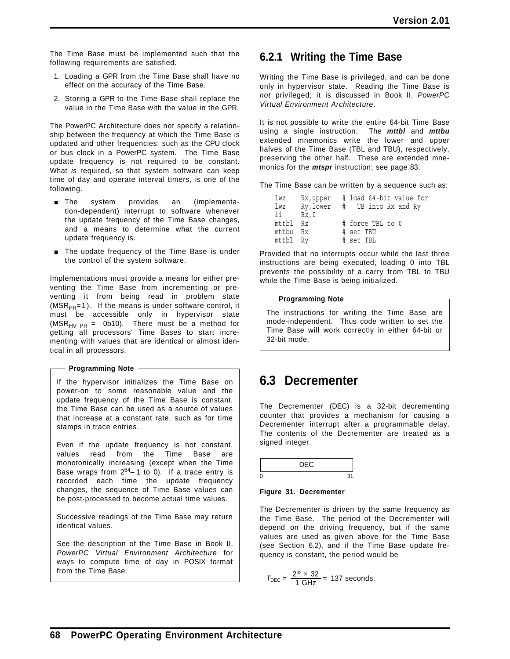The Time Base must be implemented such that the following requirements are satisfied.

- 1. Loading a GPR from the Time Base shall have no effect on the accuracy of the Time Base.
- 2. Storing a GPR to the Time Base shall replace the value in the Time Base with the value in the GPR.

The PowerPC Architecture does not specify a relationship between the frequency at which the Time Base is updated and other frequencies, such as the CPU clock or bus clock in a PowerPC system. The Time Base update frequency is not required to be constant. What *is* required, so that system software can keep time of day and operate interval timers, is one of the following.

- **The** system provides an (implementation-dependent) interrupt to software whenever the update frequency of the Time Base changes, and a means to determine what the current update frequency is.
- The update frequency of the Time Base is under the control of the system software.

Implementations must provide a means for either preventing the Time Base from incrementing or preventing it from being read in problem state  $(MSR_{PR}=1)$ . If the means is under software control, it must be accessible only in hypervisor state (MSR<sub>HV PR</sub> = 0b10). There must be a method for getting all processors' Time Bases to start incrementing with values that are identical or almost identical in all processors.

#### **Programming Note**

If the hypervisor initializes the Time Base on power-on to some reasonable value and the update frequency of the Time Base is constant, the Time Base can be used as a source of values that increase at a constant rate, such as for time stamps in trace entries.

Even if the update frequency is not constant, values read from the Time Base are monotonically increasing (except when the Time Base wraps from 264− 1 to 0). If a trace entry is recorded each time the update frequency changes, the sequence of Time Base values can be post-processed to become actual time values.

Successive readings of the Time Base may return identical values.

See the description of the Time Base in Book II, *PowerPC Virtual Environment Architecture* for ways to compute time of day in POSIX format from the Time Base.

### **6.2.1 Writing the Time Base**

Writing the Time Base is privileged, and can be done only in hypervisor state. Reading the Time Base is *not* privileged; it is discussed in Book II, *PowerPC Virtual Environment Architecture*.

It is not possible to write the entire 64-bit Time Base using a single instruction. The *mttbl* and *mttbu* extended mnemonics write the lower and upper halves of the Time Base (TBL and TBU), respectively, preserving the other half. These are extended mnemonics for the *mtspr* instruction; see page 83.

The Time Base can be written by a sequence such as:

| lwz      |           | Rx, upper # load 64-bit value for |
|----------|-----------|-----------------------------------|
| lwz      | Ry, lower | #TB into Rx and Ry                |
| li -     | Rz.O      |                                   |
| mttbl Rz |           | # force TBL to 0                  |
| mttbu Rx |           | # set TBU                         |
| mttbl Ry |           | # set TBL                         |

Provided that no interrupts occur while the last three instructions are being executed, loading 0 into TBL prevents the possibility of a carry from TBL to TBU while the Time Base is being initialized.

**Programming Note**

The instructions for writing the Time Base are mode-independent. Thus code written to set the Time Base will work correctly in either 64-bit or 32-bit mode.

# **6.3 Decrementer**

The Decrementer (DEC) is a 32-bit decrementing counter that provides a mechanism for causing a Decrementer interrupt after a programmable delay. The contents of the Decrementer are treated as a signed integer.

| . . |  |
|-----|--|
|     |  |

#### **Figure 31. Decrementer**

The Decrementer is driven by the same frequency as the Time Base. The period of the Decrementer will depend on the driving frequency, but if the same values are used as given above for the Time Base (see Section 6.2), and if the Time Base update frequency is constant, the period would be

$$
T_{DEC} = \frac{2^{32} \times 32}{1 \text{ GHz}} = 137 \text{ seconds.}
$$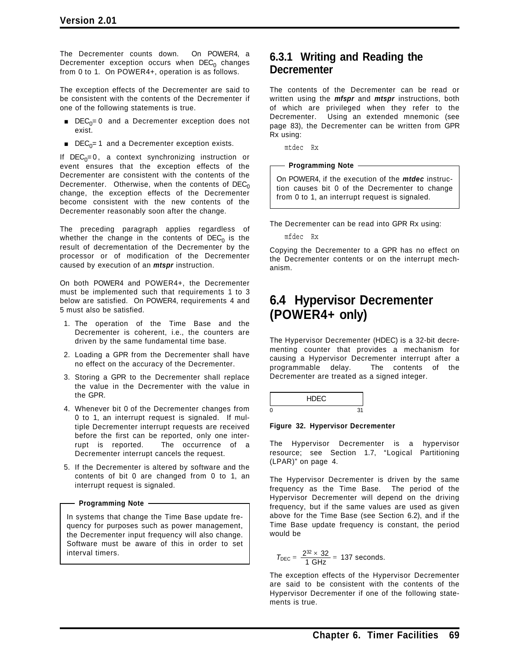The Decrementer counts down. On POWER4, a Decrementer exception occurs when  $DEC<sub>0</sub>$  changes from 0 to 1. On POWER4+, operation is as follows.

The exception effects of the Decrementer are said to be consistent with the contents of the Decrementer if one of the following statements is true.

- **DEC<sub>0</sub>= 0 and a Decrementer exception does not** exist.
- **DEC<sub>0</sub>= 1** and a Decrementer exception exists.

If  $DEC<sub>0</sub>=0$ , a context synchronizing instruction or event ensures that the exception effects of the Decrementer are consistent with the contents of the Decrementer. Otherwise, when the contents of  $DEC<sub>0</sub>$ change, the exception effects of the Decrementer become consistent with the new contents of the Decrementer reasonably soon after the change.

The preceding paragraph applies regardless of whether the change in the contents of  $DEC<sub>0</sub>$  is the result of decrementation of the Decrementer by the processor or of modification of the Decrementer caused by execution of an *mtspr* instruction.

On both POWER4 and POWER4+, the Decrementer must be implemented such that requirements 1 to 3 below are satisfied. On POWER4, requirements 4 and 5 must also be satisfied.

- 1. The operation of the Time Base and the Decrementer is coherent, i.e., the counters are driven by the same fundamental time base.
- 2. Loading a GPR from the Decrementer shall have no effect on the accuracy of the Decrementer.
- 3. Storing a GPR to the Decrementer shall replace the value in the Decrementer with the value in the GPR.
- 4. Whenever bit 0 of the Decrementer changes from 0 to 1, an interrupt request is signaled. If multiple Decrementer interrupt requests are received before the first can be reported, only one interrupt is reported. The occurrence of a Decrementer interrupt cancels the request.
- 5. If the Decrementer is altered by software and the contents of bit 0 are changed from 0 to 1, an interrupt request is signaled.

#### - Programming Note -

In systems that change the Time Base update frequency for purposes such as power management, the Decrementer input frequency will also change. Software must be aware of this in order to set interval timers.

### **6.3.1 Writing and Reading the Decrementer**

The contents of the Decrementer can be read or written using the *mfspr* and *mtspr* instructions, both of which are privileged when they refer to the Decrementer. Using an extended mnemonic (see page 83), the Decrementer can be written from GPR Rx using:

mtdec Rx

#### **Programming Note**

On POWER4, if the execution of the *mtdec* instruction causes bit 0 of the Decrementer to change from 0 to 1, an interrupt request is signaled.

The Decrementer can be read into GPR Rx using:

mfdec Rx

Copying the Decrementer to a GPR has no effect on the Decrementer contents or on the interrupt mechanism.

# **6.4 Hypervisor Decrementer (POWER4+ only)**

The Hypervisor Decrementer (HDEC) is a 32-bit decrementing counter that provides a mechanism for causing a Hypervisor Decrementer interrupt after a programmable delay. The contents of the Decrementer are treated as a signed integer.

|   | ⊿⊏ບ |  |
|---|-----|--|
| ſ |     |  |

#### **Figure 32. Hypervisor Decrementer**

The Hypervisor Decrementer is a hypervisor resource; see Section 1.7, "Logical Partitioning (LPAR)" on page 4.

The Hypervisor Decrementer is driven by the same frequency as the Time Base. The period of the Hypervisor Decrementer will depend on the driving frequency, but if the same values are used as given above for the Time Base (see Section 6.2), and if the Time Base update frequency is constant, the period would be

$$
T_{DEC} = \frac{2^{32} \times 32}{1 \text{ GHz}} = 137 \text{ seconds.}
$$

The exception effects of the Hypervisor Decrementer are said to be consistent with the contents of the Hypervisor Decrementer if one of the following statements is true.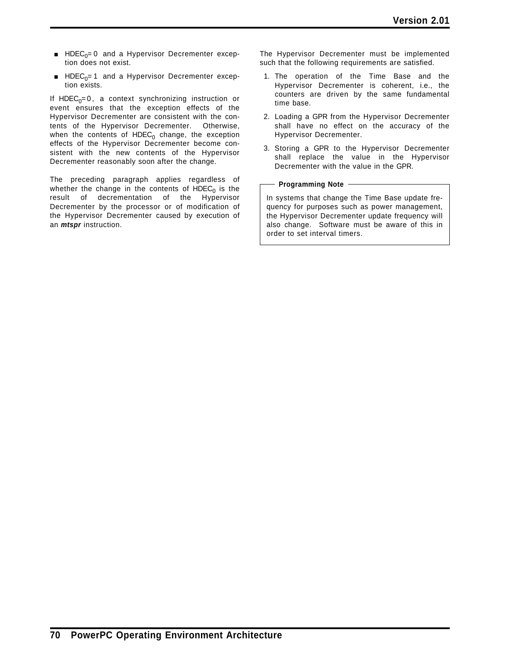- $\blacksquare$  HDEC<sub>0</sub>= 0 and a Hypervisor Decrementer exception does not exist.
- **E** HDEC<sub>0</sub>= 1 and a Hypervisor Decrementer exception exists.

If HDEC<sub>0</sub>=0, a context synchronizing instruction or event ensures that the exception effects of the Hypervisor Decrementer are consistent with the contents of the Hypervisor Decrementer. Otherwise, when the contents of  $HDEC<sub>0</sub>$  change, the exception effects of the Hypervisor Decrementer become consistent with the new contents of the Hypervisor Decrementer reasonably soon after the change.

The preceding paragraph applies regardless of whether the change in the contents of  $HDEC<sub>0</sub>$  is the result of decrementation of the Hypervisor Decrementer by the processor or of modification of the Hypervisor Decrementer caused by execution of an *mtspr* instruction.

The Hypervisor Decrementer must be implemented such that the following requirements are satisfied.

- 1. The operation of the Time Base and the Hypervisor Decrementer is coherent, i.e., the counters are driven by the same fundamental time base.
- 2. Loading a GPR from the Hypervisor Decrementer shall have no effect on the accuracy of the Hypervisor Decrementer.
- 3. Storing a GPR to the Hypervisor Decrementer shall replace the value in the Hypervisor Decrementer with the value in the GPR.

#### **Programming Note**

In systems that change the Time Base update frequency for purposes such as power management, the Hypervisor Decrementer update frequency will also change. Software must be aware of this in order to set interval timers.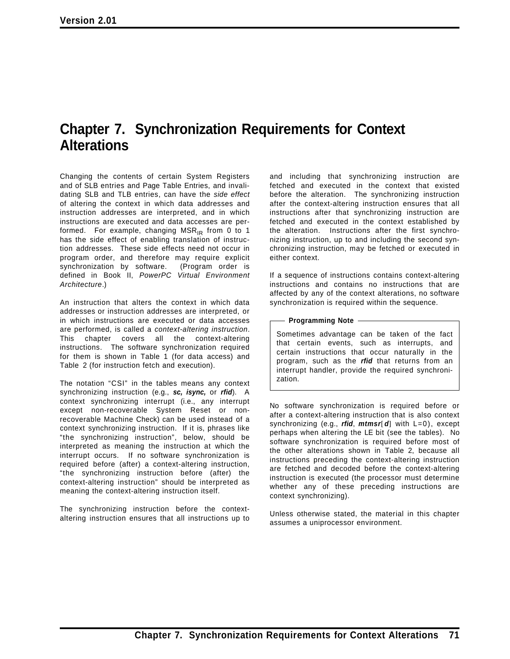# **Chapter 7. Synchronization Requirements for Context Alterations**

Changing the contents of certain System Registers and of SLB entries and Page Table Entries, and invalidating SLB and TLB entries, can have the *side effect* of altering the context in which data addresses and instruction addresses are interpreted, and in which instructions are executed and data accesses are performed. For example, changing  $MSR_{IR}$  from 0 to 1 has the side effect of enabling translation of instruction addresses. These side effects need not occur in program order, and therefore may require explicit synchronization by software. (Program order is defined in Book II, *PowerPC Virtual Environment Architecture*.)

An instruction that alters the context in which data addresses or instruction addresses are interpreted, or in which instructions are executed or data accesses are performed, is called a *context-altering instruction*. This chapter covers all the context-altering instructions. The software synchronization required for them is shown in Table 1 (for data access) and Table 2 (for instruction fetch and execution).

The notation "CSI" in the tables means any context synchronizing instruction (e.g., *sc, isync,* or *rfid*). A context synchronizing interrupt (i.e., any interrupt except non-recoverable System Reset or nonrecoverable Machine Check) can be used instead of a context synchronizing instruction. If it is, phrases like "the synchronizing instruction", below, should be interpreted as meaning the instruction at which the interrupt occurs. If no software synchronization is required before (after) a context-altering instruction, "the synchronizing instruction before (after) the context-altering instruction" should be interpreted as meaning the context-altering instruction itself.

The synchronizing instruction before the contextaltering instruction ensures that all instructions up to

and including that synchronizing instruction are fetched and executed in the context that existed before the alteration. The synchronizing instruction after the context-altering instruction ensures that all instructions after that synchronizing instruction are fetched and executed in the context established by the alteration. Instructions after the first synchronizing instruction, up to and including the second synchronizing instruction, may be fetched or executed in either context.

If a sequence of instructions contains context-altering instructions and contains no instructions that are affected by any of the context alterations, no software synchronization is required within the sequence.

#### **Programming Note**

Sometimes advantage can be taken of the fact that certain events, such as interrupts, and certain instructions that occur naturally in the program, such as the *rfid* that returns from an interrupt handler, provide the required synchronization.

No software synchronization is required before or after a context-altering instruction that is also context synchronizing (e.g., *rfid*, *mtmsr*[*d*] with L=0), except perhaps when altering the LE bit (see the tables). No software synchronization is required before most of the other alterations shown in Table 2, because all instructions preceding the context-altering instruction are fetched and decoded before the context-altering instruction is executed (the processor must determine whether any of these preceding instructions are context synchronizing).

Unless otherwise stated, the material in this chapter assumes a uniprocessor environment.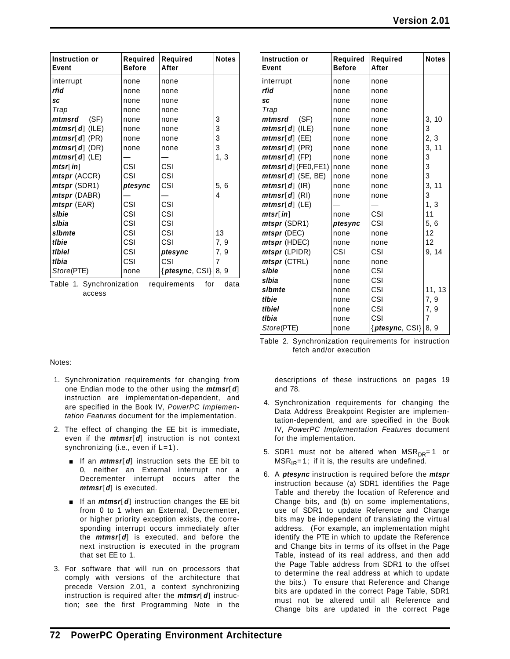| Instruction or<br>Event | Required<br><b>Before</b> | Required<br>After        | <b>Notes</b> | Instruction or<br>Event                | Required<br><b>Before</b> | <b>Required</b><br>After | <b>Note</b>               |
|-------------------------|---------------------------|--------------------------|--------------|----------------------------------------|---------------------------|--------------------------|---------------------------|
| interrupt               | none                      | none                     |              | interrupt                              | none                      | none                     |                           |
| rfid                    | none                      | none                     |              | rfid                                   | none                      | none                     |                           |
| <b>SC</b>               | none                      | none                     |              | <b>SC</b>                              | none                      | none                     |                           |
| Trap                    | none                      | none                     |              | Trap                                   | none                      | none                     |                           |
| (SF)<br>mtmsrd          | none                      | none                     | 3            | (SF)<br>mtmsrd                         | none                      | none                     | 3, 10                     |
| $mtmsr[d]$ (ILE)        | none                      | none                     | 3            | $mtmsr[d]$ (ILE)                       | none                      | none                     | 3                         |
| $mtmsr[d]$ (PR)         | none                      | none                     | $\mathsf 3$  | $mtmsr[d]$ (EE)                        | none                      | none                     | 2, 3                      |
| $mtmsr[d]$ (DR)         | none                      | none                     | 3            | $mtmsr[d]$ (PR)                        | none                      | none                     | 3, 11                     |
| $mtmsr[d]$ (LE)         |                           |                          | 1, 3         | $mtmsr[d]$ (FP)                        | none                      | none                     | 3                         |
| mtsr[in]                | CSI                       | <b>CSI</b>               |              | <i>mtmsr</i> [ $d$ ] (FE0, FE1)   none |                           | none                     | $\ensuremath{\mathsf{3}}$ |
| <i>mtspr</i> (ACCR)     | CSI                       | CSI                      |              | $mtmsr[d]$ (SE, BE)                    | none                      | none                     | 3                         |
| <i>mtspr</i> (SDR1)     | ptesync                   | CSI                      | 5, 6         | $mtmsr[d]$ (IR)                        | none                      | none                     | 3, 11                     |
| <i>mtspr</i> (DABR)     |                           |                          | 4            | $mtmsr[d]$ (RI)                        | none                      | none                     | 3                         |
| $mtspr$ (EAR)           | CSI                       | CSI                      |              | $mtmsr[d]$ (LE)                        |                           |                          | 1, 3                      |
| slbie                   | CSI                       | <b>CSI</b>               |              | mtsr[in]                               | none                      | <b>CSI</b>               | 11                        |
| slbia                   | CSI                       | CSI                      |              | <i>mtspr</i> (SDR1)                    | ptesync                   | CSI                      | 5, 6                      |
| slbmte                  | CSI                       | CSI                      | 13           | <i>mtspr</i> (DEC)                     | none                      | none                     | 12 <sup>2</sup>           |
| tlbie                   | CSI                       | CSI                      | 7, 9         | <i>mtspr</i> (HDEC)                    | none                      | none                     | 12 <sub>2</sub>           |
| tlbiel                  | CSI                       | ptesync                  | 7, 9         | <i>mtspr</i> (LPIDR)                   | CSI                       | CSI                      | 9, 14                     |
| tlbia                   | CSI                       | CSI                      |              | <i>mtspr</i> (CTRL)                    | none                      | none                     |                           |
| Store(PTE)              | none                      | { $ptesync, CSI$ } 8, 9} |              | slbie                                  | none                      | CSI                      |                           |
| Tahle 1 Synchronization |                           | raquiramante<br>f∩r      | data         | slbia                                  | none                      | CSI                      |                           |

Table 1. Synchronization requirements for data access

| Notes | Instruction or<br><b>Event</b> | <b>Required</b><br><b>Before</b> | <b>Required</b><br>After | <b>Notes</b> |
|-------|--------------------------------|----------------------------------|--------------------------|--------------|
|       | interrupt                      | none                             | none                     |              |
|       | rfid                           | none                             | none                     |              |
|       | <b>SC</b>                      | none                             | none                     |              |
|       | Trap                           | none                             | none                     |              |
| 3     | (SF)<br>mtmsrd                 | none                             | none                     | 3, 10        |
| 3     | $mtmsr[d]$ (ILE)               | none                             | none                     | 3            |
| 3     | $mtmsr[d]$ (EE)                | none                             | none                     | 2, 3         |
| 3     | $mtmsr[d]$ (PR)                | none                             | none                     | 3, 11        |
| 1, 3  | $mtmsr[d]$ (FP)                | none                             | none                     | 3            |
|       | $mtmsr[ d]$ (FE0, FE1)         | none                             | none                     | 3            |
|       | $mtmsr[d]$ (SE, BE)            | none                             | none                     | 3            |
| 5, 6  | $mtmsr[d]$ (IR)                | none                             | none                     | 3,<br>11     |
| 4     | $mtmsr[d]$ (RI)                | none                             | none                     | 3            |
|       | $mtmsr[d]$ (LE)                |                                  |                          | 1, 3         |
|       | mtsr[in]                       | none                             | CSI                      | 11           |
|       | <i>mtspr</i> (SDR1)            | ptesync                          | CSI                      | 5,6          |
| 13    | mtspr (DEC)                    | none                             | none                     | 12           |
| 7, 9  | <i>mtspr</i> (HDEC)            | none                             | none                     | 12           |
| 7, 9  | mtspr (LPIDR)                  | CSI                              | CSI                      | 9, 14        |
| 7     | <i>mtspr</i> (CTRL)            | none                             | none                     |              |
| 8, 9  | slbie                          | none                             | CSI                      |              |
| data  | slbia                          | none                             | CSI                      |              |
|       | slbmte                         | none                             | CSI                      | 11, 13       |
|       | tlbie                          | none                             | CSI                      | 7, 9         |
|       | tlbiel                         | none                             | CSI                      | 7, 9         |
|       | tlbia                          | none                             | CSI                      | 7            |
|       | Store(PTE)                     | none                             | $\{ptesync, CSI\}$       | 8.9          |

Table 2. Synchronization requirements for instruction fetch and/or execution

#### Notes:

- 1. Synchronization requirements for changing from one Endian mode to the other using the *mtmsr*[*d*] instruction are implementation-dependent, and are specified in the Book IV, *PowerPC Implementation Features* document for the implementation.
- 2. The effect of changing the EE bit is immediate, even if the *mtmsr*[*d*] instruction is not context synchronizing (i.e., even if L=1).
	- **If an** *mtmsr*[*d*] instruction sets the EE bit to 0, neither an External interrupt nor a Decrementer interrupt occurs after the *mtmsr*[*d*] is executed.
	- **f** if an *mtmsr*[*d*] instruction changes the EE bit from 0 to 1 when an External, Decrementer, or higher priority exception exists, the corresponding interrupt occurs immediately after the *mtmsr*[*d*] is executed, and before the next instruction is executed in the program that set EE to 1.
- 3. For software that will run on processors that comply with versions of the architecture that precede Version 2.01, a context synchronizing instruction is required after the *mtmsr*[*d*] instruction; see the first Programming Note in the

descriptions of these instructions on pages 19 and 78.

- 4. Synchronization requirements for changing the Data Address Breakpoint Register are implementation-dependent, and are specified in the Book IV, *PowerPC Implementation Features* document for the implementation.
- 5. SDR1 must not be altered when  $MSR_{DR} = 1$  or  $MSR_{IR} = 1$ ; if it is, the results are undefined.
- 6. A *ptesync* instruction is required before the *mtspr* instruction because (a) SDR1 identifies the Page Table and thereby the location of Reference and Change bits, and (b) on some implementations, use of SDR1 to update Reference and Change bits may be independent of translating the virtual address. (For example, an implementation might identify the PTE in which to update the Reference and Change bits in terms of its offset in the Page Table, instead of its real address, and then add the Page Table address from SDR1 to the offset to determine the real address at which to update the bits.) To ensure that Reference and Change bits are updated in the correct Page Table, SDR1 must not be altered until all Reference and Change bits are updated in the correct Page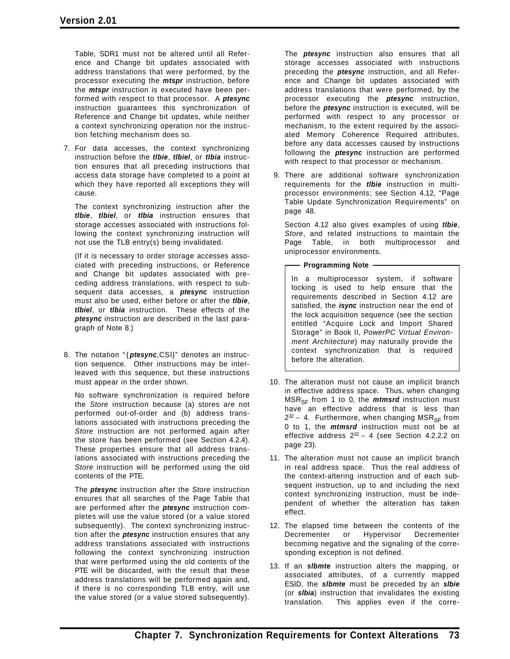Table, SDR1 must not be altered until all Reference and Change bit updates associated with address translations that were performed, by the processor executing the *mtspr* instruction, before the *mtspr* instruction is executed have been performed with respect to that processor. A *ptesync* instruction guarantees this synchronization of Reference and Change bit updates, while neither a context synchronizing operation nor the instruction fetching mechanism does so.

7. For data accesses, the context synchronizing instruction before the *tlbie*, *tlbiel*, or *tlbia* instruction ensures that all preceding instructions that access data storage have completed to a point at which they have reported all exceptions they will cause.

The context synchronizing instruction after the *tlbie*, *tlbiel*, or *tlbia* instruction ensures that storage accesses associated with instructions following the context synchronizing instruction will not use the TLB entry(s) being invalidated.

(If it is necessary to order storage accesses associated with preceding instructions, or Reference and Change bit updates associated with preceding address translations, with respect to subsequent data accesses, a *ptesync* instruction must also be used, either before or after the *tlbie*, *tlbiel*, or *tlbia* instruction. These effects of the *ptesync* instruction are described in the last paragraph of Note 8.)

8. The notation " { *ptesync*,CSI}" denotes an instruction sequence. Other instructions may be interleaved with this sequence, but these instructions must appear in the order shown.

No software synchronization is required before the *Store* instruction because (a) stores are not performed out-of-order and (b) address translations associated with instructions preceding the *Store* instruction are not performed again after the store has been performed (see Section 4.2.4). These properties ensure that all address translations associated with instructions preceding the *Store* instruction will be performed using the old contents of the PTE.

The *ptesync* instruction after the *Store* instruction ensures that all searches of the Page Table that are performed after the *ptesync* instruction completes will use the value stored (or a value stored subsequently). The context synchronizing instruction after the *ptesync* instruction ensures that any address translations associated with instructions following the context synchronizing instruction that were performed using the old contents of the PTE will be discarded, with the result that these address translations will be performed again and, if there is no corresponding TLB entry, will use the value stored (or a value stored subsequently).

The *ptesync* instruction also ensures that all storage accesses associated with instructions preceding the *ptesync* instruction, and all Reference and Change bit updates associated with address translations that were performed, by the processor executing the *ptesync* instruction, before the *ptesync* instruction is executed, will be performed with respect to any processor or mechanism, to the extent required by the associated Memory Coherence Required attributes, before any data accesses caused by instructions following the *ptesync* instruction are performed with respect to that processor or mechanism.

9. There are additional software synchronization requirements for the *tlbie* instruction in multiprocessor environments; see Section 4.12, "Page Table Update Synchronization Requirements" on page 48.

Section 4.12 also gives examples of using *tlbie*, *Store*, and related instructions to maintain the Page Table, in both multiprocessor and uniprocessor environments.

- Programming Note -

In a multiprocessor system, if software locking is used to help ensure that the requirements described in Section 4.12 are satisfied, the *isync* instruction near the end of the lock acquisition sequence (see the section entitled "Acquire Lock and Import Shared Storage" in Book II, *PowerPC Virtual Environment Architecture*) may naturally provide the context synchronization that is required before the alteration.

- 10. The alteration must not cause an implicit branch in effective address space. Thus, when changing  $MSR_{SF}$  from 1 to 0, the *mtmsrd* instruction must have an effective address that is less than  $2^{32}$  – 4. Furthermore, when changing MSR<sub>SF</sub> from 0 to 1, the *mtmsrd* instruction must not be at effective address 232 − 4 (see Section 4.2.2.2 on page 23).
- 11. The alteration must not cause an implicit branch in real address space. Thus the real address of the context-altering instruction and of each subsequent instruction, up to and including the next context synchronizing instruction, must be independent of whether the alteration has taken effect.
- 12. The elapsed time between the contents of the Decrementer or Hypervisor Decrementer becoming negative and the signaling of the corresponding exception is not defined.
- 13. If an *slbmte* instruction alters the mapping, or associated attributes, of a currently mapped ESID, the *slbmte* must be preceded by an *slbie* (or *slbia*) instruction that invalidates the existing translation. This applies even if the corre-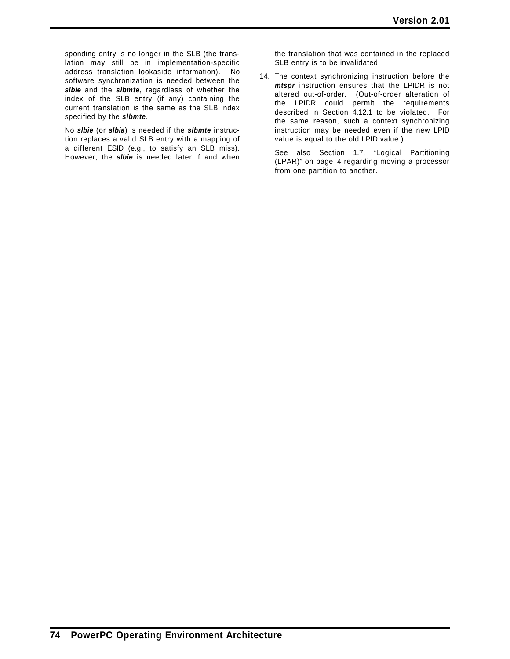sponding entry is no longer in the SLB (the translation may still be in implementation-specific address translation lookaside information). No software synchronization is needed between the *slbie* and the *slbmte*, regardless of whether the index of the SLB entry (if any) containing the current translation is the same as the SLB index specified by the *slbmte*.

No *slbie* (or *slbia*) is needed if the *slbmte* instruction replaces a valid SLB entry with a mapping of a different ESID (e.g., to satisfy an SLB miss). However, the *slbie* is needed later if and when

the translation that was contained in the replaced SLB entry is to be invalidated.

14. The context synchronizing instruction before the *mtspr* instruction ensures that the LPIDR is not altered out-of-order. (Out-of-order alteration of the LPIDR could permit the requirements described in Section 4.12.1 to be violated. For the same reason, such a context synchronizing instruction may be needed even if the new LPID value is equal to the old LPID value.)

See also Section 1.7, "Logical Partitioning (LPAR)" on page 4 regarding moving a processor from one partition to another.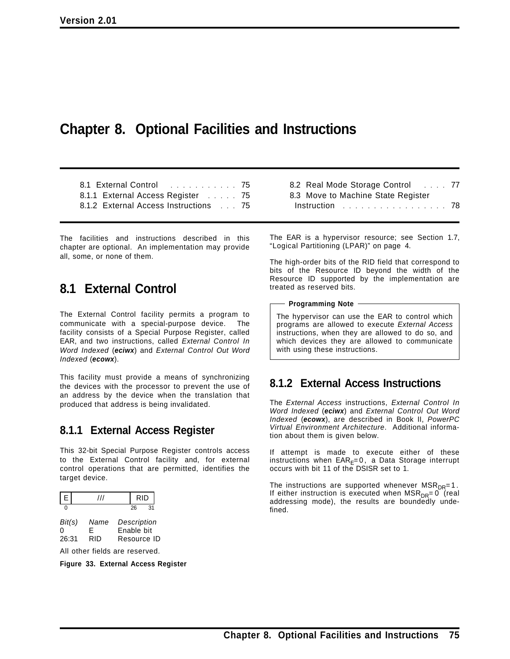# **Chapter 8. Optional Facilities and Instructions**

8.1 External Control ............. 75 8.1.1 External Access Register ..... 75 8.1.2 External Access Instructions ... 75

The facilities and instructions described in this chapter are optional. An implementation may provide all, some, or none of them.

## **8.1 External Control**

The External Control facility permits a program to communicate with a special-purpose device. The facility consists of a Special Purpose Register, called EAR, and two instructions, called *External Control In Word Indexed* (*eciwx*) and *External Control Out Word Indexed* (*ecowx*).

This facility must provide a means of synchronizing the devices with the processor to prevent the use of an address by the device when the translation that produced that address is being invalidated.

### **8.1.1 External Access Register**

This 32-bit Special Purpose Register controls access to the External Control facility and, for external control operations that are permitted, identifies the target device.

|                      | 111                            |            |    | RID                        |
|----------------------|--------------------------------|------------|----|----------------------------|
| U                    |                                |            | 26 | 31                         |
| Bit(s)<br>ი<br>26:31 | Name<br>F<br>RID               | Enable bit |    | Description<br>Resource ID |
|                      | All other fields are reserved. |            |    |                            |

**Figure 33. External Access Register**

| 8.2 Real Mode Storage Control 77                           |  |
|------------------------------------------------------------|--|
| 8.3 Move to Machine State Register                         |  |
| Instruction $\ldots \ldots \ldots \ldots \ldots \ldots$ 78 |  |

The EAR is a hypervisor resource; see Section 1.7, "Logical Partitioning (LPAR)" on page 4.

The high-order bits of the RID field that correspond to bits of the Resource ID beyond the width of the Resource ID supported by the implementation are treated as reserved bits.

**Programming Note**

The hypervisor can use the EAR to control which programs are allowed to execute *External Access* instructions, when they are allowed to do so, and which devices they are allowed to communicate with using these instructions.

## **8.1.2 External Access Instructions**

The *External Access* instructions, *External Control In Word Indexed* (*eciwx*) and *External Control Out Word Indexed* (*ecowx*), are described in Book II, *PowerPC Virtual Environment Architecture*. Additional information about them is given below.

If attempt is made to execute either of these instructions when  $EAR_F=0$ , a Data Storage interrupt occurs with bit 11 of the DSISR set to 1.

The instructions are supported whenever  $MSR_{DR}=1$ . If either instruction is executed when  $MSR_{DR}=0$  (real addressing mode), the results are boundedly undefined.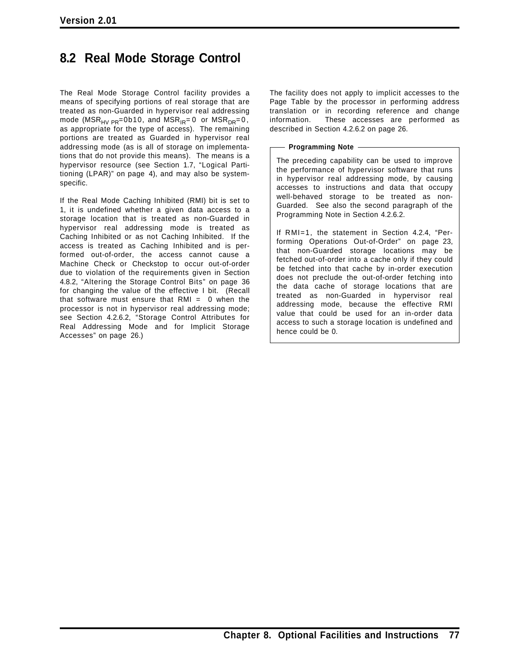# **8.2 Real Mode Storage Control**

The Real Mode Storage Control facility provides a means of specifying portions of real storage that are treated as non-Guarded in hypervisor real addressing mode ( $MSR_{HV\ PR} = 0b10$ , and  $MSR_{IR} = 0$  or  $MSR_{DR} = 0$ , as appropriate for the type of access). The remaining portions are treated as Guarded in hypervisor real addressing mode (as is all of storage on implementations that do not provide this means). The means is a hypervisor resource (see Section 1.7, "Logical Partitioning (LPAR)" on page 4), and may also be systemspecific.

If the Real Mode Caching Inhibited (RMI) bit is set to 1, it is undefined whether a given data access to a storage location that is treated as non-Guarded in hypervisor real addressing mode is treated as Caching Inhibited or as not Caching Inhibited. If the access is treated as Caching Inhibited and is performed out-of-order, the access cannot cause a Machine Check or Checkstop to occur out-of-order due to violation of the requirements given in Section 4.8.2, "Altering the Storage Control Bits" on page 36 for changing the value of the effective I bit. (Recall that software must ensure that  $RMI = 0$  when the processor is not in hypervisor real addressing mode; see Section 4.2.6.2, "Storage Control Attributes for Real Addressing Mode and for Implicit Storage Accesses" on page 26.)

The facility does not apply to implicit accesses to the Page Table by the processor in performing address translation or in recording reference and change information. These accesses are performed as described in Section 4.2.6.2 on page 26.

**Programming Note**

The preceding capability can be used to improve the performance of hypervisor software that runs in hypervisor real addressing mode, by causing accesses to instructions and data that occupy well-behaved storage to be treated as non-Guarded. See also the second paragraph of the Programming Note in Section 4.2.6.2.

If RMI=1, the statement in Section 4.2.4, "Performing Operations Out-of-Order" on page 23, that non-Guarded storage locations may be fetched out-of-order into a cache only if they could be fetched into that cache by in-order execution does not preclude the out-of-order fetching into the data cache of storage locations that are treated as non-Guarded in hypervisor real addressing mode, because the effective RMI value that could be used for an in-order data access to such a storage location is undefined and hence could be 0.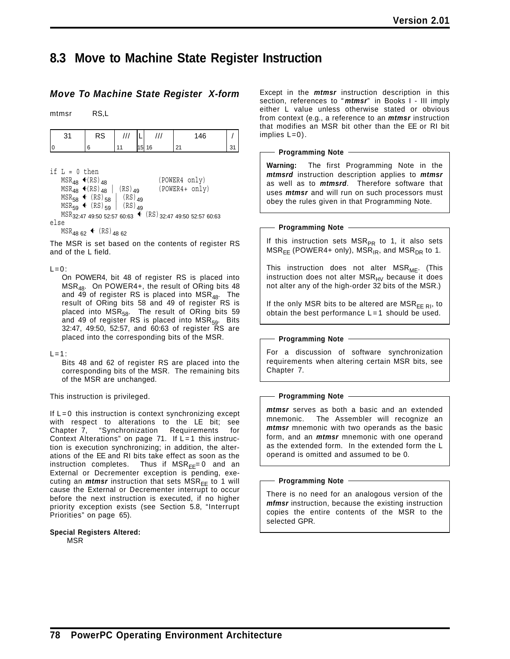## **8.3 Move to Machine State Register Instruction**

### *Move To Machine State Register X-form*

mtmsr RS,L

| ົ<br>ັບ | RS | $\cdot$ | -       | ,, | 46 |               |
|---------|----|---------|---------|----|----|---------------|
|         |    |         | 15<br>. | 16 | n. | $\sim$<br>ັບເ |

if  $L = 0$  then

|       | $MSR_{AB}$ +(RS) <sub>AR</sub>                                            |             | (POWER4 only)  |  |
|-------|---------------------------------------------------------------------------|-------------|----------------|--|
|       | $MSR_{48}$ (RS) $_{48}$                                                   | $(RS)_{49}$ | (POWER4+ only) |  |
|       | $MSR_{58}$ + $(RS)_{58}$                                                  | $(RS)_{49}$ |                |  |
|       | $MSR_{59}$ + $(RS)_{59}$                                                  | $(RS)_{49}$ |                |  |
|       | $MSR_{32:47}$ 49:50 52:57 60:63 $\leftarrow$ (RS) 32:47 49:50 52:57 60:63 |             |                |  |
| مع [د |                                                                           |             |                |  |

else

 $MSR_{4862}$  (RS)<sub>4862</sub>

The MSR is set based on the contents of register RS and of the L field.

#### $L=0$ :

On POWER4, bit 48 of register RS is placed into MSR<sub>48</sub>. On POWER4+, the result of ORing bits 48 and  $\overline{49}$  of register RS is placed into MSR<sub>48</sub>. The result of ORing bits 58 and 49 of register RS is placed into  $\mathsf{MSR}_{58}$ . The result of ORing bits 59 and 49 of register RS is placed into MSR<sub>59</sub>. Bits 32:47, 49:50, 52:57, and 60:63 of register RS are placed into the corresponding bits of the MSR.

#### $L=1$ :

Bits 48 and 62 of register RS are placed into the corresponding bits of the MSR. The remaining bits of the MSR are unchanged.

This instruction is privileged.

If  $L = 0$  this instruction is context synchronizing except with respect to alterations to the LE bit; see Chapter 7, "Synchronization Requirements for Context Alterations" on page  $71$ . If  $L=1$  this instruction is execution synchronizing; in addition, the alterations of the EE and RI bits take effect as soon as the instruction completes. Thus if  $MSR_{EE} = 0$  and an External or Decrementer exception is pending, executing an  $m$ tmsr instruction that sets  $MSR<sub>EE</sub>$  to 1 will cause the External or Decrementer interrupt to occur before the next instruction is executed, if no higher priority exception exists (see Section 5.8, "Interrupt Priorities" on page 65).

**Special Registers Altered:** MSR

Except in the *mtmsr* instruction description in this section, references to " *mtmsr*" in Books I - III imply either L value unless otherwise stated or obvious from context (e.g., a reference to an *mtmsr* instruction that modifies an MSR bit other than the EE or RI bit implies L=0).

#### **Programming Note**

**Warning:** The first Programming Note in the *mtmsrd* instruction description applies to *mtmsr* as well as to *mtmsrd*. Therefore software that uses *mtmsr* and will run on such processors must obey the rules given in that Programming Note.

**Programming Note**

If this instruction sets  $MSR_{PR}$  to 1, it also sets  $MSR<sub>EE</sub>$  (POWER4+ only), MSR<sub>IR</sub>, and MSR<sub>DR</sub> to 1.

This instruction does not alter  $MSR_{ME}$ . (This instruction does not alter  $MSR_{HV}$  because it does not alter any of the high-order 32 bits of the MSR.)

If the only MSR bits to be altered are MSR<sub>EE RI</sub>, to obtain the best performance  $L=1$  should be used.

**Programming Note**

For a discussion of software synchronization requirements when altering certain MSR bits, see Chapter 7.

#### **Programming Note**

*mtmsr* serves as both a basic and an extended mnemonic. The Assembler will recognize an *mtmsr* mnemonic with two operands as the basic form, and an *mtmsr* mnemonic with one operand as the extended form. In the extended form the L operand is omitted and assumed to be 0.

#### **Programming Note**

There is no need for an analogous version of the *mfmsr* instruction, because the existing instruction copies the entire contents of the MSR to the selected GPR.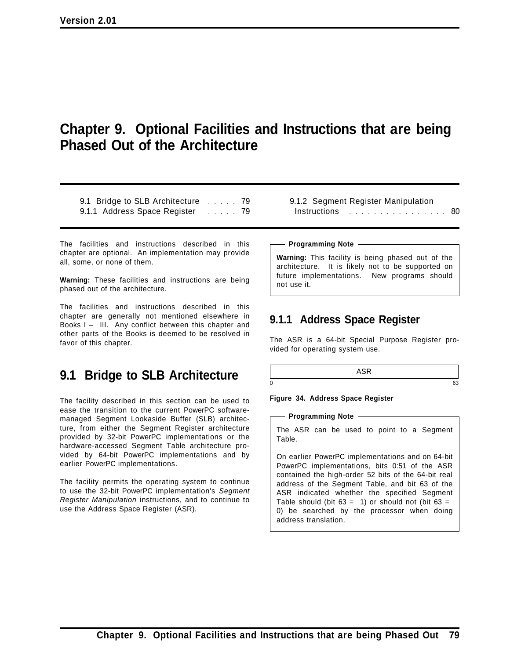# **Chapter 9. Optional Facilities and Instructions that are being Phased Out of the Architecture**

9.1 Bridge to SLB Architecture ...... 79 9.1.1 Address Space Register ...... 79

The facilities and instructions described in this chapter are optional. An implementation may provide all, some, or none of them.

**Warning:** These facilities and instructions are being phased out of the architecture.

The facilities and instructions described in this chapter are generally not mentioned elsewhere in Books I − III. Any conflict between this chapter and other parts of the Books is deemed to be resolved in favor of this chapter.

# **9.1 Bridge to SLB Architecture**

The facility described in this section can be used to ease the transition to the current PowerPC softwaremanaged Segment Lookaside Buffer (SLB) architecture, from either the Segment Register architecture provided by 32-bit PowerPC implementations or the hardware-accessed Segment Table architecture provided by 64-bit PowerPC implementations and by earlier PowerPC implementations.

The facility permits the operating system to continue to use the 32-bit PowerPC implementation's *Segment Register Manipulation* instructions, and to continue to use the Address Space Register (ASR).

9.1.2 Segment Register Manipulation Instructions ..................... 80

**Programming Note**

**Warning:** This facility is being phased out of the architecture. It is likely not to be supported on future implementations. New programs should not use it.

## **9.1.1 Address Space Register**

The ASR is a 64-bit Special Purpose Register provided for operating system use.

ASR  $0 \hspace{2.5cm} 63$ 

**Figure 34. Address Space Register**

**Programming Note**

The ASR can be used to point to a Segment Table.

On earlier PowerPC implementations and on 64-bit PowerPC implementations, bits 0:51 of the ASR contained the high-order 52 bits of the 64-bit real address of the Segment Table, and bit 63 of the ASR indicated whether the specified Segment Table should (bit  $63 = 1$ ) or should not (bit  $63 = 1$ 0) be searched by the processor when doing address translation.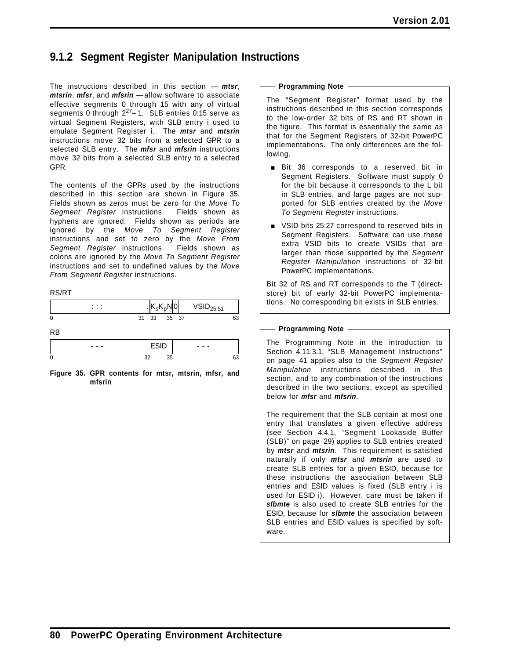## **9.1.2 Segment Register Manipulation Instructions**

The instructions described in this section — *mtsr*, *mtsrin*, *mfsr*, and *mfsrin* —allow software to associate effective segments 0 through 15 with any of virtual segments 0 through  $2^{27}$ −1. SLB entries 0:15 serve as virtual Segment Registers, with SLB entry i used to emulate Segment Register i. The *mtsr* and *mtsrin* instructions move 32 bits from a selected GPR to a selected SLB entry. The *mfsr* and *mfsrin* instructions move 32 bits from a selected SLB entry to a selected GPR.

The contents of the GPRs used by the instructions described in this section are shown in Figure 35. Fields shown as zeros must be zero for the *Move To Segment Register* instructions. Fields shown as hyphens are ignored. Fields shown as periods are ignored by the *Move To Segment Register* instructions and set to zero by the *Move From Segment Register* instructions. Fields shown as colons are ignored by the *Move To Segment Register* instructions and set to undefined values by the *Move From Segment Register* instructions.

#### RS/RT

| .<br>$\cdots$ |    | u  | υ  | 0    | 5.51 |    |
|---------------|----|----|----|------|------|----|
| 0             | 31 | 33 | 35 | - 37 |      | 63 |

RB

| $\cdots$ | $\cdots$ |
|----------|----------|
|          | .,<br>C. |

**Figure 35. GPR contents for mtsr, mtsrin, mfsr, and mfsrin**

#### **Programming Note**

The "Segment Register" format used by the instructions described in this section corresponds to the low-order 32 bits of RS and RT shown in the figure. This format is essentially the same as that for the Segment Registers of 32-bit PowerPC implementations. The only differences are the following.

- **Bit 36 corresponds to a reserved bit in** Segment Registers. Software must supply 0 for the bit because it corresponds to the L bit in SLB entries, and large pages are not supported for SLB entries created by the *Move To Segment Register* instructions.
- **VSID bits 25:27 correspond to reserved bits in** Segment Registers. Software can use these extra VSID bits to create VSIDs that are larger than those supported by the *Segment Register Manipulation* instructions of 32-bit PowerPC implementations.

Bit 32 of RS and RT corresponds to the T (directstore) bit of early 32-bit PowerPC implementations. No corresponding bit exists in SLB entries.

#### **Programming Note**

The Programming Note in the introduction to Section 4.11.3.1, "SLB Management Instructions" on page 41 applies also to the *Segment Register Manipulation* instructions described in this section, and to any combination of the instructions described in the two sections, except as specified below for *mfsr* and *mfsrin*.

The requirement that the SLB contain at most one entry that translates a given effective address (see Section 4.4.1, "Segment Lookaside Buffer (SLB)" on page 29) applies to SLB entries created by *mtsr* and *mtsrin*. This requirement is satisfied naturally if only *mtsr* and *mtsrin* are used to create SLB entries for a given ESID, because for these instructions the association between SLB entries and ESID values is fixed (SLB entry i is used for ESID i). However, care must be taken if *slbmte* is also used to create SLB entries for the ESID, because for *slbmte* the association between SLB entries and ESID values is specified by software.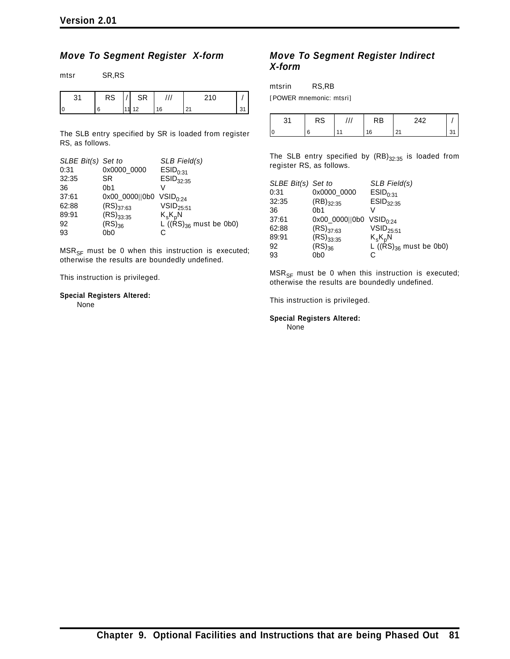mtsr SR,RS

### *Move To Segment Register X-form*

| 31 | <b>RS</b> | SR    |    | 210 |    |
|----|-----------|-------|----|-----|----|
| I0 |           | 11 12 | 16 |     | 31 |

The SLB entry specified by SR is loaded from register RS, as follows.

| SLBE Bit(s) Set to |                                     | SLB Field(s)                 |
|--------------------|-------------------------------------|------------------------------|
| 0:31               | 0x0000 0000                         | ESID <sub>0:31</sub>         |
| 32:35              | <b>SR</b>                           | $ESID_{32:35}$               |
| 36                 | 0 <sub>b1</sub>                     | V                            |
| 37:61              | 0x00_0000  0b0 VSID <sub>0:24</sub> |                              |
| 62:88              | $(RS)_{37:63}$                      | $VSID_{25:51}$               |
| 89:91              | $(RS)_{33:35}$                      | $K_sK_pN$                    |
| 92                 | $(RS)_{36}$                         | L ( $(RS)_{36}$ must be 0b0) |
| 93                 | 0b0                                 |                              |

 $MSR_{SF}$  must be 0 when this instruction is executed; otherwise the results are boundedly undefined.

This instruction is privileged.

### **Special Registers Altered:**

None

### *Move To Segment Register Indirect X-form*

mtsrin RS,RB

[POWER mnemonic: mtsri]

| ົ | RS | RB | ດ ໄດ<br>- --  |  |
|---|----|----|---------------|--|
|   |    | 16 | $\sim$<br>2 I |  |

The SLB entry specified by  $(RB)_{32:35}$  is loaded from register RS, as follows.

| SLBE Bit(s) Set to |                                     | SLB Field(s)                 |
|--------------------|-------------------------------------|------------------------------|
| 0:31               | 0x0000_0000                         | ESID <sub>0:31</sub>         |
| 32:35              | $(RB)_{32:35}$                      | $ESID_{32:35}$               |
| 36                 | 0 <sub>b1</sub>                     |                              |
| 37:61              | 0x00_0000  0b0 VSID <sub>0:24</sub> |                              |
| 62:88              | $(RS)_{37:63}$                      | $VSID_{25:51}$               |
| 89:91              | $(RS)_{33:35}$                      | $K_sK_pN$                    |
| 92                 | $(RS)_{36}$                         | L ( $(RS)_{36}$ must be 0b0) |
| 93                 | 0dC                                 | C                            |

 $MSR_{SF}$  must be 0 when this instruction is executed; otherwise the results are boundedly undefined.

This instruction is privileged.

**Special Registers Altered:** None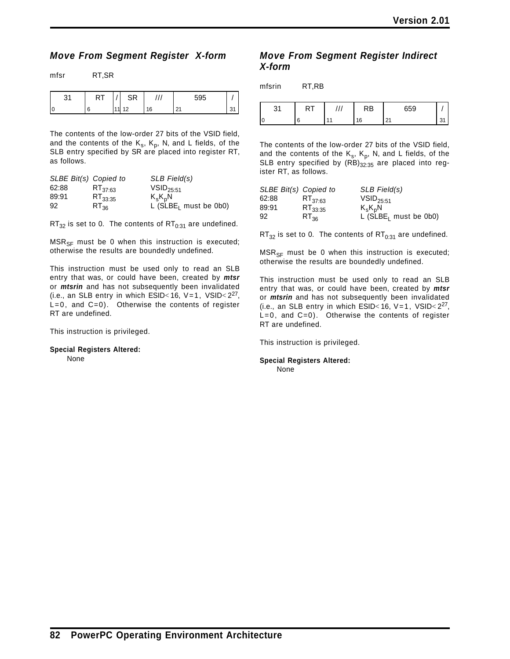### *Move From Segment Register X-form*

| ים<br>1 V 1 | ົ<br>۱۱ ب      |    | 595    |  |
|-------------|----------------|----|--------|--|
|             | $\overline{A}$ | 16 | ◠<br>∼ |  |

The contents of the low-order 27 bits of the VSID field, and the contents of the  $K_s$ ,  $K_p$ , N, and L fields, of the SLB entry specified by SR are placed into register RT, as follows.

| SLBE Bit(s) Copied to |              | SLB Field(s)                        |
|-----------------------|--------------|-------------------------------------|
| 62:88                 | $RT_{37:63}$ | $VSID_{25:51}$                      |
| 89:91                 | $RT_{33:35}$ | $K_sK_pN$                           |
| 92                    | $RT_{36}$    | $L$ (SLBE <sub>1</sub> must be 0b0) |

 $RT_{32}$  is set to 0. The contents of  $RT_{0:31}$  are undefined.

 $MSR_{SF}$  must be 0 when this instruction is executed; otherwise the results are boundedly undefined.

This instruction must be used only to read an SLB entry that was, or could have been, created by *mtsr* or *mtsrin* and has not subsequently been invalidated (i.e., an SLB entry in which ESID<16,  $V=1$ ,  $V\sin 2^{27}$ ,  $L=0$ , and  $C=0$ ). Otherwise the contents of register RT are undefined.

This instruction is privileged.

```
Special Registers Altered:
None
```
### *Move From Segment Register Indirect X-form*

mfsrin RT,RB

| ົ<br>ັບເ | . |                | חנ<br>ĸo | 659         |  |
|----------|---|----------------|----------|-------------|--|
| l o      | c | $\overline{A}$ | 16       | $\sim$<br>້ |  |

The contents of the low-order 27 bits of the VSID field, and the contents of the  $K_s$ ,  $K_p$ , N, and L fields, of the SLB entry specified by  $(RB)_{32:35}$  are placed into register RT, as follows.

| SLBE Bit(s) Copied to |              | SLB Field(s)                                   |
|-----------------------|--------------|------------------------------------------------|
| 62:88                 | $RT_{37.63}$ | $VSID_{25:51}$                                 |
| 89:91                 | $RT_{33:35}$ |                                                |
| 92                    | $RT_{26}$    | $K_sK_pN$<br>L (SLBE <sub>I</sub> must be 0b0) |

 $RT_{32}$  is set to 0. The contents of  $RT_{0:31}$  are undefined.

 $MSR_{SF}$  must be 0 when this instruction is executed; otherwise the results are boundedly undefined.

This instruction must be used only to read an SLB entry that was, or could have been, created by *mtsr* or *mtsrin* and has not subsequently been invalidated (i.e., an SLB entry in which ESID<16,  $V=1$ ,  $V\sin 2^{27}$ , L=0, and C=0). Otherwise the contents of register RT are undefined.

This instruction is privileged.

**Special Registers Altered:** None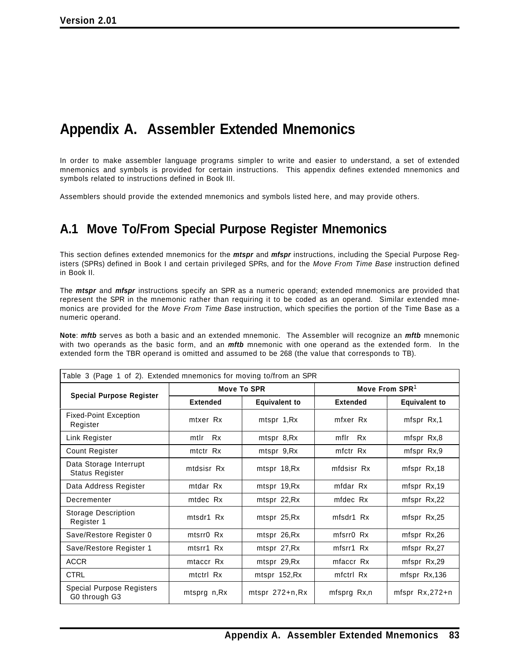# **Appendix A. Assembler Extended Mnemonics**

In order to make assembler language programs simpler to write and easier to understand, a set of extended mnemonics and symbols is provided for certain instructions. This appendix defines extended mnemonics and symbols related to instructions defined in Book III.

Assemblers should provide the extended mnemonics and symbols listed here, and may provide others.

# **A.1 Move To/From Special Purpose Register Mnemonics**

This section defines extended mnemonics for the *mtspr* and *mfspr* instructions, including the Special Purpose Registers (SPRs) defined in Book I and certain privileged SPRs, and for the *Move From Time Base* instruction defined in Book II.

The *mtspr* and *mfspr* instructions specify an SPR as a numeric operand; extended mnemonics are provided that represent the SPR in the mnemonic rather than requiring it to be coded as an operand. Similar extended mnemonics are provided for the *Move From Time Base* instruction, which specifies the portion of the Time Base as a numeric operand.

**Note**: *mftb* serves as both a basic and an extended mnemonic. The Assembler will recognize an *mftb* mnemonic with two operands as the basic form, and an *mftb* mnemonic with one operand as the extended form. In the extended form the TBR operand is omitted and assumed to be 268 (the value that corresponds to TB).

| Table 3 (Page 1 of 2). Extended mnemonics for moving to/from an SPR |                   | Move To SPR          | Move From $SPR1$  |                      |
|---------------------------------------------------------------------|-------------------|----------------------|-------------------|----------------------|
| <b>Special Purpose Register</b>                                     | <b>Extended</b>   | <b>Equivalent to</b> | <b>Extended</b>   | <b>Equivalent to</b> |
| <b>Fixed-Point Exception</b><br>Register                            | mtxer Rx          | mtspr 1, Rx          | mfxer Rx          | mfspr Rx,1           |
| Link Register                                                       | <b>Rx</b><br>mtlr | mtspr 8,Rx           | mflr<br><b>Rx</b> | mfspr Rx,8           |
| Count Register                                                      | mtctr Rx          | mtspr 9,Rx           | mfctr Rx          | mfspr Rx,9           |
| Data Storage Interrupt<br><b>Status Register</b>                    | mtdsisr Rx        | mtspr 18, Rx         | mfdsisr Rx        | mfspr Rx,18          |
| Data Address Register                                               | mtdar Rx          | mtspr 19, Rx         | mfdar Rx          | mfspr Rx,19          |
| Decrementer                                                         | mtdec Rx          | mtspr 22, Rx         | mfdec Rx          | mfspr Rx,22          |
| <b>Storage Description</b><br>Register 1                            | mtsdr1 Rx         | mtspr 25, Rx         | mfsdr1 Rx         | mfspr Rx,25          |
| Save/Restore Register 0                                             | mtsrr0 Rx         | mtspr 26, Rx         | mfsrr0 Rx         | mfspr Rx,26          |
| Save/Restore Register 1                                             | mtsrr1 Rx         | mtspr 27, Rx         | mfsrr1 Rx         | mfspr Rx,27          |
| <b>ACCR</b>                                                         | mtaccr Rx         | mtspr 29, Rx         | mfaccr Rx         | mfspr Rx,29          |
| <b>CTRL</b>                                                         | mtctrl Rx         | mtspr 152, Rx        | mfctrl Rx         | mfspr Rx,136         |
| Special Purpose Registers<br>G0 through G3                          | mtsprg n, Rx      | $mtspr 272+n.Rx$     | mfsprg Rx,n       | mfspr Rx,272+n       |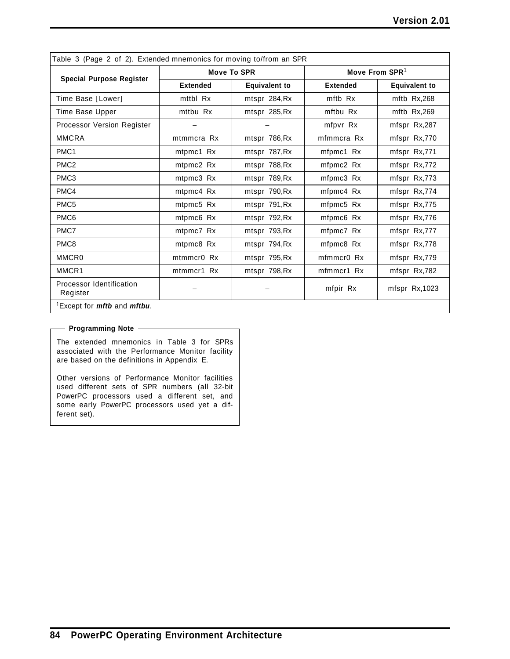| Table 3 (Page 2 of 2). Extended mnemonics for moving to/from an SPR |                 |                      |                        |                      |  |
|---------------------------------------------------------------------|-----------------|----------------------|------------------------|----------------------|--|
|                                                                     |                 | <b>Move To SPR</b>   | Move From $SPR1$       |                      |  |
| <b>Special Purpose Register</b>                                     | <b>Extended</b> | <b>Equivalent to</b> | <b>Extended</b>        | <b>Equivalent to</b> |  |
| Time Base [Lower]                                                   | mttbl Rx        | mtspr 284, Rx        | mftb Rx                | mftb $Rx,268$        |  |
| Time Base Upper                                                     | mttbu Rx        | mtspr 285, Rx        | mftbu Rx               | mftb Rx,269          |  |
| <b>Processor Version Register</b>                                   |                 |                      | mfpvr Rx               | mfspr Rx,287         |  |
| <b>MMCRA</b>                                                        | mtmmcra Rx      | mtspr 786, Rx        | mfmmcra Rx             | mfspr Rx,770         |  |
| PMC <sub>1</sub>                                                    | mtpmc1 Rx       | mtspr 787, Rx        | mfpmc1 Rx              | mfspr Rx,771         |  |
| PMC <sub>2</sub>                                                    | mtpmc2 Rx       | mtspr 788, Rx        | mfpmc2 Rx              | mfspr Rx,772         |  |
| PMC3                                                                | mtpmc3 Rx       | mtspr 789, Rx        | mfpmc3 Rx              | mfspr Rx,773         |  |
| PMC4                                                                | mtpmc4 Rx       | mtspr 790, Rx        | mfpmc4 Rx              | mfspr Rx,774         |  |
| PMC <sub>5</sub>                                                    | mtpmc5 Rx       | mtspr 791, Rx        | mfpmc5 Rx              | mfspr Rx,775         |  |
| PMC <sub>6</sub>                                                    | mtpmc6 Rx       | mtspr 792, Rx        | mfpmc6 Rx              | mfspr Rx,776         |  |
| PMC7                                                                | mtpmc7 Rx       | mtspr 793, Rx        | mfpmc7 Rx              | mfspr Rx,777         |  |
| PMC8                                                                | mtpmc8 Rx       | mtspr 794, Rx        | mfpmc8 Rx              | mfspr Rx,778         |  |
| MMCR <sub>0</sub>                                                   | mtmmcr0 Rx      | mtspr 795, Rx        | mfmmcr <sub>0</sub> Rx | mfspr Rx,779         |  |
| MMCR1                                                               | mtmmcr1 Rx      | mtspr 798, Rx        | mfmmcr1 Rx             | mfspr Rx,782         |  |
| Processor Identification<br>Register                                |                 |                      | mfpir Rx               | mfspr Rx, 1023       |  |
| <sup>1</sup> Except for <i>mftb</i> and <i>mftbu</i> .              |                 |                      |                        |                      |  |

#### **Programming Note**

The extended mnemonics in Table 3 for SPRs associated with the Performance Monitor facility are based on the definitions in Appendix E.

Other versions of Performance Monitor facilities used different sets of SPR numbers (all 32-bit PowerPC processors used a different set, and some early PowerPC processors used yet a different set).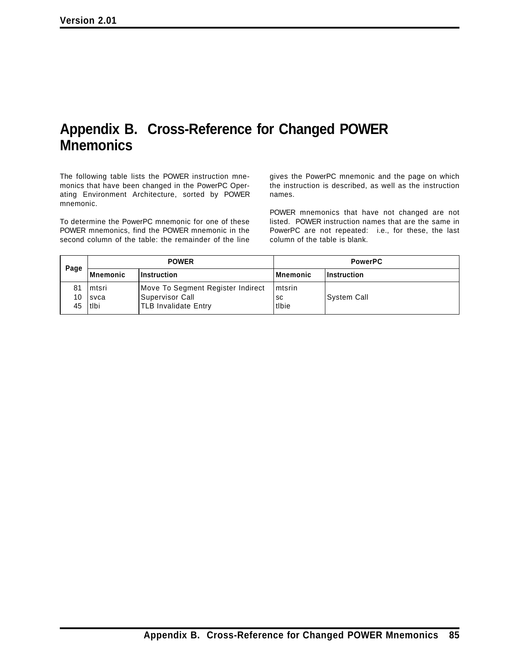# **Appendix B. Cross-Reference for Changed POWER Mnemonics**

The following table lists the POWER instruction mnemonics that have been changed in the PowerPC Operating Environment Architecture, sorted by POWER mnemonic.

To determine the PowerPC mnemonic for one of these POWER mnemonics, find the POWER mnemonic in the second column of the table: the remainder of the line

gives the PowerPC mnemonic and the page on which the instruction is described, as well as the instruction names.

POWER mnemonics that have not changed are not listed. POWER instruction names that are the same in PowerPC are not repeated: i.e., for these, the last column of the table is blank.

| Page           | <b>POWER</b>                      |                                                                               | <b>PowerPC</b>          |               |
|----------------|-----------------------------------|-------------------------------------------------------------------------------|-------------------------|---------------|
|                | Mnemonic                          | ∣Instruction                                                                  | l Mnemonic              | Instruction   |
| 81<br>10<br>45 | l mtsri<br><b>Isvca</b><br>l tibi | Move To Segment Register Indirect<br> Supervisor Call<br>TLB Invalidate Entry | Imtsrin<br>sc<br>ltIbie | l Svstem Call |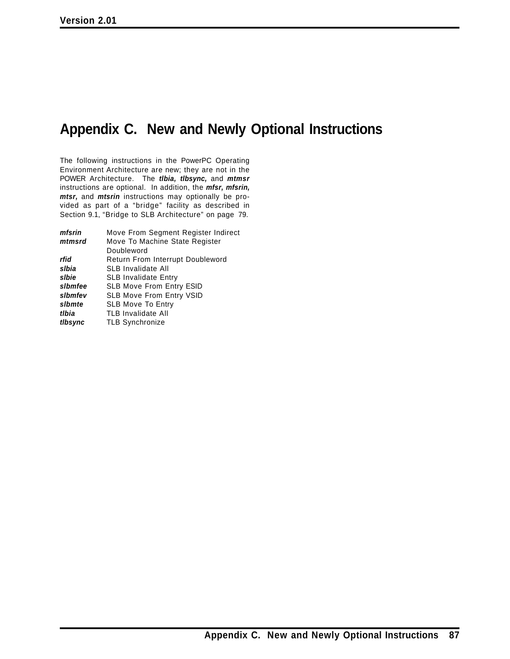# **Appendix C. New and Newly Optional Instructions**

The following instructions in the PowerPC Operating Environment Architecture are new; they are not in the POWER Architecture. The *tlbia, tlbsync,* and *mtmsr* instructions are optional. In addition, the *mfsr, mfsrin, mtsr,* and *mtsrin* instructions may optionally be provided as part of a "bridge" facility as described in Section 9.1, "Bridge to SLB Architecture" on page 79.

| mfsrin  | Move From Segment Register Indirect     |
|---------|-----------------------------------------|
| mtmsrd  | Move To Machine State Register          |
|         | Doubleword                              |
| rfid    | <b>Return From Interrupt Doubleword</b> |
| slbia   | <b>SLB Invalidate All</b>               |
| slbie   | <b>SLB Invalidate Entry</b>             |
| slbmfee | SLB Move From Entry ESID                |
| slbmfev | <b>SLB Move From Entry VSID</b>         |
| slbmte  | <b>SLB Move To Entry</b>                |
| tlbia   | <b>TLB Invalidate All</b>               |
| tibsync | <b>TLB Synchronize</b>                  |
|         |                                         |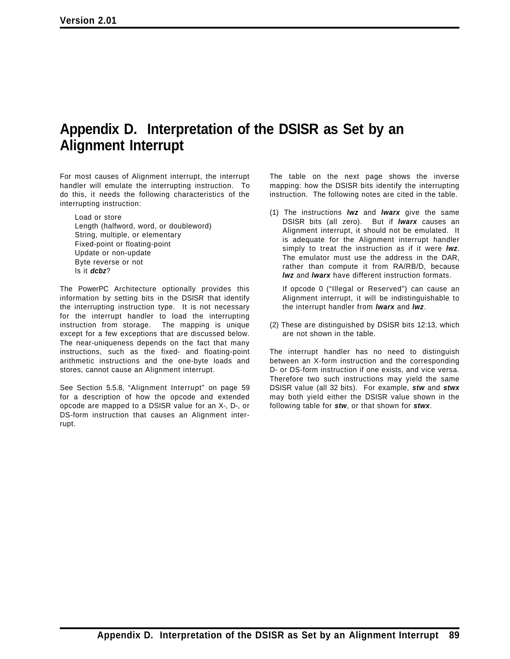# **Appendix D. Interpretation of the DSISR as Set by an Alignment Interrupt**

For most causes of Alignment interrupt, the interrupt handler will emulate the interrupting instruction. To do this, it needs the following characteristics of the interrupting instruction:

Load or store Length (halfword, word, or doubleword) String, multiple, or elementary Fixed-point or floating-point Update or non-update Byte reverse or not Is it *dcbz*?

The PowerPC Architecture optionally provides this information by setting bits in the DSISR that identify the interrupting instruction type. It is not necessary for the interrupt handler to load the interrupting instruction from storage. The mapping is unique except for a few exceptions that are discussed below. The near-uniqueness depends on the fact that many instructions, such as the fixed- and floating-point arithmetic instructions and the one-byte loads and stores, cannot cause an Alignment interrupt.

See Section 5.5.8, "Alignment Interrupt" on page 59 for a description of how the opcode and extended opcode are mapped to a DSISR value for an X-, D-, or DS-form instruction that causes an Alignment interrupt.

The table on the next page shows the inverse mapping: how the DSISR bits identify the interrupting instruction. The following notes are cited in the table.

(1) The instructions *lwz* and *lwarx* give the same DSISR bits (all zero). But if *lwarx* causes an Alignment interrupt, it should not be emulated. It is adequate for the Alignment interrupt handler simply to treat the instruction as if it were *lwz*. The emulator must use the address in the DAR, rather than compute it from RA/RB/D, because *lwz* and *lwarx* have different instruction formats.

If opcode 0 ("Illegal or Reserved") can cause an Alignment interrupt, it will be indistinguishable to the interrupt handler from *lwarx* and *lwz*.

(2) These are distinguished by DSISR bits 12:13, which are not shown in the table.

The interrupt handler has no need to distinguish between an X-form instruction and the corresponding D- or DS-form instruction if one exists, and vice versa. Therefore two such instructions may yield the same DSISR value (all 32 bits). For example, *stw* and *stwx* may both yield either the DSISR value shown in the following table for *stw*, or that shown for *stwx*.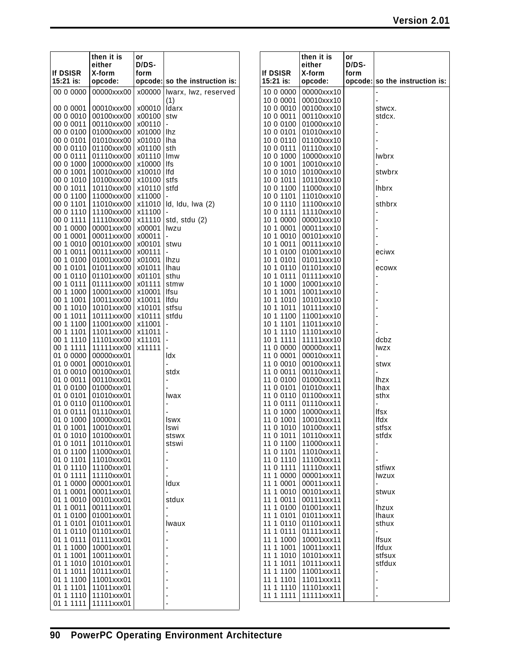**opcode: so the instruction is:**

|                        | then it is                         | or               |                                |                              | then it is                                     | or                              |                |
|------------------------|------------------------------------|------------------|--------------------------------|------------------------------|------------------------------------------------|---------------------------------|----------------|
| If DSISR<br>15:21 is:  | either<br>X-form<br>opcode:        | D/DS-<br>form    | opcode: so the instruction is: | <b>If DSISR</b><br>15:21 is: | either<br>X-form<br>opcode:                    | D/DS-<br>form<br>opcode: so the |                |
|                        |                                    |                  |                                |                              |                                                |                                 |                |
| 00 0 0000              | 00000xxx00                         | x00000           | Iwarx, Iwz, reserved           | 10 0 0000                    | 00000xxx10<br>00010xxx10                       |                                 |                |
| 00 0 0001              | 00010xxx00                         | x00010           | (1)<br>Idarx                   | 10 0 0001<br>10 0 0010       | 00100xxx10                                     |                                 | stwcx.         |
| 00 0 0010              | 00100xxx00                         | x00100           | stw                            | 10 0 0011                    | 00110xxx10                                     |                                 | stdcx.         |
| 00 0 0011              | 00110xxx00                         | x00110           |                                | 10 0 0 1 0 0                 | 01000xxx10                                     |                                 |                |
| 00 0 0100              | 01000xxx00                         | x01000           | lhz                            | 10 0 0101                    | 01010xxx10                                     |                                 |                |
| 00 0 0101              | 01010xxx00                         | x01010 lha       |                                | 10 0 0110                    | 01100xxx10                                     |                                 |                |
| 00 0 0110              | 01100xxx00                         | x01100           | sth                            | 10 0 0111                    | 01110xxx10                                     |                                 |                |
| 00 0 0111              | 01110xxx00                         | x01110           | Imw                            | 10 0 1000                    | 10000xxx10                                     |                                 | lwbrx          |
| 00 0 1000              | 10000xxx00                         | x10000           | lfs                            | 10 0 1001                    | 10010xxx10                                     |                                 |                |
| 00 0 1001              | 10010xxx00                         | x10010           | Ifd                            | 10 0 1010                    | 10100xxx10                                     |                                 | stwbrx         |
| 00 0 1010              | 10100xxx00                         | x10100           | stfs                           | 10 0 1011                    | 10110xxx10                                     |                                 |                |
| 00 0 1011              | 10110xxx00                         | x10110           | stfd                           | 10 0 1100                    | 11000xxx10                                     |                                 | <b>Ihbrx</b>   |
| 00 0 1100<br>00 0 1101 | 11000xxx00<br>  11010xxx00         | x11000           | x11010   Id, Idu, Iwa (2)      | 10 0 1101<br>10 0 1110       | 11010xxx10<br>11100xxx10                       |                                 | sthbrx         |
| 00 0 1110              | 11100xxx00                         | x11100           |                                | 10 0 1111                    | 11110xxx10                                     |                                 |                |
| 00 0 1111              | 11110xxx00                         | x11110           | std, stdu (2)                  | 10 1 0000                    | 00001xxx10                                     |                                 |                |
| 00 1 0000              | 00001xxx00                         | x00001           | lwzu                           | 10 1 0001                    | 00011xxx10                                     |                                 |                |
| 00 1 0001              | 00011xxx00                         | x00011           |                                | 10 1 0010                    | 00101xxx10                                     |                                 |                |
| 00 1 0010              | 00101xxx00                         | x00101           | stwu                           | 10 1 0011                    | 00111xxx10                                     |                                 |                |
| 00 1 0011              | 00111xxx00                         | x00111           | $\blacksquare$                 | 10 1 0100                    | 01001xxx10                                     |                                 | eciwx          |
| 00 1 0100              | 01001xxx00                         | x01001           | lhzu                           | 10 1 0101                    | 01011xxx10                                     |                                 |                |
| 00 1 0101              | 01011xxx00                         | x01011           | lhau                           | 10 1 0110                    | 01101xxx10                                     |                                 | ecowx          |
| 00 1 0110<br>00 1 0111 | 01101xxx00<br>01111xxx00           | x01101<br>x01111 | sthu<br>stmw                   | 10 1 0111<br>10 1 1000       | 01111xxx10<br>10001xxx10                       |                                 |                |
| 00 1 1000              | 10001xxx00                         | x10001           | lfsu                           | 10 1 1001                    | 10011xxx10                                     |                                 |                |
| 00 1 1001              | 10011xxx00                         | x10011           | Ifdu                           | 10 1 1010                    | 10101xxx10                                     |                                 |                |
| 00 1 1010              | 10101xxx00                         | x10101           | stfsu                          | 10 1 1011                    | 10111xxx10                                     |                                 |                |
| 00 1 1011              | 10111xxx00                         | x10111           | stfdu                          | 10 1 1100                    | 11001xxx10                                     |                                 |                |
| 00 1 1100              | 11001xxx00                         | x11001           |                                | 10 1 1101                    | 11011xxx10                                     |                                 |                |
| 00 1 1101              | 11011xxx00                         | x11011           |                                | 10 1 1110                    | 11101xxx10                                     |                                 |                |
| 00 1 1110              | 11101xxx00                         | x11101           |                                | 10 1 1111                    | 11111xxx10                                     |                                 | dcbz           |
| 00 1 1111<br>01 0 0000 | 11111xxx00                         | x11111           |                                | 11 0 0000<br>11 0 0001       | 00000xxx11<br>00010xxx11                       |                                 | <b>Iwzx</b>    |
| 01 0 0001              | 00000xxx01<br>00010xxx01           |                  | ldx                            | 11 0 0010                    | 00100xxx11                                     |                                 | stwx           |
| 01 0 0010              | 00100xxx01                         |                  | stdx                           | 11 0 0011                    | 00110xxx11                                     |                                 |                |
| 01 0 0011              | 00110xxx01                         |                  |                                | 11 0 0100                    | 01000xxx11                                     |                                 | <b>lhzx</b>    |
| 01 0 0100              | 01000xxx01                         |                  |                                | 11 0 0101                    | 01010xxx11                                     |                                 | <b>Ihax</b>    |
| 01 0 0101              | 01010xxx01                         |                  | lwax                           | 11 0 0110                    | 01100xxx11                                     |                                 | sthx           |
| 01 0 0110              | 01100xxx01                         |                  |                                | 11 0 0111                    | 01110xxx11                                     |                                 |                |
| 01 0 0111              | 01110xxx01                         |                  |                                | 11 0 1000                    | 10000xxx11                                     |                                 | lfsx           |
| 01 0 1001              | 01 0 1000 10000xxx01<br>10010xxx01 |                  | Iswx<br>Iswi                   |                              | 11 0 1001 10010xxx11<br>11 0 1010   10100xxx11 |                                 | lfdx<br>stfsx  |
| 01 0 1010              | 10100xxx01                         |                  | stswx                          | 11 0 1011                    | 10110xxx11                                     |                                 | stfdx          |
|                        | 01 0 1011 10110xxx01               |                  | stswi                          | 11 0 1100                    | 11000xxx11                                     |                                 |                |
|                        | 01 0 1100 11000xxx01               |                  |                                | 11 0 1101                    | 11010xxx11                                     |                                 |                |
| 01 0 1101              | 11010xxx01                         |                  |                                | 11 0 1110                    | 11100xxx11                                     |                                 |                |
| 01 0 1110              | 11100xxx01                         |                  |                                | 11 0 1111                    | 11110xxx11                                     |                                 | stfiwx         |
| 01 0 1111              | 11110xxx01                         |                  |                                | 11 1 0000                    | 00001xxx11                                     |                                 | lwzux          |
| 01 1 0000              | 00001xxx01                         |                  | Idux                           | 11 1 0001                    | 00011xxx11                                     |                                 |                |
| 01 1 0001<br>01 1 0010 | 00011xxx01<br>00101xxx01           |                  | stdux                          | 11 1 0010<br>11 1 0011       | 00101xxx11<br>00111xxx11                       |                                 | stwux          |
| 01 1 0011              | 00111xxx01                         |                  |                                | 11 1 0100                    | 01001xxx11                                     |                                 | lhzux          |
| 01 1 0100              | 01001xxx01                         |                  |                                | 11 1 0101                    | 01011xxx11                                     |                                 | <b>Ihaux</b>   |
| 01 1 0101              | 01011xxx01                         |                  | Iwaux                          | 11 1 0110                    | 01101xxx11                                     |                                 | sthux          |
| 01 1 0110              | 01101xxx01                         |                  |                                | 11 1 0111                    | 01111xxx11                                     |                                 | $\blacksquare$ |
| 01 1 0111              | 01111xxx01                         |                  |                                | 11 1 1000                    | 10001xxx11                                     |                                 | Ifsux          |
| 01 1 1000              | 10001xxx01                         |                  |                                | 11 1 1001                    | 10011xxx11                                     |                                 | lfdux          |
| 01 1 1001              | 10011xxx01                         |                  |                                | 11 1 1010                    | 10101xxx11                                     |                                 | stfsux         |
|                        | 01 1 1010 10101xxx01               |                  |                                | 11 1 1011                    | 10111xxx11                                     |                                 | stfdux         |
| 01 1 1011<br>01 1 1100 | 10111xxx01<br>11001xxx01           |                  |                                | 11 1 1100<br>11 1 1101       | 11001xxx11<br>11011xxx11                       |                                 |                |
| 01 1 1 1 0 1           | 11011xxx01                         |                  |                                | 11 1 1110                    | 11101xxx11                                     |                                 |                |
| 01 1 1110              | 11101xxx01                         |                  |                                | 11 1 1111                    | 11111xxx11                                     |                                 |                |
|                        | 01 1 1111 11111xxx01               |                  |                                |                              |                                                |                                 |                |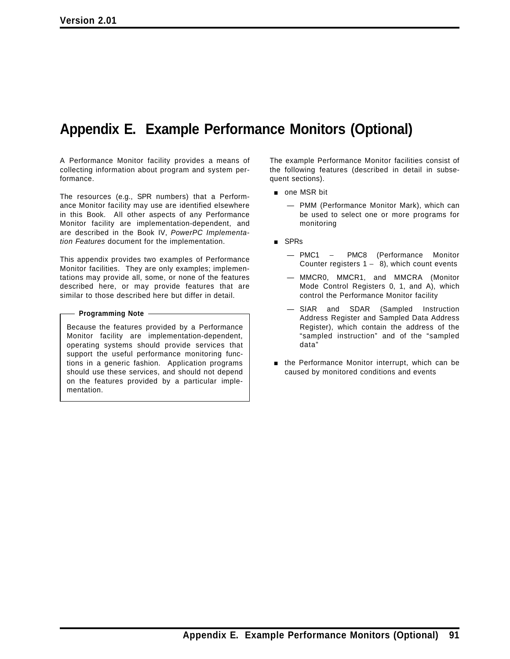# **Appendix E. Example Performance Monitors (Optional)**

A Performance Monitor facility provides a means of collecting information about program and system performance.

The resources (e.g., SPR numbers) that a Performance Monitor facility may use are identified elsewhere in this Book. All other aspects of any Performance Monitor facility are implementation-dependent, and are described in the Book IV, *PowerPC Implementation Features* document for the implementation.

This appendix provides two examples of Performance Monitor facilities. They are only examples; implementations may provide all, some, or none of the features described here, or may provide features that are similar to those described here but differ in detail.

#### **Programming Note**

Because the features provided by a Performance Monitor facility are implementation-dependent, operating systems should provide services that support the useful performance monitoring functions in a generic fashion. Application programs should use these services, and should not depend on the features provided by a particular implementation.

The example Performance Monitor facilities consist of the following features (described in detail in subsequent sections).

- one MSR bit
	- PMM (Performance Monitor Mark), which can be used to select one or more programs for monitoring
- **s** SPRs
	- PMC1 − PMC8 (Performance Monitor Counter registers  $1 - 8$ ), which count events
	- MMCR0, MMCR1, and MMCRA (Monitor Mode Control Registers 0, 1, and A), which control the Performance Monitor facility
	- SIAR and SDAR (Sampled Instruction Address Register and Sampled Data Address Register), which contain the address of the "sampled instruction" and of the "sampled data"
- $\blacksquare$  the Performance Monitor interrupt, which can be caused by monitored conditions and events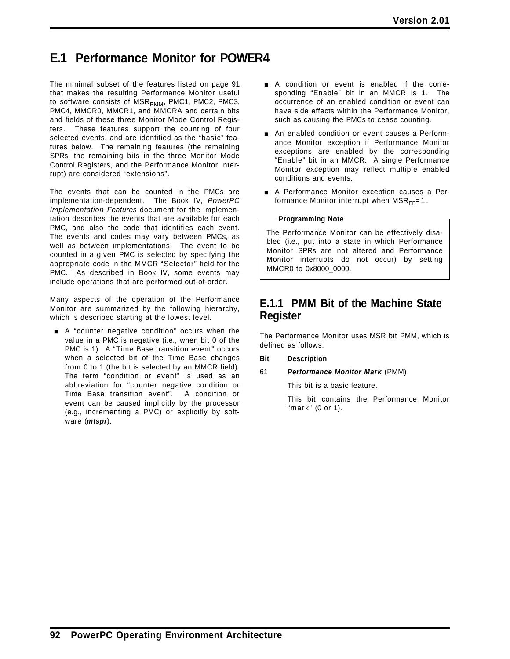# **E.1 Performance Monitor for POWER4**

The minimal subset of the features listed on page 91 that makes the resulting Performance Monitor useful to software consists of  $MSR_{PMM}$ , PMC1, PMC2, PMC3, PMC4, MMCR0, MMCR1, and MMCRA and certain bits and fields of these three Monitor Mode Control Registers. These features support the counting of four selected events, and are identified as the "basic" features below. The remaining features (the remaining SPRs, the remaining bits in the three Monitor Mode Control Registers, and the Performance Monitor interrupt) are considered "extensions".

The events that can be counted in the PMCs are implementation-dependent. The Book IV, *PowerPC Implementation Features* document for the implementation describes the events that are available for each PMC, and also the code that identifies each event. The events and codes may vary between PMCs, as well as between implementations. The event to be counted in a given PMC is selected by specifying the appropriate code in the MMCR "Selector" field for the PMC. As described in Book IV, some events may include operations that are performed out-of-order.

Many aspects of the operation of the Performance Monitor are summarized by the following hierarchy, which is described starting at the lowest level.

 $\blacksquare$  A "counter negative condition" occurs when the value in a PMC is negative (i.e., when bit 0 of the PMC is 1). A "Time Base transition event" occurs when a selected bit of the Time Base changes from 0 to 1 (the bit is selected by an MMCR field). The term "condition or event" is used as an abbreviation for "counter negative condition or Time Base transition event". A condition or event can be caused implicitly by the processor (e.g., incrementing a PMC) or explicitly by software (*mtspr*).

- A condition or event is enabled if the corresponding "Enable" bit in an MMCR is 1. The occurrence of an enabled condition or event can have side effects within the Performance Monitor, such as causing the PMCs to cease counting.
- **An enabled condition or event causes a Perform**ance Monitor exception if Performance Monitor exceptions are enabled by the corresponding "Enable" bit in an MMCR. A single Performance Monitor exception may reflect multiple enabled conditions and events.
- A Performance Monitor exception causes a Performance Monitor interrupt when  $MSR_{FF}=1$ .

**Programming Note**

The Performance Monitor can be effectively disabled (i.e., put into a state in which Performance Monitor SPRs are not altered and Performance Monitor interrupts do not occur) by setting MMCR0 to 0x8000\_0000.

## **E.1.1 PMM Bit of the Machine State Register**

The Performance Monitor uses MSR bit PMM, which is defined as follows.

- **Bit Description**
- 61 *Performance Monitor Mark* (PMM)

This bit is a basic feature.

This bit contains the Performance Monitor "mark" (0 or 1).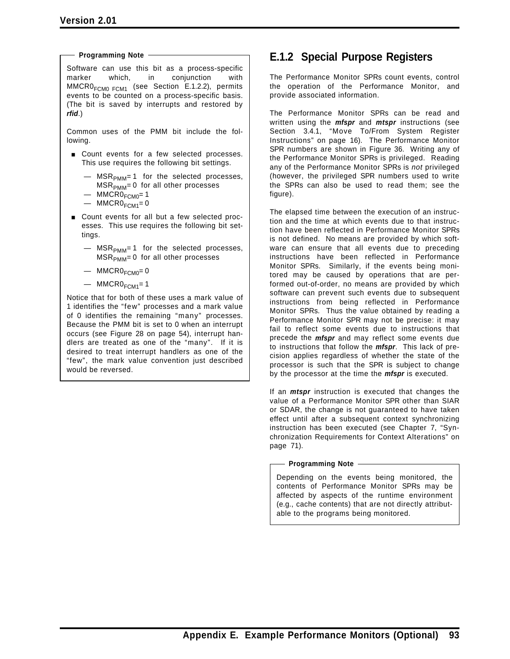**Programming Note**

Software can use this bit as a process-specific marker which, in conjunction with  $MMCR0<sub>FCM0 FCM1</sub>$  (see Section E.1.2.2), permits events to be counted on a process-specific basis. (The bit is saved by interrupts and restored by *rfid*.)

Common uses of the PMM bit include the following.

- **Exercise Count events for a few selected processes.** This use requires the following bit settings.
	- $-$  MSR<sub>PMM</sub>= 1 for the selected processes,  $MSR<sub>PMM</sub> = 0$  for all other processes
	- $-$  MMCRO $_{FCMO}$ = 1
	- $-$  MMCRO<sub>FCM1</sub>=0
- Count events for all but a few selected processes. This use requires the following bit settings.
	- $-$  MSR<sub>PMM</sub>=1 for the selected processes,  $MSR<sub>PMM</sub> = 0$  for all other processes
	- $-$  MMCRO $_{FCMO} = 0$
	- $-$  MMCRO<sub>FCM1</sub>=1

Notice that for both of these uses a mark value of 1 identifies the "few" processes and a mark value of 0 identifies the remaining "many" processes. Because the PMM bit is set to 0 when an interrupt occurs (see Figure 28 on page 54), interrupt handlers are treated as one of the "many". If it is desired to treat interrupt handlers as one of the "few", the mark value convention just described would be reversed.

## **E.1.2 Special Purpose Registers**

The Performance Monitor SPRs count events, control the operation of the Performance Monitor, and provide associated information.

The Performance Monitor SPRs can be read and written using the *mfspr* and *mtspr* instructions (see Section 3.4.1, "Move To/From System Register Instructions" on page 16). The Performance Monitor SPR numbers are shown in Figure 36. Writing any of the Performance Monitor SPRs is privileged. Reading any of the Performance Monitor SPRs is *not* privileged (however, the privileged SPR numbers used to write the SPRs can also be used to read them; see the figure).

The elapsed time between the execution of an instruction and the time at which events due to that instruction have been reflected in Performance Monitor SPRs is not defined. No means are provided by which software can ensure that all events due to preceding instructions have been reflected in Performance Monitor SPRs. Similarly, if the events being monitored may be caused by operations that are performed out-of-order, no means are provided by which software can prevent such events due to subsequent instructions from being reflected in Performance Monitor SPRs. Thus the value obtained by reading a Performance Monitor SPR may not be precise: it may fail to reflect some events due to instructions that precede the *mfspr* and may reflect some events due to instructions that follow the *mfspr*. This lack of precision applies regardless of whether the state of the processor is such that the SPR is subject to change by the processor at the time the *mfspr* is executed.

If an *mtspr* instruction is executed that changes the value of a Performance Monitor SPR other than SIAR or SDAR, the change is not guaranteed to have taken effect until after a subsequent context synchronizing instruction has been executed (see Chapter 7, "Synchronization Requirements for Context Alterations" on page 71).

**Programming Note**

Depending on the events being monitored, the contents of Performance Monitor SPRs may be affected by aspects of the runtime environment (e.g., cache contents) that are not directly attributable to the programs being monitored.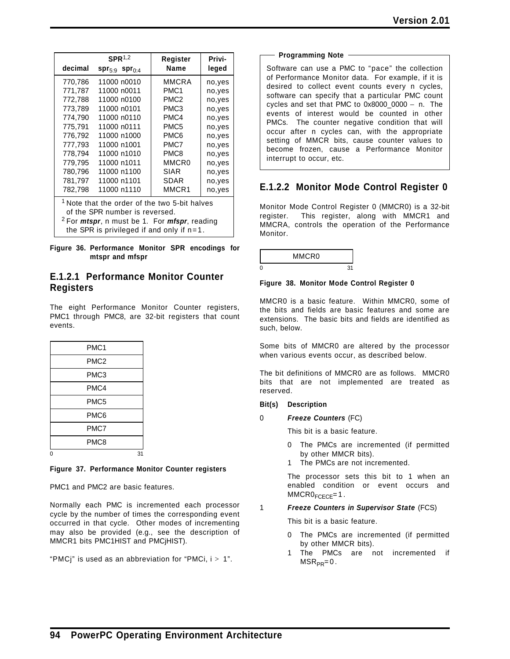|                                                                                                                                                                                                                       | SPR <sup>1,2</sup>             | Register          | Privi-  |
|-----------------------------------------------------------------------------------------------------------------------------------------------------------------------------------------------------------------------|--------------------------------|-------------------|---------|
| decimal                                                                                                                                                                                                               | $spr_{5:9}$ spr <sub>0:4</sub> | Name              | leged   |
| 770,786                                                                                                                                                                                                               | 11000 n0010                    | MMCRA             | no,yes  |
| 771,787                                                                                                                                                                                                               | 11000 n0011                    | PMC <sub>1</sub>  | no,yes  |
| 772,788                                                                                                                                                                                                               | 11000 n0100                    | PMC <sub>2</sub>  | no,yes  |
| 773,789                                                                                                                                                                                                               | 11000 n0101                    | PMC3              | no,yes  |
| 774,790                                                                                                                                                                                                               | 11000 n0110                    | PMC4              | no, yes |
| 775.791                                                                                                                                                                                                               | 11000 n0111                    | PMC <sub>5</sub>  | no,yes  |
| 776,792                                                                                                                                                                                                               | 11000 n1000                    | PMC6              | no,yes  |
| 777,793                                                                                                                                                                                                               | 11000 n1001                    | PMC7              | no,yes  |
| 778,794                                                                                                                                                                                                               | 11000 n1010                    | PMC8              | no,yes  |
| 779.795                                                                                                                                                                                                               | 11000 n1011                    | MMCR <sub>0</sub> | no, yes |
| 780.796                                                                                                                                                                                                               | 11000 n1100                    | SIAR              | no,yes  |
| 781,797                                                                                                                                                                                                               | 11000 n1101                    | SDAR              | no,yes  |
| 782,798                                                                                                                                                                                                               | 11000 n1110                    | MMCR1             | no,yes  |
| <sup>1</sup> Note that the order of the two 5-bit halves<br>of the SPR number is reversed.<br><sup>2</sup> For <i>mtspr</i> , n must be 1. For <i>mfspr</i> , reading<br>the SPR is privileged if and only if $n=1$ . |                                |                   |         |

**Figure 36. Performance Monitor SPR encodings for mtspr and mfspr**

### **E.1.2.1 Performance Monitor Counter Registers**

The eight Performance Monitor Counter registers, PMC1 through PMC8, are 32-bit registers that count events.

|   | PMC <sub>1</sub> |    |
|---|------------------|----|
|   | PMC <sub>2</sub> |    |
|   | PMC <sub>3</sub> |    |
|   | PMC4             |    |
|   | PMC <sub>5</sub> |    |
|   | PMC6             |    |
|   | PMC7             |    |
|   | PMC8             |    |
| 0 |                  | 31 |

#### **Figure 37. Performance Monitor Counter registers**

PMC1 and PMC2 are basic features.

Normally each PMC is incremented each processor cycle by the number of times the corresponding event occurred in that cycle. Other modes of incrementing may also be provided (e.g., see the description of MMCR1 bits PMC1HIST and PMCjHIST).

"PMCj" is used as an abbreviation for "PMCi,  $i > 1$ ".

| <b>Programming Note</b> |  | - |
|-------------------------|--|---|
|                         |  |   |

Software can use a PMC to "pace" the collection of Performance Monitor data. For example, if it is desired to collect event counts every n cycles, software can specify that a particular PMC count cycles and set that PMC to 0x8000\_0000 − n. The events of interest would be counted in other PMCs. The counter negative condition that will occur after n cycles can, with the appropriate setting of MMCR bits, cause counter values to become frozen, cause a Performance Monitor interrupt to occur, etc.

## **E.1.2.2 Monitor Mode Control Register 0**

Monitor Mode Control Register 0 (MMCR0) is a 32-bit register. This register, along with MMCR1 and MMCRA, controls the operation of the Performance Monitor.

|   | MMCR <sub>0</sub> |  |
|---|-------------------|--|
| 0 |                   |  |

#### **Figure 38. Monitor Mode Control Register 0**

MMCR0 is a basic feature. Within MMCR0, some of the bits and fields are basic features and some are extensions. The basic bits and fields are identified as such, below.

Some bits of MMCR0 are altered by the processor when various events occur, as described below.

The bit definitions of MMCR0 are as follows. MMCR0 bits that are not implemented are treated as reserved.

#### **Bit(s) Description**

0 *Freeze Counters* (FC)

This bit is a basic feature.

- 0 The PMCs are incremented (if permitted by other MMCR bits).
- The PMCs are not incremented.

The processor sets this bit to 1 when an enabled condition or event occurs and  $MMCR0$ <sub>FCECE</sub>=1.

#### 1 *Freeze Counters in Supervisor State* (FCS)

This bit is a basic feature.

- 0 The PMCs are incremented (if permitted by other MMCR bits).
- 1 The PMCs are not incremented if  $MSR_{PR}=0$ .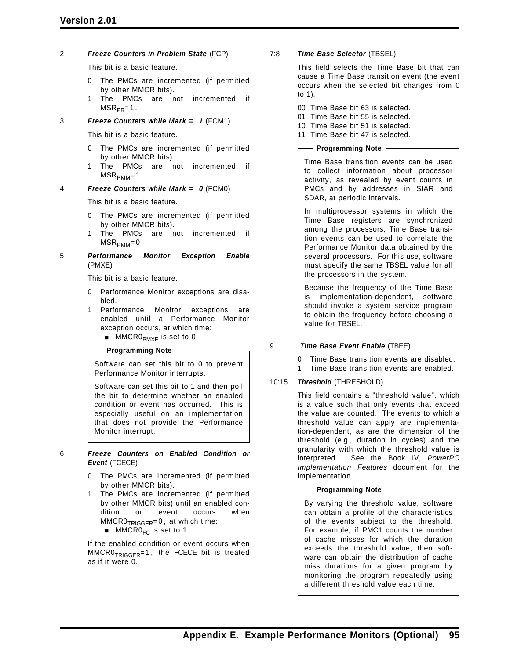### **Version 2.01**

#### 2 *Freeze Counters in Problem State* (FCP)

This bit is a basic feature.

- 0 The PMCs are incremented (if permitted by other MMCR bits).
- 1 The PMCs are not incremented if  $MSR_{PR} = 1$ .

#### 3 *Freeze Counters while Mark = 1* (FCM1)

This bit is a basic feature.

- 0 The PMCs are incremented (if permitted by other MMCR bits).
- 1 The PMCs are not incremented if  $MSR<sub>PMM</sub>=1$ .

#### 4 *Freeze Counters while Mark = 0* (FCM0)

This bit is a basic feature.

- 0 The PMCs are incremented (if permitted by other MMCR bits).
- 1 The PMCs are not incremented if  $MSR<sub>PMM</sub>=0.$
- 5 *Performance Monitor Exception Enable* (PMXE)

This bit is a basic feature.

- 0 Performance Monitor exceptions are disabled.
- 1 Performance Monitor exceptions are enabled until a Performance Monitor exception occurs, at which time:
	- $\blacksquare$  MMCR0<sub>PMXE</sub> is set to 0

**Programming Note**

Software can set this bit to 0 to prevent Performance Monitor interrupts.

Software can set this bit to 1 and then poll the bit to determine whether an enabled condition or event has occurred. This is especially useful on an implementation that does not provide the Performance Monitor interrupt.

- 6 *Freeze Counters on Enabled Condition or Event* (FCECE)
	- 0 The PMCs are incremented (if permitted by other MMCR bits).
	- The PMCs are incremented (if permitted by other MMCR bits) until an enabled condition or event occurs when  $MMCR0<sub>TRIGGER</sub>=0$ , at which time:
		- $MMCR0<sub>FC</sub>$  is set to 1

If the enabled condition or event occurs when  $MMCRO<sub>TRIGGER</sub>= 1$ , the FCECE bit is treated as if it were 0.

#### 7:8 *Time Base Selector* (TBSEL)

This field selects the Time Base bit that can cause a Time Base transition event (the event occurs when the selected bit changes from 0 to 1).

- 00 Time Base bit 63 is selected.
- 01 Time Base bit 55 is selected.
- 10 Time Base bit 51 is selected.
- 11 Time Base bit 47 is selected.

#### **Programming Note**

Time Base transition events can be used to collect information about processor activity, as revealed by event counts in PMCs and by addresses in SIAR and SDAR, at periodic intervals.

In multiprocessor systems in which the Time Base registers are synchronized among the processors, Time Base transition events can be used to correlate the Performance Monitor data obtained by the several processors. For this use, software must specify the same TBSEL value for all the processors in the system.

Because the frequency of the Time Base is implementation-dependent, software should invoke a system service program to obtain the frequency before choosing a value for TBSEL.

#### 9 *Time Base Event Enable* (TBEE)

0 Time Base transition events are disabled.

1 Time Base transition events are enabled.

#### 10:15 *Threshold* (THRESHOLD)

This field contains a "threshold value", which is a value such that only events that exceed the value are counted. The events to which a threshold value can apply are implementation-dependent, as are the dimension of the threshold (e.g., duration in cycles) and the granularity with which the threshold value is interpreted. See the Book IV, *PowerPC Implementation Features* document for the implementation.

#### **Programming Note**

By varying the threshold value, software can obtain a profile of the characteristics of the events subject to the threshold. For example, if PMC1 counts the number of cache misses for which the duration exceeds the threshold value, then software can obtain the distribution of cache miss durations for a given program by monitoring the program repeatedly using a different threshold value each time.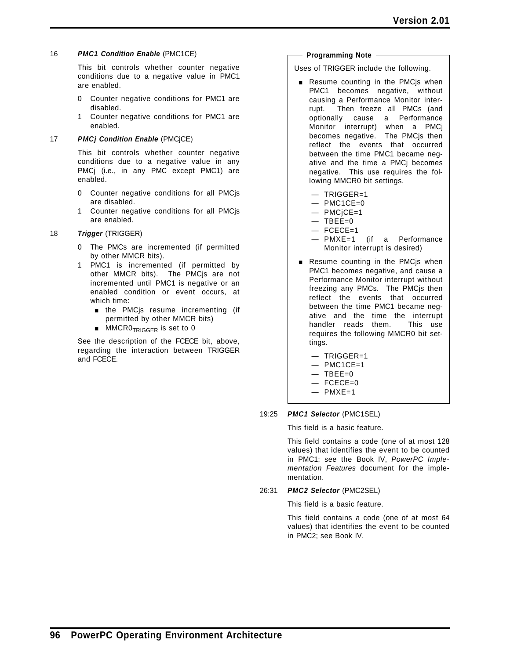#### 16 *PMC1 Condition Enable* (PMC1CE)

This bit controls whether counter negative conditions due to a negative value in PMC1 are enabled.

- 0 Counter negative conditions for PMC1 are disabled.
- 1 Counter negative conditions for PMC1 are enabled.

#### 17 *PMCj Condition Enable* (PMCjCE)

This bit controls whether counter negative conditions due to a negative value in any PMCj (i.e., in any PMC except PMC1) are enabled.

- 0 Counter negative conditions for all PMCjs are disabled.
- 1 Counter negative conditions for all PMCjs are enabled.

#### 18 *Trigger* (TRIGGER)

- 0 The PMCs are incremented (if permitted by other MMCR bits).
- 1 PMC1 is incremented (if permitted by other MMCR bits). The PMCjs are not incremented until PMC1 is negative or an enabled condition or event occurs, at which time:
	- $\blacksquare$  the PMC is resume incrementing (if permitted by other MMCR bits)
	- $\blacksquare$  MMCR0<sub>TRIGGER</sub> is set to 0

See the description of the FCECE bit, above, regarding the interaction between TRIGGER and FCECE.

#### **Programming Note**

Uses of TRIGGER include the following.

- **Resume counting in the PMCjs when** PMC1 becomes negative, without causing a Performance Monitor interrupt. Then freeze all PMCs (and optionally cause a Performance Monitor interrupt) when a PMCj becomes negative. The PMCjs then reflect the events that occurred between the time PMC1 became negative and the time a PMCj becomes negative. This use requires the following MMCR0 bit settings.
	- TRIGGER=1
	- $-$  PMC1CE=0
	- PMCjCE=1
	- $-$  TBEE=0
	- FCECE=1
	- PMXE=1 (if a Performance Monitor interrupt is desired)
- **Resume counting in the PMCjs when** PMC1 becomes negative, and cause a Performance Monitor interrupt without freezing any PMCs. The PMCjs then reflect the events that occurred between the time PMC1 became negative and the time the interrupt handler reads them. This use requires the following MMCR0 bit settings.
	- TRIGGER=1
	- $-$  PMC1CE=1
	- $-$  TBEE=0
	- $-$  FCECE=0
	- $-$  PMXE=1

#### 19:25 *PMC1 Selector* (PMC1SEL)

This field is a basic feature.

This field contains a code (one of at most 128 values) that identifies the event to be counted in PMC1; see the Book IV, *PowerPC Implementation Features* document for the implementation.

#### 26:31 *PMC2 Selector* (PMC2SEL)

This field is a basic feature.

This field contains a code (one of at most 64 values) that identifies the event to be counted in PMC2; see Book IV.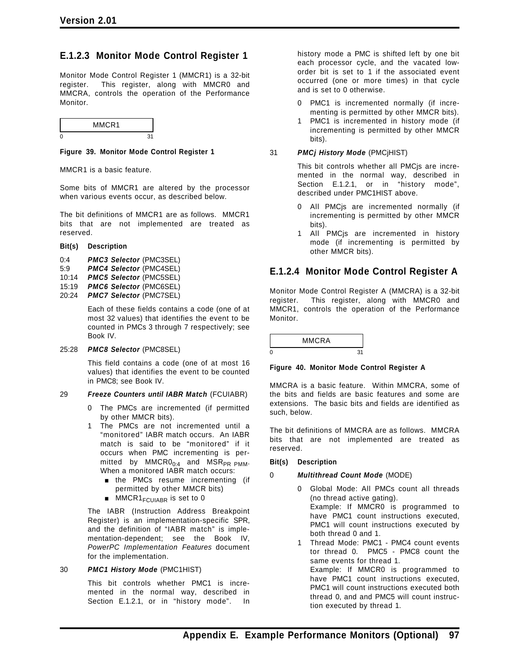### **E.1.2.3 Monitor Mode Control Register 1**

Monitor Mode Control Register 1 (MMCR1) is a 32-bit register. This register, along with MMCR0 and MMCRA, controls the operation of the Performance Monitor.

|   | MMCR1 |  |
|---|-------|--|
| n |       |  |

#### **Figure 39. Monitor Mode Control Register 1**

MMCR1 is a basic feature.

Some bits of MMCR1 are altered by the processor when various events occur, as described below.

The bit definitions of MMCR1 are as follows. MMCR1 bits that are not implemented are treated as reserved.

| Bit(s) | <b>Description</b> |
|--------|--------------------|
|--------|--------------------|

- 0:4 *PMC3 Selector* (PMC3SEL)
- 5:9 *PMC4 Selector* (PMC4SEL)
- 10:14 *PMC5 Selector* (PMC5SEL)
- 15:19 *PMC6 Selector* (PMC6SEL)
- 20:24 *PMC7 Selector* (PMC7SEL)

Each of these fields contains a code (one of at most 32 values) that identifies the event to be counted in PMCs 3 through 7 respectively; see Book IV.

#### 25:28 *PMC8 Selector* (PMC8SEL)

This field contains a code (one of at most 16 values) that identifies the event to be counted in PMC8; see Book IV.

#### 29 *Freeze Counters until IABR Match* (FCUIABR)

- 0 The PMCs are incremented (if permitted by other MMCR bits).
- 1 The PMCs are not incremented until a "monitored" IABR match occurs. An IABR match is said to be "monitored" if it occurs when PMC incrementing is permitted by  $MMCRO<sub>0:4</sub>$  and  $MSR<sub>PR PMM</sub>$ . When a monitored IABR match occurs:
	- **n** the PMCs resume incrementing (if permitted by other MMCR bits)
	- $\blacksquare$  MMCR1<sub>FCUIABR</sub> is set to 0

The IABR (Instruction Address Breakpoint Register) is an implementation-specific SPR, and the definition of "IABR match" is implementation-dependent; see the Book IV, *PowerPC Implementation Features* document for the implementation.

#### 30 *PMC1 History Mode* (PMC1HIST)

This bit controls whether PMC1 is incremented in the normal way, described in Section E.1.2.1, or in "history mode". In history mode a PMC is shifted left by one bit each processor cycle, and the vacated loworder bit is set to 1 if the associated event occurred (one or more times) in that cycle and is set to 0 otherwise.

- 0 PMC1 is incremented normally (if incrementing is permitted by other MMCR bits).
- PMC1 is incremented in history mode (if incrementing is permitted by other MMCR bits).

31 *PMCj History Mode* (PMCjHIST)

This bit controls whether all PMCjs are incremented in the normal way, described in Section E.1.2.1, or in "history mode", described under PMC1HIST above.

- All PMCjs are incremented normally (if incrementing is permitted by other MMCR bits).
- 1 All PMCjs are incremented in history mode (if incrementing is permitted by other MMCR bits).

### **E.1.2.4 Monitor Mode Control Register A**

Monitor Mode Control Register A (MMCRA) is a 32-bit register. This register, along with MMCR0 and MMCR1, controls the operation of the Performance Monitor.

|   | <b>MMCRA</b> |  |
|---|--------------|--|
| n |              |  |

**Figure 40. Monitor Mode Control Register A**

MMCRA is a basic feature. Within MMCRA, some of the bits and fields are basic features and some are extensions. The basic bits and fields are identified as such, below.

The bit definitions of MMCRA are as follows. MMCRA bits that are not implemented are treated as reserved.

#### **Bit(s) Description**

#### 0 *Multithread Count Mode* (MODE)

- 0 Global Mode: All PMCs count all threads (no thread active gating). Example: If MMCR0 is programmed to have PMC1 count instructions executed, PMC1 will count instructions executed by both thread 0 and 1.
- 1 Thread Mode: PMC1 PMC4 count events tor thread 0. PMC5 - PMC8 count the same events for thread 1. Example: If MMCR0 is programmed to have PMC1 count instructions executed, PMC1 will count instructions executed both thread 0, and and PMC5 will count instruction executed by thread 1.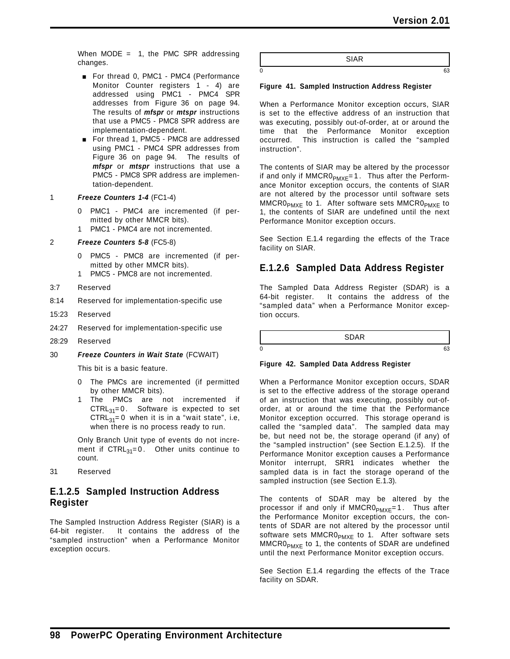When  $MODE = 1$ , the PMC SPR addressing changes.

- For thread 0, PMC1 PMC4 (Performance Monitor Counter registers 1 - 4) are addressed using PMC1 - PMC4 SPR addresses from Figure 36 on page 94. The results of *mfspr* or *mtspr* instructions that use a PMC5 - PMC8 SPR address are implementation-dependent.
- For thread 1, PMC5 PMC8 are addressed using PMC1 - PMC4 SPR addresses from Figure 36 on page 94. The results of *mfspr* or *mtspr* instructions that use a PMC5 - PMC8 SPR address are implementation-dependent.

1 *Freeze Counters 1-4* (FC1-4)

- PMC1 PMC4 are incremented (if permitted by other MMCR bits).
- 1 PMC1 PMC4 are not incremented.

#### 2 *Freeze Counters 5-8* (FC5-8)

- 0 PMC5 PMC8 are incremented (if permitted by other MMCR bits).
- 1 PMC5 PMC8 are not incremented.
- 3:7 Reserved
- 8:14 Reserved for implementation-specific use
- 15:23 Reserved
- 24:27 Reserved for implementation-specific use
- 28:29 Reserved
- 30 *Freeze Counters in Wait State* (FCWAIT)

This bit is a basic feature.

- 0 The PMCs are incremented (if permitted by other MMCR bits).
- 1 The PMCs are not incremented if  $CTRL_{31}=0$ . Software is expected to set  $CTRL_{31}=0$  when it is in a "wait state", i.e, when there is no process ready to run.

Only Branch Unit type of events do not increment if  $\text{CTR}_{31} = 0$ . Other units continue to count.

31 Reserved

### **E.1.2.5 Sampled Instruction Address Register**

The Sampled Instruction Address Register (SIAR) is a 64-bit register. It contains the address of the "sampled instruction" when a Performance Monitor exception occurs.

SIAR

 $0 \hspace{2.5cm} 63$ 

#### **Figure 41. Sampled Instruction Address Register**

When a Performance Monitor exception occurs, SIAR is set to the effective address of an instruction that was executing, possibly out-of-order, at or around the time that the Performance Monitor exception occurred. This instruction is called the "sampled instruction".

The contents of SIAR may be altered by the processor if and only if  $MMCR0<sub>PMXE</sub>=1$ . Thus after the Performance Monitor exception occurs, the contents of SIAR are not altered by the processor until software sets  $MMCR0<sub>PMXF</sub>$  to 1. After software sets  $MMCR0<sub>PMXF</sub>$  to 1, the contents of SIAR are undefined until the next Performance Monitor exception occurs.

See Section E.1.4 regarding the effects of the Trace facility on SIAR.

### **E.1.2.6 Sampled Data Address Register**

The Sampled Data Address Register (SDAR) is a 64-bit register. It contains the address of the "sampled data" when a Performance Monitor exception occurs.

SDAR

 $0 \hspace{2.5cm}$  63

#### **Figure 42. Sampled Data Address Register**

When a Performance Monitor exception occurs, SDAR is set to the effective address of the storage operand of an instruction that was executing, possibly out-oforder, at or around the time that the Performance Monitor exception occurred. This storage operand is called the "sampled data". The sampled data may be, but need not be, the storage operand (if any) of the "sampled instruction" (see Section E.1.2.5). If the Performance Monitor exception causes a Performance Monitor interrupt, SRR1 indicates whether the sampled data is in fact the storage operand of the sampled instruction (see Section E.1.3).

The contents of SDAR may be altered by the processor if and only if  $MMCR0_{PMXE} = 1$ . Thus after the Performance Monitor exception occurs, the contents of SDAR are not altered by the processor until software sets MMCRO<sub>PMXE</sub> to 1. After software sets  $MMCR0<sub>PMXE</sub>$  to 1, the contents of SDAR are undefined until the next Performance Monitor exception occurs.

See Section E.1.4 regarding the effects of the Trace facility on SDAR.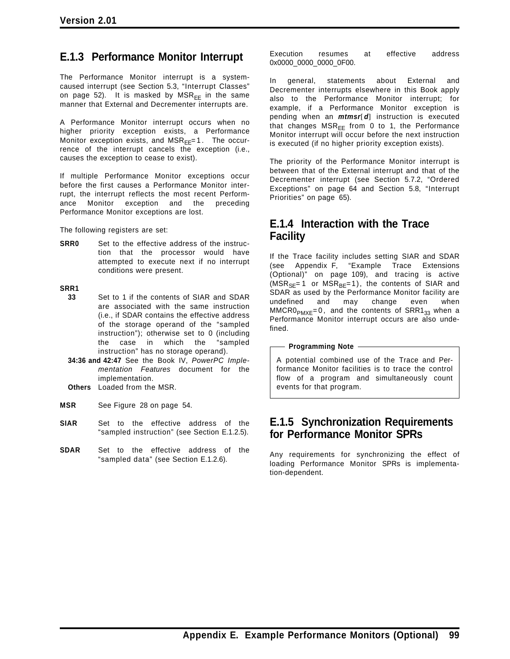## **E.1.3 Performance Monitor Interrupt**

The Performance Monitor interrupt is a systemcaused interrupt (see Section 5.3, "Interrupt Classes" on page 52). It is masked by  $MSR_{FF}$  in the same manner that External and Decrementer interrupts are.

A Performance Monitor interrupt occurs when no higher priority exception exists, a Performance Monitor exception exists, and  $MSR_{FF} = 1$ . The occurrence of the interrupt cancels the exception (i.e., causes the exception to cease to exist).

If multiple Performance Monitor exceptions occur before the first causes a Performance Monitor interrupt, the interrupt reflects the most recent Performance Monitor exception and the preceding Performance Monitor exceptions are lost.

The following registers are set:

**SRR0** Set to the effective address of the instruction that the processor would have attempted to execute next if no interrupt conditions were present.

#### **SRR1**

- **33** Set to 1 if the contents of SIAR and SDAR are associated with the same instruction (i.e., if SDAR contains the effective address of the storage operand of the "sampled instruction"); otherwise set to 0 (including the case in which the "sampled instruction" has no storage operand).
- **34:36 and 42:47** See the Book IV, *PowerPC Implementation Features* document for the implementation.
- **Others** Loaded from the MSR.
- **MSR** See Figure 28 on page 54.
- **SIAR** Set to the effective address of the "sampled instruction" (see Section E.1.2.5).
- **SDAR** Set to the effective address of the "sampled data" (see Section E.1.2.6).

Execution resumes at effective address 0x0000\_0000\_0000\_0F00.

In general, statements about External and Decrementer interrupts elsewhere in this Book apply also to the Performance Monitor interrupt; for example, if a Performance Monitor exception is pending when an *mtmsr*[*d*] instruction is executed that changes  $MSR_{EE}$  from 0 to 1, the Performance Monitor interrupt will occur before the next instruction is executed (if no higher priority exception exists).

The priority of the Performance Monitor interrupt is between that of the External interrupt and that of the Decrementer interrupt (see Section 5.7.2, "Ordered Exceptions" on page 64 and Section 5.8, "Interrupt Priorities" on page 65).

### **E.1.4 Interaction with the Trace Facility**

If the Trace facility includes setting SIAR and SDAR (see Appendix F, "Example Trace Extensions (Optional)" on page 109), and tracing is active  $(MSR_{SE}=1$  or  $MSR_{BE}=1$ ), the contents of SIAR and SDAR as used by the Performance Monitor facility are undefined and may change even when  $MMCR0<sub>PMXE</sub>=0$ , and the contents of SRR1 $_{33}$  when a Performance Monitor interrupt occurs are also undefined.

**Programming Note**

A potential combined use of the Trace and Performance Monitor facilities is to trace the control flow of a program and simultaneously count events for that program.

### **E.1.5 Synchronization Requirements for Performance Monitor SPRs**

Any requirements for synchronizing the effect of loading Performance Monitor SPRs is implementation-dependent.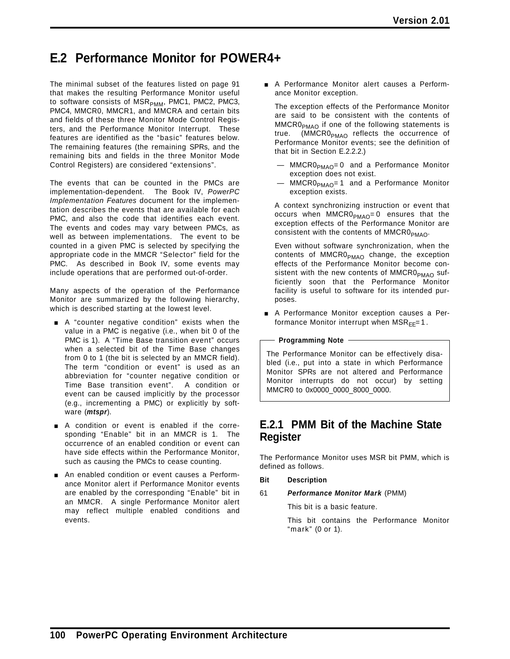# **E.2 Performance Monitor for POWER4+**

The minimal subset of the features listed on page 91 that makes the resulting Performance Monitor useful to software consists of  $MSR_{PMM}$ , PMC1, PMC2, PMC3, PMC4, MMCR0, MMCR1, and MMCRA and certain bits and fields of these three Monitor Mode Control Registers, and the Performance Monitor Interrupt. These features are identified as the "basic" features below. The remaining features (the remaining SPRs, and the remaining bits and fields in the three Monitor Mode Control Registers) are considered "extensions".

The events that can be counted in the PMCs are implementation-dependent. The Book IV, *PowerPC Implementation Features* document for the implementation describes the events that are available for each PMC, and also the code that identifies each event. The events and codes may vary between PMCs, as well as between implementations. The event to be counted in a given PMC is selected by specifying the appropriate code in the MMCR "Selector" field for the PMC. As described in Book IV, some events may include operations that are performed out-of-order.

Many aspects of the operation of the Performance Monitor are summarized by the following hierarchy, which is described starting at the lowest level.

- A "counter negative condition" exists when the value in a PMC is negative (i.e., when bit 0 of the PMC is 1). A "Time Base transition event" occurs when a selected bit of the Time Base changes from 0 to 1 (the bit is selected by an MMCR field). The term "condition or event" is used as an abbreviation for "counter negative condition or Time Base transition event". A condition or event can be caused implicitly by the processor (e.g., incrementing a PMC) or explicitly by software (*mtspr*).
- $\blacksquare$  A condition or event is enabled if the corresponding "Enable" bit in an MMCR is 1. The occurrence of an enabled condition or event can have side effects within the Performance Monitor, such as causing the PMCs to cease counting.
- An enabled condition or event causes a Performance Monitor alert if Performance Monitor events are enabled by the corresponding "Enable" bit in an MMCR. A single Performance Monitor alert may reflect multiple enabled conditions and events.

**A Performance Monitor alert causes a Perform**ance Monitor exception.

The exception effects of the Performance Monitor are said to be consistent with the contents of MMCR0<sub>PMAO</sub> if one of the following statements is true. (MMCR0<sub>PMAO</sub> reflects the occurrence of Performance Monitor events; see the definition of that bit in Section E.2.2.2.)

- MMCR0<sub>PMAO</sub>=0 and a Performance Monitor exception does not exist.
- $MMCR0<sub>PMAO</sub>=1$  and a Performance Monitor exception exists.

A context synchronizing instruction or event that occurs when  $MMCR0_{PMAO}=0$  ensures that the exception effects of the Performance Monitor are consistent with the contents of  $MMCR0_{PMAO}$ .

Even without software synchronization, when the contents of MMCR0<sub>PMAO</sub> change, the exception effects of the Performance Monitor become consistent with the new contents of MMCR0 $_{\text{PMAO}}$  sufficiently soon that the Performance Monitor facility is useful to software for its intended purposes.

A Performance Monitor exception causes a Performance Monitor interrupt when  $MSR_{EF}=1$ .

**Programming Note**

The Performance Monitor can be effectively disabled (i.e., put into a state in which Performance Monitor SPRs are not altered and Performance Monitor interrupts do not occur) by setting MMCR0 to 0x0000\_0000\_8000\_0000.

### **E.2.1 PMM Bit of the Machine State Register**

The Performance Monitor uses MSR bit PMM, which is defined as follows.

- **Bit Description**
- 61 *Performance Monitor Mark* (PMM)

This bit is a basic feature.

This bit contains the Performance Monitor "mark" (0 or 1).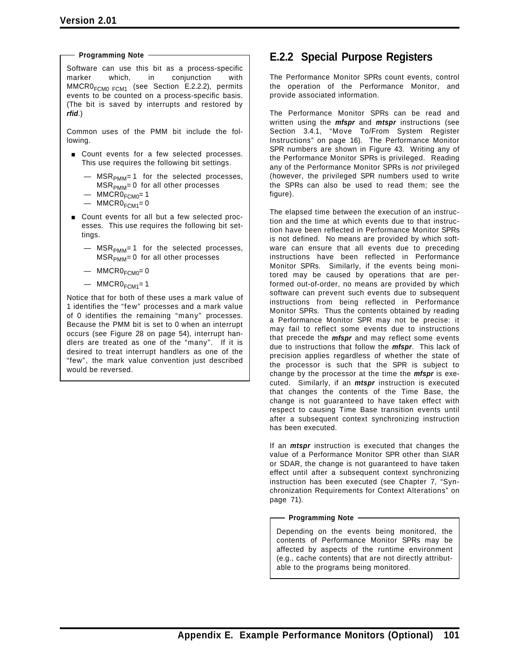**Programming Note**

Software can use this bit as a process-specific marker which, in conjunction with  $MMCR0<sub>FCM0 FCM1</sub>$  (see Section E.2.2.2), permits events to be counted on a process-specific basis. (The bit is saved by interrupts and restored by *rfid*.)

Common uses of the PMM bit include the following.

- **Exercise Count events for a few selected processes.** This use requires the following bit settings.
	- $-$  MSR<sub>PMM</sub>= 1 for the selected processes,  $MSR<sub>PMM</sub> = 0$  for all other processes
	- $-$  MMCRO $_{FCMO}$ = 1
	- $-$  MMCRO<sub>FCM1</sub>=0
- Count events for all but a few selected processes. This use requires the following bit settings.
	- $-$  MSR<sub>PMM</sub>= 1 for the selected processes,  $MSR<sub>PMM</sub>=0$  for all other processes
	- $-$  MMCRO $_{FCMO} = 0$
	- $-$  MMCRO<sub>FCM1</sub>=1

Notice that for both of these uses a mark value of 1 identifies the "few" processes and a mark value of 0 identifies the remaining "many" processes. Because the PMM bit is set to 0 when an interrupt occurs (see Figure 28 on page 54), interrupt handlers are treated as one of the "many". If it is desired to treat interrupt handlers as one of the "few", the mark value convention just described would be reversed.

## **E.2.2 Special Purpose Registers**

The Performance Monitor SPRs count events, control the operation of the Performance Monitor, and provide associated information.

The Performance Monitor SPRs can be read and written using the *mfspr* and *mtspr* instructions (see Section 3.4.1, "Move To/From System Register Instructions" on page 16). The Performance Monitor SPR numbers are shown in Figure 43. Writing any of the Performance Monitor SPRs is privileged. Reading any of the Performance Monitor SPRs is *not* privileged (however, the privileged SPR numbers used to write the SPRs can also be used to read them; see the figure).

The elapsed time between the execution of an instruction and the time at which events due to that instruction have been reflected in Performance Monitor SPRs is not defined. No means are provided by which software can ensure that all events due to preceding instructions have been reflected in Performance Monitor SPRs. Similarly, if the events being monitored may be caused by operations that are performed out-of-order, no means are provided by which software can prevent such events due to subsequent instructions from being reflected in Performance Monitor SPRs. Thus the contents obtained by reading a Performance Monitor SPR may not be precise: it may fail to reflect some events due to instructions that precede the *mfspr* and may reflect some events due to instructions that follow the *mfspr*. This lack of precision applies regardless of whether the state of the processor is such that the SPR is subject to change by the processor at the time the *mfspr* is executed. Similarly, if an *mtspr* instruction is executed that changes the contents of the Time Base, the change is not guaranteed to have taken effect with respect to causing Time Base transition events until after a subsequent context synchronizing instruction has been executed.

If an *mtspr* instruction is executed that changes the value of a Performance Monitor SPR other than SIAR or SDAR, the change is not guaranteed to have taken effect until after a subsequent context synchronizing instruction has been executed (see Chapter 7, "Synchronization Requirements for Context Alterations" on page 71).

## **Programming Note**

Depending on the events being monitored, the contents of Performance Monitor SPRs may be affected by aspects of the runtime environment (e.g., cache contents) that are not directly attributable to the programs being monitored.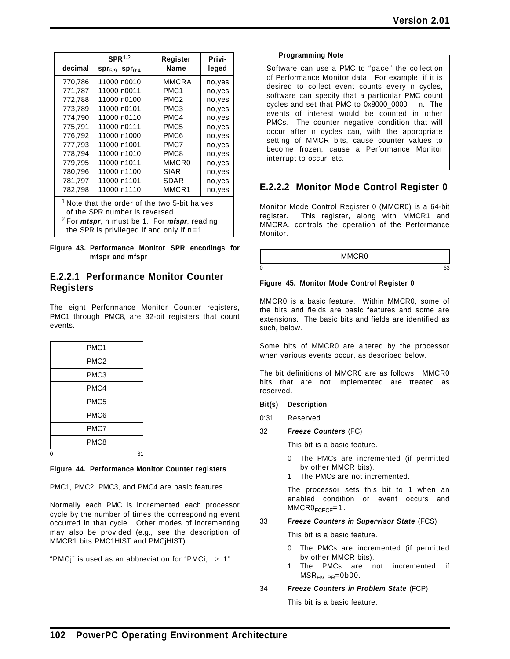|                                                                                                                                                                                                                       | SPR <sup>1,2</sup>             | Register          | Privi-  |
|-----------------------------------------------------------------------------------------------------------------------------------------------------------------------------------------------------------------------|--------------------------------|-------------------|---------|
| decimal                                                                                                                                                                                                               | $spr_{5:9}$ spr <sub>0:4</sub> | Name              | leged   |
| 770,786                                                                                                                                                                                                               | 11000 n0010                    | MMCRA             | no,yes  |
| 771,787                                                                                                                                                                                                               | 11000 n0011                    | PMC <sub>1</sub>  | no,yes  |
| 772,788                                                                                                                                                                                                               | 11000 n0100                    | PMC <sub>2</sub>  | no,yes  |
| 773.789                                                                                                                                                                                                               | 11000 n0101                    | PMC <sub>3</sub>  | no, yes |
| 774,790                                                                                                                                                                                                               | 11000 n0110                    | PMC4              | no,yes  |
| 775,791                                                                                                                                                                                                               | 11000 n0111                    | PMC <sub>5</sub>  | no,yes  |
| 776,792                                                                                                                                                                                                               | 11000 n1000                    | PMC6              | no,yes  |
| 777,793                                                                                                                                                                                                               | 11000 n1001                    | PMC7              | no,yes  |
| 778.794                                                                                                                                                                                                               | 11000 n1010                    | PMC8              | no,yes  |
| 779.795                                                                                                                                                                                                               | 11000 n1011                    | MMCR <sub>0</sub> | no,yes  |
| 780,796                                                                                                                                                                                                               | 11000 n1100                    | SIAR              | no,yes  |
| 781.797                                                                                                                                                                                                               | 11000 n1101                    | SDAR              | no,yes  |
| 782,798                                                                                                                                                                                                               | 11000 n1110                    | MMCR1             | no,yes  |
| <sup>1</sup> Note that the order of the two 5-bit halves<br>of the SPR number is reversed.<br><sup>2</sup> For <i>mtspr</i> , n must be 1. For <i>mfspr</i> , reading<br>the SPR is privileged if and only if $n=1$ . |                                |                   |         |

**Figure 43. Performance Monitor SPR encodings for mtspr and mfspr**

## **E.2.2.1 Performance Monitor Counter Registers**

The eight Performance Monitor Counter registers, PMC1 through PMC8, are 32-bit registers that count events.

|   | PMC <sub>1</sub> |    |
|---|------------------|----|
|   | PMC <sub>2</sub> |    |
|   | PMC <sub>3</sub> |    |
|   | PMC4             |    |
|   | PMC <sub>5</sub> |    |
|   | PMC6             |    |
|   | PMC7             |    |
|   | PMC8             |    |
| 0 |                  | 31 |

**Figure 44. Performance Monitor Counter registers**

PMC1, PMC2, PMC3, and PMC4 are basic features.

Normally each PMC is incremented each processor cycle by the number of times the corresponding event occurred in that cycle. Other modes of incrementing may also be provided (e.g., see the description of MMCR1 bits PMC1HIST and PMCjHIST).

"PMCj" is used as an abbreviation for "PMCi,  $i > 1$ ".

| <b>Programming Note</b> |  |  |
|-------------------------|--|--|
|                         |  |  |

Software can use a PMC to "pace" the collection of Performance Monitor data. For example, if it is desired to collect event counts every n cycles, software can specify that a particular PMC count cycles and set that PMC to 0x8000\_0000 − n. The events of interest would be counted in other PMCs. The counter negative condition that will occur after n cycles can, with the appropriate setting of MMCR bits, cause counter values to become frozen, cause a Performance Monitor interrupt to occur, etc.

## **E.2.2.2 Monitor Mode Control Register 0**

Monitor Mode Control Register 0 (MMCR0) is a 64-bit register. This register, along with MMCR1 and MMCRA, controls the operation of the Performance Monitor.

MMCR0

 $0 \hspace{2.5cm}$  63

## **Figure 45. Monitor Mode Control Register 0**

MMCR0 is a basic feature. Within MMCR0, some of the bits and fields are basic features and some are extensions. The basic bits and fields are identified as such, below.

Some bits of MMCR0 are altered by the processor when various events occur, as described below.

The bit definitions of MMCR0 are as follows. MMCR0 bits that are not implemented are treated as reserved.

- **Bit(s) Description**
- 0:31 Reserved
- 32 *Freeze Counters* (FC)

This bit is a basic feature.

- 0 The PMCs are incremented (if permitted by other MMCR bits).
- The PMCs are not incremented.

The processor sets this bit to 1 when an enabled condition or event occurs and  $MMCR0$ <sub>FCECE</sub>=1.

## 33 *Freeze Counters in Supervisor State* (FCS)

This bit is a basic feature.

- 0 The PMCs are incremented (if permitted by other MMCR bits).
- 1 The PMCs are not incremented if  $MSR_{HV\ PR} = 0b00.$
- 34 *Freeze Counters in Problem State* (FCP)

This bit is a basic feature.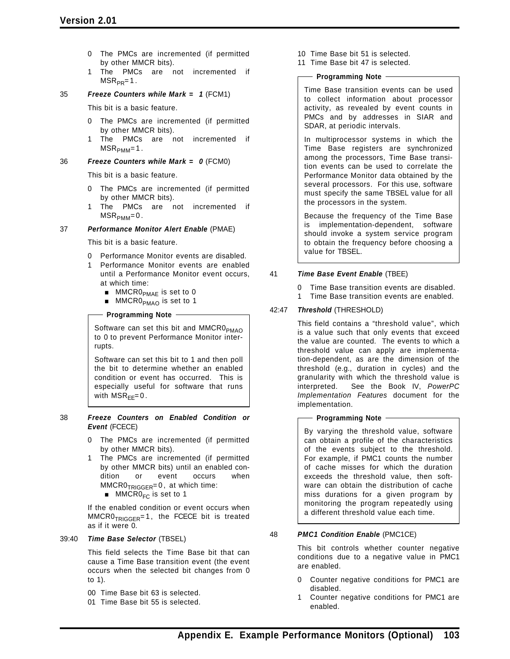- 0 The PMCs are incremented (if permitted by other MMCR bits).
- 1 The PMCs are not incremented if  $MSR_{PR} = 1$ .

### 35 *Freeze Counters while Mark = 1* (FCM1)

This bit is a basic feature.

- 0 The PMCs are incremented (if permitted by other MMCR bits).
- 1 The PMCs are not incremented if  $MSR<sub>PMM</sub>=1$ .

### 36 *Freeze Counters while Mark = 0* (FCM0)

This bit is a basic feature.

- 0 The PMCs are incremented (if permitted by other MMCR bits).
- 1 The PMCs are not incremented if  $MSR<sub>PMM</sub>=0$ .

#### 37 *Performance Monitor Alert Enable* (PMAE)

This bit is a basic feature.

- 0 Performance Monitor events are disabled.
- 1 Performance Monitor events are enabled until a Performance Monitor event occurs, at which time:
	- $\blacksquare$  MMCR0<sub>PMAE</sub> is set to 0
	- MMCR0<sub>PMAO</sub> is set to 1

## **Programming Note**

Software can set this bit and MMCR0<sub>PMAO</sub> to 0 to prevent Performance Monitor interrupts.

Software can set this bit to 1 and then poll the bit to determine whether an enabled condition or event has occurred. This is especially useful for software that runs with  $MSR<sub>FF</sub>=0$ .

#### 38 *Freeze Counters on Enabled Condition or Event* (FCECE)

- 0 The PMCs are incremented (if permitted by other MMCR bits).
- 1 The PMCs are incremented (if permitted by other MMCR bits) until an enabled condition or event occurs when  $MMCR0<sub>TRIGGER</sub>=0$ , at which time:
	- $MMCRO<sub>FC</sub>$  is set to 1

If the enabled condition or event occurs when MMCR0<sub>TRIGGER</sub>=1, the FCECE bit is treated as if it were 0.

#### 39:40 *Time Base Selector* (TBSEL)

This field selects the Time Base bit that can cause a Time Base transition event (the event occurs when the selected bit changes from 0 to 1).

- 00 Time Base bit 63 is selected.
- 01 Time Base bit 55 is selected.
- 10 Time Base bit 51 is selected.
- 11 Time Base bit 47 is selected.

### - Programming Note -

Time Base transition events can be used to collect information about processor activity, as revealed by event counts in PMCs and by addresses in SIAR and SDAR, at periodic intervals.

In multiprocessor systems in which the Time Base registers are synchronized among the processors, Time Base transition events can be used to correlate the Performance Monitor data obtained by the several processors. For this use, software must specify the same TBSEL value for all the processors in the system.

Because the frequency of the Time Base is implementation-dependent, software should invoke a system service program to obtain the frequency before choosing a value for TBSEL.

## 41 *Time Base Event Enable* (TBEE)

- 0 Time Base transition events are disabled.
- 1 Time Base transition events are enabled.

## 42:47 *Threshold* (THRESHOLD)

This field contains a "threshold value", which is a value such that only events that exceed the value are counted. The events to which a threshold value can apply are implementation-dependent, as are the dimension of the threshold (e.g., duration in cycles) and the granularity with which the threshold value is interpreted. See the Book IV, *PowerPC Implementation Features* document for the implementation.

## **Programming Note**

By varying the threshold value, software can obtain a profile of the characteristics of the events subject to the threshold. For example, if PMC1 counts the number of cache misses for which the duration exceeds the threshold value, then software can obtain the distribution of cache miss durations for a given program by monitoring the program repeatedly using a different threshold value each time.

## 48 *PMC1 Condition Enable* (PMC1CE)

This bit controls whether counter negative conditions due to a negative value in PMC1 are enabled.

- Counter negative conditions for PMC1 are disabled.
- 1 Counter negative conditions for PMC1 are enabled.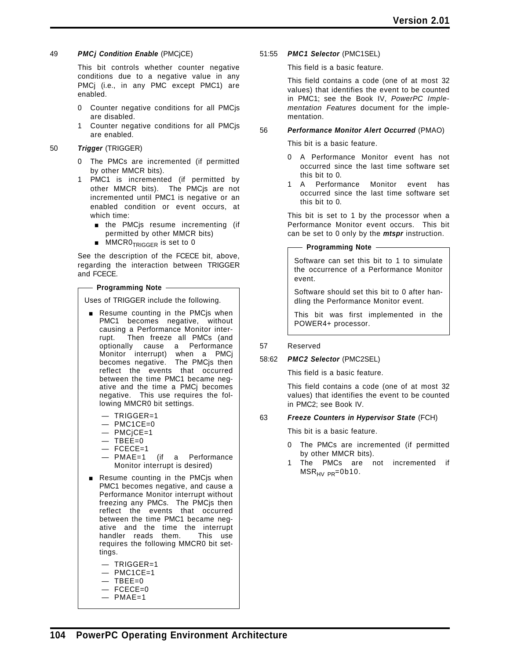## 49 *PMCj Condition Enable* (PMCjCE)

This bit controls whether counter negative conditions due to a negative value in any PMCj (i.e., in any PMC except PMC1) are enabled.

- 0 Counter negative conditions for all PMCjs are disabled.
- 1 Counter negative conditions for all PMCjs are enabled.

## 50 *Trigger* (TRIGGER)

- 0 The PMCs are incremented (if permitted by other MMCR bits).
- 1 PMC1 is incremented (if permitted by other MMCR bits). The PMCjs are not incremented until PMC1 is negative or an enabled condition or event occurs, at which time:
	- **n** the PMCjs resume incrementing (if permitted by other MMCR bits)
	- **MMCRO<sub>TRIGGER</sub>** is set to 0

See the description of the FCECE bit, above, regarding the interaction between TRIGGER and FCECE.

## **Programming Note**

Uses of TRIGGER include the following.

- **Resume counting in the PMCjs when** PMC1 becomes negative, without causing a Performance Monitor interrupt. Then freeze all PMCs (and optionally cause a Performance Monitor interrupt) when a PMCj becomes negative. The PMCjs then reflect the events that occurred between the time PMC1 became negative and the time a PMCj becomes negative. This use requires the following MMCR0 bit settings.
	- TRIGGER=1
	- $-$  PMC1CE=0
	- PMCjCE=1
	- $-$  TBEE=0
	- $-$  FCECE=1
	- PMAE=1 (if a Performance Monitor interrupt is desired)
- Resume counting in the PMCjs when PMC1 becomes negative, and cause a Performance Monitor interrupt without freezing any PMCs. The PMCjs then reflect the events that occurred between the time PMC1 became negative and the time the interrupt handler reads them. This use requires the following MMCR0 bit settings.
	- TRIGGER=1
	- $-$  PMC1CE=1
	- $-$  TBEE=0
	- $-$  FCECE=0  $-$  PMAE=1

51:55 *PMC1 Selector* (PMC1SEL)

This field is a basic feature.

This field contains a code (one of at most 32 values) that identifies the event to be counted in PMC1; see the Book IV, *PowerPC Implementation Features* document for the implementation.

## 56 *Performance Monitor Alert Occurred* (PMAO)

This bit is a basic feature.

- 0 A Performance Monitor event has not occurred since the last time software set this bit to 0.
- 1 A Performance Monitor event has occurred since the last time software set this bit to 0.

This bit is set to 1 by the processor when a Performance Monitor event occurs. This bit can be set to 0 only by the *mtspr* instruction.

**Programming Note**

Software can set this bit to 1 to simulate the occurrence of a Performance Monitor event.

Software should set this bit to 0 after handling the Performance Monitor event.

This bit was first implemented in the POWER4+ processor.

## 57 Reserved

## 58:62 *PMC2 Selector* (PMC2SEL)

This field is a basic feature.

This field contains a code (one of at most 32 values) that identifies the event to be counted in PMC2; see Book IV.

## 63 *Freeze Counters in Hypervisor State* (FCH)

This bit is a basic feature.

- 0 The PMCs are incremented (if permitted by other MMCR bits).
- 1 The PMCs are not incremented if  $MSR_{HV PR} = 0b10$ .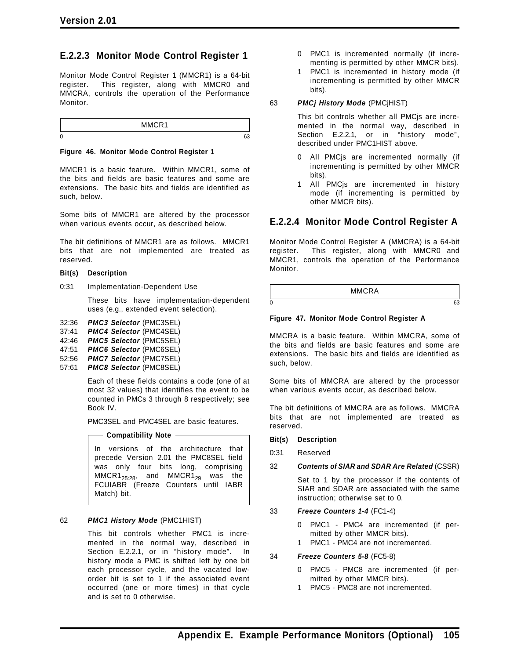## **E.2.2.3 Monitor Mode Control Register 1**

Monitor Mode Control Register 1 (MMCR1) is a 64-bit register. This register, along with MMCR0 and MMCRA, controls the operation of the Performance Monitor.

|   | <br>.<br>- |  |
|---|------------|--|
| 0 |            |  |

#### **Figure 46. Monitor Mode Control Register 1**

MMCR1 is a basic feature. Within MMCR1, some of the bits and fields are basic features and some are extensions. The basic bits and fields are identified as such, below.

Some bits of MMCR1 are altered by the processor when various events occur, as described below.

The bit definitions of MMCR1 are as follows. MMCR1 bits that are not implemented are treated as reserved.

## **Bit(s) Description**

0:31 Implementation-Dependent Use

These bits have implementation-dependent uses (e.g., extended event selection).

- 32:36 *PMC3 Selector* (PMC3SEL)
- 37:41 *PMC4 Selector* (PMC4SEL)
- 42:46 *PMC5 Selector* (PMC5SEL)
- 47:51 *PMC6 Selector* (PMC6SEL)
- 52:56 *PMC7 Selector* (PMC7SEL)
- 57:61 *PMC8 Selector* (PMC8SEL)

Each of these fields contains a code (one of at most 32 values) that identifies the event to be counted in PMCs 3 through 8 respectively; see Book IV.

PMC3SEL and PMC4SEL are basic features.

## **Compatibility Note -**

In versions of the architecture that precede Version 2.01 the PMC8SEL field was only four bits long, comprising  $MMCR1_{25:28}$ , and  $MMCR1_{29}$  was the FCUIABR (Freeze Counters until IABR Match) bit.

## 62 *PMC1 History Mode* (PMC1HIST)

This bit controls whether PMC1 is incremented in the normal way, described in Section E.2.2.1, or in "history mode". In history mode a PMC is shifted left by one bit each processor cycle, and the vacated loworder bit is set to 1 if the associated event occurred (one or more times) in that cycle and is set to 0 otherwise.

- 0 PMC1 is incremented normally (if incrementing is permitted by other MMCR bits).
- 1 PMC1 is incremented in history mode (if incrementing is permitted by other MMCR bits).

#### 63 *PMCj History Mode* (PMCjHIST)

This bit controls whether all PMCjs are incremented in the normal way, described in Section E.2.2.1, or in "history mode", described under PMC1HIST above.

- 0 All PMCjs are incremented normally (if incrementing is permitted by other MMCR bits).
- 1 All PMCjs are incremented in history mode (if incrementing is permitted by other MMCR bits).

## **E.2.2.4 Monitor Mode Control Register A**

Monitor Mode Control Register A (MMCRA) is a 64-bit register. This register, along with MMCR0 and MMCR1, controls the operation of the Performance Monitor.

MMCRA  $0 \hspace{2.5cm}$  63

## **Figure 47. Monitor Mode Control Register A**

MMCRA is a basic feature. Within MMCRA, some of the bits and fields are basic features and some are extensions. The basic bits and fields are identified as such, below.

Some bits of MMCRA are altered by the processor when various events occur, as described below.

The bit definitions of MMCRA are as follows. MMCRA bits that are not implemented are treated as reserved.

## **Bit(s) Description**

0:31 Reserved

## 32 *Contents of SIAR and SDAR Are Related* (CSSR)

Set to 1 by the processor if the contents of SIAR and SDAR are associated with the same instruction; otherwise set to 0.

## 33 *Freeze Counters 1-4* (FC1-4)

- 0 PMC1 PMC4 are incremented (if permitted by other MMCR bits).
- 1 PMC1 PMC4 are not incremented.

## 34 *Freeze Counters 5-8* (FC5-8)

- 0 PMC5 PMC8 are incremented (if permitted by other MMCR bits).
- 1 PMC5 PMC8 are not incremented.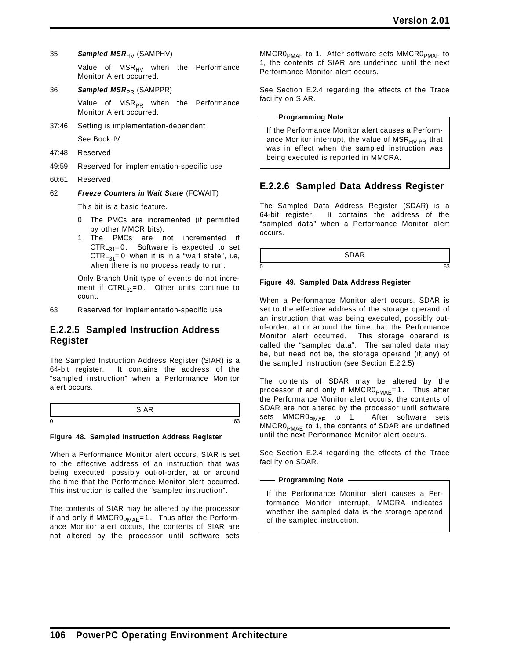35 **Sampled MSR**<sub>HV</sub> (SAMPHV)

Value of  $MSR_{HV}$  when the Performance Monitor Alert occurred.

36 **Sampled MSR**<sub>PR</sub> (SAMPPR)

Value of MSR<sub>PR</sub> when the Performance Monitor Alert occurred.

- 37:46 Setting is implementation-dependent See Book IV.
- 47:48 Reserved
- 49:59 Reserved for implementation-specific use
- 60:61 Reserved

62 *Freeze Counters in Wait State* (FCWAIT)

This bit is a basic feature.

- 0 The PMCs are incremented (if permitted by other MMCR bits).
- 1 The PMCs are not incremented if  $CTRL_{31}=0$ . Software is expected to set  $CTRL_{31}=0$  when it is in a "wait state", i.e, when there is no process ready to run.

Only Branch Unit type of events do not increment if  $CTRL_{31}=0$ . Other units continue to count.

63 Reserved for implementation-specific use

## **E.2.2.5 Sampled Instruction Address Register**

The Sampled Instruction Address Register (SIAR) is a 64-bit register. It contains the address of the "sampled instruction" when a Performance Monitor alert occurs.

## **Figure 48. Sampled Instruction Address Register**

When a Performance Monitor alert occurs, SIAR is set to the effective address of an instruction that was being executed, possibly out-of-order, at or around the time that the Performance Monitor alert occurred. This instruction is called the "sampled instruction".

The contents of SIAR may be altered by the processor if and only if  $MMCR0_{PMAF}=1$ . Thus after the Performance Monitor alert occurs, the contents of SIAR are not altered by the processor until software sets

 $MMCR0<sub>PMAE</sub>$  to 1. After software sets  $MMCR0<sub>PMAE</sub>$  to 1, the contents of SIAR are undefined until the next Performance Monitor alert occurs.

See Section E.2.4 regarding the effects of the Trace facility on SIAR.

#### **Programming Note**

If the Performance Monitor alert causes a Performance Monitor interrupt, the value of  $MSR_{HV\ PR}$  that was in effect when the sampled instruction was being executed is reported in MMCRA.

## **E.2.2.6 Sampled Data Address Register**

The Sampled Data Address Register (SDAR) is a 64-bit register. It contains the address of the "sampled data" when a Performance Monitor alert occurs.

SDAR  $0 \hspace{2.5cm} 63$ 

## **Figure 49. Sampled Data Address Register**

When a Performance Monitor alert occurs, SDAR is set to the effective address of the storage operand of an instruction that was being executed, possibly outof-order, at or around the time that the Performance Monitor alert occurred. This storage operand is called the "sampled data". The sampled data may be, but need not be, the storage operand (if any) of the sampled instruction (see Section E.2.2.5).

The contents of SDAR may be altered by the processor if and only if  $MMCR0_{PMAF}=1$ . Thus after the Performance Monitor alert occurs, the contents of SDAR are not altered by the processor until software sets MMCR0<sub>PMAE</sub> to 1. After software sets  $MMCR0<sub>PMAF</sub>$  to 1, the contents of SDAR are undefined until the next Performance Monitor alert occurs.

See Section E.2.4 regarding the effects of the Trace facility on SDAR.

### **Programming Note**

If the Performance Monitor alert causes a Performance Monitor interrupt, MMCRA indicates whether the sampled data is the storage operand of the sampled instruction.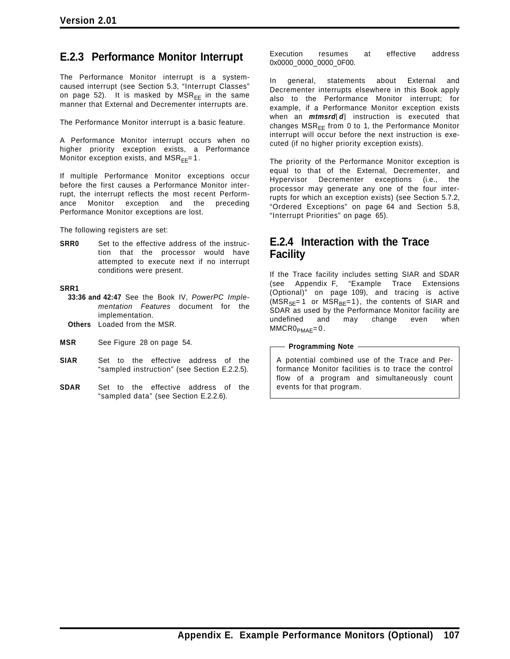## **E.2.3 Performance Monitor Interrupt**

The Performance Monitor interrupt is a systemcaused interrupt (see Section 5.3, "Interrupt Classes" on page 52). It is masked by  $MSR_{FF}$  in the same manner that External and Decrementer interrupts are.

The Performance Monitor interrupt is a basic feature.

A Performance Monitor interrupt occurs when no higher priority exception exists, a Performance Monitor exception exists, and  $MSR_{FF}=1$ .

If multiple Performance Monitor exceptions occur before the first causes a Performance Monitor interrupt, the interrupt reflects the most recent Performance Monitor exception and the preceding Performance Monitor exceptions are lost.

The following registers are set:

**SRR0** Set to the effective address of the instruction that the processor would have attempted to execute next if no interrupt conditions were present.

#### **SRR1**

- **33:36 and 42:47** See the Book IV, *PowerPC Implementation Features* document for the implementation.
- **Others** Loaded from the MSR.
- **MSR** See Figure 28 on page 54.
- **SIAR** Set to the effective address of the "sampled instruction" (see Section E.2.2.5).
- **SDAR** Set to the effective address of the "sampled data" (see Section E.2.2.6).

Execution resumes at effective address 0x0000\_0000\_0000\_0F00.

In general, statements about External and Decrementer interrupts elsewhere in this Book apply also to the Performance Monitor interrupt; for example, if a Performance Monitor exception exists when an *mtmsrd*[*d*] instruction is executed that changes  $MSR_{FF}$  from 0 to 1, the Performance Monitor interrupt will occur before the next instruction is executed (if no higher priority exception exists).

The priority of the Performance Monitor exception is equal to that of the External, Decrementer, and Hypervisor Decrementer exceptions (i.e., the processor may generate any one of the four interrupts for which an exception exists) (see Section 5.7.2, "Ordered Exceptions" on page 64 and Section 5.8, "Interrupt Priorities" on page 65).

## **E.2.4 Interaction with the Trace Facility**

If the Trace facility includes setting SIAR and SDAR (see Appendix F, "Example Trace Extensions (Optional)" on page 109), and tracing is active  $(MSR_{SE}=1$  or  $MSR_{BE}=1)$ , the contents of SIAR and SDAR as used by the Performance Monitor facility are undefined and may change even when  $MMCR0_{PMAE}=0$ .

#### **Programming Note**

A potential combined use of the Trace and Performance Monitor facilities is to trace the control flow of a program and simultaneously count events for that program.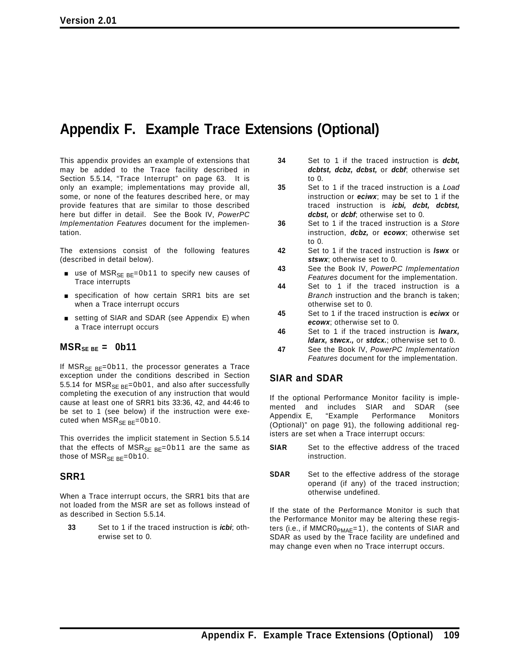## **Appendix F. Example Trace Extensions (Optional)**

This appendix provides an example of extensions that may be added to the Trace facility described in Section 5.5.14, "Trace Interrupt" on page 63. It is only an example; implementations may provide all, some, or none of the features described here, or may provide features that are similar to those described here but differ in detail. See the Book IV, *PowerPC Implementation Features* document for the implementation.

The extensions consist of the following features (described in detail below).

- use of MSR<sub>SE BE</sub>=0b11 to specify new causes of Trace interrupts
- specification of how certain SRR1 bits are set when a Trace interrupt occurs
- setting of SIAR and SDAR (see Appendix E) when a Trace interrupt occurs

## $MSR_{SE BE} = 0b11$

If  $MSR_{SE BE} = 0b11$ , the processor generates a Trace exception under the conditions described in Section 5.5.14 for  $MSR_{SE BE} = 0b01$ , and also after successfully completing the execution of any instruction that would cause at least one of SRR1 bits 33:36, 42, and 44:46 to be set to 1 (see below) if the instruction were executed when  $MSR_{SE BE} = 0b10$ .

This overrides the implicit statement in Section 5.5.14 that the effects of  $MSR_{SE BE} = 0b11$  are the same as those of  $MSR_{SE BE} = 0b10$ .

## **SRR1**

When a Trace interrupt occurs, the SRR1 bits that are not loaded from the MSR are set as follows instead of as described in Section 5.5.14.

**33** Set to 1 if the traced instruction is *icbi*; otherwise set to 0.

- **34** Set to 1 if the traced instruction is *dcbt, dcbtst, dcbz, dcbst,* or *dcbf*; otherwise set to 0.
- **35** Set to 1 if the traced instruction is a *Load* instruction or *eciwx*; may be set to 1 if the traced instruction is *icbi, dcbt, dcbtst, dcbst,* or *dcbf*; otherwise set to 0.
- **36** Set to 1 if the traced instruction is a *Store* instruction, *dcbz,* or *ecowx*; otherwise set to 0.
- **42** Set to 1 if the traced instruction is *lswx* or *stswx*; otherwise set to 0.
- **43** See the Book IV, *PowerPC Implementation Features* document for the implementation.
- **44** Set to 1 if the traced instruction is a *Branch* instruction and the branch is taken; otherwise set to 0.
- **45** Set to 1 if the traced instruction is *eciwx* or *ecowx*; otherwise set to 0.
- **46** Set to 1 if the traced instruction is *lwarx, ldarx, stwcx.,* or *stdcx.*; otherwise set to 0.
- **47** See the Book IV, *PowerPC Implementation Features* document for the implementation.

## **SIAR and SDAR**

If the optional Performance Monitor facility is implemented and includes SIAR and SDAR (see Appendix E, "Example Performance Monitors (Optional)" on page 91), the following additional registers are set when a Trace interrupt occurs:

- **SIAR** Set to the effective address of the traced instruction.
- **SDAR** Set to the effective address of the storage operand (if any) of the traced instruction; otherwise undefined.

If the state of the Performance Monitor is such that the Performance Monitor may be altering these registers (i.e., if MMCR0<sub>PMAE</sub>=1), the contents of SIAR and SDAR as used by the Trace facility are undefined and may change even when no Trace interrupt occurs.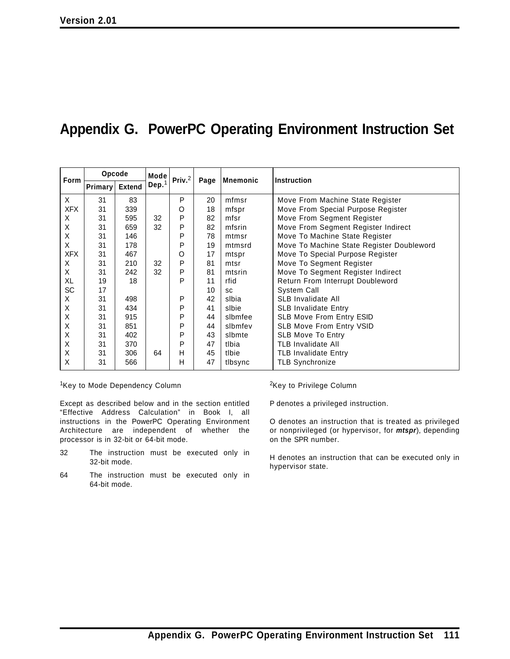## **Appendix G. PowerPC Operating Environment Instruction Set**

| <b>Form</b> | Opcode         |               | Mode              | Priv. $2$ | Page | <b>Mnemonic</b><br><b>Instruction</b> |                                           |
|-------------|----------------|---------------|-------------------|-----------|------|---------------------------------------|-------------------------------------------|
|             | <b>Primary</b> | <b>Extend</b> | Dep. <sup>1</sup> |           |      |                                       |                                           |
| X           | 31             | 83            |                   | P         | 20   | mfmsr                                 | Move From Machine State Register          |
| <b>XFX</b>  | 31             | 339           |                   | O         | 18   | mfspr                                 | Move From Special Purpose Register        |
| X           | 31             | 595           | 32                | P         | 82   | mfsr                                  | Move From Segment Register                |
| X           | 31             | 659           | 32                | P         | 82   | mfsrin                                | Move From Segment Register Indirect       |
| Χ           | 31             | 146           |                   | P         | 78   | mtmsr                                 | Move To Machine State Register            |
| X           | 31             | 178           |                   | P         | 19   | mtmsrd                                | Move To Machine State Register Doubleword |
| <b>XFX</b>  | 31             | 467           |                   | O         | 17   | mtspr                                 | Move To Special Purpose Register          |
| X           | 31             | 210           | 32                | P         | 81   | mtsr                                  | Move To Segment Register                  |
| X           | 31             | 242           | 32                | P         | 81   | mtsrin                                | Move To Segment Register Indirect         |
| XL          | 19             | 18            |                   | P         | 11   | rfid                                  | Return From Interrupt Doubleword          |
| SC          | 17             |               |                   |           | 10   | <b>SC</b>                             | System Call                               |
| X           | 31             | 498           |                   | P         | 42   | slbia                                 | <b>SLB Invalidate All</b>                 |
| X           | 31             | 434           |                   | P         | 41   | slbie                                 | <b>SLB Invalidate Entry</b>               |
| X           | 31             | 915           |                   | P         | 44   | slbmfee                               | SLB Move From Entry ESID                  |
| X           | 31             | 851           |                   | P         | 44   | slbmfev                               | <b>SLB Move From Entry VSID</b>           |
| X           | 31             | 402           |                   | P         | 43   | slbmte                                | <b>SLB Move To Entry</b>                  |
| X           | 31             | 370           |                   | P         | 47   | tlbia                                 | <b>TLB Invalidate All</b>                 |
| X           | 31             | 306           | 64                | Н         | 45   | tlbie                                 | <b>TLB Invalidate Entry</b>               |
| X           | 31             | 566           |                   | н         | 47   | tlbsync                               | <b>TLB Synchronize</b>                    |

<sup>1</sup>Key to Mode Dependency Column

Except as described below and in the section entitled "Effective Address Calculation" in Book I, all instructions in the PowerPC Operating Environment Architecture are independent of whether the processor is in 32-bit or 64-bit mode.

- 32 The instruction must be executed only in 32-bit mode.
- 64 The instruction must be executed only in 64-bit mode.

2Key to Privilege Column

P denotes a privileged instruction.

O denotes an instruction that is treated as privileged or nonprivileged (or hypervisor, for *mtspr*), depending on the SPR number.

H denotes an instruction that can be executed only in hypervisor state.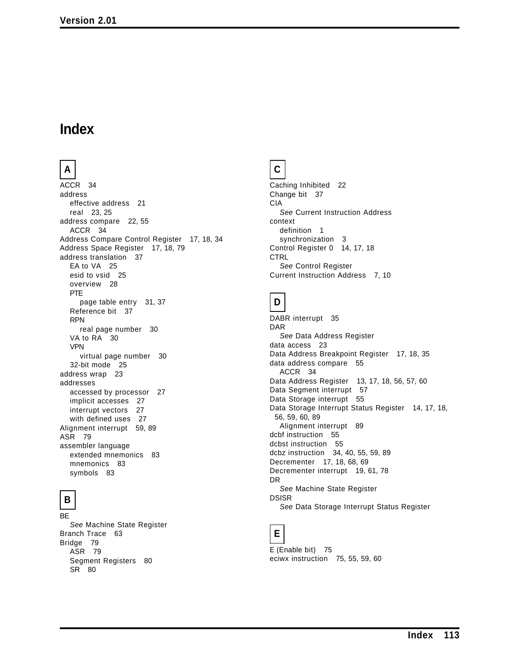## **Index**

## **A**

ACCR 34 address effective address 21 real 23, 25 address compare 22, 55 ACCR 34 Address Compare Control Register 17, 18, 34 Address Space Register 17, 18, 79 address translation 37 EA to VA 25 esid to vsid 25 overview 28 PTE page table entry 31, 37 Reference bit 37 RPN real page number 30 VA to RA 30 VPN virtual page number 30 32-bit mode 25 address wrap 23 addresses accessed by processor 27 implicit accesses 27 interrupt vectors 27 with defined uses 27 Alignment interrupt 59, 89 ASR 79 assembler language extended mnemonics 83 mnemonics 83 symbols 83

## **B**

BE *See* Machine State Register Branch Trace 63 Bridge 79 ASR 79 Segment Registers 80 SR 80

## **C**

Caching Inhibited 22 Change bit 37 CIA *See* Current Instruction Address context definition 1 synchronization 3 Control Register 0 14, 17, 18 **CTRL** *See* Control Register Current Instruction Address 7, 10

## **D**

DABR interrupt 35 DAR *See* Data Address Register data access 23 Data Address Breakpoint Register 17, 18, 35 data address compare 55 ACCR 34 Data Address Register 13, 17, 18, 56, 57, 60 Data Segment interrupt 57 Data Storage interrupt 55 Data Storage Interrupt Status Register 14, 17, 18, 56, 59, 60, 89 Alignment interrupt 89 dcbf instruction 55 dcbst instruction 55 dcbz instruction 34, 40, 55, 59, 89 Decrementer 17, 18, 68, 69 Decrementer interrupt 19, 61, 78 DR *See* Machine State Register DSISR *See* Data Storage Interrupt Status Register

# **E**

E (Enable bit) 75 eciwx instruction 75, 55, 59, 60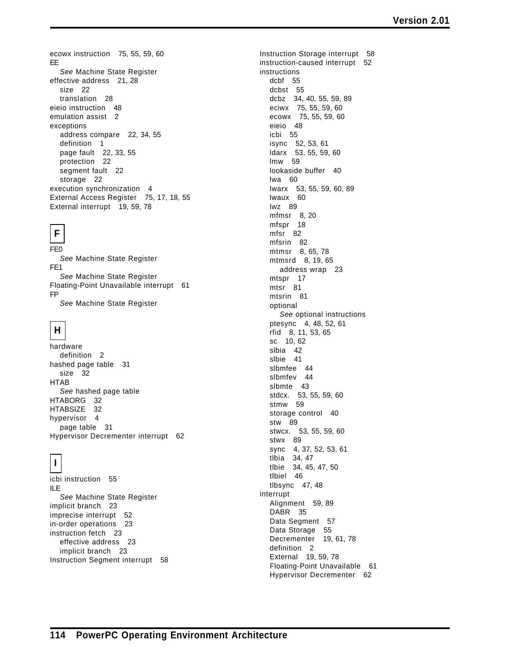ecowx instruction 75, 55, 59, 60 EE *See* Machine State Register effective address 21, 28 size 22 translation 28 eieio instruction 48 emulation assist 2 exceptions address compare 22, 34, 55 definition 1 page fault 22, 33, 55 protection 22 segment fault 22 storage 22 execution synchronization 4 External Access Register 75, 17, 18, 55 External interrupt 19, 59, 78

# **F**

FE0 *See* Machine State Register FE1 *See* Machine State Register Floating-Point Unavailable interrupt 61 FP *See* Machine State Register

## **H**

hardware definition 2 hashed page table 31 size 32 HTAB *See* hashed page table HTABORG 32 HTABSIZE 32 hypervisor 4 page table 31 Hypervisor Decrementer interrupt 62

# **I**

icbi instruction 55 ILE *See* Machine State Register implicit branch 23 imprecise interrupt 52 in-order operations 23 instruction fetch 23 effective address 23 implicit branch 23 Instruction Segment interrupt 58 Instruction Storage interrupt 58 instruction-caused interrupt 52 instructions dcbf 55 dcbst 55 dcbz 34, 40, 55, 59, 89 eciwx 75, 55, 59, 60 ecowx 75, 55, 59, 60 eieio 48 icbi 55 isync 52, 53, 61 ldarx 53, 55, 59, 60 lmw 59 lookaside buffer 40 lwa 60 lwarx 53, 55, 59, 60, 89 lwaux 60 lwz 89 mfmsr 8, 20 mfspr 18 mfsr 82 mfsrin 82 mtmsr 8, 65, 78 mtmsrd 8, 19, 65 address wrap 23 mtspr 17 mtsr 81 mtsrin 81 optional *See* optional instructions ptesync 4, 48, 52, 61 rfid 8, 11, 53, 65 sc 10, 62 slbia 42 slbie 41 slbmfee 44 slbmfev 44 slbmte 43 stdcx. 53, 55, 59, 60 stmw 59 storage control 40 stw 89 stwcx. 53, 55, 59, 60 stwx 89 sync 4, 37, 52, 53, 61 tlbia 34, 47 tlbie 34, 45, 47, 50 tlbiel 46 tlbsync 47, 48 interrupt Alignment 59, 89 DABR 35 Data Segment 57 Data Storage 55 Decrementer 19, 61, 78 definition 2 External 19, 59, 78 Floating-Point Unavailable 61 Hypervisor Decrementer 62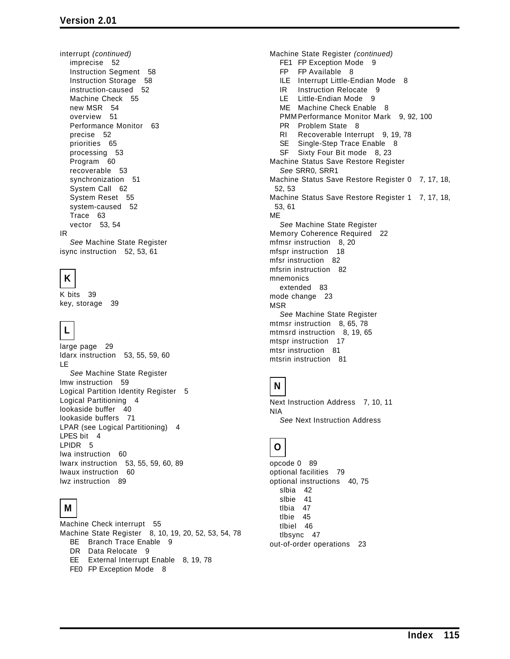interrupt *(continued)* imprecise 52 Instruction Segment 58 Instruction Storage 58 instruction-caused 52 Machine Check 55 new MSR 54 overview 51 Performance Monitor 63 precise 52 priorities 65 processing 53 Program 60 recoverable 53 synchronization 51 System Call 62 System Reset 55 system-caused 52 Trace 63 vector 53, 54 IR *See* Machine State Register

isync instruction 52, 53, 61

## **K**

K bits 39 key, storage 39

# **L**

large page 29 ldarx instruction 53, 55, 59, 60 LE *See* Machine State Register lmw instruction 59 Logical Partition Identity Register 5 Logical Partitioning 4 lookaside buffer 40 lookaside buffers 71 LPAR (see Logical Partitioning) 4 LPES bit 4 LPIDR 5 lwa instruction 60 lwarx instruction 53, 55, 59, 60, 89 lwaux instruction 60 lwz instruction 89

## **M**

Machine Check interrupt 55 Machine State Register 8, 10, 19, 20, 52, 53, 54, 78 BE Branch Trace Enable 9 DR Data Relocate 9 EE External Interrupt Enable 8, 19, 78 FE0 FP Exception Mode 8

Machine State Register *(continued)* FE1 FP Exception Mode 9 FP FP Available 8 ILE Interrupt Little-Endian Mode 8 IR Instruction Relocate 9 LE Little-Endian Mode 9 ME Machine Check Enable 8 PMM Performance Monitor Mark 9, 92, 100 PR Problem State 8 RI Recoverable Interrupt 9, 19, 78 SE Single-Step Trace Enable 8 SF Sixty Four Bit mode 8, 23 Machine Status Save Restore Register *See* SRR0, SRR1 Machine Status Save Restore Register 0 7, 17, 18, 52, 53 Machine Status Save Restore Register 1 7, 17, 18, 53, 61 ME *See* Machine State Register Memory Coherence Required 22 mfmsr instruction 8, 20 mfspr instruction 18 mfsr instruction 82 mfsrin instruction 82 mnemonics extended 83 mode change 23 MSR *See* Machine State Register mtmsr instruction 8, 65, 78 mtmsrd instruction 8, 19, 65 mtspr instruction 17 mtsr instruction 81 mtsrin instruction 81

## **N**

Next Instruction Address 7, 10, 11 NIA *See* Next Instruction Address

## **O**

opcode 0 89 optional facilities 79 optional instructions 40, 75 slbia 42 slbie 41 tlbia 47 tlbie 45 tlbiel 46 tlbsync 47 out-of-order operations 23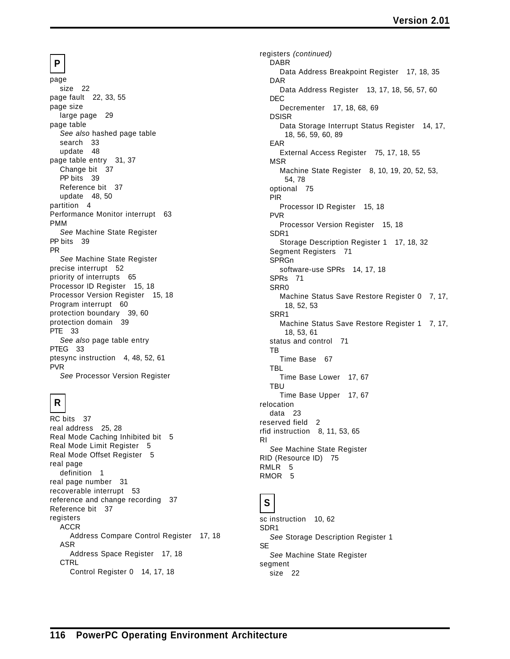## **P**

page size 22 page fault 22, 33, 55 page size large page 29 page table *See also* hashed page table search 33 update 48 page table entry 31, 37 Change bit 37 PP bits 39 Reference bit 37 update 48, 50 partition 4 Performance Monitor interrupt 63 PMM *See* Machine State Register PP bits 39 PR *See* Machine State Register precise interrupt 52 priority of interrupts 65 Processor ID Register 15, 18 Processor Version Register 15, 18 Program interrupt 60 protection boundary 39, 60 protection domain 39 PTE 33 *See also* page table entry PTEG 33 ptesync instruction 4, 48, 52, 61 PVR *See* Processor Version Register

# **R**

RC bits 37 real address 25, 28 Real Mode Caching Inhibited bit 5 Real Mode Limit Register 5 Real Mode Offset Register 5 real page definition 1 real page number 31 recoverable interrupt 53 reference and change recording 37 Reference bit 37 registers ACCR Address Compare Control Register 17, 18 ASR Address Space Register 17, 18 **CTRL** Control Register 0 14, 17, 18

registers *(continued)* DABR Data Address Breakpoint Register 17, 18, 35 DAR Data Address Register 13, 17, 18, 56, 57, 60 DEC Decrementer 17, 18, 68, 69 DSISR Data Storage Interrupt Status Register 14, 17, 18, 56, 59, 60, 89 EAR External Access Register 75, 17, 18, 55 MSR Machine State Register 8, 10, 19, 20, 52, 53, 54, 78 optional 75 PIR Processor ID Register 15, 18 PVR Processor Version Register 15, 18 SDR1 Storage Description Register 1 17, 18, 32 Segment Registers 71 SPRGn software-use SPRs 14, 17, 18 SPRs 71 SRR0 Machine Status Save Restore Register 0 7, 17, 18, 52, 53 SRR1 Machine Status Save Restore Register 1 7, 17, 18, 53, 61 status and control 71 TB Time Base 67 TBL Time Base Lower 17, 67 TBU Time Base Upper 17, 67 relocation data 23 reserved field 2 rfid instruction 8, 11, 53, 65 RI *See* Machine State Register RID (Resource ID) 75 RMLR 5 RMOR 5

## **S**

sc instruction 10, 62 SDR1 *See* Storage Description Register 1 **SE** *See* Machine State Register segment size 22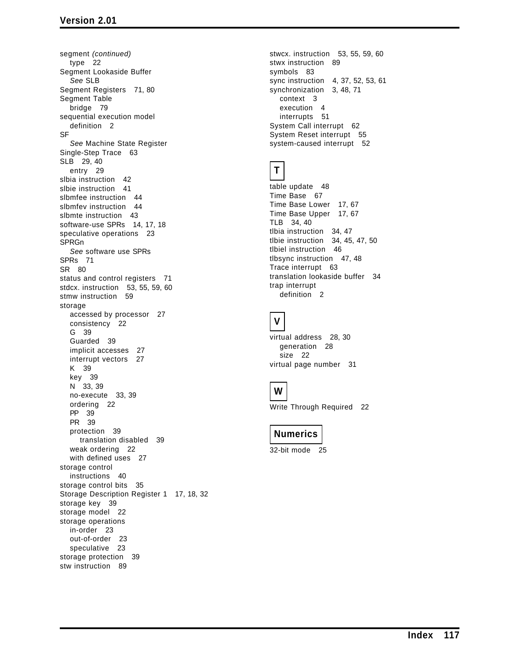segment *(continued)* type 22 Segment Lookaside Buffer *See* SLB Segment Registers 71, 80 Segment Table bridge 79 sequential execution model definition 2 **SF** *See* Machine State Register Single-Step Trace 63 SLB 29, 40 entry 29 slbia instruction 42 slbie instruction 41 slbmfee instruction 44 slbmfev instruction 44 slbmte instruction 43 software-use SPRs 14, 17, 18 speculative operations 23 SPRGn *See* software use SPRs SPRs 71 SR 80 status and control registers 71 stdcx. instruction 53, 55, 59, 60 stmw instruction 59 storage accessed by processor 27 consistency 22 G 39 Guarded 39 implicit accesses 27 interrupt vectors 27 K 39 key 39 N 33, 39 no-execute 33, 39 ordering 22 PP 39 PR 39 protection 39 translation disabled 39 weak ordering 22 with defined uses 27 storage control instructions 40 storage control bits 35 Storage Description Register 1 17, 18, 32 storage key 39 storage model 22 storage operations in-order 23 out-of-order 23 speculative 23 storage protection 39 stw instruction 89

stwcx. instruction 53, 55, 59, 60 stwx instruction 89 symbols 83 sync instruction 4, 37, 52, 53, 61 synchronization 3, 48, 71 context 3 execution 4 interrupts 51 System Call interrupt 62 System Reset interrupt 55 system-caused interrupt 52

## **T**

```
table update 48
Time Base 67
Time Base Lower 17, 67
Time Base Upper 17, 67
TLB 34, 40
tlbia instruction 34, 47
tlbie instruction 34, 45, 47, 50
tlbiel instruction 46
tlbsync instruction 47, 48
Trace interrupt 63
translation lookaside buffer 34
trap interrupt
  definition 2
```
# **V**

virtual address 28, 30 generation 28 size 22 virtual page number 31

## **W**

Write Through Required 22

## **Numerics**

32-bit mode 25